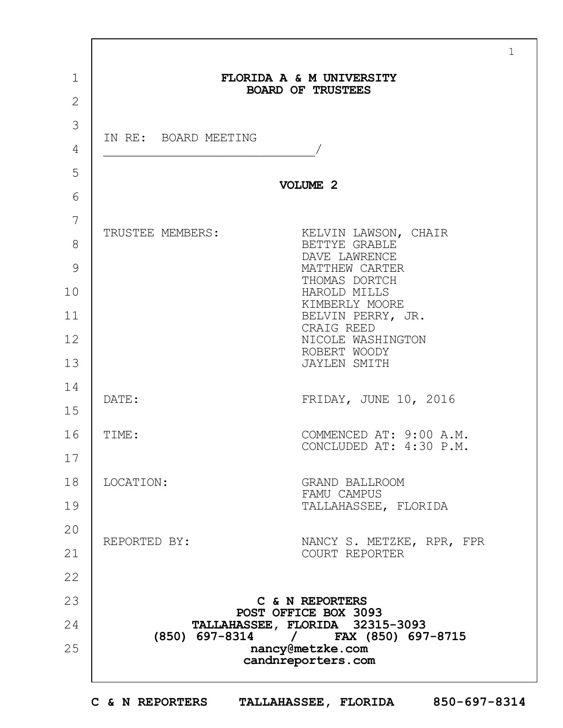|                      | FLORIDA A & M UNIVERSITY<br><b>BOARD OF TRUSTEES</b>                                                                                                                                                                       |
|----------------------|----------------------------------------------------------------------------------------------------------------------------------------------------------------------------------------------------------------------------|
|                      |                                                                                                                                                                                                                            |
| IN RE: BOARD MEETING |                                                                                                                                                                                                                            |
|                      | VOLUME 2                                                                                                                                                                                                                   |
| TRUSTEE MEMBERS:     | KELVIN LAWSON, CHAIR<br>BETTYE GRABLE<br>DAVE LAWRENCE<br>MATTHEW CARTER<br>THOMAS DORTCH<br>HAROLD MILLS<br>KIMBERLY MOORE<br>BELVIN PERRY, JR.<br>CRAIG REED<br>NICOLE WASHINGTON<br>ROBERT WOODY<br><b>JAYLEN SMITH</b> |
| DATE:                | FRIDAY, JUNE 10, 2016                                                                                                                                                                                                      |
| TIME:                | COMMENCED AT: 9:00 A.M.<br>CONCLUDED AT: 4:30 P.M.                                                                                                                                                                         |
| LOCATION:            | <b>GRAND BALLROOM</b><br>FAMU CAMPUS<br>TALLAHASSEE, FLORIDA                                                                                                                                                               |
| REPORTED BY:         | NANCY S. METZKE, RPR, FPR<br>COURT REPORTER                                                                                                                                                                                |
|                      | C & N REPORTERS<br>POST OFFICE BOX 3093<br>TALLAHASSEE, FLORIDA 32315-3093<br>(850) 697-8314 / FAX (850) 697-8715<br>nancy@metzke.com<br>candnreporters.com                                                                |

1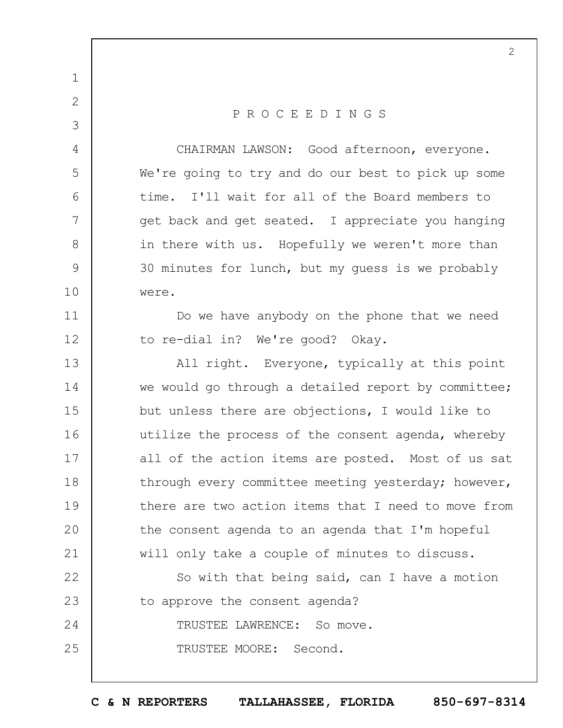1 2 3 4 5 6 7 8 9 10 11 12 13 14 15 16 17 18 19  $20$ 21 22 23 24 25 P R O C E E D I N G S CHAIRMAN LAWSON: Good afternoon, everyone. We're going to try and do our best to pick up some time. I'll wait for all of the Board members to get back and get seated. I appreciate you hanging in there with us. Hopefully we weren't more than 30 minutes for lunch, but my guess is we probably were. Do we have anybody on the phone that we need to re-dial in? We're good? Okay. All right. Everyone, typically at this point we would go through a detailed report by committee; but unless there are objections, I would like to utilize the process of the consent agenda, whereby all of the action items are posted. Most of us sat through every committee meeting yesterday; however, there are two action items that I need to move from the consent agenda to an agenda that I'm hopeful will only take a couple of minutes to discuss. So with that being said, can I have a motion to approve the consent agenda? TRUSTEE LAWRENCE: So move. TRUSTEE MOORE: Second.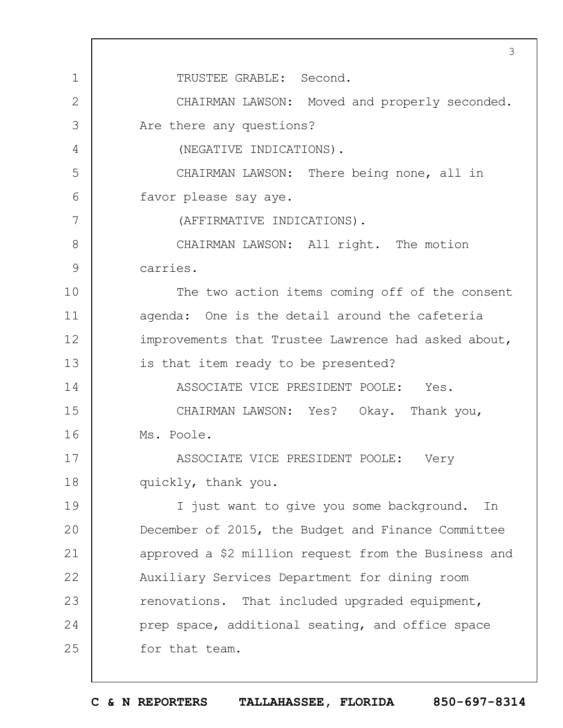1 2 3 4 5 6 7 8 9 10 11 12 13 14 15 16 17 18 19  $20$ 21 22 23 24 25 3 TRUSTEE GRABLE: Second. CHAIRMAN LAWSON: Moved and properly seconded. Are there any questions? (NEGATIVE INDICATIONS). CHAIRMAN LAWSON: There being none, all in favor please say aye. (AFFIRMATIVE INDICATIONS). CHAIRMAN LAWSON: All right. The motion carries. The two action items coming off of the consent agenda: One is the detail around the cafeteria improvements that Trustee Lawrence had asked about, is that item ready to be presented? ASSOCIATE VICE PRESIDENT POOLE: Yes. CHAIRMAN LAWSON: Yes? Okay. Thank you, Ms. Poole. ASSOCIATE VICE PRESIDENT POOLE: Very quickly, thank you. I just want to give you some background. In December of 2015, the Budget and Finance Committee approved a \$2 million request from the Business and Auxiliary Services Department for dining room renovations. That included upgraded equipment, prep space, additional seating, and office space for that team.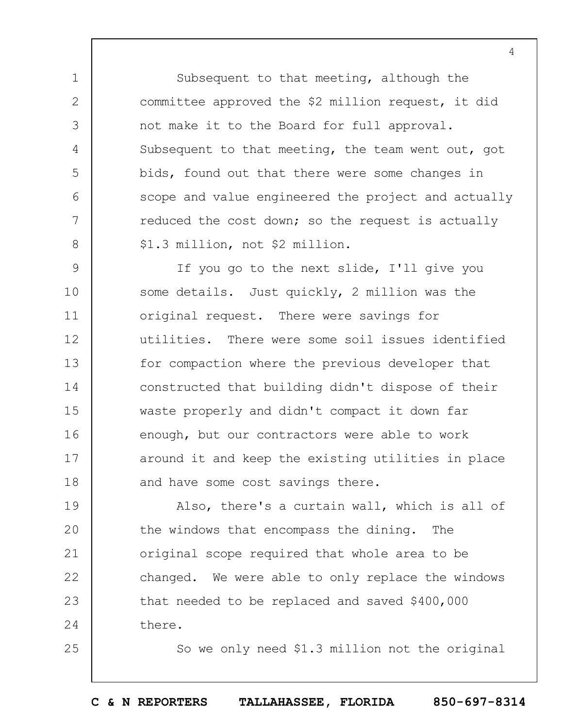Subsequent to that meeting, although the committee approved the \$2 million request, it did not make it to the Board for full approval. Subsequent to that meeting, the team went out, got bids, found out that there were some changes in scope and value engineered the project and actually reduced the cost down; so the request is actually \$1.3 million, not \$2 million.

1

2

3

4

5

6

7

8

25

9 10 11 12 13 14 15 16 17 18 If you go to the next slide, I'll give you some details. Just quickly, 2 million was the original request. There were savings for utilities. There were some soil issues identified for compaction where the previous developer that constructed that building didn't dispose of their waste properly and didn't compact it down far enough, but our contractors were able to work around it and keep the existing utilities in place and have some cost savings there.

19  $20$ 21 22 23 24 Also, there's a curtain wall, which is all of the windows that encompass the dining. The original scope required that whole area to be changed. We were able to only replace the windows that needed to be replaced and saved \$400,000 there.

So we only need \$1.3 million not the original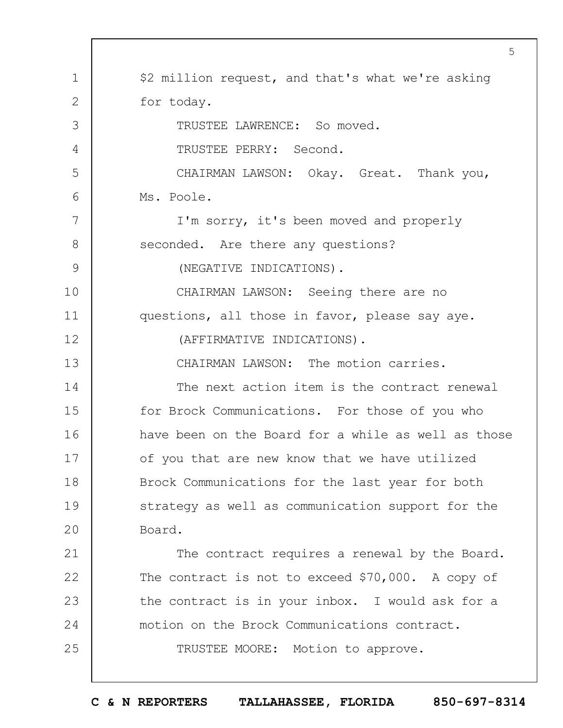|              | 5                                                   |
|--------------|-----------------------------------------------------|
| $\mathbf 1$  | \$2 million request, and that's what we're asking   |
| $\mathbf{2}$ | for today.                                          |
| 3            | TRUSTEE LAWRENCE: So moved.                         |
| 4            | TRUSTEE PERRY: Second.                              |
| 5            | CHAIRMAN LAWSON: Okay. Great. Thank you,            |
| 6            | Ms. Poole.                                          |
| 7            | I'm sorry, it's been moved and properly             |
| 8            | seconded. Are there any questions?                  |
| 9            | (NEGATIVE INDICATIONS).                             |
| 10           | CHAIRMAN LAWSON: Seeing there are no                |
| 11           | questions, all those in favor, please say aye.      |
| 12           | (AFFIRMATIVE INDICATIONS).                          |
| 13           | CHAIRMAN LAWSON: The motion carries.                |
| 14           | The next action item is the contract renewal        |
| 15           | for Brock Communications. For those of you who      |
| 16           | have been on the Board for a while as well as those |
| 17           | of you that are new know that we have utilized      |
| 18           | Brock Communications for the last year for both     |
| 19           | strategy as well as communication support for the   |
| 20           | Board.                                              |
| 21           | The contract requires a renewal by the Board.       |
| 22           | The contract is not to exceed \$70,000. A copy of   |
| 23           | the contract is in your inbox. I would ask for a    |
| 24           | motion on the Brock Communications contract.        |
| 25           | TRUSTEE MOORE: Motion to approve.                   |
|              |                                                     |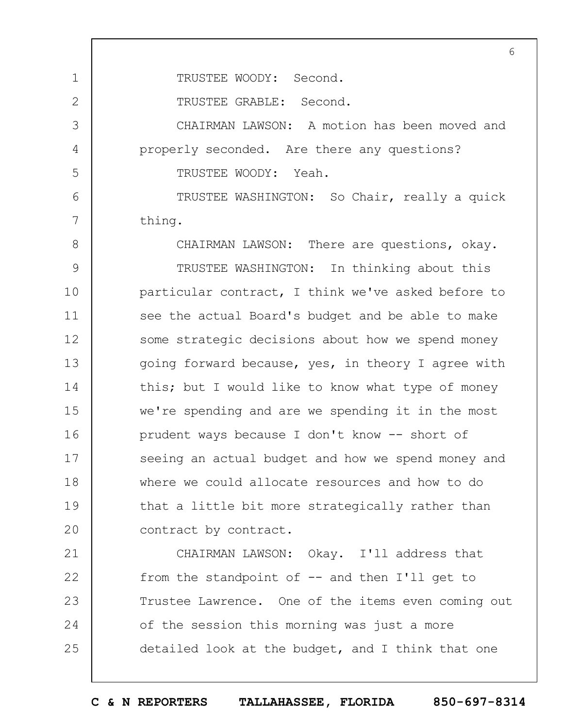TRUSTEE WOODY: Second.

TRUSTEE GRABLE: Second.

1

2

3

4

5

6

7

CHAIRMAN LAWSON: A motion has been moved and properly seconded. Are there any questions? TRUSTEE WOODY: Yeah.

TRUSTEE WASHINGTON: So Chair, really a quick thing.

8 9 10 11 12 13 14 15 16 17 18 19  $20$ CHAIRMAN LAWSON: There are questions, okay. TRUSTEE WASHINGTON: In thinking about this particular contract, I think we've asked before to see the actual Board's budget and be able to make some strategic decisions about how we spend money going forward because, yes, in theory I agree with this; but I would like to know what type of money we're spending and are we spending it in the most prudent ways because I don't know -- short of seeing an actual budget and how we spend money and where we could allocate resources and how to do that a little bit more strategically rather than contract by contract.

21 22 23 24 25 CHAIRMAN LAWSON: Okay. I'll address that from the standpoint of -- and then I'll get to Trustee Lawrence. One of the items even coming out of the session this morning was just a more detailed look at the budget, and I think that one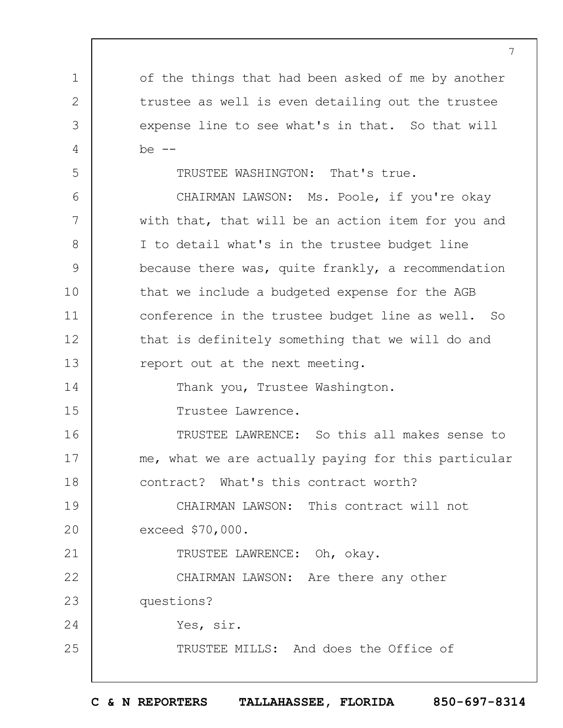of the things that had been asked of me by another trustee as well is even detailing out the trustee expense line to see what's in that. So that will  $be$   $--$ 

TRUSTEE WASHINGTON: That's true.

1

2

3

4

5

21

25

6 7 8 9 10 11 12 13 14 15 CHAIRMAN LAWSON: Ms. Poole, if you're okay with that, that will be an action item for you and I to detail what's in the trustee budget line because there was, quite frankly, a recommendation that we include a budgeted expense for the AGB conference in the trustee budget line as well. So that is definitely something that we will do and report out at the next meeting. Thank you, Trustee Washington. Trustee Lawrence.

16 17 18 TRUSTEE LAWRENCE: So this all makes sense to me, what we are actually paying for this particular contract? What's this contract worth?

19  $20$ CHAIRMAN LAWSON: This contract will not exceed \$70,000.

TRUSTEE LAWRENCE: Oh, okay.

22 23 24 CHAIRMAN LAWSON: Are there any other questions? Yes, sir.

TRUSTEE MILLS: And does the Office of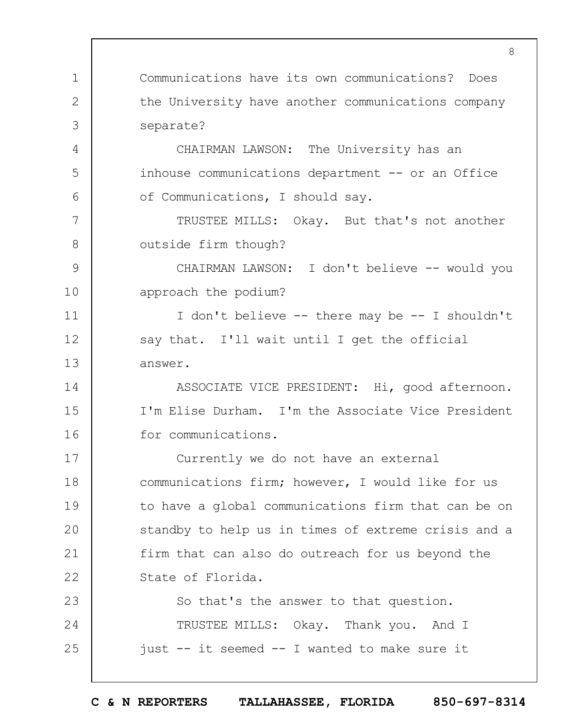1 2 3 4 5 6 7 8 9 10 11 12 13 14 15 16 17 18 19  $20$ 21 22 23 24 25 8 Communications have its own communications? Does the University have another communications company separate? CHAIRMAN LAWSON: The University has an inhouse communications department -- or an Office of Communications, I should say. TRUSTEE MILLS: Okay. But that's not another outside firm though? CHAIRMAN LAWSON: I don't believe -- would you approach the podium? I don't believe -- there may be -- I shouldn't say that. I'll wait until I get the official answer. ASSOCIATE VICE PRESIDENT: Hi, good afternoon. I'm Elise Durham. I'm the Associate Vice President for communications. Currently we do not have an external communications firm; however, I would like for us to have a global communications firm that can be on standby to help us in times of extreme crisis and a firm that can also do outreach for us beyond the State of Florida. So that's the answer to that question. TRUSTEE MILLS: Okay. Thank you. And I just -- it seemed -- I wanted to make sure it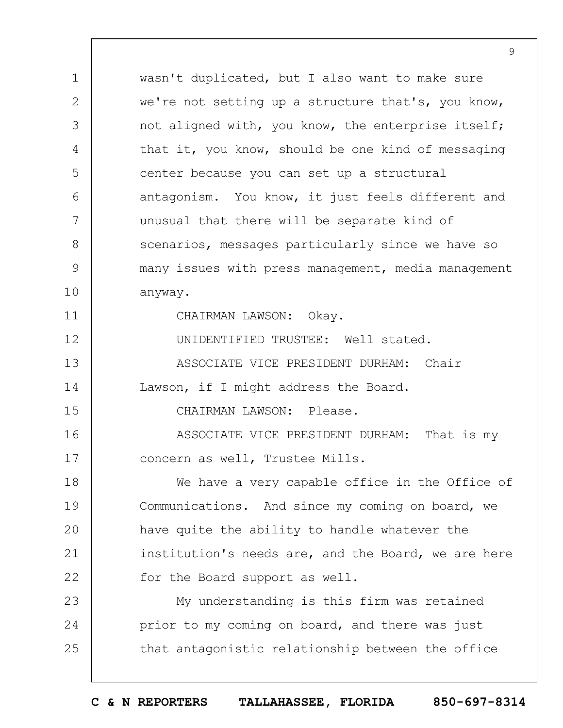1 2 3 4 5 6 7 8 9 10 11 12 13 14 15 16 17 18 19  $20$ 21 22 23 24 25 wasn't duplicated, but I also want to make sure we're not setting up a structure that's, you know, not aligned with, you know, the enterprise itself; that it, you know, should be one kind of messaging center because you can set up a structural antagonism. You know, it just feels different and unusual that there will be separate kind of scenarios, messages particularly since we have so many issues with press management, media management anyway. CHAIRMAN LAWSON: Okay. UNIDENTIFIED TRUSTEE: Well stated. ASSOCIATE VICE PRESIDENT DURHAM: Chair Lawson, if I might address the Board. CHAIRMAN LAWSON: Please. ASSOCIATE VICE PRESIDENT DURHAM: That is my concern as well, Trustee Mills. We have a very capable office in the Office of Communications. And since my coming on board, we have quite the ability to handle whatever the institution's needs are, and the Board, we are here for the Board support as well. My understanding is this firm was retained prior to my coming on board, and there was just that antagonistic relationship between the office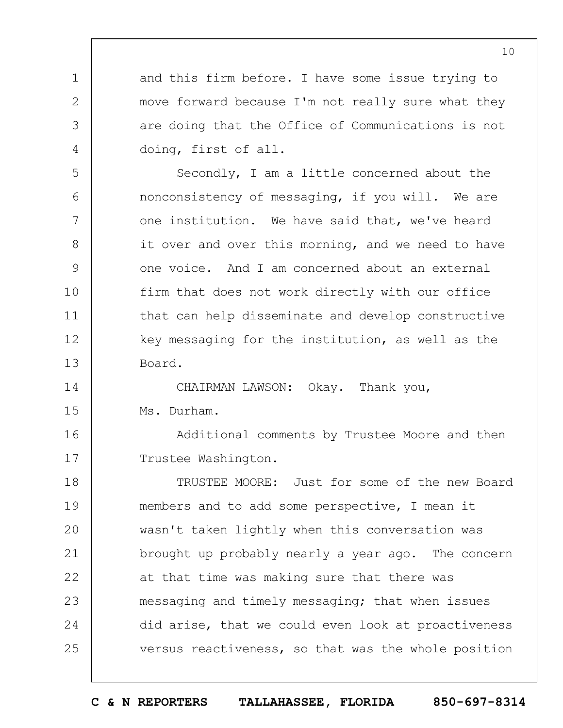and this firm before. I have some issue trying to move forward because I'm not really sure what they are doing that the Office of Communications is not doing, first of all.

1

2

3

4

5

6

7

8

9

10

11

12

13

Secondly, I am a little concerned about the nonconsistency of messaging, if you will. We are one institution. We have said that, we've heard it over and over this morning, and we need to have one voice. And I am concerned about an external firm that does not work directly with our office that can help disseminate and develop constructive key messaging for the institution, as well as the Board.

14 15 CHAIRMAN LAWSON: Okay. Thank you, Ms. Durham.

16 17 Additional comments by Trustee Moore and then Trustee Washington.

18 19  $20$ 21 22 23 24 25 TRUSTEE MOORE: Just for some of the new Board members and to add some perspective, I mean it wasn't taken lightly when this conversation was brought up probably nearly a year ago. The concern at that time was making sure that there was messaging and timely messaging; that when issues did arise, that we could even look at proactiveness versus reactiveness, so that was the whole position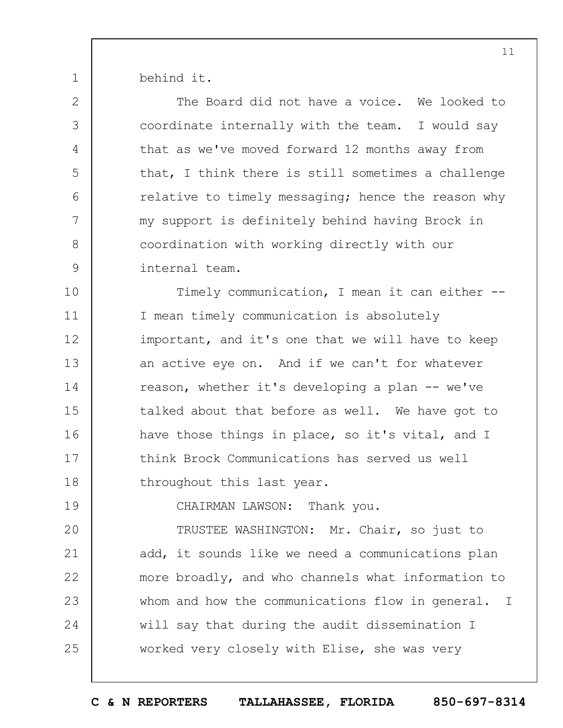behind it.

1

| $\mathbf{2}$  | The Board did not have a voice. We looked to       |
|---------------|----------------------------------------------------|
| 3             | coordinate internally with the team. I would say   |
| 4             | that as we've moved forward 12 months away from    |
| 5             | that, I think there is still sometimes a challenge |
| 6             | relative to timely messaging; hence the reason why |
| 7             | my support is definitely behind having Brock in    |
| 8             | coordination with working directly with our        |
| $\mathcal{G}$ | internal team.                                     |
| 10            | Timely communication, I mean it can either --      |
| 11            | I mean timely communication is absolutely          |
| 12            | important, and it's one that we will have to keep  |
| 13            | an active eye on. And if we can't for whatever     |
| 14            | reason, whether it's developing a plan -- we've    |
| 15            | talked about that before as well. We have got to   |
| 16            | have those things in place, so it's vital, and I   |
| 17            | think Brock Communications has served us well      |
| 18            | throughout this last year.                         |
| 19            | CHAIRMAN LAWSON: Thank you.                        |
| 20            | TRUSTEE WASHINGTON: Mr. Chair, so just to          |
| 21            | add, it sounds like we need a communications plan  |
| 22            | more broadly, and who channels what information to |
| 23            | whom and how the communications flow in general. I |
| 24            | will say that during the audit dissemination I     |
| 25            | worked very closely with Elise, she was very       |
|               |                                                    |

**C & N REPORTERS TALLAHASSEE, FLORIDA 850-697-8314**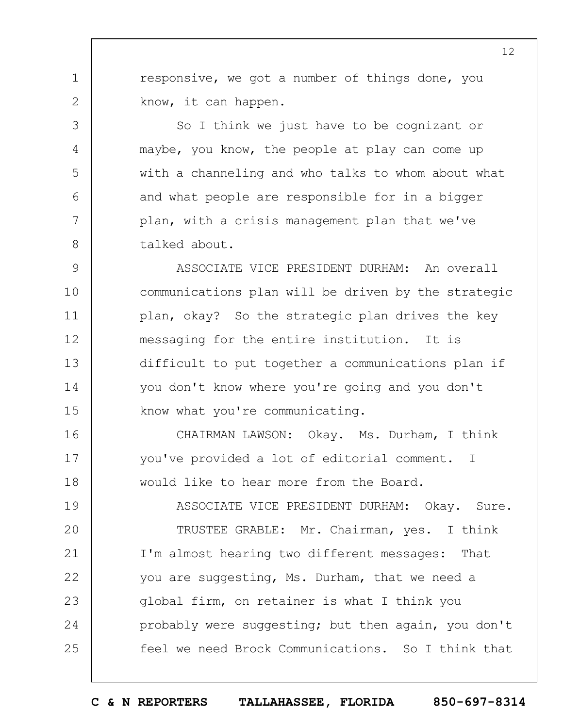responsive, we got a number of things done, you know, it can happen.

1

2

3

4

5

6

7

8

So I think we just have to be cognizant or maybe, you know, the people at play can come up with a channeling and who talks to whom about what and what people are responsible for in a bigger plan, with a crisis management plan that we've talked about.

9 10 11 12 13 14 15 ASSOCIATE VICE PRESIDENT DURHAM: An overall communications plan will be driven by the strategic plan, okay? So the strategic plan drives the key messaging for the entire institution. It is difficult to put together a communications plan if you don't know where you're going and you don't know what you're communicating.

16 17 18 CHAIRMAN LAWSON: Okay. Ms. Durham, I think you've provided a lot of editorial comment. I would like to hear more from the Board.

19  $20$ 21 22 23 24 25 ASSOCIATE VICE PRESIDENT DURHAM: Okay. Sure. TRUSTEE GRABLE: Mr. Chairman, yes. I think I'm almost hearing two different messages: That you are suggesting, Ms. Durham, that we need a global firm, on retainer is what I think you probably were suggesting; but then again, you don't feel we need Brock Communications. So I think that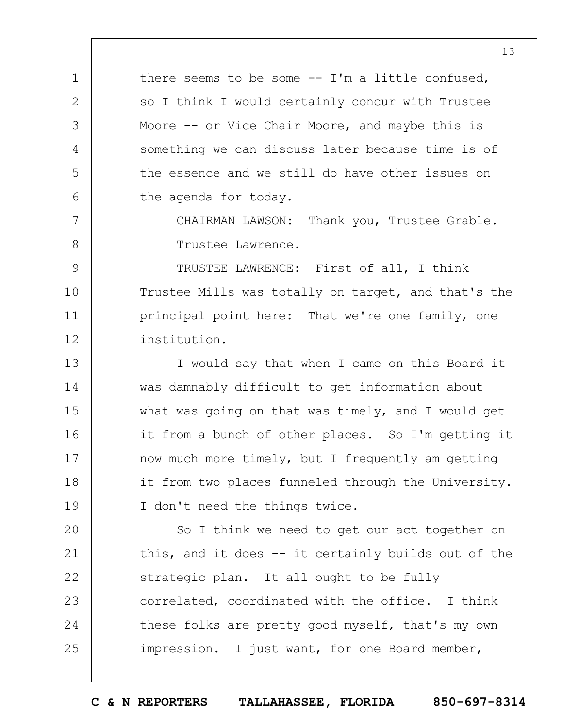there seems to be some -- I'm a little confused, so I think I would certainly concur with Trustee Moore -- or Vice Chair Moore, and maybe this is something we can discuss later because time is of the essence and we still do have other issues on the agenda for today.

1

2

3

4

5

6

7

8

CHAIRMAN LAWSON: Thank you, Trustee Grable. Trustee Lawrence.

9 10 11 12 TRUSTEE LAWRENCE: First of all, I think Trustee Mills was totally on target, and that's the principal point here: That we're one family, one institution.

13 14 15 16 17 18 19 I would say that when I came on this Board it was damnably difficult to get information about what was going on that was timely, and I would get it from a bunch of other places. So I'm getting it now much more timely, but I frequently am getting it from two places funneled through the University. I don't need the things twice.

 $20$ 21 22 23 24 25 So I think we need to get our act together on this, and it does -- it certainly builds out of the strategic plan. It all ought to be fully correlated, coordinated with the office. I think these folks are pretty good myself, that's my own impression. I just want, for one Board member,

**C & N REPORTERS TALLAHASSEE, FLORIDA 850-697-8314**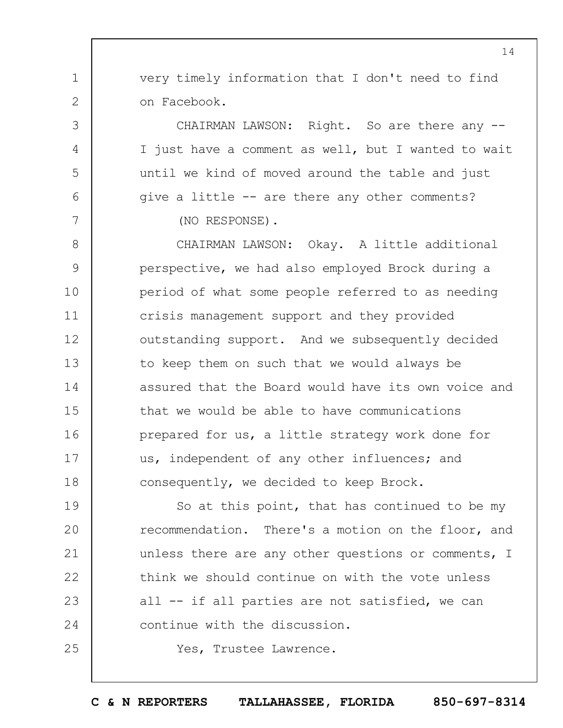very timely information that I don't need to find on Facebook.

CHAIRMAN LAWSON: Right. So are there any --I just have a comment as well, but I wanted to wait until we kind of moved around the table and just give a little -- are there any other comments?

(NO RESPONSE).

1

2

3

4

5

6

7

25

8 9 10 11 12 13 14 15 16 17 18 CHAIRMAN LAWSON: Okay. A little additional perspective, we had also employed Brock during a period of what some people referred to as needing crisis management support and they provided outstanding support. And we subsequently decided to keep them on such that we would always be assured that the Board would have its own voice and that we would be able to have communications prepared for us, a little strategy work done for us, independent of any other influences; and consequently, we decided to keep Brock.

19  $20$ 21 22 23 24 So at this point, that has continued to be my recommendation. There's a motion on the floor, and unless there are any other questions or comments, I think we should continue on with the vote unless all -- if all parties are not satisfied, we can continue with the discussion.

Yes, Trustee Lawrence.

**C & N REPORTERS TALLAHASSEE, FLORIDA 850-697-8314**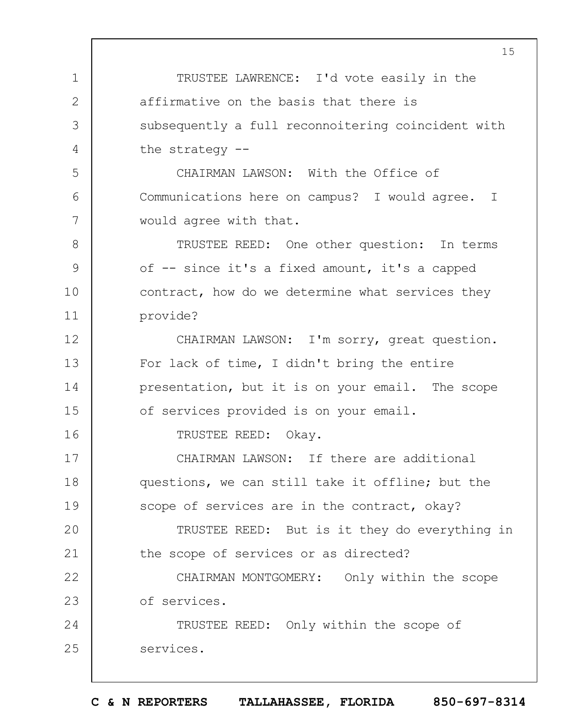1 2 3 4 5 6 7 8 9 10 11 12 13 14 15 16 17 18 19  $20$ 21 22 23 24 25 TRUSTEE LAWRENCE: I'd vote easily in the affirmative on the basis that there is subsequently a full reconnoitering coincident with the strategy -- CHAIRMAN LAWSON: With the Office of Communications here on campus? I would agree. I would agree with that. TRUSTEE REED: One other question: In terms of -- since it's a fixed amount, it's a capped contract, how do we determine what services they provide? CHAIRMAN LAWSON: I'm sorry, great question. For lack of time, I didn't bring the entire presentation, but it is on your email. The scope of services provided is on your email. TRUSTEE REED: Okay. CHAIRMAN LAWSON: If there are additional questions, we can still take it offline; but the scope of services are in the contract, okay? TRUSTEE REED: But is it they do everything in the scope of services or as directed? CHAIRMAN MONTGOMERY: Only within the scope of services. TRUSTEE REED: Only within the scope of services.

**C & N REPORTERS TALLAHASSEE, FLORIDA 850-697-8314**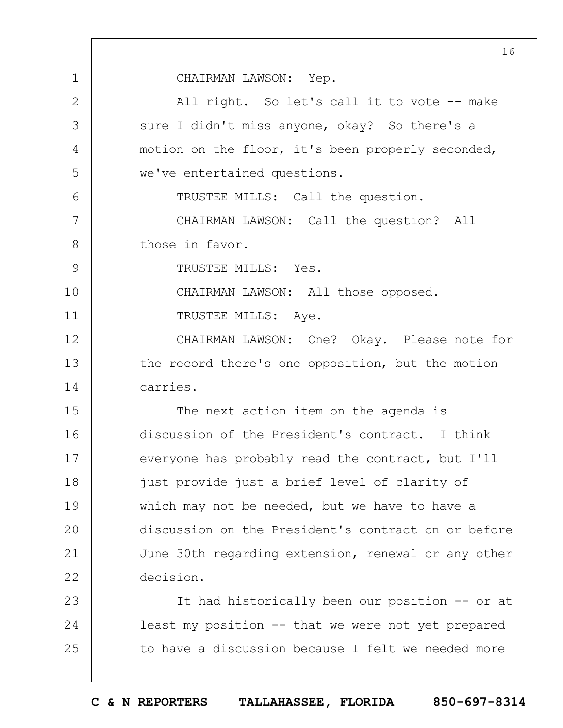CHAIRMAN LAWSON: Yep.

1 2 3 4 5 6 7 8 9 10 11 12 13 14 15 16 17 18 19  $20$ 21 22 23 24 25 All right. So let's call it to vote -- make sure I didn't miss anyone, okay? So there's a motion on the floor, it's been properly seconded, we've entertained questions. TRUSTEE MILLS: Call the question. CHAIRMAN LAWSON: Call the question? All those in favor. TRUSTEE MILLS: Yes. CHAIRMAN LAWSON: All those opposed. TRUSTEE MILLS: Aye. CHAIRMAN LAWSON: One? Okay. Please note for the record there's one opposition, but the motion carries. The next action item on the agenda is discussion of the President's contract. I think everyone has probably read the contract, but I'll just provide just a brief level of clarity of which may not be needed, but we have to have a discussion on the President's contract on or before June 30th regarding extension, renewal or any other decision. It had historically been our position -- or at least my position -- that we were not yet prepared to have a discussion because I felt we needed more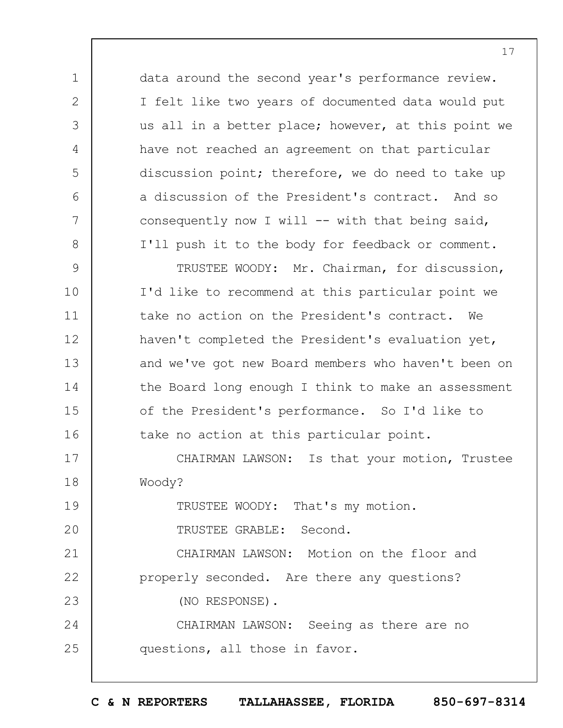data around the second year's performance review. I felt like two years of documented data would put us all in a better place; however, at this point we have not reached an agreement on that particular discussion point; therefore, we do need to take up a discussion of the President's contract. And so consequently now I will  $--$  with that being said, I'll push it to the body for feedback or comment.

9 10 11 12 13 14 15 16 TRUSTEE WOODY: Mr. Chairman, for discussion, I'd like to recommend at this particular point we take no action on the President's contract. We haven't completed the President's evaluation yet, and we've got new Board members who haven't been on the Board long enough I think to make an assessment of the President's performance. So I'd like to take no action at this particular point.

17 18 CHAIRMAN LAWSON: Is that your motion, Trustee Woody?

TRUSTEE WOODY: That's my motion.

 $20$ TRUSTEE GRABLE: Second.

1

2

3

4

5

6

7

8

19

21 22 23 CHAIRMAN LAWSON: Motion on the floor and properly seconded. Are there any questions? (NO RESPONSE).

24 25 CHAIRMAN LAWSON: Seeing as there are no questions, all those in favor.

**C & N REPORTERS TALLAHASSEE, FLORIDA 850-697-8314**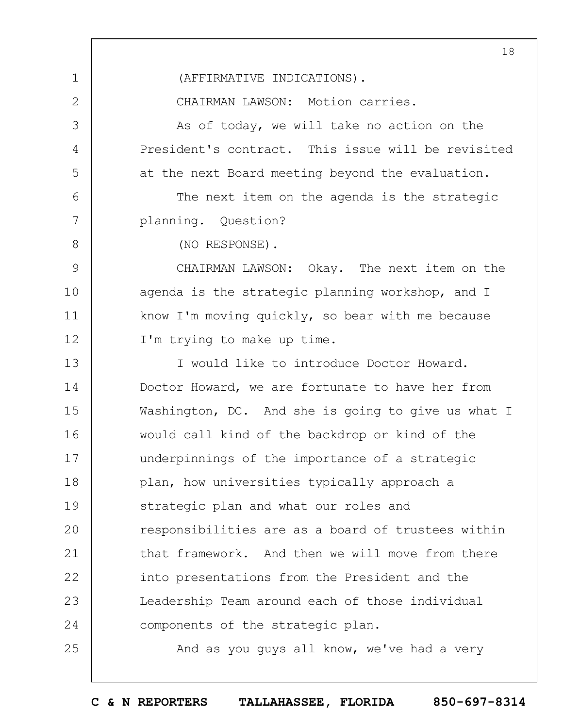1 2 3 4 5 6 7 8 9 10 11 12 13 14 15 16 17 18 19  $20$ 21 22 23 24 25 18 (AFFIRMATIVE INDICATIONS). CHAIRMAN LAWSON: Motion carries. As of today, we will take no action on the President's contract. This issue will be revisited at the next Board meeting beyond the evaluation. The next item on the agenda is the strategic planning. Question? (NO RESPONSE). CHAIRMAN LAWSON: Okay. The next item on the agenda is the strategic planning workshop, and I know I'm moving quickly, so bear with me because I'm trying to make up time. I would like to introduce Doctor Howard. Doctor Howard, we are fortunate to have her from Washington, DC. And she is going to give us what I would call kind of the backdrop or kind of the underpinnings of the importance of a strategic plan, how universities typically approach a strategic plan and what our roles and responsibilities are as a board of trustees within that framework. And then we will move from there into presentations from the President and the Leadership Team around each of those individual components of the strategic plan. And as you guys all know, we've had a very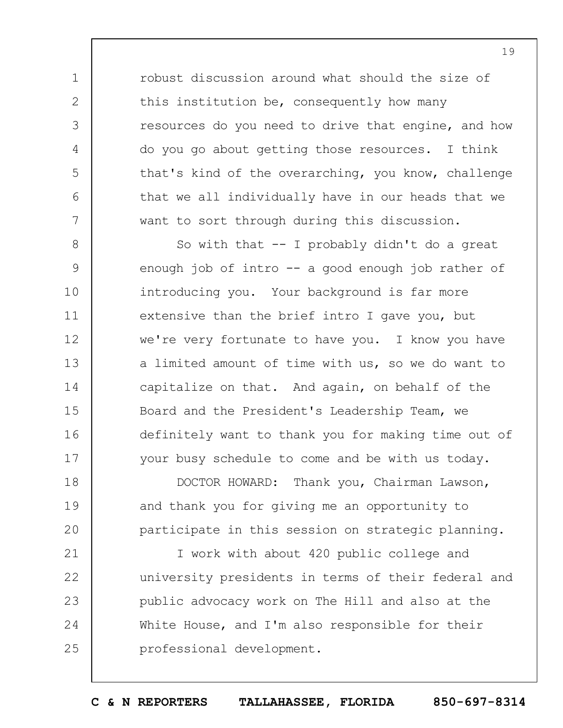robust discussion around what should the size of this institution be, consequently how many resources do you need to drive that engine, and how do you go about getting those resources. I think that's kind of the overarching, you know, challenge that we all individually have in our heads that we want to sort through during this discussion.

1

2

3

4

5

6

7

8

9

10

11

12

13

14

15

16

17

So with that  $--$  I probably didn't do a great enough job of intro  $-$  a good enough job rather of introducing you. Your background is far more extensive than the brief intro I gave you, but we're very fortunate to have you. I know you have a limited amount of time with us, so we do want to capitalize on that. And again, on behalf of the Board and the President's Leadership Team, we definitely want to thank you for making time out of your busy schedule to come and be with us today.

18 19  $20$ DOCTOR HOWARD: Thank you, Chairman Lawson, and thank you for giving me an opportunity to participate in this session on strategic planning.

21 22 23 24 25 I work with about 420 public college and university presidents in terms of their federal and public advocacy work on The Hill and also at the White House, and I'm also responsible for their professional development.

**C & N REPORTERS TALLAHASSEE, FLORIDA 850-697-8314**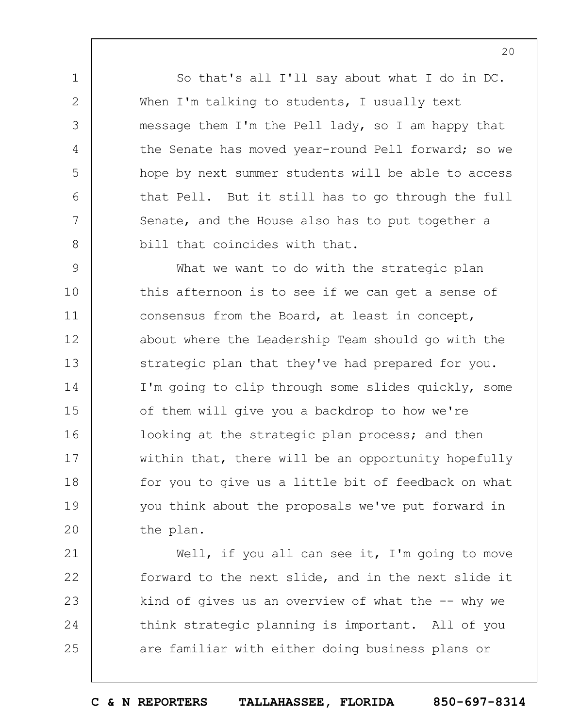So that's all I'll say about what I do in DC. When I'm talking to students, I usually text message them I'm the Pell lady, so I am happy that the Senate has moved year-round Pell forward; so we hope by next summer students will be able to access that Pell. But it still has to go through the full Senate, and the House also has to put together a bill that coincides with that.

1

2

3

4

5

6

7

8

9 10 11 12 13 14 15 16 17 18 19  $20$ What we want to do with the strategic plan this afternoon is to see if we can get a sense of consensus from the Board, at least in concept, about where the Leadership Team should go with the strategic plan that they've had prepared for you. I'm going to clip through some slides quickly, some of them will give you a backdrop to how we're looking at the strategic plan process; and then within that, there will be an opportunity hopefully for you to give us a little bit of feedback on what you think about the proposals we've put forward in the plan.

21 22 23 24 25 Well, if you all can see it, I'm going to move forward to the next slide, and in the next slide it kind of gives us an overview of what the  $-$ - why we think strategic planning is important. All of you are familiar with either doing business plans or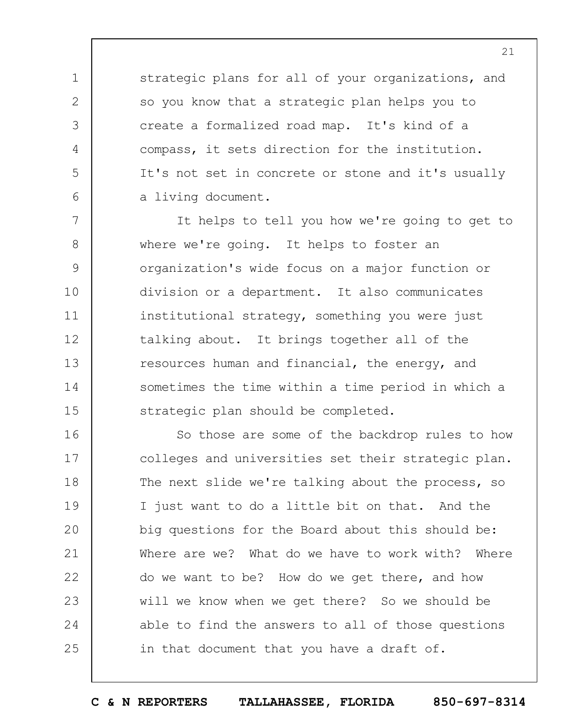strategic plans for all of your organizations, and so you know that a strategic plan helps you to create a formalized road map. It's kind of a compass, it sets direction for the institution. It's not set in concrete or stone and it's usually a living document.

1

2

3

4

5

6

7 8 9 10 11 12 13 14 15 It helps to tell you how we're going to get to where we're going. It helps to foster an organization's wide focus on a major function or division or a department. It also communicates institutional strategy, something you were just talking about. It brings together all of the resources human and financial, the energy, and sometimes the time within a time period in which a strategic plan should be completed.

16 17 18 19  $20$ 21 22 23 24 25 So those are some of the backdrop rules to how colleges and universities set their strategic plan. The next slide we're talking about the process, so I just want to do a little bit on that. And the big questions for the Board about this should be: Where are we? What do we have to work with? Where do we want to be? How do we get there, and how will we know when we get there? So we should be able to find the answers to all of those questions in that document that you have a draft of.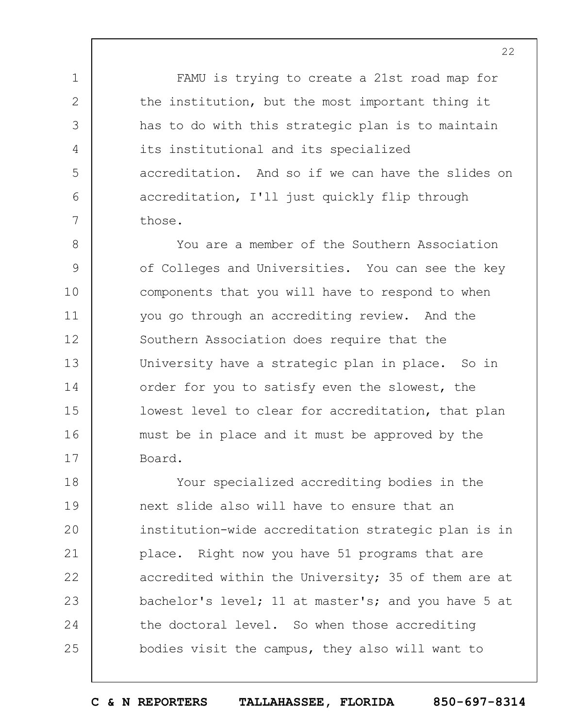FAMU is trying to create a 21st road map for the institution, but the most important thing it has to do with this strategic plan is to maintain its institutional and its specialized accreditation. And so if we can have the slides on accreditation, I'll just quickly flip through those.

1

2

3

4

5

6

7

8 9 10 11 12 13 14 15 16 17 You are a member of the Southern Association of Colleges and Universities. You can see the key components that you will have to respond to when you go through an accrediting review. And the Southern Association does require that the University have a strategic plan in place. So in order for you to satisfy even the slowest, the lowest level to clear for accreditation, that plan must be in place and it must be approved by the Board.

18 19  $20$ 21 22 23 24 25 Your specialized accrediting bodies in the next slide also will have to ensure that an institution-wide accreditation strategic plan is in place. Right now you have 51 programs that are accredited within the University; 35 of them are at bachelor's level; 11 at master's; and you have 5 at the doctoral level. So when those accrediting bodies visit the campus, they also will want to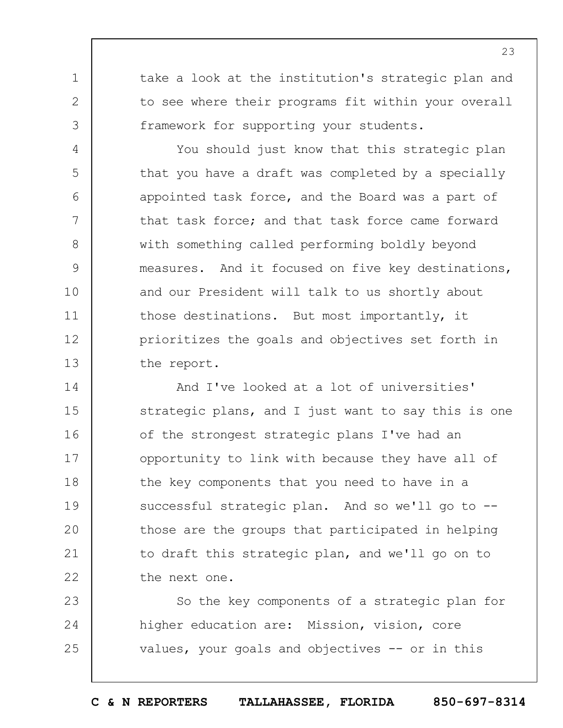take a look at the institution's strategic plan and to see where their programs fit within your overall framework for supporting your students.

1

2

3

4

5

6

7

8

9

10

11

12

13

You should just know that this strategic plan that you have a draft was completed by a specially appointed task force, and the Board was a part of that task force; and that task force came forward with something called performing boldly beyond measures. And it focused on five key destinations, and our President will talk to us shortly about those destinations. But most importantly, it prioritizes the goals and objectives set forth in the report.

14 15 16 17 18 19  $20$ 21 22 And I've looked at a lot of universities' strategic plans, and I just want to say this is one of the strongest strategic plans I've had an opportunity to link with because they have all of the key components that you need to have in a successful strategic plan. And so we'll go to -those are the groups that participated in helping to draft this strategic plan, and we'll go on to the next one.

23 24 25 So the key components of a strategic plan for higher education are: Mission, vision, core values, your goals and objectives -- or in this

**C & N REPORTERS TALLAHASSEE, FLORIDA 850-697-8314**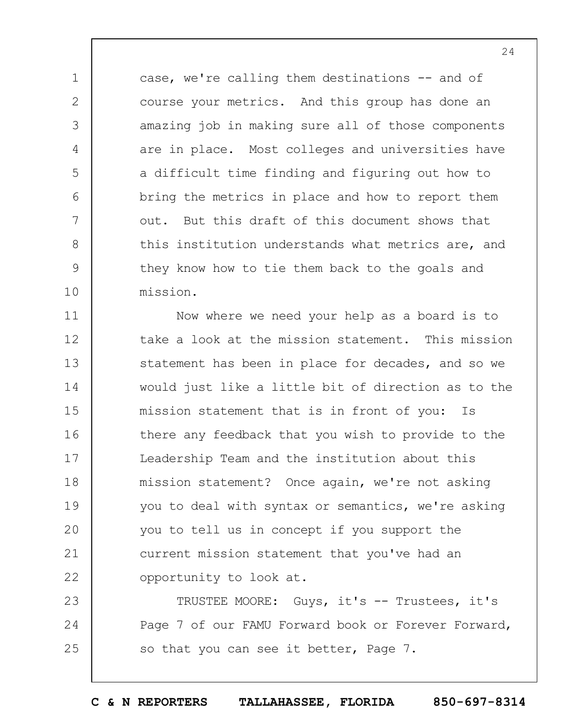case, we're calling them destinations -- and of course your metrics. And this group has done an amazing job in making sure all of those components are in place. Most colleges and universities have a difficult time finding and figuring out how to bring the metrics in place and how to report them out. But this draft of this document shows that this institution understands what metrics are, and they know how to tie them back to the goals and mission.

1

2

3

4

5

6

7

8

9

10

11 12 13 14 15 16 17 18 19  $20$ 21 22 Now where we need your help as a board is to take a look at the mission statement. This mission statement has been in place for decades, and so we would just like a little bit of direction as to the mission statement that is in front of you: Is there any feedback that you wish to provide to the Leadership Team and the institution about this mission statement? Once again, we're not asking you to deal with syntax or semantics, we're asking you to tell us in concept if you support the current mission statement that you've had an opportunity to look at.

23 24 25 TRUSTEE MOORE: Guys, it's -- Trustees, it's Page 7 of our FAMU Forward book or Forever Forward, so that you can see it better, Page 7.

24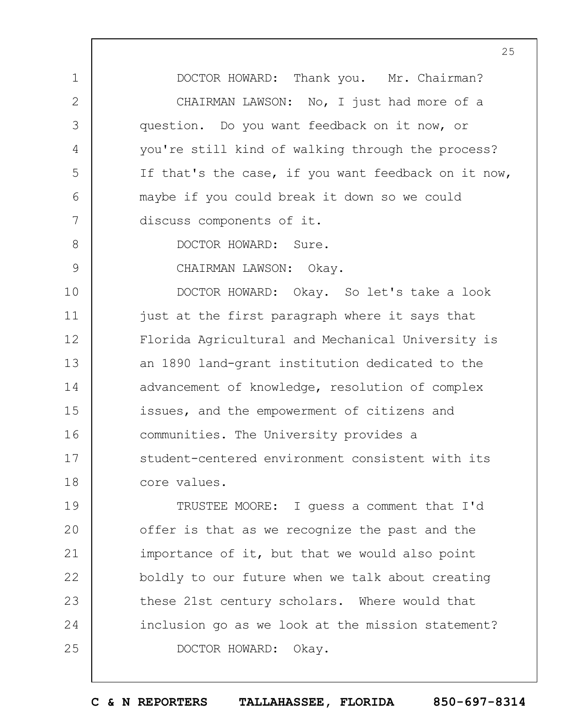DOCTOR HOWARD: Thank you. Mr. Chairman? CHAIRMAN LAWSON: No, I just had more of a question. Do you want feedback on it now, or you're still kind of walking through the process? If that's the case, if you want feedback on it now, maybe if you could break it down so we could discuss components of it.

8

9

1

2

3

4

5

6

7

DOCTOR HOWARD: Sure.

CHAIRMAN LAWSON: Okay.

10 11 12 13 14 15 16 17 18 DOCTOR HOWARD: Okay. So let's take a look just at the first paragraph where it says that Florida Agricultural and Mechanical University is an 1890 land-grant institution dedicated to the advancement of knowledge, resolution of complex issues, and the empowerment of citizens and communities. The University provides a student-centered environment consistent with its core values.

19  $20$ 21 22 23 24 25 TRUSTEE MOORE: I guess a comment that I'd offer is that as we recognize the past and the importance of it, but that we would also point boldly to our future when we talk about creating these 21st century scholars. Where would that inclusion go as we look at the mission statement? DOCTOR HOWARD: Okay.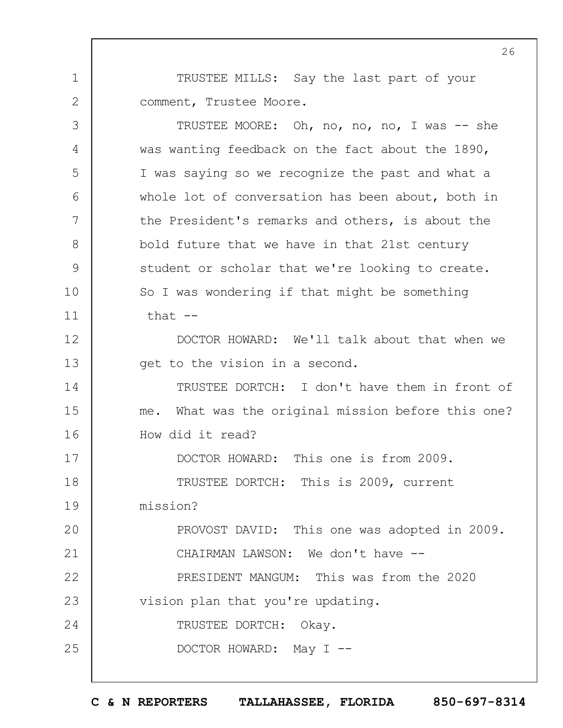TRUSTEE MILLS: Say the last part of your comment, Trustee Moore.

1

2

3 4 5 6 7 8 9 10 11 12 13 14 15 16 17 18 19  $20$ 21 22 23 24 25 TRUSTEE MOORE: Oh, no, no, no, I was -- she was wanting feedback on the fact about the 1890, I was saying so we recognize the past and what a whole lot of conversation has been about, both in the President's remarks and others, is about the bold future that we have in that 21st century student or scholar that we're looking to create. So I was wondering if that might be something that  $--$ DOCTOR HOWARD: We'll talk about that when we get to the vision in a second. TRUSTEE DORTCH: I don't have them in front of me. What was the original mission before this one? How did it read? DOCTOR HOWARD: This one is from 2009. TRUSTEE DORTCH: This is 2009, current mission? PROVOST DAVID: This one was adopted in 2009. CHAIRMAN LAWSON: We don't have -- PRESIDENT MANGUM: This was from the 2020 vision plan that you're updating. TRUSTEE DORTCH: Okay. DOCTOR HOWARD: May I --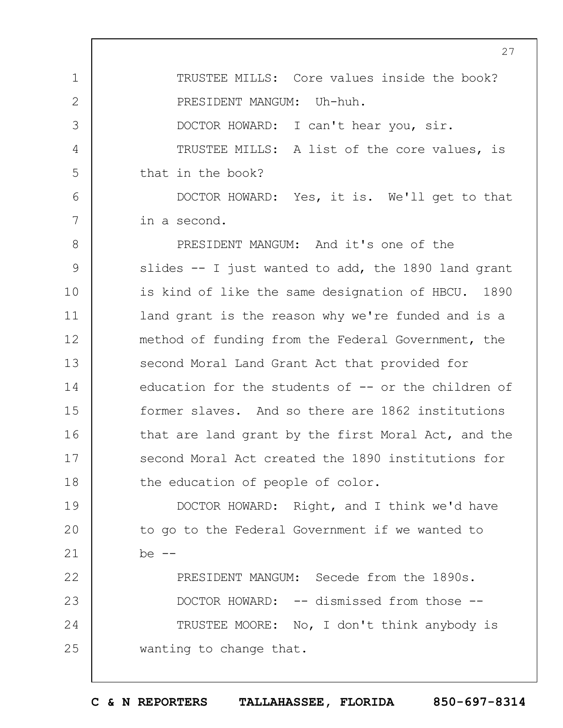1 2 3 4 5 6 7 8 9 10 11 12 13 14 15 16 27 TRUSTEE MILLS: Core values inside the book? PRESIDENT MANGUM: Uh-huh. DOCTOR HOWARD: I can't hear you, sir. TRUSTEE MILLS: A list of the core values, is that in the book? DOCTOR HOWARD: Yes, it is. We'll get to that in a second. PRESIDENT MANGUM: And it's one of the slides -- I just wanted to add, the 1890 land grant is kind of like the same designation of HBCU. 1890 land grant is the reason why we're funded and is a method of funding from the Federal Government, the second Moral Land Grant Act that provided for education for the students of -- or the children of former slaves. And so there are 1862 institutions that are land grant by the first Moral Act, and the

17 18 second Moral Act created the 1890 institutions for the education of people of color.

19  $20$ 21 DOCTOR HOWARD: Right, and I think we'd have to go to the Federal Government if we wanted to  $be$   $--$ 

22 23 24 25 PRESIDENT MANGUM: Secede from the 1890s. DOCTOR HOWARD: -- dismissed from those --TRUSTEE MOORE: No, I don't think anybody is wanting to change that.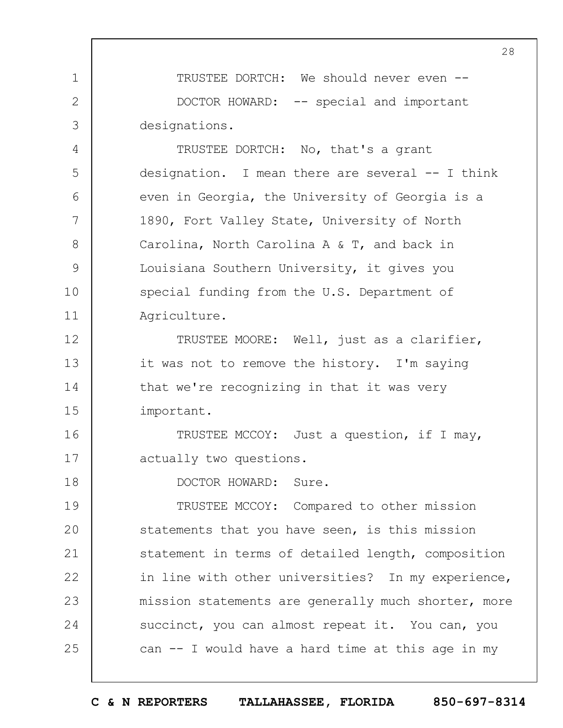TRUSTEE DORTCH: We should never even -- DOCTOR HOWARD: -- special and important designations.

TRUSTEE DORTCH: No, that's a grant designation. I mean there are several -- I think even in Georgia, the University of Georgia is a 1890, Fort Valley State, University of North Carolina, North Carolina A & T, and back in Louisiana Southern University, it gives you special funding from the U.S. Department of Agriculture.

12 13 14 15 TRUSTEE MOORE: Well, just as a clarifier, it was not to remove the history. I'm saying that we're recognizing in that it was very important.

16 17 TRUSTEE MCCOY: Just a question, if I may, actually two questions.

DOCTOR HOWARD: Sure.

1

2

3

4

5

6

7

8

9

10

11

18

19  $20$ 21 22 23 24 25 TRUSTEE MCCOY: Compared to other mission statements that you have seen, is this mission statement in terms of detailed length, composition in line with other universities? In my experience, mission statements are generally much shorter, more succinct, you can almost repeat it. You can, you can  $-$  I would have a hard time at this age in my

28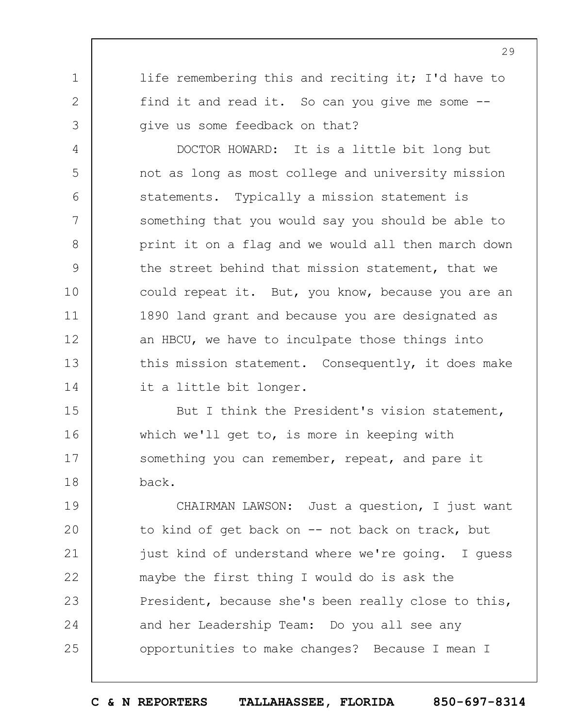life remembering this and reciting it; I'd have to find it and read it. So can you give me some - give us some feedback on that?

1

2

3

4

5

6

7

8

9

10

11

12

13

14

DOCTOR HOWARD: It is a little bit long but not as long as most college and university mission statements. Typically a mission statement is something that you would say you should be able to print it on a flag and we would all then march down the street behind that mission statement, that we could repeat it. But, you know, because you are an 1890 land grant and because you are designated as an HBCU, we have to inculpate those things into this mission statement. Consequently, it does make it a little bit longer.

15 16 17 18 But I think the President's vision statement, which we'll get to, is more in keeping with something you can remember, repeat, and pare it back.

19  $20$ 21 22 23 24 25 CHAIRMAN LAWSON: Just a question, I just want to kind of get back on -- not back on track, but just kind of understand where we're going. I guess maybe the first thing I would do is ask the President, because she's been really close to this, and her Leadership Team: Do you all see any opportunities to make changes? Because I mean I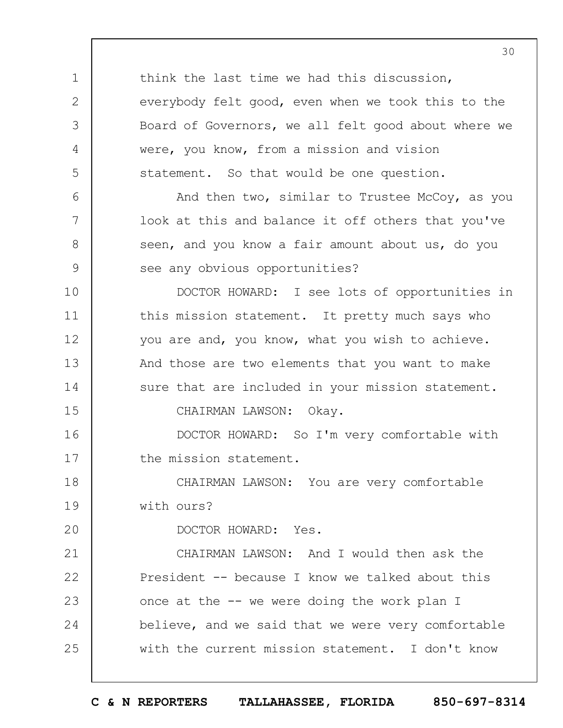1 2 3 4 5 6 7 8 9 10 11 12 13 14 15 16 17 18 19  $20$ 21 22 23 24 25 think the last time we had this discussion, everybody felt good, even when we took this to the Board of Governors, we all felt good about where we were, you know, from a mission and vision statement. So that would be one question. And then two, similar to Trustee McCoy, as you look at this and balance it off others that you've seen, and you know a fair amount about us, do you see any obvious opportunities? DOCTOR HOWARD: I see lots of opportunities in this mission statement. It pretty much says who you are and, you know, what you wish to achieve. And those are two elements that you want to make sure that are included in your mission statement. CHAIRMAN LAWSON: Okay. DOCTOR HOWARD: So I'm very comfortable with the mission statement. CHAIRMAN LAWSON: You are very comfortable with ours? DOCTOR HOWARD: Yes. CHAIRMAN LAWSON: And I would then ask the President -- because I know we talked about this once at the -- we were doing the work plan I believe, and we said that we were very comfortable with the current mission statement. I don't know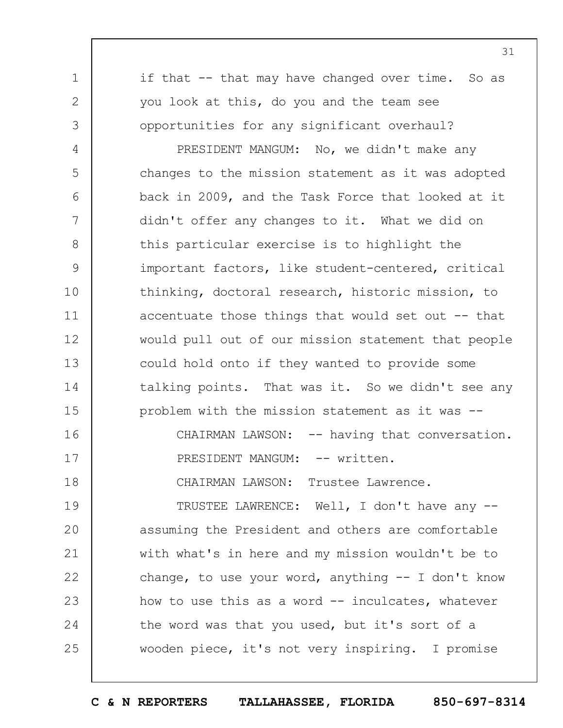if that -- that may have changed over time. So as you look at this, do you and the team see opportunities for any significant overhaul?

1

2

3

4 5 6 7 8 9 10 11 12 13 14 15 PRESIDENT MANGUM: No, we didn't make any changes to the mission statement as it was adopted back in 2009, and the Task Force that looked at it didn't offer any changes to it. What we did on this particular exercise is to highlight the important factors, like student-centered, critical thinking, doctoral research, historic mission, to accentuate those things that would set out  $-$ - that would pull out of our mission statement that people could hold onto if they wanted to provide some talking points. That was it. So we didn't see any problem with the mission statement as it was --

16 17 18 CHAIRMAN LAWSON: -- having that conversation. PRESIDENT MANGUM: -- written. CHAIRMAN LAWSON: Trustee Lawrence.

19  $20$ 21 22 23 24 25 TRUSTEE LAWRENCE: Well, I don't have any - assuming the President and others are comfortable with what's in here and my mission wouldn't be to change, to use your word, anything  $-$  I don't know how to use this as a word -- inculcates, whatever the word was that you used, but it's sort of a wooden piece, it's not very inspiring. I promise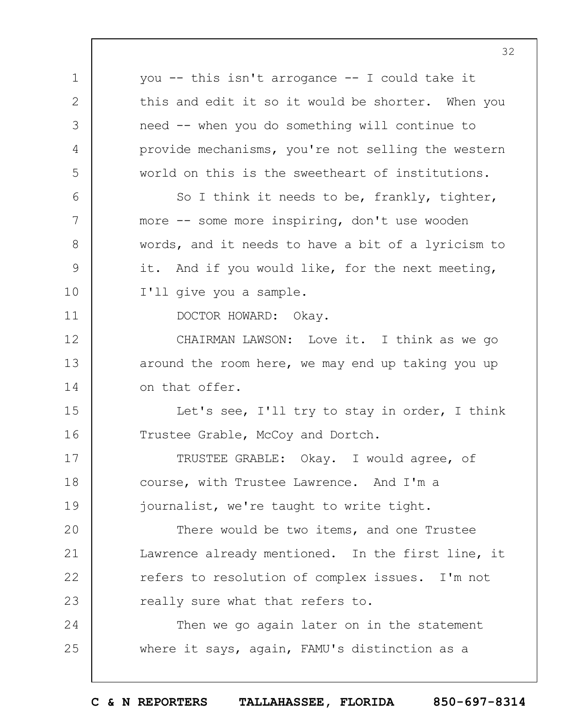1 2 3 4 5 6 7 8 9 10 11 12 13 14 15 16 17 18 19  $20$ 21 22 23 24 25 you -- this isn't arrogance -- I could take it this and edit it so it would be shorter. When you need -- when you do something will continue to provide mechanisms, you're not selling the western world on this is the sweetheart of institutions. So I think it needs to be, frankly, tighter, more -- some more inspiring, don't use wooden words, and it needs to have a bit of a lyricism to it. And if you would like, for the next meeting, I'll give you a sample. DOCTOR HOWARD: Okay. CHAIRMAN LAWSON: Love it. I think as we go around the room here, we may end up taking you up on that offer. Let's see, I'll try to stay in order, I think Trustee Grable, McCoy and Dortch. TRUSTEE GRABLE: Okay. I would agree, of course, with Trustee Lawrence. And I'm a journalist, we're taught to write tight. There would be two items, and one Trustee Lawrence already mentioned. In the first line, it refers to resolution of complex issues. I'm not really sure what that refers to. Then we go again later on in the statement where it says, again, FAMU's distinction as a

32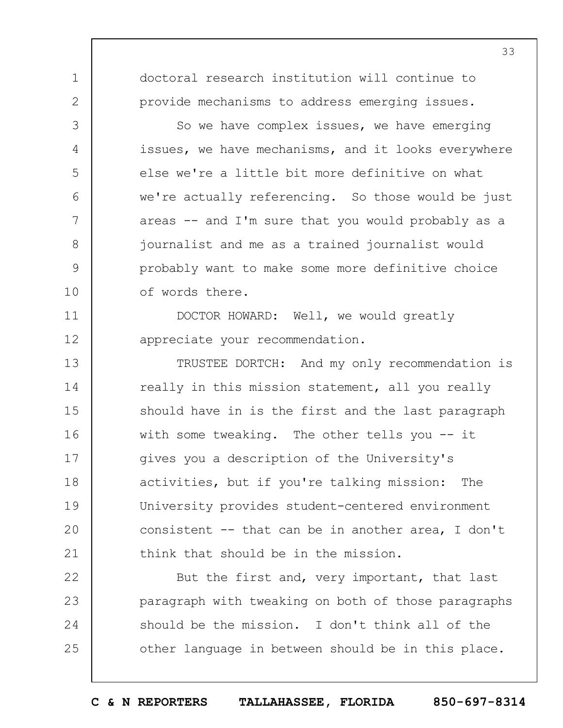doctoral research institution will continue to provide mechanisms to address emerging issues.

1

2

3

4

5

6

7

8

9

10

11

12

So we have complex issues, we have emerging issues, we have mechanisms, and it looks everywhere else we're a little bit more definitive on what we're actually referencing. So those would be just areas -- and I'm sure that you would probably as a journalist and me as a trained journalist would probably want to make some more definitive choice of words there.

DOCTOR HOWARD: Well, we would greatly appreciate your recommendation.

13 14 15 16 17 18 19  $20$ 21 TRUSTEE DORTCH: And my only recommendation is really in this mission statement, all you really should have in is the first and the last paragraph with some tweaking. The other tells you -- it gives you a description of the University's activities, but if you're talking mission: The University provides student-centered environment consistent -- that can be in another area, I don't think that should be in the mission.

22 23 24 25 But the first and, very important, that last paragraph with tweaking on both of those paragraphs should be the mission. I don't think all of the other language in between should be in this place.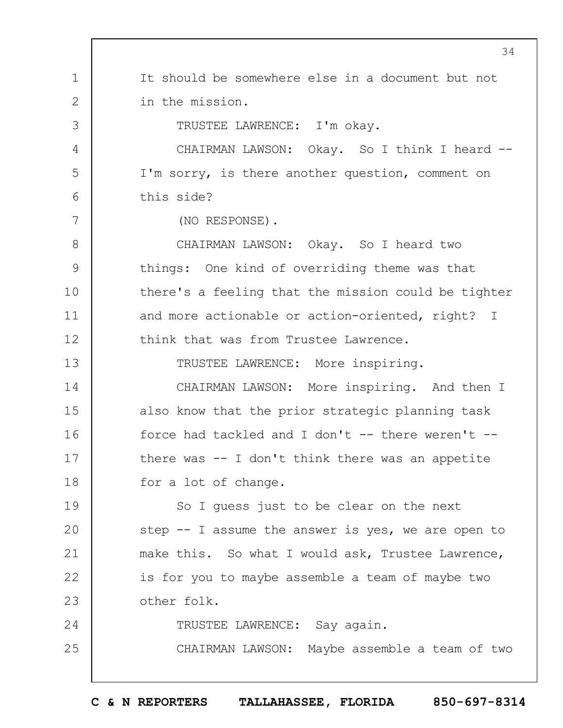1 2 3 4 5 6 7 8 9 10 11 12 13 14 15 16 17 18 19  $20$ 21 22 23 24 25 34 It should be somewhere else in a document but not in the mission. TRUSTEE LAWRENCE: I'm okay. CHAIRMAN LAWSON: Okay. So I think I heard --I'm sorry, is there another question, comment on this side? (NO RESPONSE). CHAIRMAN LAWSON: Okay. So I heard two things: One kind of overriding theme was that there's a feeling that the mission could be tighter and more actionable or action-oriented, right? I think that was from Trustee Lawrence. TRUSTEE LAWRENCE: More inspiring. CHAIRMAN LAWSON: More inspiring. And then I also know that the prior strategic planning task force had tackled and I don't  $--$  there weren't  $-$ there was -- I don't think there was an appetite for a lot of change. So I guess just to be clear on the next step -- I assume the answer is yes, we are open to make this. So what I would ask, Trustee Lawrence, is for you to maybe assemble a team of maybe two other folk. TRUSTEE LAWRENCE: Say again. CHAIRMAN LAWSON: Maybe assemble a team of two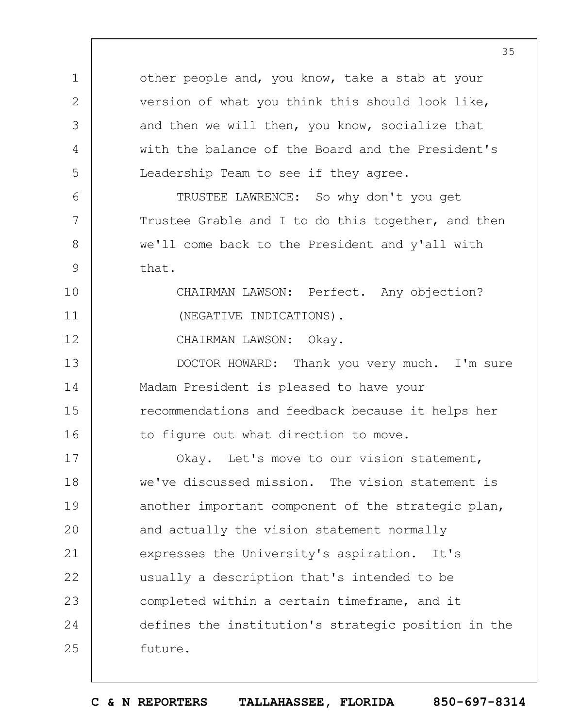other people and, you know, take a stab at your version of what you think this should look like, and then we will then, you know, socialize that with the balance of the Board and the President's Leadership Team to see if they agree.

TRUSTEE LAWRENCE: So why don't you get Trustee Grable and I to do this together, and then we'll come back to the President and y'all with that.

> CHAIRMAN LAWSON: Perfect. Any objection? (NEGATIVE INDICATIONS).

CHAIRMAN LAWSON: Okay.

1

2

3

4

5

6

7

8

9

10

11

12

13 14 15 16 DOCTOR HOWARD: Thank you very much. I'm sure Madam President is pleased to have your recommendations and feedback because it helps her to figure out what direction to move.

17 18 19  $20$ 21 22 23 24 25 Okay. Let's move to our vision statement, we've discussed mission. The vision statement is another important component of the strategic plan, and actually the vision statement normally expresses the University's aspiration. It's usually a description that's intended to be completed within a certain timeframe, and it defines the institution's strategic position in the future.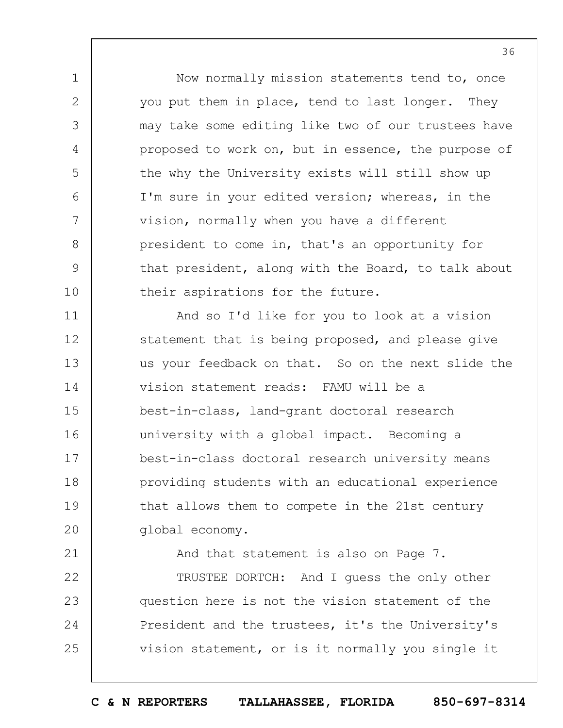Now normally mission statements tend to, once you put them in place, tend to last longer. They may take some editing like two of our trustees have proposed to work on, but in essence, the purpose of the why the University exists will still show up I'm sure in your edited version; whereas, in the vision, normally when you have a different president to come in, that's an opportunity for that president, along with the Board, to talk about their aspirations for the future.

1

2

3

4

5

6

7

8

9

10

21

11 12 13 14 15 16 17 18 19  $20$ And so I'd like for you to look at a vision statement that is being proposed, and please give us your feedback on that. So on the next slide the vision statement reads: FAMU will be a best-in-class, land-grant doctoral research university with a global impact. Becoming a best-in-class doctoral research university means providing students with an educational experience that allows them to compete in the 21st century global economy.

And that statement is also on Page 7.

22 23 24 25 TRUSTEE DORTCH: And I guess the only other question here is not the vision statement of the President and the trustees, it's the University's vision statement, or is it normally you single it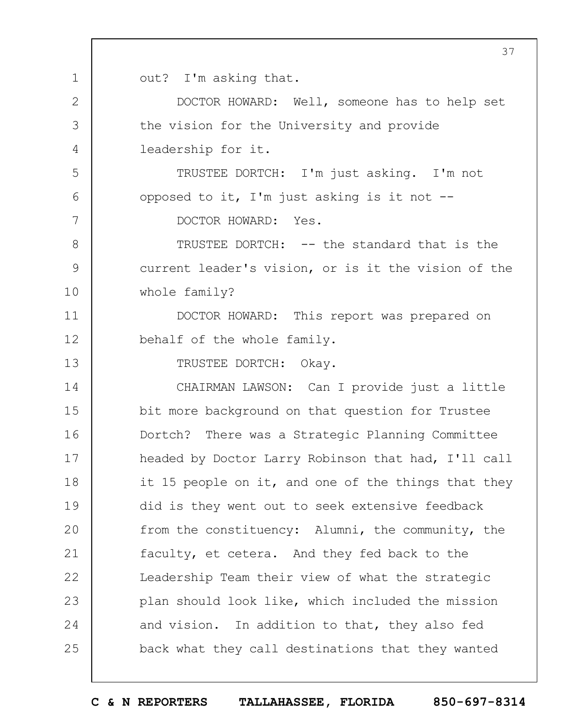out? I'm asking that.

1

2

3

4

5

6

7

13

DOCTOR HOWARD: Well, someone has to help set the vision for the University and provide leadership for it.

TRUSTEE DORTCH: I'm just asking. I'm not opposed to it, I'm just asking is it not --

DOCTOR HOWARD: Yes.

8 9 10 TRUSTEE DORTCH: -- the standard that is the current leader's vision, or is it the vision of the whole family?

11 12 DOCTOR HOWARD: This report was prepared on behalf of the whole family.

TRUSTEE DORTCH: Okay.

14 15 16 17 18 19  $20$ 21 22 23 24 25 CHAIRMAN LAWSON: Can I provide just a little bit more background on that question for Trustee Dortch? There was a Strategic Planning Committee headed by Doctor Larry Robinson that had, I'll call it 15 people on it, and one of the things that they did is they went out to seek extensive feedback from the constituency: Alumni, the community, the faculty, et cetera. And they fed back to the Leadership Team their view of what the strategic plan should look like, which included the mission and vision. In addition to that, they also fed back what they call destinations that they wanted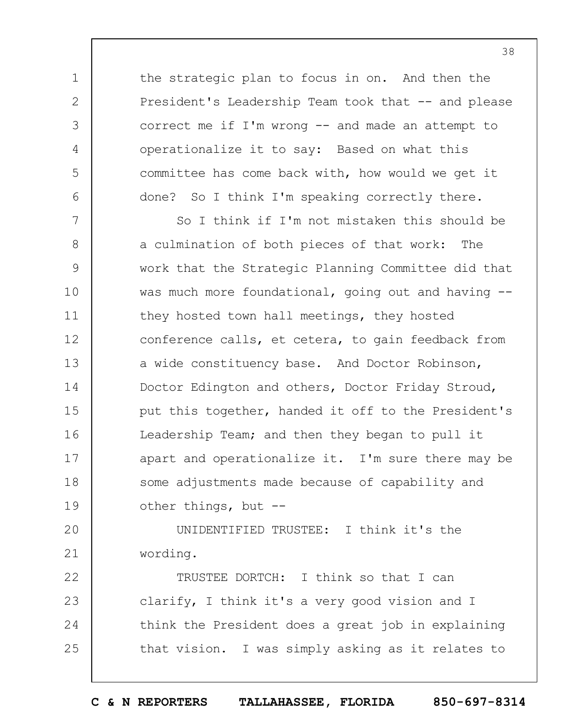the strategic plan to focus in on. And then the President's Leadership Team took that -- and please correct me if I'm wrong -- and made an attempt to operationalize it to say: Based on what this committee has come back with, how would we get it done? So I think I'm speaking correctly there.

1

2

3

4

5

6

7 8 9 10 11 12 13 14 15 16 17 18 19 So I think if I'm not mistaken this should be a culmination of both pieces of that work: The work that the Strategic Planning Committee did that was much more foundational, going out and having -they hosted town hall meetings, they hosted conference calls, et cetera, to gain feedback from a wide constituency base. And Doctor Robinson, Doctor Edington and others, Doctor Friday Stroud, put this together, handed it off to the President's Leadership Team; and then they began to pull it apart and operationalize it. I'm sure there may be some adjustments made because of capability and other things, but --

 $20$ 21 UNIDENTIFIED TRUSTEE: I think it's the wording.

22 23 24 25 TRUSTEE DORTCH: I think so that I can clarify, I think it's a very good vision and I think the President does a great job in explaining that vision. I was simply asking as it relates to

**C & N REPORTERS TALLAHASSEE, FLORIDA 850-697-8314**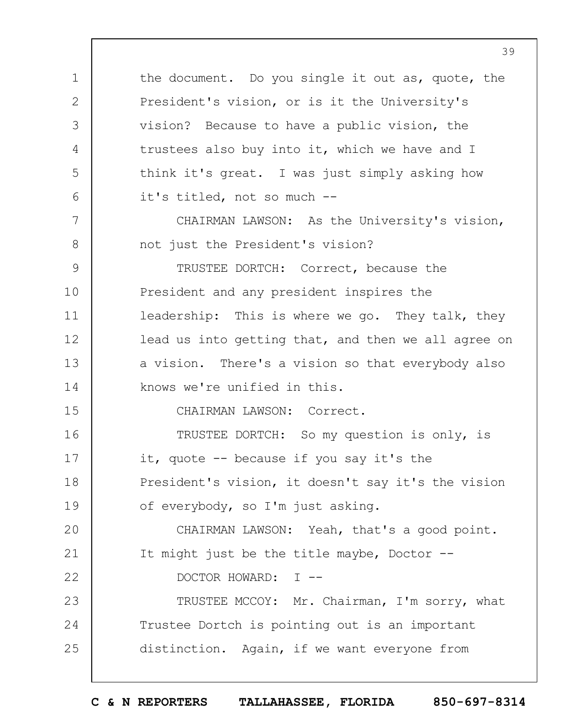1 2 3 4 5 6 7 8 9 10 11 12 13 14 15 16 17 18 19  $20$ 21 22 23 24 25 the document. Do you single it out as, quote, the President's vision, or is it the University's vision? Because to have a public vision, the trustees also buy into it, which we have and I think it's great. I was just simply asking how it's titled, not so much -- CHAIRMAN LAWSON: As the University's vision, not just the President's vision? TRUSTEE DORTCH: Correct, because the President and any president inspires the leadership: This is where we go. They talk, they lead us into getting that, and then we all agree on a vision. There's a vision so that everybody also knows we're unified in this. CHAIRMAN LAWSON: Correct. TRUSTEE DORTCH: So my question is only, is it, quote -- because if you say it's the President's vision, it doesn't say it's the vision of everybody, so I'm just asking. CHAIRMAN LAWSON: Yeah, that's a good point. It might just be the title maybe, Doctor -- DOCTOR HOWARD: I -- TRUSTEE MCCOY: Mr. Chairman, I'm sorry, what Trustee Dortch is pointing out is an important distinction. Again, if we want everyone from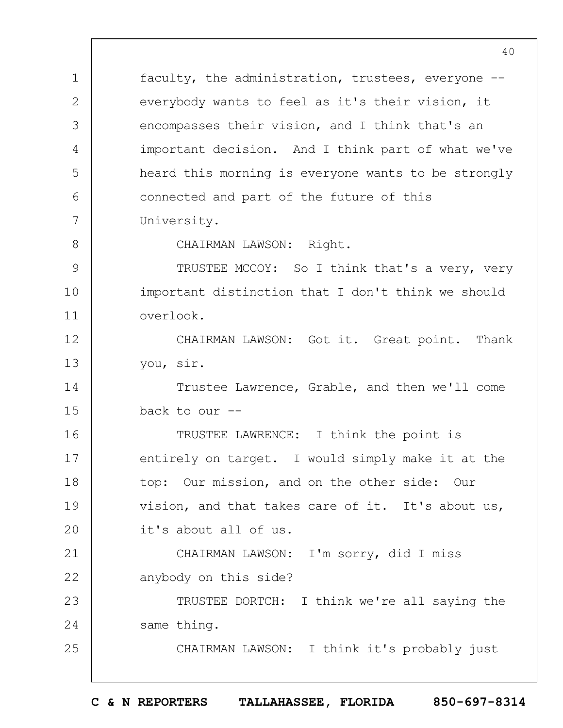1 2 3 4 5  $6 \overline{6}$ 7 8 9 10 11 12 13 14 15 16 17 18 19  $20$ 21 22 23 24 25 faculty, the administration, trustees, everyone - everybody wants to feel as it's their vision, it encompasses their vision, and I think that's an important decision. And I think part of what we've heard this morning is everyone wants to be strongly connected and part of the future of this University. CHAIRMAN LAWSON: Right. TRUSTEE MCCOY: So I think that's a very, very important distinction that I don't think we should overlook. CHAIRMAN LAWSON: Got it. Great point. Thank you, sir. Trustee Lawrence, Grable, and then we'll come back to our -- TRUSTEE LAWRENCE: I think the point is entirely on target. I would simply make it at the top: Our mission, and on the other side: Our vision, and that takes care of it. It's about us, it's about all of us. CHAIRMAN LAWSON: I'm sorry, did I miss anybody on this side? TRUSTEE DORTCH: I think we're all saying the same thing. CHAIRMAN LAWSON: I think it's probably just

40

**C & N REPORTERS TALLAHASSEE, FLORIDA 850-697-8314**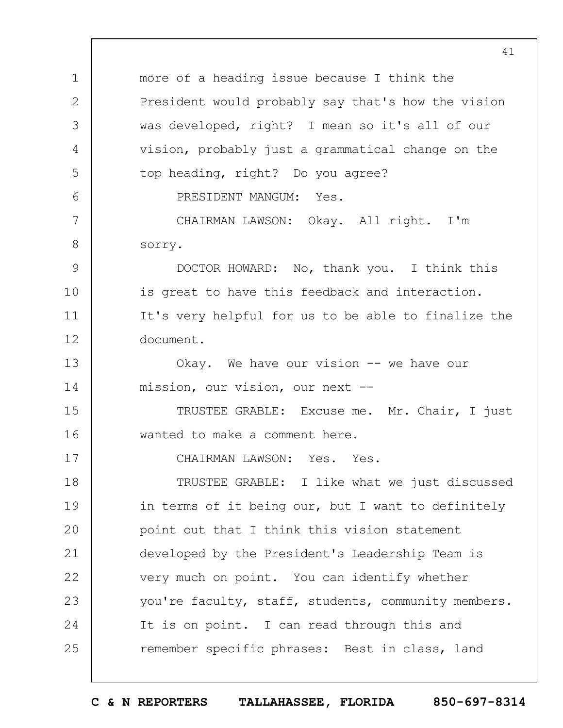1 2 3 4 5 6 7 8 9 10 11 12 13 14 15 16 17 18 19  $20$ 21 22 23 24 25 41 more of a heading issue because I think the President would probably say that's how the vision was developed, right? I mean so it's all of our vision, probably just a grammatical change on the top heading, right? Do you agree? PRESIDENT MANGUM: Yes. CHAIRMAN LAWSON: Okay. All right. I'm sorry. DOCTOR HOWARD: No, thank you. I think this is great to have this feedback and interaction. It's very helpful for us to be able to finalize the document. Okay. We have our vision -- we have our mission, our vision, our next -- TRUSTEE GRABLE: Excuse me. Mr. Chair, I just wanted to make a comment here. CHAIRMAN LAWSON: Yes. Yes. TRUSTEE GRABLE: I like what we just discussed in terms of it being our, but I want to definitely point out that I think this vision statement developed by the President's Leadership Team is very much on point. You can identify whether you're faculty, staff, students, community members. It is on point. I can read through this and remember specific phrases: Best in class, land

**C & N REPORTERS TALLAHASSEE, FLORIDA 850-697-8314**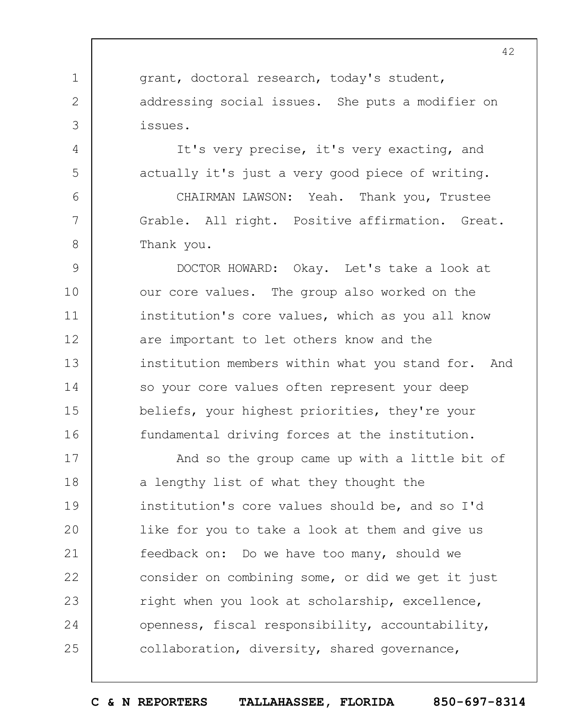grant, doctoral research, today's student, addressing social issues. She puts a modifier on issues.

It's very precise, it's very exacting, and actually it's just a very good piece of writing.

CHAIRMAN LAWSON: Yeah. Thank you, Trustee Grable. All right. Positive affirmation. Great. Thank you.

9 10 11 12 13 14 15 16 DOCTOR HOWARD: Okay. Let's take a look at our core values. The group also worked on the institution's core values, which as you all know are important to let others know and the institution members within what you stand for. And so your core values often represent your deep beliefs, your highest priorities, they're your fundamental driving forces at the institution.

17 18 19  $20$ 21 22 23 24 25 And so the group came up with a little bit of a lengthy list of what they thought the institution's core values should be, and so I'd like for you to take a look at them and give us feedback on: Do we have too many, should we consider on combining some, or did we get it just right when you look at scholarship, excellence, openness, fiscal responsibility, accountability, collaboration, diversity, shared governance,

2

3

4

5

6

7

8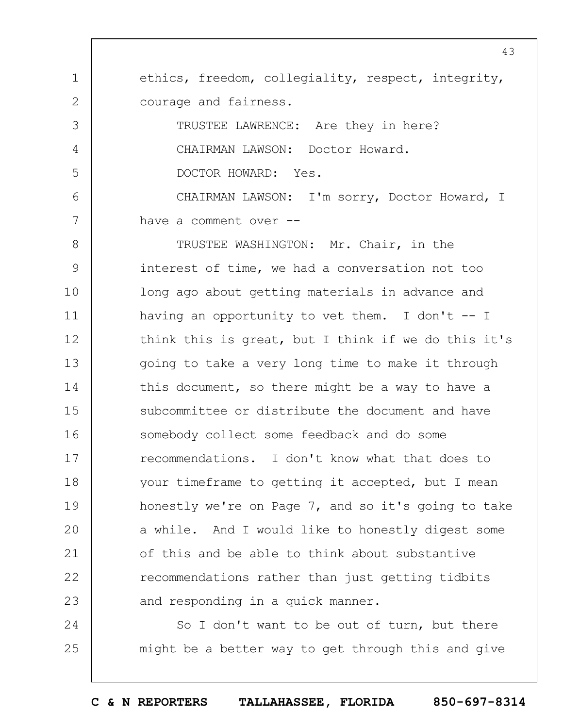1 2 ethics, freedom, collegiality, respect, integrity, courage and fairness.

TRUSTEE LAWRENCE: Are they in here? CHAIRMAN LAWSON: Doctor Howard. DOCTOR HOWARD: Yes.

3

4

5

24

25

6 7 CHAIRMAN LAWSON: I'm sorry, Doctor Howard, I have a comment over --

8 9 10 11 12 13 14 15 16 17 18 19  $20$ 21 22 23 TRUSTEE WASHINGTON: Mr. Chair, in the interest of time, we had a conversation not too long ago about getting materials in advance and having an opportunity to vet them. I don't  $-$ - I think this is great, but I think if we do this it's going to take a very long time to make it through this document, so there might be a way to have a subcommittee or distribute the document and have somebody collect some feedback and do some recommendations. I don't know what that does to your timeframe to getting it accepted, but I mean honestly we're on Page 7, and so it's going to take a while. And I would like to honestly digest some of this and be able to think about substantive recommendations rather than just getting tidbits and responding in a quick manner.

So I don't want to be out of turn, but there might be a better way to get through this and give

**C & N REPORTERS TALLAHASSEE, FLORIDA 850-697-8314**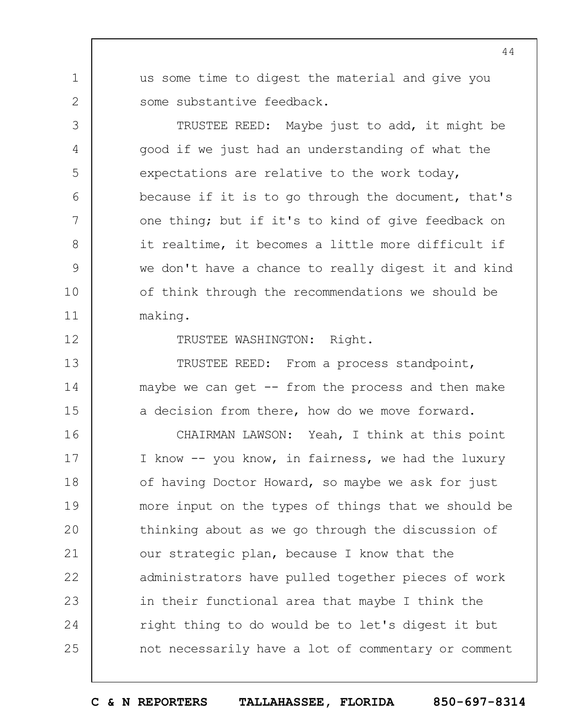us some time to digest the material and give you some substantive feedback.

TRUSTEE REED: Maybe just to add, it might be good if we just had an understanding of what the expectations are relative to the work today, because if it is to go through the document, that's one thing; but if it's to kind of give feedback on it realtime, it becomes a little more difficult if we don't have a chance to really digest it and kind of think through the recommendations we should be making.

12

1

2

3

4

5

6

7

8

9

10

11

13

14

15

TRUSTEE WASHINGTON: Right.

TRUSTEE REED: From a process standpoint, maybe we can get  $-$ - from the process and then make a decision from there, how do we move forward.

16 17 18 19  $20$ 21 22 23 24 25 CHAIRMAN LAWSON: Yeah, I think at this point I know -- you know, in fairness, we had the luxury of having Doctor Howard, so maybe we ask for just more input on the types of things that we should be thinking about as we go through the discussion of our strategic plan, because I know that the administrators have pulled together pieces of work in their functional area that maybe I think the right thing to do would be to let's digest it but not necessarily have a lot of commentary or comment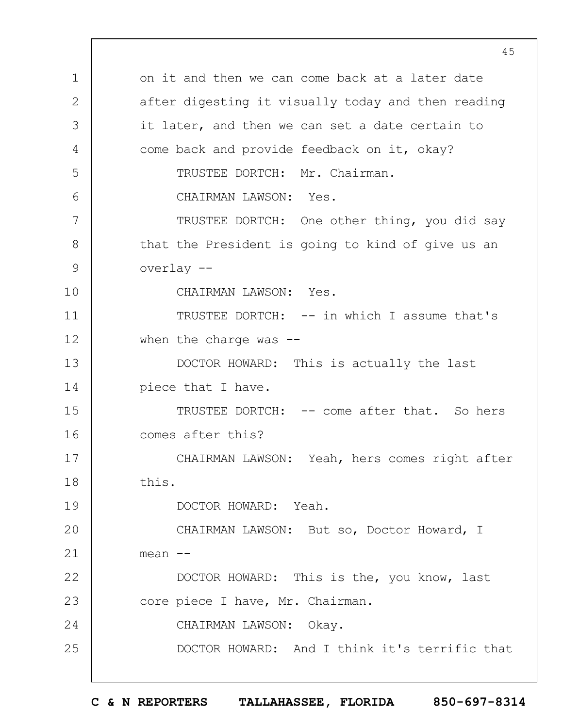1 2 3 4 5 6 7 8 9 10 11 12 13 14 15 16 17 18 19  $20$ 21 22 23 24 25 45 on it and then we can come back at a later date after digesting it visually today and then reading it later, and then we can set a date certain to come back and provide feedback on it, okay? TRUSTEE DORTCH: Mr. Chairman. CHAIRMAN LAWSON: Yes. TRUSTEE DORTCH: One other thing, you did say that the President is going to kind of give us an overlay -- CHAIRMAN LAWSON: Yes. TRUSTEE DORTCH: -- in which I assume that's when the charge was  $-$ -DOCTOR HOWARD: This is actually the last piece that I have. TRUSTEE DORTCH: -- come after that. So hers comes after this? CHAIRMAN LAWSON: Yeah, hers comes right after this. DOCTOR HOWARD: Yeah. CHAIRMAN LAWSON: But so, Doctor Howard, I  $mean$   $--$ DOCTOR HOWARD: This is the, you know, last core piece I have, Mr. Chairman. CHAIRMAN LAWSON: Okay. DOCTOR HOWARD: And I think it's terrific that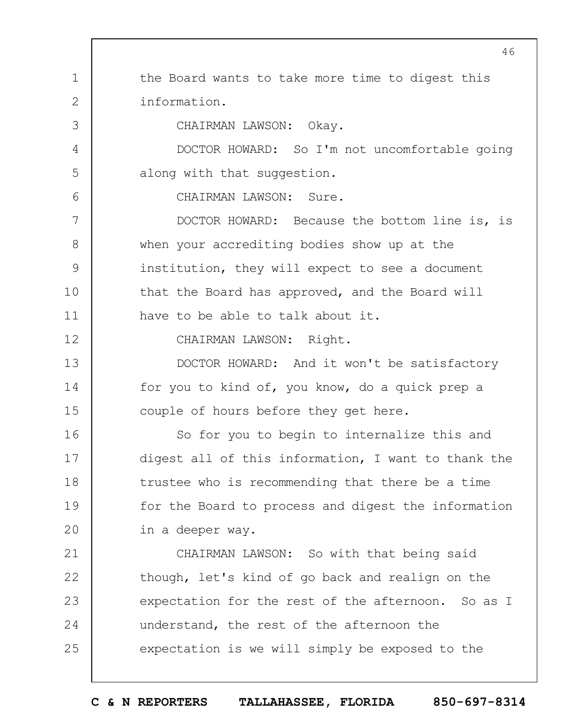1 2 3 4 5 6 7 8 9 10 11 12 13 14 15 16 17 18 19  $20$ 21 22 23 24 25 46 the Board wants to take more time to digest this information. CHAIRMAN LAWSON: Okay. DOCTOR HOWARD: So I'm not uncomfortable going along with that suggestion. CHAIRMAN LAWSON: Sure. DOCTOR HOWARD: Because the bottom line is, is when your accrediting bodies show up at the institution, they will expect to see a document that the Board has approved, and the Board will have to be able to talk about it. CHAIRMAN LAWSON: Right. DOCTOR HOWARD: And it won't be satisfactory for you to kind of, you know, do a quick prep a couple of hours before they get here. So for you to begin to internalize this and digest all of this information, I want to thank the trustee who is recommending that there be a time for the Board to process and digest the information in a deeper way. CHAIRMAN LAWSON: So with that being said though, let's kind of go back and realign on the expectation for the rest of the afternoon. So as I understand, the rest of the afternoon the expectation is we will simply be exposed to the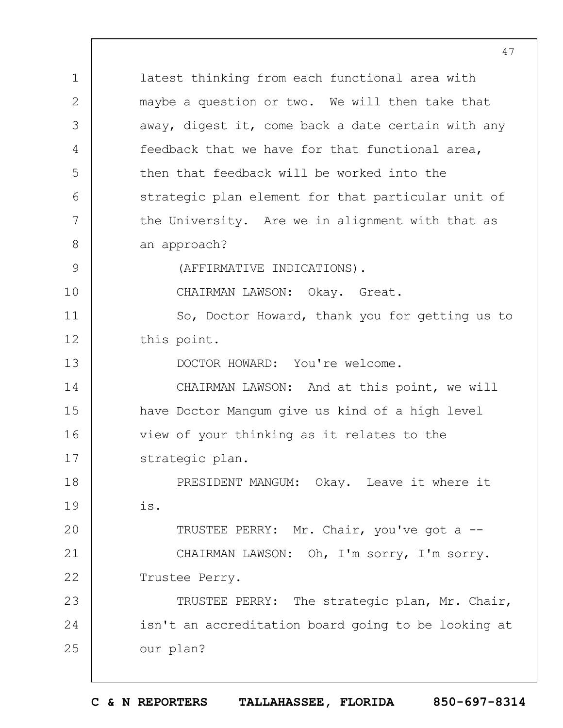1 2 3 4 5 6 7 8 9 10 11 12 13 14 15 16 17 18 19  $20$ 21 22 23 24 25 latest thinking from each functional area with maybe a question or two. We will then take that away, digest it, come back a date certain with any feedback that we have for that functional area, then that feedback will be worked into the strategic plan element for that particular unit of the University. Are we in alignment with that as an approach? (AFFIRMATIVE INDICATIONS). CHAIRMAN LAWSON: Okay. Great. So, Doctor Howard, thank you for getting us to this point. DOCTOR HOWARD: You're welcome. CHAIRMAN LAWSON: And at this point, we will have Doctor Mangum give us kind of a high level view of your thinking as it relates to the strategic plan. PRESIDENT MANGUM: Okay. Leave it where it is. TRUSTEE PERRY: Mr. Chair, you've got a -- CHAIRMAN LAWSON: Oh, I'm sorry, I'm sorry. Trustee Perry. TRUSTEE PERRY: The strategic plan, Mr. Chair, isn't an accreditation board going to be looking at our plan?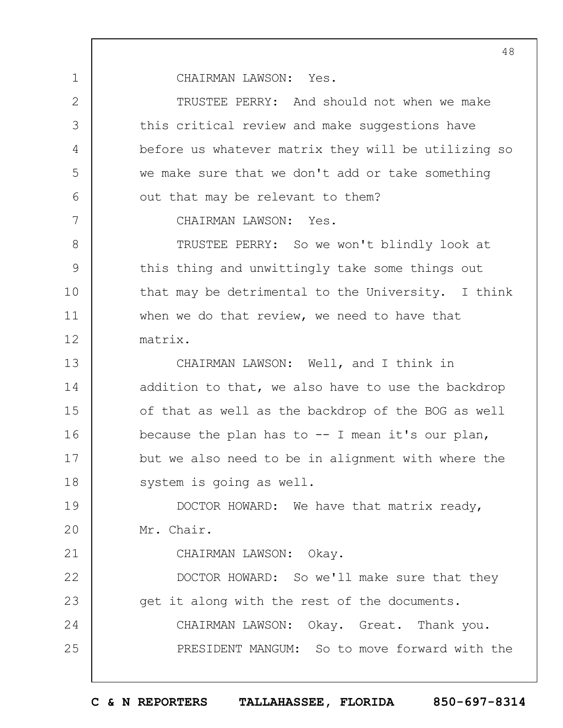CHAIRMAN LAWSON: Yes.

1

2

3

4

5

6

7

21

TRUSTEE PERRY: And should not when we make this critical review and make suggestions have before us whatever matrix they will be utilizing so we make sure that we don't add or take something out that may be relevant to them?

CHAIRMAN LAWSON: Yes.

8 9 10 11 12 TRUSTEE PERRY: So we won't blindly look at this thing and unwittingly take some things out that may be detrimental to the University. I think when we do that review, we need to have that matrix.

13 14 15 16 17 18 CHAIRMAN LAWSON: Well, and I think in addition to that, we also have to use the backdrop of that as well as the backdrop of the BOG as well because the plan has to  $-$  I mean it's our plan, but we also need to be in alignment with where the system is going as well.

19  $20$ DOCTOR HOWARD: We have that matrix ready, Mr. Chair.

CHAIRMAN LAWSON: Okay.

22 23 24 25 DOCTOR HOWARD: So we'll make sure that they get it along with the rest of the documents. CHAIRMAN LAWSON: Okay. Great. Thank you. PRESIDENT MANGUM: So to move forward with the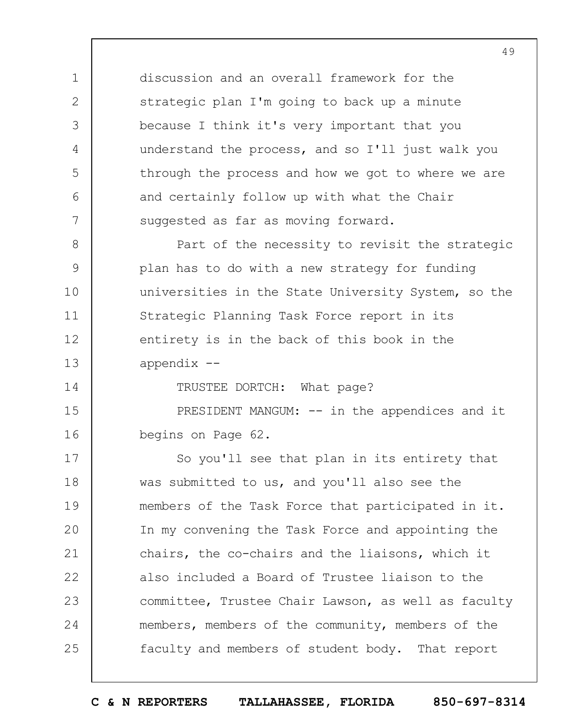discussion and an overall framework for the strategic plan I'm going to back up a minute because I think it's very important that you understand the process, and so I'll just walk you through the process and how we got to where we are and certainly follow up with what the Chair suggested as far as moving forward.

1

2

3

4

5

6

7

14

8 9 10 11 12 13 Part of the necessity to revisit the strategic plan has to do with a new strategy for funding universities in the State University System, so the Strategic Planning Task Force report in its entirety is in the back of this book in the appendix --

TRUSTEE DORTCH: What page?

15 16 PRESIDENT MANGUM: -- in the appendices and it begins on Page 62.

17 18 19  $20$ 21 22 23 24 25 So you'll see that plan in its entirety that was submitted to us, and you'll also see the members of the Task Force that participated in it. In my convening the Task Force and appointing the chairs, the co-chairs and the liaisons, which it also included a Board of Trustee liaison to the committee, Trustee Chair Lawson, as well as faculty members, members of the community, members of the faculty and members of student body. That report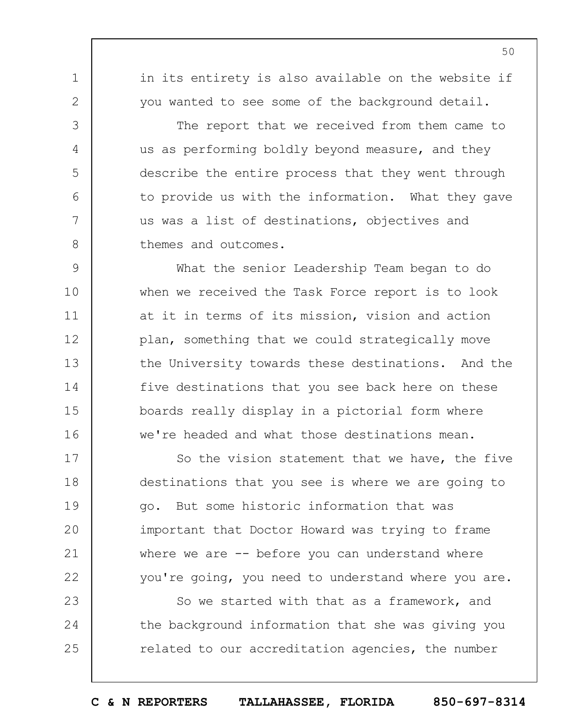in its entirety is also available on the website if you wanted to see some of the background detail.

1

2

3

4

5

6

7

8

The report that we received from them came to us as performing boldly beyond measure, and they describe the entire process that they went through to provide us with the information. What they gave us was a list of destinations, objectives and themes and outcomes.

9 10 11 12 13 14 15 16 What the senior Leadership Team began to do when we received the Task Force report is to look at it in terms of its mission, vision and action plan, something that we could strategically move the University towards these destinations. And the five destinations that you see back here on these boards really display in a pictorial form where we're headed and what those destinations mean.

17 18 19  $20$ 21 22 So the vision statement that we have, the five destinations that you see is where we are going to go. But some historic information that was important that Doctor Howard was trying to frame where we are  $-$ - before you can understand where you're going, you need to understand where you are.

23 24 25 So we started with that as a framework, and the background information that she was giving you related to our accreditation agencies, the number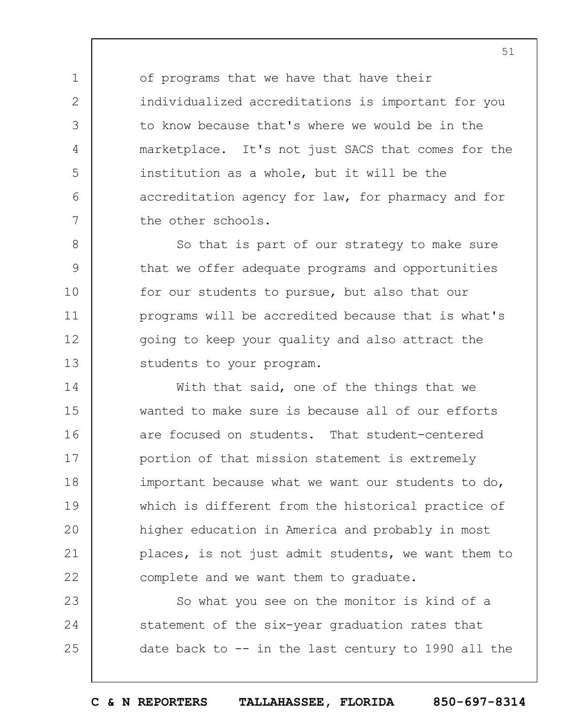of programs that we have that have their individualized accreditations is important for you to know because that's where we would be in the marketplace. It's not just SACS that comes for the institution as a whole, but it will be the accreditation agency for law, for pharmacy and for the other schools.

1

2

3

4

5

6

7

8 9 10 11 12 13 So that is part of our strategy to make sure that we offer adequate programs and opportunities for our students to pursue, but also that our programs will be accredited because that is what's going to keep your quality and also attract the students to your program.

14 15 16 17 18 19  $20$ 21 22 With that said, one of the things that we wanted to make sure is because all of our efforts are focused on students. That student-centered portion of that mission statement is extremely important because what we want our students to do, which is different from the historical practice of higher education in America and probably in most places, is not just admit students, we want them to complete and we want them to graduate.

23 24 25 So what you see on the monitor is kind of a statement of the six-year graduation rates that date back to -- in the last century to 1990 all the

**C & N REPORTERS TALLAHASSEE, FLORIDA 850-697-8314**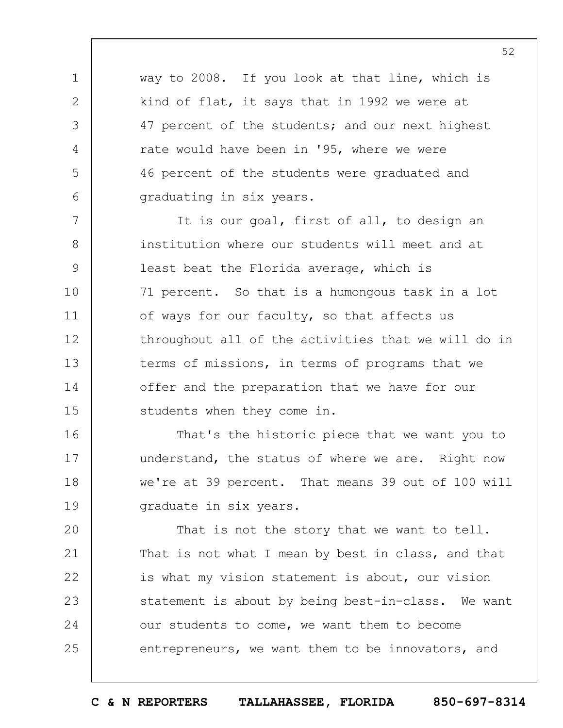way to 2008. If you look at that line, which is kind of flat, it says that in 1992 we were at 47 percent of the students; and our next highest rate would have been in '95, where we were 46 percent of the students were graduated and graduating in six years.

1

2

3

4

5

6

7 8 9 10 11 12 13 14 15 It is our goal, first of all, to design an institution where our students will meet and at least beat the Florida average, which is 71 percent. So that is a humongous task in a lot of ways for our faculty, so that affects us throughout all of the activities that we will do in terms of missions, in terms of programs that we offer and the preparation that we have for our students when they come in.

16 17 18 19 That's the historic piece that we want you to understand, the status of where we are. Right now we're at 39 percent. That means 39 out of 100 will graduate in six years.

 $20$ 21 22 23 24 25 That is not the story that we want to tell. That is not what I mean by best in class, and that is what my vision statement is about, our vision statement is about by being best-in-class. We want our students to come, we want them to become entrepreneurs, we want them to be innovators, and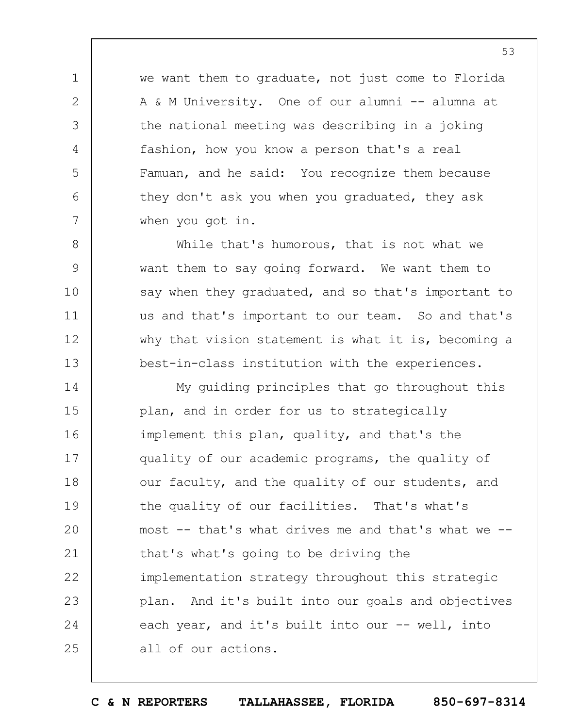we want them to graduate, not just come to Florida A & M University. One of our alumni -- alumna at the national meeting was describing in a joking fashion, how you know a person that's a real Famuan, and he said: You recognize them because they don't ask you when you graduated, they ask when you got in.

1

2

3

4

5

6

7

8

9

10

11

12

13

While that's humorous, that is not what we want them to say going forward. We want them to say when they graduated, and so that's important to us and that's important to our team. So and that's why that vision statement is what it is, becoming a best-in-class institution with the experiences.

14 15 16 17 18 19  $20$ 21 22 23 24 25 My guiding principles that go throughout this plan, and in order for us to strategically implement this plan, quality, and that's the quality of our academic programs, the quality of our faculty, and the quality of our students, and the quality of our facilities. That's what's most -- that's what drives me and that's what we - that's what's going to be driving the implementation strategy throughout this strategic plan. And it's built into our goals and objectives each year, and it's built into our -- well, into all of our actions.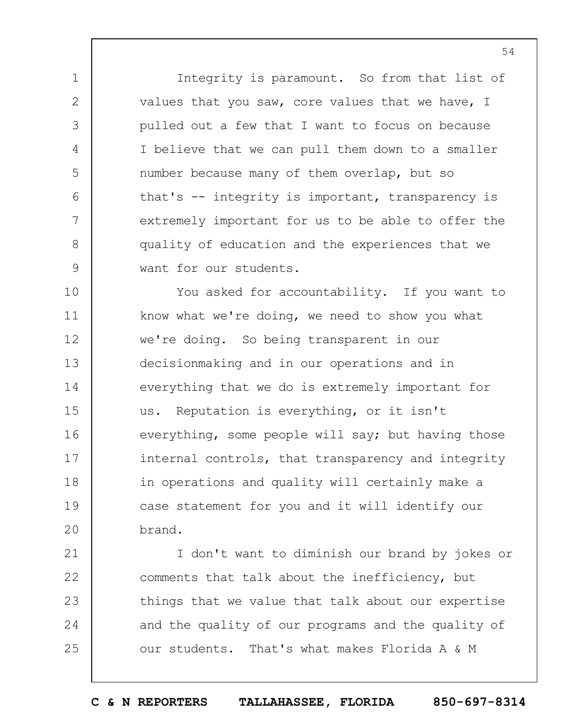Integrity is paramount. So from that list of values that you saw, core values that we have, I pulled out a few that I want to focus on because I believe that we can pull them down to a smaller number because many of them overlap, but so that's -- integrity is important, transparency is extremely important for us to be able to offer the quality of education and the experiences that we want for our students.

1

2

3

4

5

6

7

8

9

10 11 12 13 14 15 16 17 18 19  $20$ You asked for accountability. If you want to know what we're doing, we need to show you what we're doing. So being transparent in our decisionmaking and in our operations and in everything that we do is extremely important for us. Reputation is everything, or it isn't everything, some people will say; but having those internal controls, that transparency and integrity in operations and quality will certainly make a case statement for you and it will identify our brand.

21 22 23 24 25 I don't want to diminish our brand by jokes or comments that talk about the inefficiency, but things that we value that talk about our expertise and the quality of our programs and the quality of our students. That's what makes Florida A & M

**C & N REPORTERS TALLAHASSEE, FLORIDA 850-697-8314**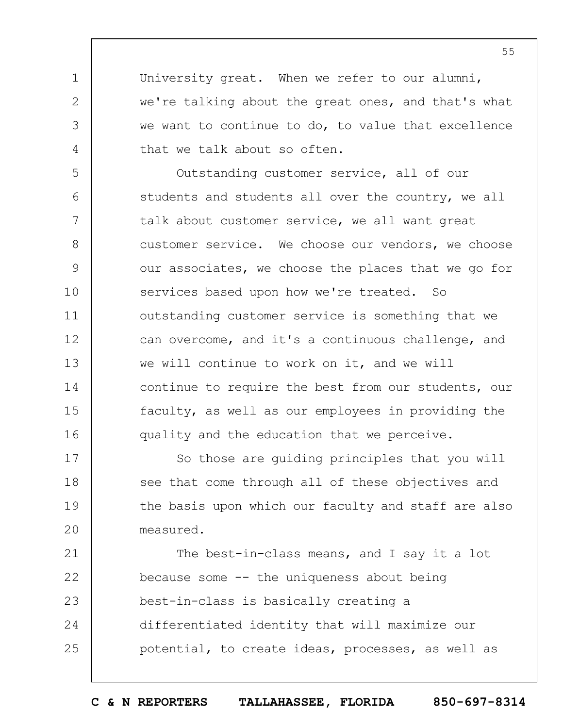University great. When we refer to our alumni, we're talking about the great ones, and that's what we want to continue to do, to value that excellence that we talk about so often.

1

2

3

4

5 6 7 8 9 10 11 12 13 14 15 16 Outstanding customer service, all of our students and students all over the country, we all talk about customer service, we all want great customer service. We choose our vendors, we choose our associates, we choose the places that we go for services based upon how we're treated. So outstanding customer service is something that we can overcome, and it's a continuous challenge, and we will continue to work on it, and we will continue to require the best from our students, our faculty, as well as our employees in providing the quality and the education that we perceive.

17 18 19  $20$ So those are guiding principles that you will see that come through all of these objectives and the basis upon which our faculty and staff are also measured.

21 22 23 24 25 The best-in-class means, and I say it a lot because some -- the uniqueness about being best-in-class is basically creating a differentiated identity that will maximize our potential, to create ideas, processes, as well as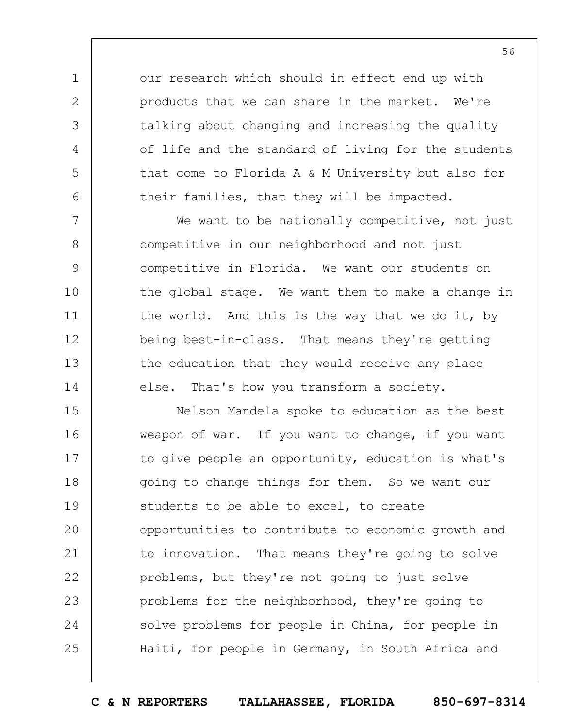our research which should in effect end up with products that we can share in the market. We're talking about changing and increasing the quality of life and the standard of living for the students that come to Florida A & M University but also for their families, that they will be impacted.

1

2

3

4

5

6

7

8

9

10

11

12

13

14

We want to be nationally competitive, not just competitive in our neighborhood and not just competitive in Florida. We want our students on the global stage. We want them to make a change in the world. And this is the way that we do it, by being best-in-class. That means they're getting the education that they would receive any place else. That's how you transform a society.

15 16 17 18 19  $20$ 21 22 23 24 25 Nelson Mandela spoke to education as the best weapon of war. If you want to change, if you want to give people an opportunity, education is what's going to change things for them. So we want our students to be able to excel, to create opportunities to contribute to economic growth and to innovation. That means they're going to solve problems, but they're not going to just solve problems for the neighborhood, they're going to solve problems for people in China, for people in Haiti, for people in Germany, in South Africa and

**C & N REPORTERS TALLAHASSEE, FLORIDA 850-697-8314**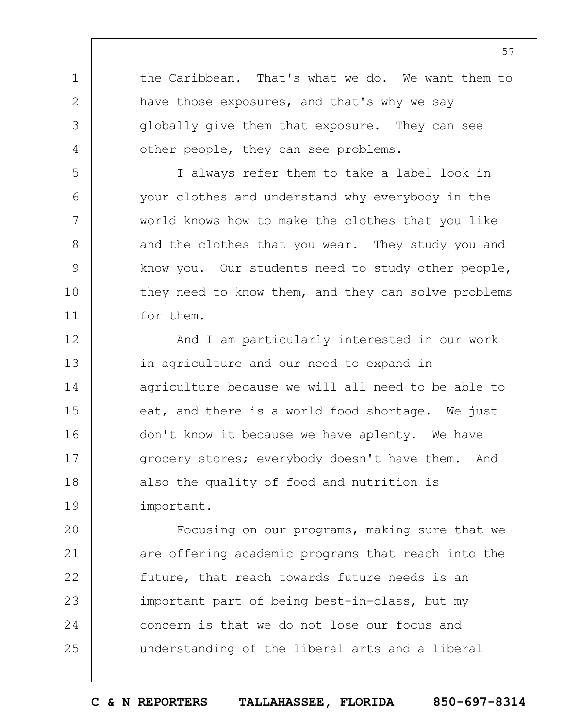the Caribbean. That's what we do. We want them to have those exposures, and that's why we say globally give them that exposure. They can see other people, they can see problems.

1

2

3

4

5

6

7

8

9

10

11

I always refer them to take a label look in your clothes and understand why everybody in the world knows how to make the clothes that you like and the clothes that you wear. They study you and know you. Our students need to study other people, they need to know them, and they can solve problems for them.

12 13 14 15 16 17 18 19 And I am particularly interested in our work in agriculture and our need to expand in agriculture because we will all need to be able to eat, and there is a world food shortage. We just don't know it because we have aplenty. We have grocery stores; everybody doesn't have them. And also the quality of food and nutrition is important.

 $20$ 21 22 23 24 25 Focusing on our programs, making sure that we are offering academic programs that reach into the future, that reach towards future needs is an important part of being best-in-class, but my concern is that we do not lose our focus and understanding of the liberal arts and a liberal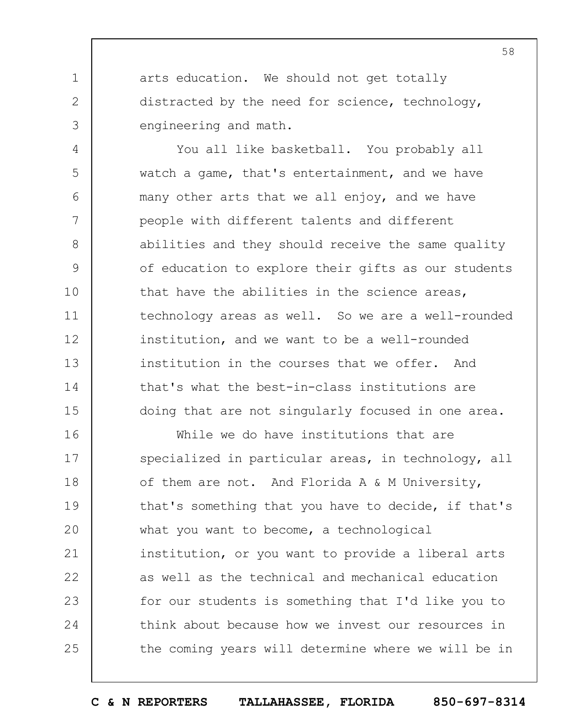arts education. We should not get totally distracted by the need for science, technology, engineering and math.

1

2

3

4 5 6 7 8 9 10 11 12 13 14 15 You all like basketball. You probably all watch a game, that's entertainment, and we have many other arts that we all enjoy, and we have people with different talents and different abilities and they should receive the same quality of education to explore their gifts as our students that have the abilities in the science areas, technology areas as well. So we are a well-rounded institution, and we want to be a well-rounded institution in the courses that we offer. And that's what the best-in-class institutions are doing that are not singularly focused in one area.

16 17 18 19  $20$ 21 22 23 24 25 While we do have institutions that are specialized in particular areas, in technology, all of them are not. And Florida A & M University, that's something that you have to decide, if that's what you want to become, a technological institution, or you want to provide a liberal arts as well as the technical and mechanical education for our students is something that I'd like you to think about because how we invest our resources in the coming years will determine where we will be in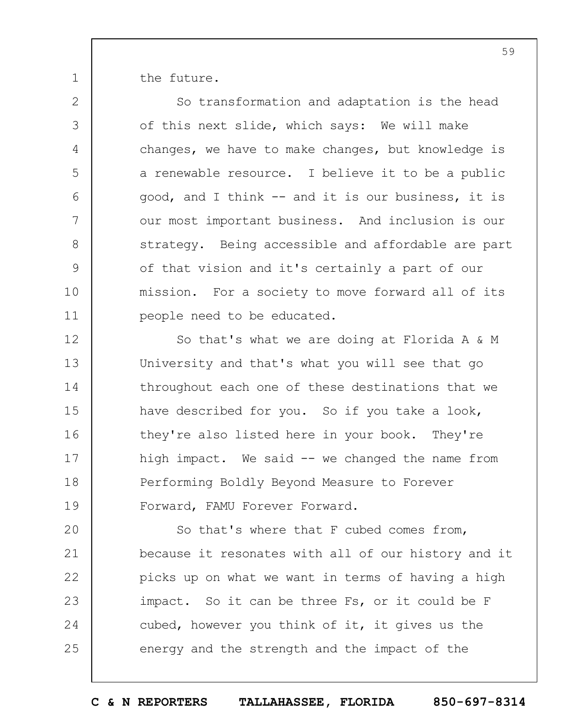the future.

1

2

3

4

5

6

7

8

9

10

11

So transformation and adaptation is the head of this next slide, which says: We will make changes, we have to make changes, but knowledge is a renewable resource. I believe it to be a public good, and I think -- and it is our business, it is our most important business. And inclusion is our strategy. Being accessible and affordable are part of that vision and it's certainly a part of our mission. For a society to move forward all of its people need to be educated.

12 13 14 15 16 17 18 19 So that's what we are doing at Florida A & M University and that's what you will see that go throughout each one of these destinations that we have described for you. So if you take a look, they're also listed here in your book. They're high impact. We said -- we changed the name from Performing Boldly Beyond Measure to Forever Forward, FAMU Forever Forward.

 $20$ 21 22 23 24 25 So that's where that F cubed comes from, because it resonates with all of our history and it picks up on what we want in terms of having a high impact. So it can be three Fs, or it could be F cubed, however you think of it, it gives us the energy and the strength and the impact of the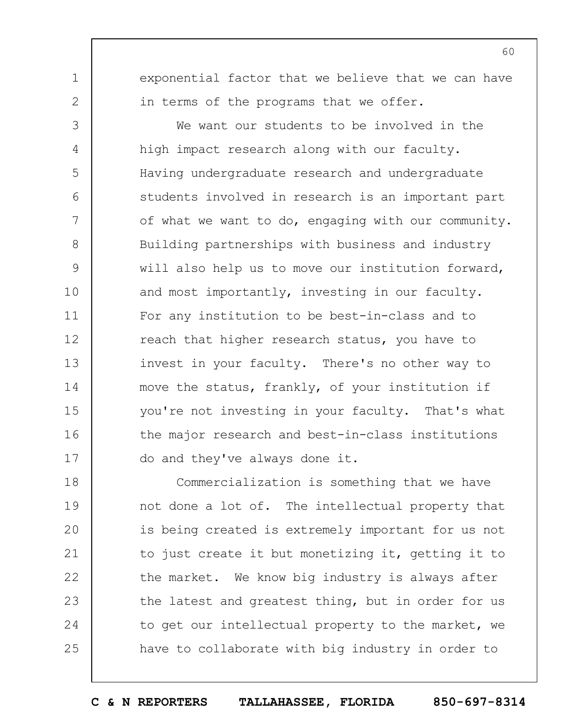1 2

3

4

5

6

7

8

9

10

11

12

13

14

15

16

17

exponential factor that we believe that we can have in terms of the programs that we offer.

We want our students to be involved in the high impact research along with our faculty. Having undergraduate research and undergraduate students involved in research is an important part of what we want to do, engaging with our community. Building partnerships with business and industry will also help us to move our institution forward, and most importantly, investing in our faculty. For any institution to be best-in-class and to reach that higher research status, you have to invest in your faculty. There's no other way to move the status, frankly, of your institution if you're not investing in your faculty. That's what the major research and best-in-class institutions do and they've always done it.

18 19  $20$ 21 22 23 24 25 Commercialization is something that we have not done a lot of. The intellectual property that is being created is extremely important for us not to just create it but monetizing it, getting it to the market. We know big industry is always after the latest and greatest thing, but in order for us to get our intellectual property to the market, we have to collaborate with big industry in order to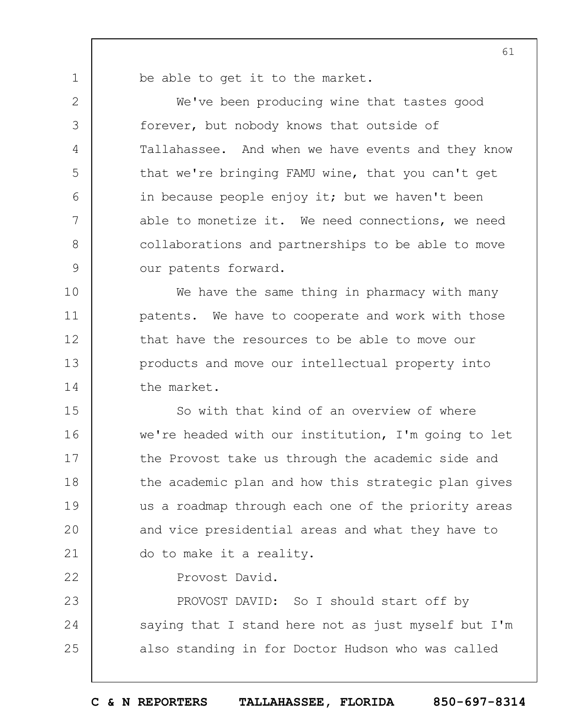be able to get it to the market.

1

2

3

4

5

6

7

8

9

22

We've been producing wine that tastes good forever, but nobody knows that outside of Tallahassee. And when we have events and they know that we're bringing FAMU wine, that you can't get in because people enjoy it; but we haven't been able to monetize it. We need connections, we need collaborations and partnerships to be able to move our patents forward.

10 11 12 13 14 We have the same thing in pharmacy with many patents. We have to cooperate and work with those that have the resources to be able to move our products and move our intellectual property into the market.

15 16 17 18 19  $20$ 21 So with that kind of an overview of where we're headed with our institution, I'm going to let the Provost take us through the academic side and the academic plan and how this strategic plan gives us a roadmap through each one of the priority areas and vice presidential areas and what they have to do to make it a reality.

Provost David.

23 24 25 PROVOST DAVID: So I should start off by saying that I stand here not as just myself but I'm also standing in for Doctor Hudson who was called

**C & N REPORTERS TALLAHASSEE, FLORIDA 850-697-8314**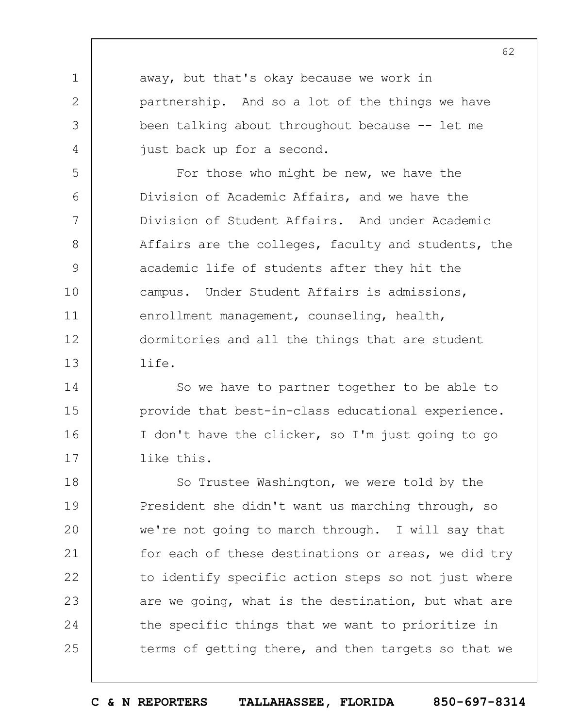away, but that's okay because we work in partnership. And so a lot of the things we have been talking about throughout because -- let me just back up for a second.

1

2

3

4

5 6 7 8 9 10 11 12 13 For those who might be new, we have the Division of Academic Affairs, and we have the Division of Student Affairs. And under Academic Affairs are the colleges, faculty and students, the academic life of students after they hit the campus. Under Student Affairs is admissions, enrollment management, counseling, health, dormitories and all the things that are student life.

14 15 16 17 So we have to partner together to be able to provide that best-in-class educational experience. I don't have the clicker, so I'm just going to go like this.

18 19  $20$ 21 22 23 24 25 So Trustee Washington, we were told by the President she didn't want us marching through, so we're not going to march through. I will say that for each of these destinations or areas, we did try to identify specific action steps so not just where are we going, what is the destination, but what are the specific things that we want to prioritize in terms of getting there, and then targets so that we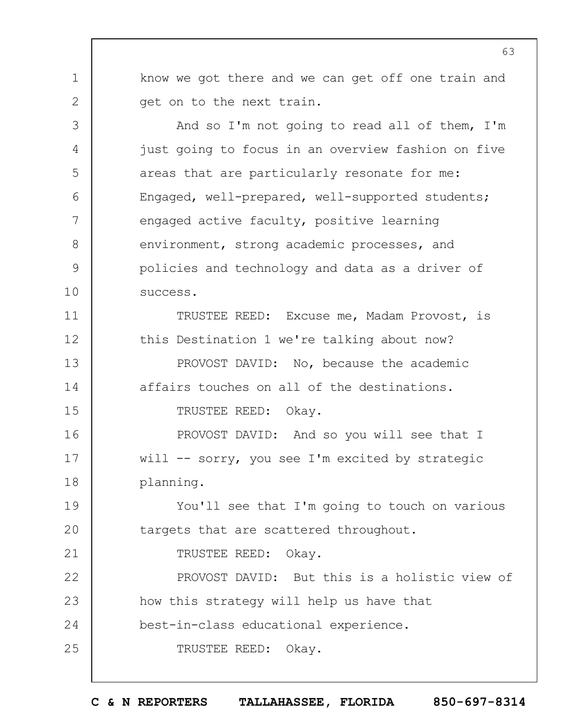know we got there and we can get off one train and get on to the next train.

1

2

3

4

5

6

7

8

9

10

19

 $20$ 

21

And so I'm not going to read all of them, I'm just going to focus in an overview fashion on five areas that are particularly resonate for me: Engaged, well-prepared, well-supported students; engaged active faculty, positive learning environment, strong academic processes, and policies and technology and data as a driver of success.

11 12 13 14 15 TRUSTEE REED: Excuse me, Madam Provost, is this Destination 1 we're talking about now? PROVOST DAVID: No, because the academic affairs touches on all of the destinations. TRUSTEE REED: Okay.

16 17 18 PROVOST DAVID: And so you will see that I will -- sorry, you see I'm excited by strategic planning.

You'll see that I'm going to touch on various targets that are scattered throughout.

TRUSTEE REED: Okay.

22 23 24 25 PROVOST DAVID: But this is a holistic view of how this strategy will help us have that best-in-class educational experience. TRUSTEE REED: Okay.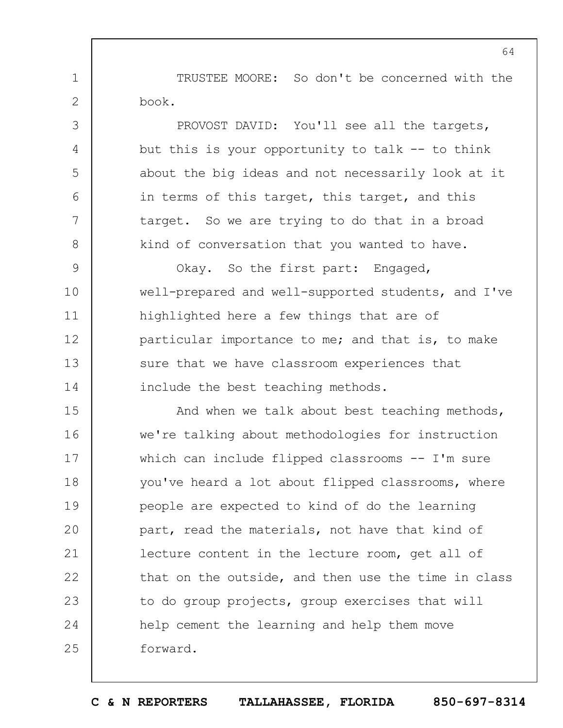TRUSTEE MOORE: So don't be concerned with the book.

1

2

3

4

5

6

7

8

PROVOST DAVID: You'll see all the targets, but this is your opportunity to talk  $-$ - to think about the big ideas and not necessarily look at it in terms of this target, this target, and this target. So we are trying to do that in a broad kind of conversation that you wanted to have.

9 10 11 12 13 14 Okay. So the first part: Engaged, well-prepared and well-supported students, and I've highlighted here a few things that are of particular importance to me; and that is, to make sure that we have classroom experiences that include the best teaching methods.

15 16 17 18 19  $20$ 21 22 23 24 25 And when we talk about best teaching methods, we're talking about methodologies for instruction which can include flipped classrooms -- I'm sure you've heard a lot about flipped classrooms, where people are expected to kind of do the learning part, read the materials, not have that kind of lecture content in the lecture room, get all of that on the outside, and then use the time in class to do group projects, group exercises that will help cement the learning and help them move forward.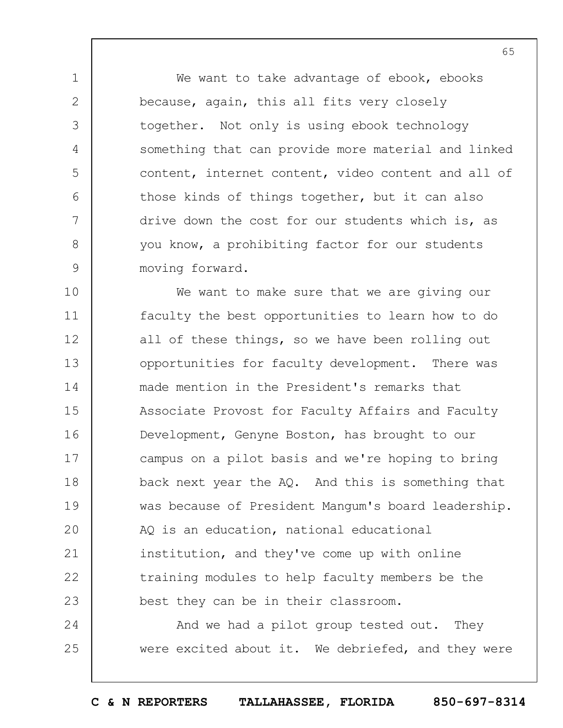We want to take advantage of ebook, ebooks because, again, this all fits very closely together. Not only is using ebook technology something that can provide more material and linked content, internet content, video content and all of those kinds of things together, but it can also drive down the cost for our students which is, as you know, a prohibiting factor for our students moving forward.

1

2

3

4

5

6

7

8

9

10 11 12 13 14 15 16 17 18 19  $20$ 21 22 23 We want to make sure that we are giving our faculty the best opportunities to learn how to do all of these things, so we have been rolling out opportunities for faculty development. There was made mention in the President's remarks that Associate Provost for Faculty Affairs and Faculty Development, Genyne Boston, has brought to our campus on a pilot basis and we're hoping to bring back next year the AQ. And this is something that was because of President Mangum's board leadership. AQ is an education, national educational institution, and they've come up with online training modules to help faculty members be the best they can be in their classroom.

24 25 And we had a pilot group tested out. They were excited about it. We debriefed, and they were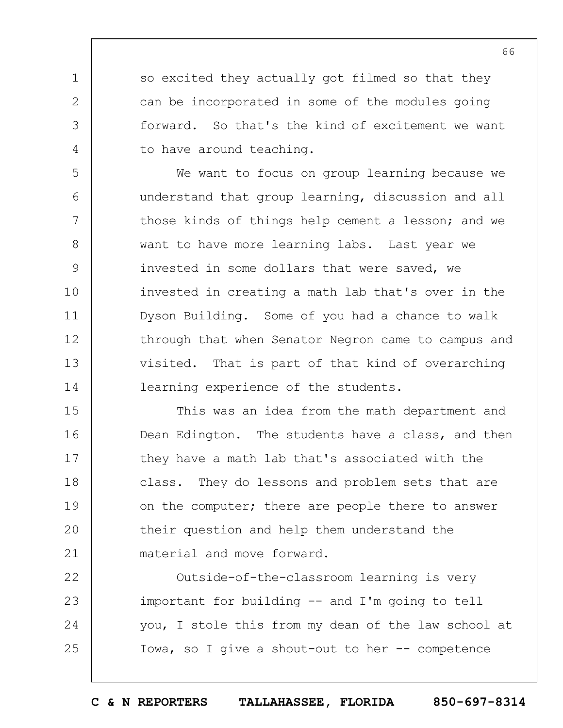so excited they actually got filmed so that they can be incorporated in some of the modules going forward. So that's the kind of excitement we want to have around teaching.

1

2

3

4

5

6

7

8

9

10

11

12

13

14

We want to focus on group learning because we understand that group learning, discussion and all those kinds of things help cement a lesson; and we want to have more learning labs. Last year we invested in some dollars that were saved, we invested in creating a math lab that's over in the Dyson Building. Some of you had a chance to walk through that when Senator Negron came to campus and visited. That is part of that kind of overarching learning experience of the students.

15 16 17 18 19  $20$ 21 This was an idea from the math department and Dean Edington. The students have a class, and then they have a math lab that's associated with the class. They do lessons and problem sets that are on the computer; there are people there to answer their question and help them understand the material and move forward.

22 23 24 25 Outside-of-the-classroom learning is very important for building -- and I'm going to tell you, I stole this from my dean of the law school at Iowa, so I give a shout-out to her -- competence

**C & N REPORTERS TALLAHASSEE, FLORIDA 850-697-8314**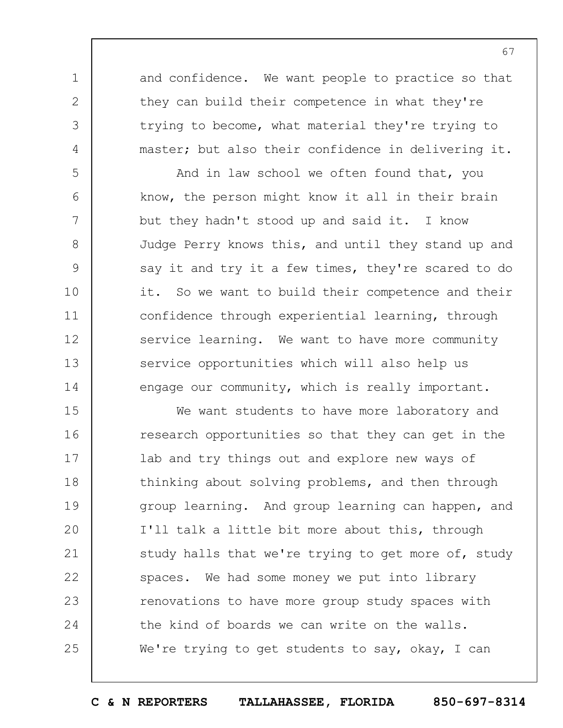and confidence. We want people to practice so that they can build their competence in what they're trying to become, what material they're trying to master; but also their confidence in delivering it.

1

2

3

4

5

6

7

8

9

10

11

12

13

14

And in law school we often found that, you know, the person might know it all in their brain but they hadn't stood up and said it. I know Judge Perry knows this, and until they stand up and say it and try it a few times, they're scared to do it. So we want to build their competence and their confidence through experiential learning, through service learning. We want to have more community service opportunities which will also help us engage our community, which is really important.

15 16 17 18 19  $20$ 21 22 23 24 25 We want students to have more laboratory and research opportunities so that they can get in the lab and try things out and explore new ways of thinking about solving problems, and then through group learning. And group learning can happen, and I'll talk a little bit more about this, through study halls that we're trying to get more of, study spaces. We had some money we put into library renovations to have more group study spaces with the kind of boards we can write on the walls. We're trying to get students to say, okay, I can

**C & N REPORTERS TALLAHASSEE, FLORIDA 850-697-8314**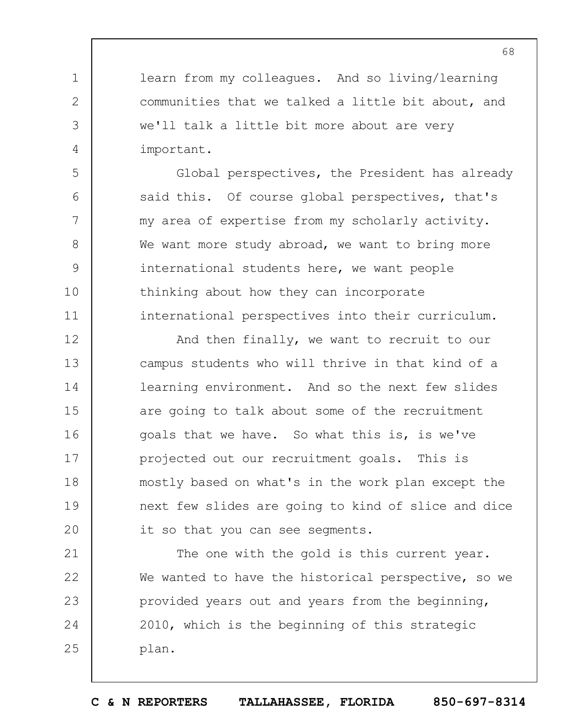learn from my colleagues. And so living/learning communities that we talked a little bit about, and we'll talk a little bit more about are very important.

1

2

3

4

5

6

7

8

9

10

11

Global perspectives, the President has already said this. Of course global perspectives, that's my area of expertise from my scholarly activity. We want more study abroad, we want to bring more international students here, we want people thinking about how they can incorporate international perspectives into their curriculum.

12 13 14 15 16 17 18 19  $20$ And then finally, we want to recruit to our campus students who will thrive in that kind of a learning environment. And so the next few slides are going to talk about some of the recruitment goals that we have. So what this is, is we've projected out our recruitment goals. This is mostly based on what's in the work plan except the next few slides are going to kind of slice and dice it so that you can see segments.

21 22 23 24 25 The one with the gold is this current year. We wanted to have the historical perspective, so we provided years out and years from the beginning, 2010, which is the beginning of this strategic plan.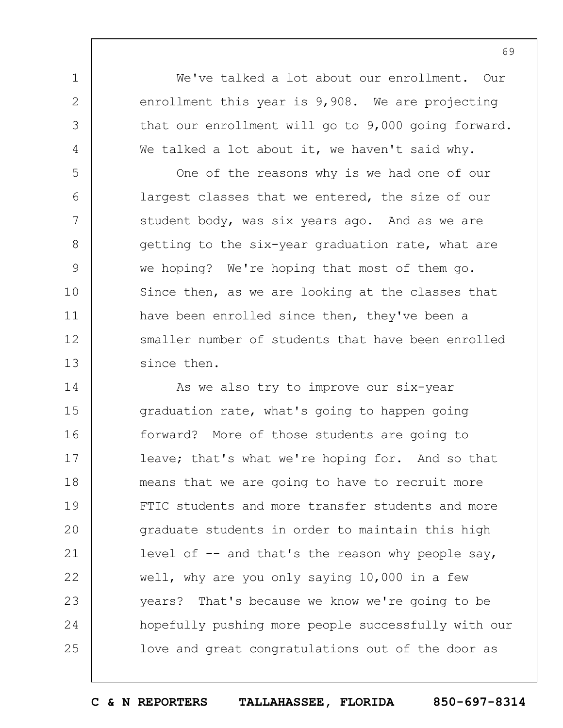We've talked a lot about our enrollment. Our enrollment this year is 9,908. We are projecting that our enrollment will go to 9,000 going forward. We talked a lot about it, we haven't said why.

1

2

3

4

5 6 7 8 9 10 11 12 13 One of the reasons why is we had one of our largest classes that we entered, the size of our student body, was six years ago. And as we are getting to the six-year graduation rate, what are we hoping? We're hoping that most of them go. Since then, as we are looking at the classes that have been enrolled since then, they've been a smaller number of students that have been enrolled since then.

14 15 16 17 18 19  $20$ 21 22 23 24 25 As we also try to improve our six-year graduation rate, what's going to happen going forward? More of those students are going to leave; that's what we're hoping for. And so that means that we are going to have to recruit more FTIC students and more transfer students and more graduate students in order to maintain this high level of  $-$  and that's the reason why people say, well, why are you only saying 10,000 in a few years? That's because we know we're going to be hopefully pushing more people successfully with our love and great congratulations out of the door as

**C & N REPORTERS TALLAHASSEE, FLORIDA 850-697-8314**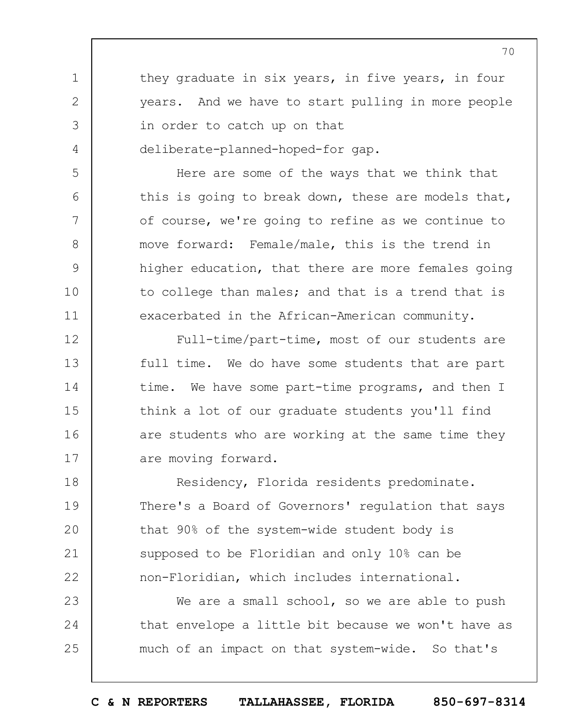they graduate in six years, in five years, in four years. And we have to start pulling in more people in order to catch up on that deliberate-planned-hoped-for gap.

1

2

3

4

5

6

7

8

9

10

11

Here are some of the ways that we think that this is going to break down, these are models that, of course, we're going to refine as we continue to move forward: Female/male, this is the trend in higher education, that there are more females going to college than males; and that is a trend that is exacerbated in the African-American community.

12 13 14 15 16 17 Full-time/part-time, most of our students are full time. We do have some students that are part time. We have some part-time programs, and then I think a lot of our graduate students you'll find are students who are working at the same time they are moving forward.

18 19  $20$ 21 22 Residency, Florida residents predominate. There's a Board of Governors' regulation that says that 90% of the system-wide student body is supposed to be Floridian and only 10% can be non-Floridian, which includes international.

23 24 25 We are a small school, so we are able to push that envelope a little bit because we won't have as much of an impact on that system-wide. So that's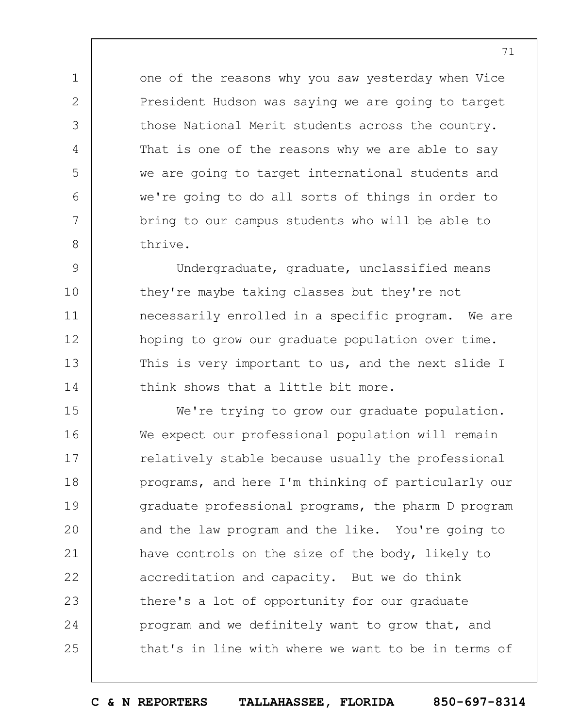one of the reasons why you saw yesterday when Vice President Hudson was saying we are going to target those National Merit students across the country. That is one of the reasons why we are able to say we are going to target international students and we're going to do all sorts of things in order to bring to our campus students who will be able to thrive.

1

2

3

4

5

6

7

8

9 10 11 12 13 14 Undergraduate, graduate, unclassified means they're maybe taking classes but they're not necessarily enrolled in a specific program. We are hoping to grow our graduate population over time. This is very important to us, and the next slide I think shows that a little bit more.

15 16 17 18 19  $20$ 21 22 23 24 25 We're trying to grow our graduate population. We expect our professional population will remain relatively stable because usually the professional programs, and here I'm thinking of particularly our graduate professional programs, the pharm D program and the law program and the like. You're going to have controls on the size of the body, likely to accreditation and capacity. But we do think there's a lot of opportunity for our graduate program and we definitely want to grow that, and that's in line with where we want to be in terms of

**C & N REPORTERS TALLAHASSEE, FLORIDA 850-697-8314**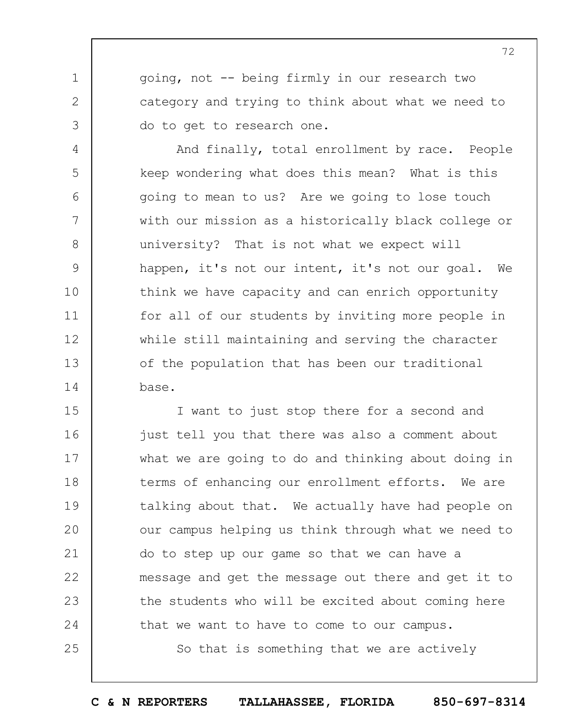going, not -- being firmly in our research two category and trying to think about what we need to do to get to research one.

1

2

3

4

5

6

7

8

9

10

11

12

13

14

And finally, total enrollment by race. People keep wondering what does this mean? What is this going to mean to us? Are we going to lose touch with our mission as a historically black college or university? That is not what we expect will happen, it's not our intent, it's not our goal. We think we have capacity and can enrich opportunity for all of our students by inviting more people in while still maintaining and serving the character of the population that has been our traditional base.

15 16 17 18 19  $20$ 21 22 23 24 25 I want to just stop there for a second and just tell you that there was also a comment about what we are going to do and thinking about doing in terms of enhancing our enrollment efforts. We are talking about that. We actually have had people on our campus helping us think through what we need to do to step up our game so that we can have a message and get the message out there and get it to the students who will be excited about coming here that we want to have to come to our campus.

So that is something that we are actively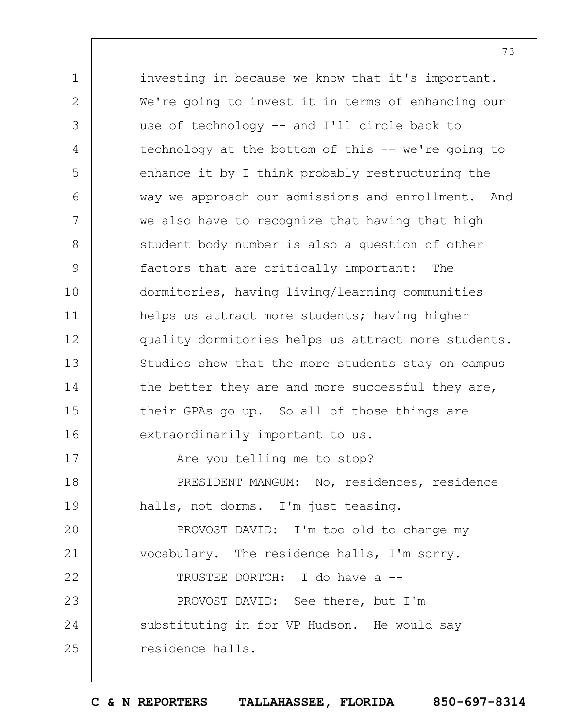1 2 3 4 5 6 7 8 9 10 11 12 13 14 15 16 17 18 19  $20$ 21 22 23 24 25 investing in because we know that it's important. We're going to invest it in terms of enhancing our use of technology -- and I'll circle back to technology at the bottom of this -- we're going to enhance it by I think probably restructuring the way we approach our admissions and enrollment. And we also have to recognize that having that high student body number is also a question of other factors that are critically important: The dormitories, having living/learning communities helps us attract more students; having higher quality dormitories helps us attract more students. Studies show that the more students stay on campus the better they are and more successful they are, their GPAs go up. So all of those things are extraordinarily important to us. Are you telling me to stop? PRESIDENT MANGUM: No, residences, residence halls, not dorms. I'm just teasing. PROVOST DAVID: I'm too old to change my vocabulary. The residence halls, I'm sorry. TRUSTEE DORTCH: I do have a -- PROVOST DAVID: See there, but I'm substituting in for VP Hudson. He would say residence halls.

**C & N REPORTERS TALLAHASSEE, FLORIDA 850-697-8314**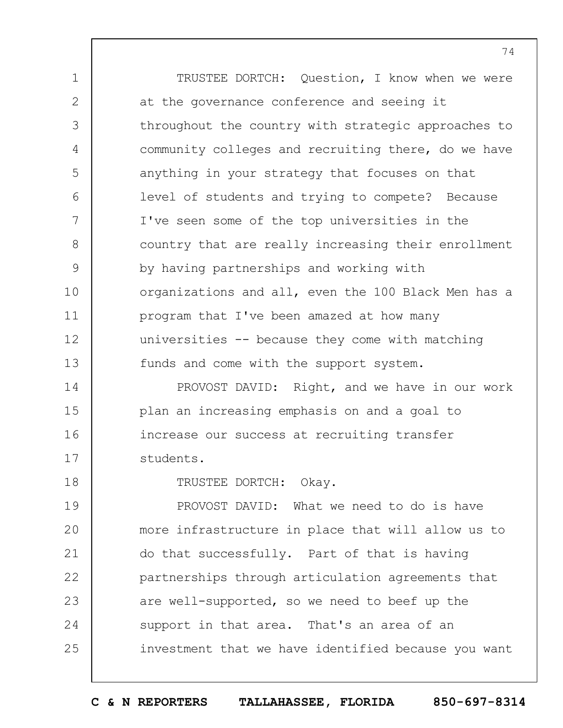1 2 3 4 5 6 7 8 9 10 11 12 13 TRUSTEE DORTCH: Question, I know when we were at the governance conference and seeing it throughout the country with strategic approaches to community colleges and recruiting there, do we have anything in your strategy that focuses on that level of students and trying to compete? Because I've seen some of the top universities in the country that are really increasing their enrollment by having partnerships and working with organizations and all, even the 100 Black Men has a program that I've been amazed at how many universities -- because they come with matching funds and come with the support system.

14 15 16 17 PROVOST DAVID: Right, and we have in our work plan an increasing emphasis on and a goal to increase our success at recruiting transfer students.

TRUSTEE DORTCH: Okay.

18

19  $20$ 21 22 23 24 25 PROVOST DAVID: What we need to do is have more infrastructure in place that will allow us to do that successfully. Part of that is having partnerships through articulation agreements that are well-supported, so we need to beef up the support in that area. That's an area of an investment that we have identified because you want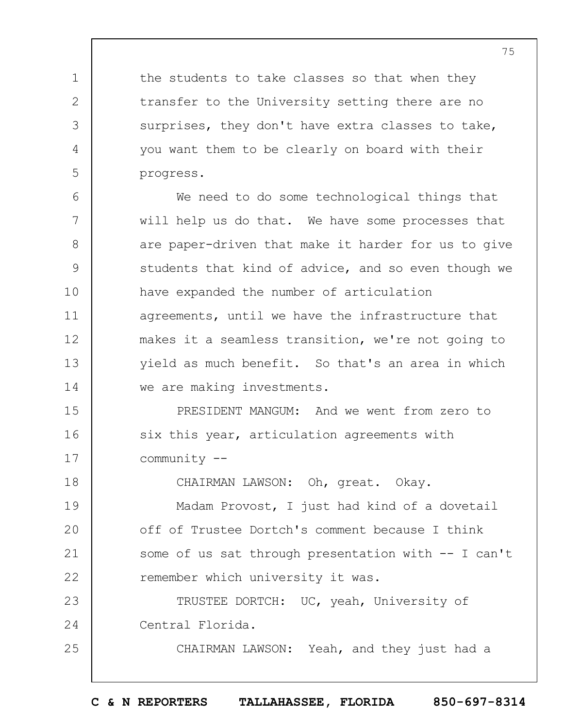the students to take classes so that when they transfer to the University setting there are no surprises, they don't have extra classes to take, you want them to be clearly on board with their progress.

1

2

3

4

5

25

6 7 8 9 10 11 12 13 14 We need to do some technological things that will help us do that. We have some processes that are paper-driven that make it harder for us to give students that kind of advice, and so even though we have expanded the number of articulation agreements, until we have the infrastructure that makes it a seamless transition, we're not going to yield as much benefit. So that's an area in which we are making investments.

15 16 17 PRESIDENT MANGUM: And we went from zero to six this year, articulation agreements with community --

18 19  $20$ 21 22 23 CHAIRMAN LAWSON: Oh, great. Okay. Madam Provost, I just had kind of a dovetail off of Trustee Dortch's comment because I think some of us sat through presentation with -- I can't remember which university it was. TRUSTEE DORTCH: UC, yeah, University of

24 Central Florida.

CHAIRMAN LAWSON: Yeah, and they just had a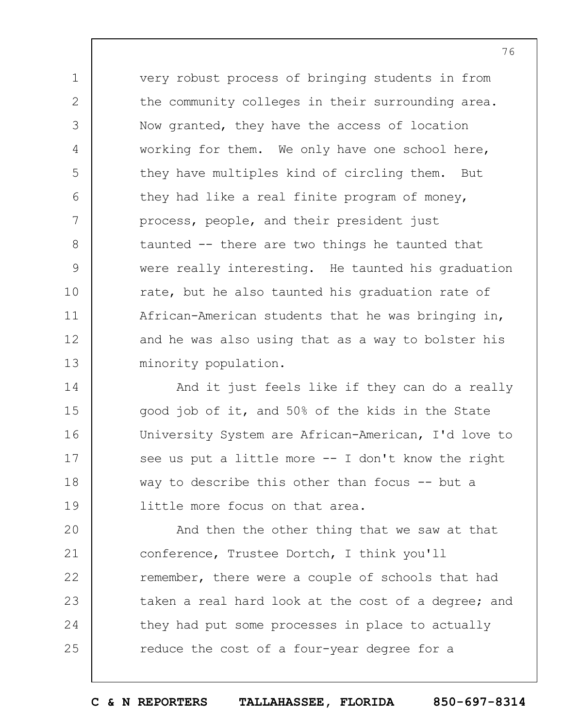very robust process of bringing students in from the community colleges in their surrounding area. Now granted, they have the access of location working for them. We only have one school here, they have multiples kind of circling them. But they had like a real finite program of money, process, people, and their president just taunted -- there are two things he taunted that were really interesting. He taunted his graduation rate, but he also taunted his graduation rate of African-American students that he was bringing in, and he was also using that as a way to bolster his minority population.

1

2

3

4

5

6

7

8

9

10

11

12

13

14 15 16 17 18 19 And it just feels like if they can do a really good job of it, and 50% of the kids in the State University System are African-American, I'd love to see us put a little more  $-$ - I don't know the right way to describe this other than focus -- but a little more focus on that area.

 $20$ 21 22 23 24 25 And then the other thing that we saw at that conference, Trustee Dortch, I think you'll remember, there were a couple of schools that had taken a real hard look at the cost of a degree; and they had put some processes in place to actually reduce the cost of a four-year degree for a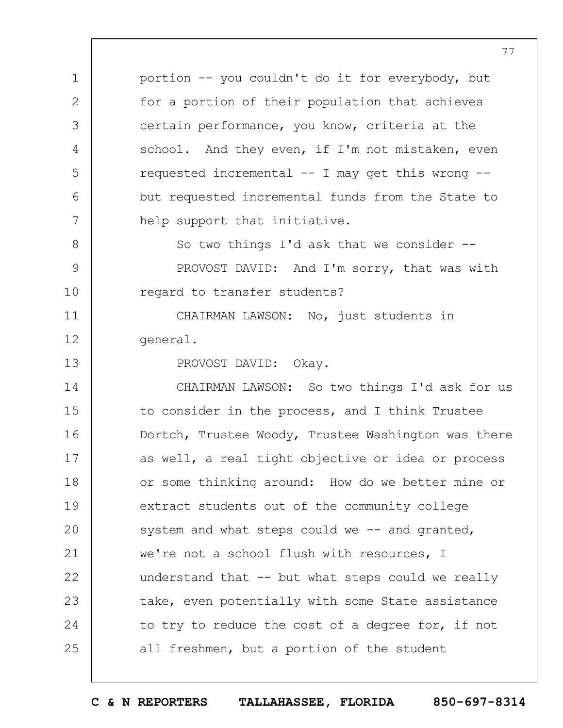portion -- you couldn't do it for everybody, but for a portion of their population that achieves certain performance, you know, criteria at the school. And they even, if I'm not mistaken, even requested incremental -- I may get this wrong - but requested incremental funds from the State to help support that initiative.

8 9 10 So two things I'd ask that we consider -- PROVOST DAVID: And I'm sorry, that was with regard to transfer students?

11 12 CHAIRMAN LAWSON: No, just students in general.

PROVOST DAVID: Okay.

1

2

3

4

5

6

7

13

14 15 16 17 18 19  $20$ 21 22 23 24 25 CHAIRMAN LAWSON: So two things I'd ask for us to consider in the process, and I think Trustee Dortch, Trustee Woody, Trustee Washington was there as well, a real tight objective or idea or process or some thinking around: How do we better mine or extract students out of the community college system and what steps could we  $-$  and granted, we're not a school flush with resources, I understand that -- but what steps could we really take, even potentially with some State assistance to try to reduce the cost of a degree for, if not all freshmen, but a portion of the student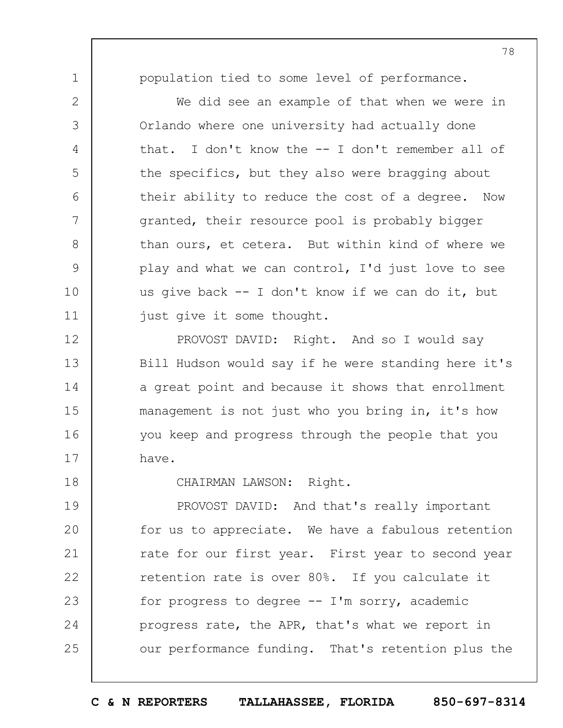1

2

3

4

5

6

7

8

9

10

11

18

population tied to some level of performance.

We did see an example of that when we were in Orlando where one university had actually done that. I don't know the -- I don't remember all of the specifics, but they also were bragging about their ability to reduce the cost of a degree. Now granted, their resource pool is probably bigger than ours, et cetera. But within kind of where we play and what we can control, I'd just love to see us give back -- I don't know if we can do it, but just give it some thought.

12 13 14 15 16 17 PROVOST DAVID: Right. And so I would say Bill Hudson would say if he were standing here it's a great point and because it shows that enrollment management is not just who you bring in, it's how you keep and progress through the people that you have.

CHAIRMAN LAWSON: Right.

19  $20$ 21 22 23 24 25 PROVOST DAVID: And that's really important for us to appreciate. We have a fabulous retention rate for our first year. First year to second year retention rate is over 80%. If you calculate it for progress to degree  $--$  I'm sorry, academic progress rate, the APR, that's what we report in our performance funding. That's retention plus the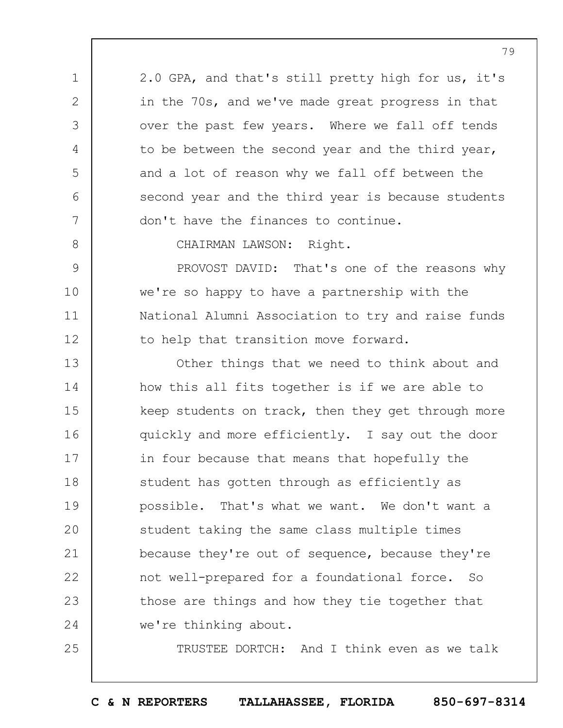2.0 GPA, and that's still pretty high for us, it's in the 70s, and we've made great progress in that over the past few years. Where we fall off tends to be between the second year and the third year, and a lot of reason why we fall off between the second year and the third year is because students don't have the finances to continue.

8

9

10

11

12

25

1

2

3

4

5

6

7

CHAIRMAN LAWSON: Right.

PROVOST DAVID: That's one of the reasons why we're so happy to have a partnership with the National Alumni Association to try and raise funds to help that transition move forward.

13 14 15 16 17 18 19  $20$ 21 22 23 24 Other things that we need to think about and how this all fits together is if we are able to keep students on track, then they get through more quickly and more efficiently. I say out the door in four because that means that hopefully the student has gotten through as efficiently as possible. That's what we want. We don't want a student taking the same class multiple times because they're out of sequence, because they're not well-prepared for a foundational force. So those are things and how they tie together that we're thinking about.

TRUSTEE DORTCH: And I think even as we talk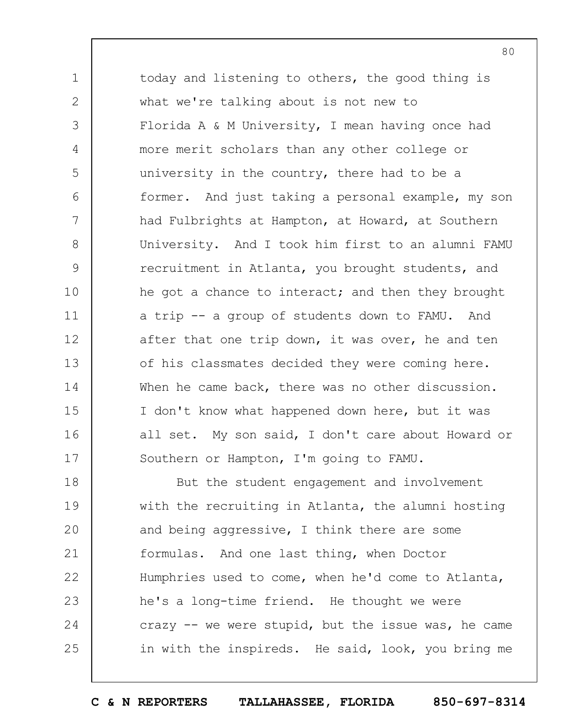1 3 4 5 6 7 8 9 10 11 12 13 14 15 16 17 today and listening to others, the good thing is what we're talking about is not new to Florida A & M University, I mean having once had more merit scholars than any other college or university in the country, there had to be a former. And just taking a personal example, my son had Fulbrights at Hampton, at Howard, at Southern University. And I took him first to an alumni FAMU recruitment in Atlanta, you brought students, and he got a chance to interact; and then they brought a trip -- a group of students down to FAMU. And after that one trip down, it was over, he and ten of his classmates decided they were coming here. When he came back, there was no other discussion. I don't know what happened down here, but it was all set. My son said, I don't care about Howard or Southern or Hampton, I'm going to FAMU.

2

18 19  $20$ 21 22 23 24 25 But the student engagement and involvement with the recruiting in Atlanta, the alumni hosting and being aggressive, I think there are some formulas. And one last thing, when Doctor Humphries used to come, when he'd come to Atlanta, he's a long-time friend. He thought we were crazy  $-$  we were stupid, but the issue was, he came in with the inspireds. He said, look, you bring me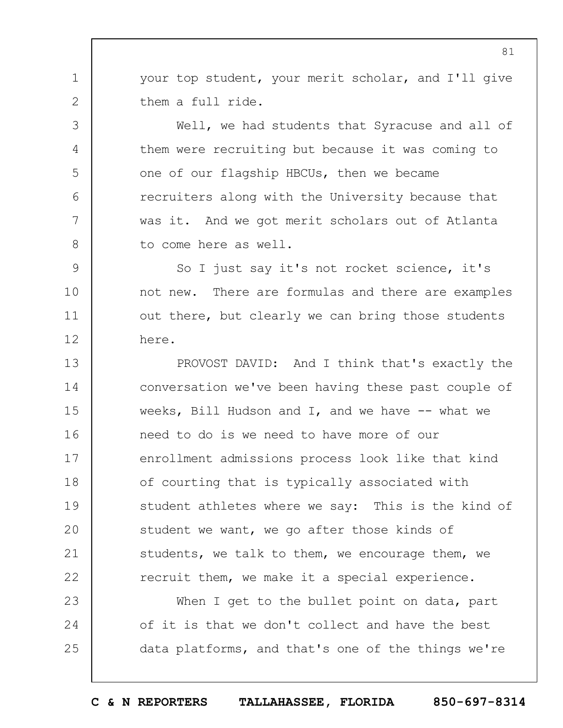your top student, your merit scholar, and I'll give them a full ride.

1

2

3

4

5

6

7

8

Well, we had students that Syracuse and all of them were recruiting but because it was coming to one of our flagship HBCUs, then we became recruiters along with the University because that was it. And we got merit scholars out of Atlanta to come here as well.

9 10 11 12 So I just say it's not rocket science, it's not new. There are formulas and there are examples out there, but clearly we can bring those students here.

13 14 15 16 17 18 19  $20$ 21 22 PROVOST DAVID: And I think that's exactly the conversation we've been having these past couple of weeks, Bill Hudson and I, and we have  $-$ - what we need to do is we need to have more of our enrollment admissions process look like that kind of courting that is typically associated with student athletes where we say: This is the kind of student we want, we go after those kinds of students, we talk to them, we encourage them, we recruit them, we make it a special experience.

23 24 25 When I get to the bullet point on data, part of it is that we don't collect and have the best data platforms, and that's one of the things we're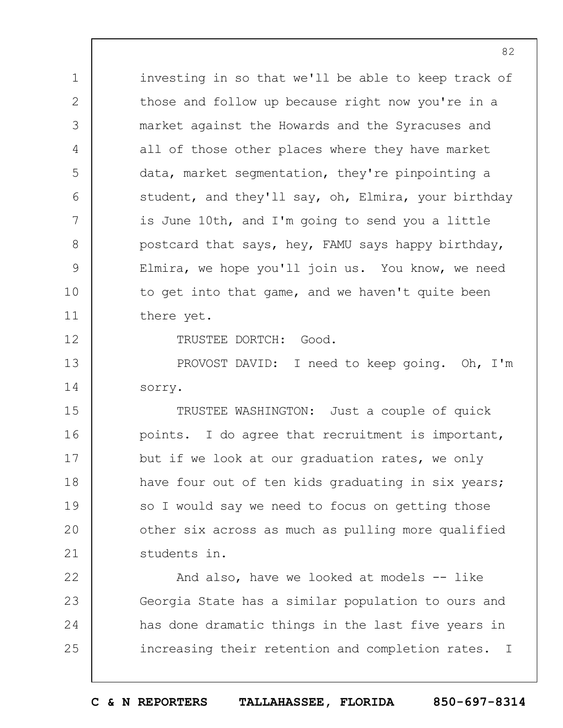investing in so that we'll be able to keep track of those and follow up because right now you're in a market against the Howards and the Syracuses and all of those other places where they have market data, market segmentation, they're pinpointing a student, and they'll say, oh, Elmira, your birthday is June 10th, and I'm going to send you a little postcard that says, hey, FAMU says happy birthday, Elmira, we hope you'll join us. You know, we need to get into that game, and we haven't quite been there yet.

TRUSTEE DORTCH: Good.

1

2

3

4

5

6

7

8

9

10

11

12

13 14 PROVOST DAVID: I need to keep going. Oh, I'm sorry.

15 16 17 18 19  $20$ 21 TRUSTEE WASHINGTON: Just a couple of quick points. I do agree that recruitment is important, but if we look at our graduation rates, we only have four out of ten kids graduating in six years; so I would say we need to focus on getting those other six across as much as pulling more qualified students in.

22 23 24 25 And also, have we looked at models -- like Georgia State has a similar population to ours and has done dramatic things in the last five years in increasing their retention and completion rates. I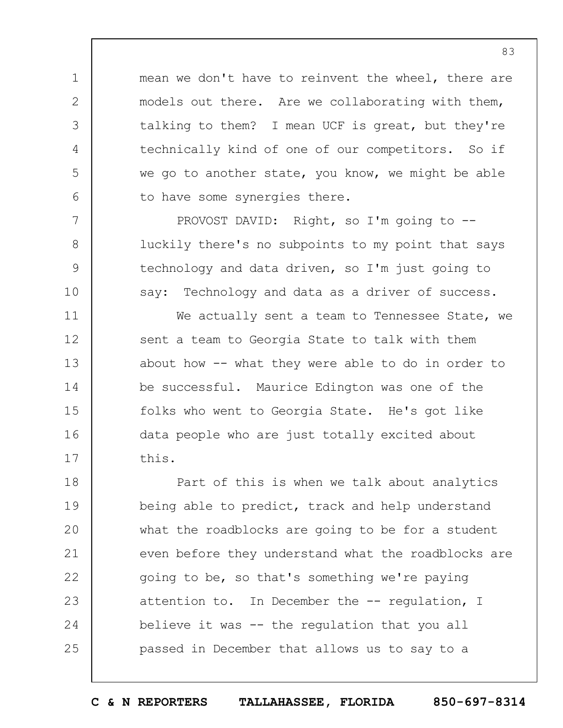mean we don't have to reinvent the wheel, there are models out there. Are we collaborating with them, talking to them? I mean UCF is great, but they're technically kind of one of our competitors. So if we go to another state, you know, we might be able to have some synergies there.

1

2

3

4

5

6

7

8

9

10

11

12

13

14

15

16

17

PROVOST DAVID: Right, so I'm going to - luckily there's no subpoints to my point that says technology and data driven, so I'm just going to say: Technology and data as a driver of success.

We actually sent a team to Tennessee State, we sent a team to Georgia State to talk with them about how -- what they were able to do in order to be successful. Maurice Edington was one of the folks who went to Georgia State. He's got like data people who are just totally excited about this.

18 19  $20$ 21 22 23 24 25 Part of this is when we talk about analytics being able to predict, track and help understand what the roadblocks are going to be for a student even before they understand what the roadblocks are going to be, so that's something we're paying attention to. In December the -- regulation, I believe it was -- the regulation that you all passed in December that allows us to say to a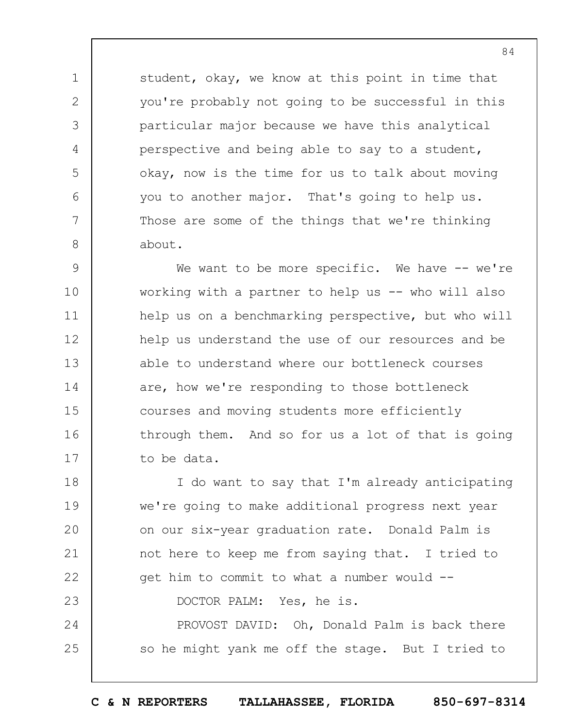student, okay, we know at this point in time that you're probably not going to be successful in this particular major because we have this analytical perspective and being able to say to a student, okay, now is the time for us to talk about moving you to another major. That's going to help us. Those are some of the things that we're thinking about.

1

2

3

4

5

6

7

8

25

9 10 11 12 13 14 15 16 17 We want to be more specific. We have -- we're working with a partner to help us -- who will also help us on a benchmarking perspective, but who will help us understand the use of our resources and be able to understand where our bottleneck courses are, how we're responding to those bottleneck courses and moving students more efficiently through them. And so for us a lot of that is going to be data.

18 19  $20$ 21 22 23 24 I do want to say that I'm already anticipating we're going to make additional progress next year on our six-year graduation rate. Donald Palm is not here to keep me from saying that. I tried to get him to commit to what a number would -- DOCTOR PALM: Yes, he is. PROVOST DAVID: Oh, Donald Palm is back there

so he might yank me off the stage. But I tried to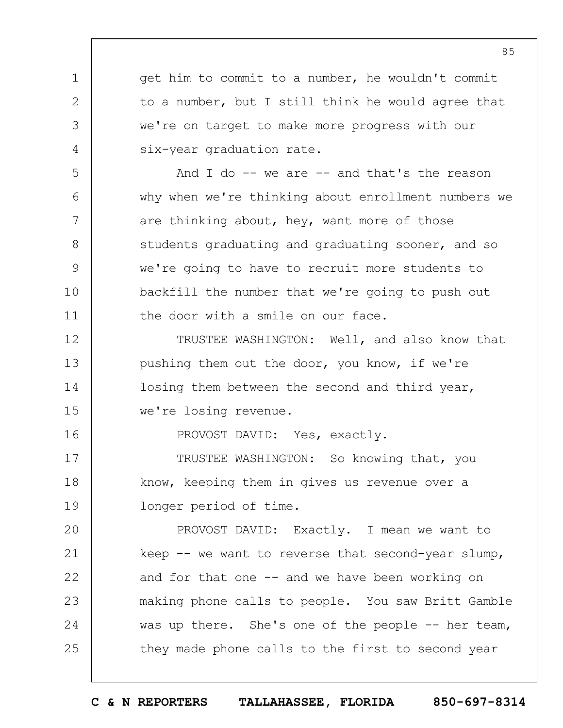1 2 3 4 5 6 7 8 9 10 11 12 13 14 15 16 17 18 19  $20$ 21 22 23 24 25 get him to commit to a number, he wouldn't commit to a number, but I still think he would agree that we're on target to make more progress with our six-year graduation rate. And I do  $-$  we are  $-$  and that's the reason why when we're thinking about enrollment numbers we are thinking about, hey, want more of those students graduating and graduating sooner, and so we're going to have to recruit more students to backfill the number that we're going to push out the door with a smile on our face. TRUSTEE WASHINGTON: Well, and also know that pushing them out the door, you know, if we're losing them between the second and third year, we're losing revenue. PROVOST DAVID: Yes, exactly. TRUSTEE WASHINGTON: So knowing that, you know, keeping them in gives us revenue over a longer period of time. PROVOST DAVID: Exactly. I mean we want to keep -- we want to reverse that second-year slump, and for that one -- and we have been working on making phone calls to people. You saw Britt Gamble was up there. She's one of the people -- her team, they made phone calls to the first to second year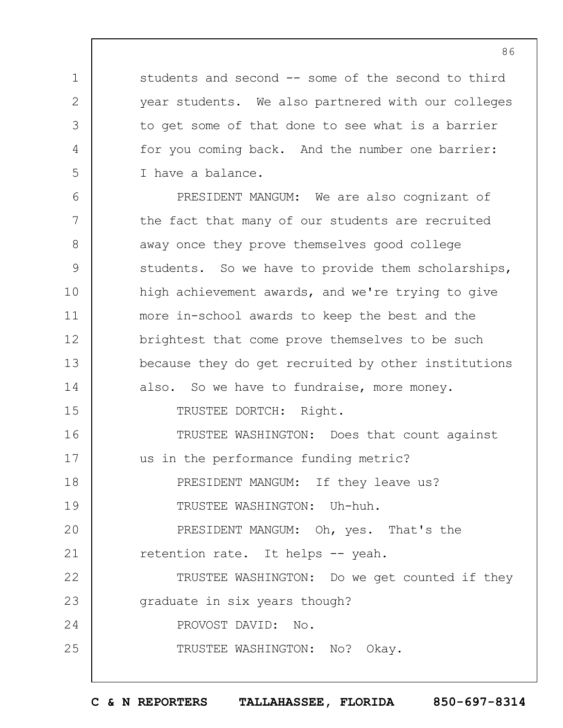students and second -- some of the second to third year students. We also partnered with our colleges to get some of that done to see what is a barrier for you coming back. And the number one barrier: I have a balance.

1

2

3

4

5

6 7 8 9 10 11 12 13 14 15 16 17 18 19  $20$ 21 22 23 24 25 PRESIDENT MANGUM: We are also cognizant of the fact that many of our students are recruited away once they prove themselves good college students. So we have to provide them scholarships, high achievement awards, and we're trying to give more in-school awards to keep the best and the brightest that come prove themselves to be such because they do get recruited by other institutions also. So we have to fundraise, more money. TRUSTEE DORTCH: Right. TRUSTEE WASHINGTON: Does that count against us in the performance funding metric? PRESIDENT MANGUM: If they leave us? TRUSTEE WASHINGTON: Uh-huh. PRESIDENT MANGUM: Oh, yes. That's the retention rate. It helps -- yeah. TRUSTEE WASHINGTON: Do we get counted if they graduate in six years though? PROVOST DAVID: No. TRUSTEE WASHINGTON: No? Okay.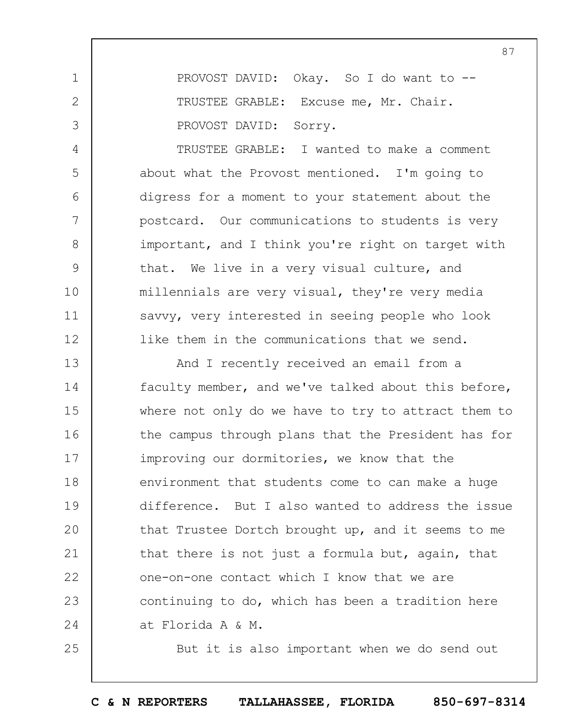PROVOST DAVID: Okay. So I do want to -- TRUSTEE GRABLE: Excuse me, Mr. Chair. PROVOST DAVID: Sorry.

1

2

3

4

5

6

7

8

9

10

11

12

25

TRUSTEE GRABLE: I wanted to make a comment about what the Provost mentioned. I'm going to digress for a moment to your statement about the postcard. Our communications to students is very important, and I think you're right on target with that. We live in a very visual culture, and millennials are very visual, they're very media savvy, very interested in seeing people who look like them in the communications that we send.

13 14 15 16 17 18 19  $20$ 21 22 23 24 And I recently received an email from a faculty member, and we've talked about this before, where not only do we have to try to attract them to the campus through plans that the President has for improving our dormitories, we know that the environment that students come to can make a huge difference. But I also wanted to address the issue that Trustee Dortch brought up, and it seems to me that there is not just a formula but, again, that one-on-one contact which I know that we are continuing to do, which has been a tradition here at Florida A & M.

But it is also important when we do send out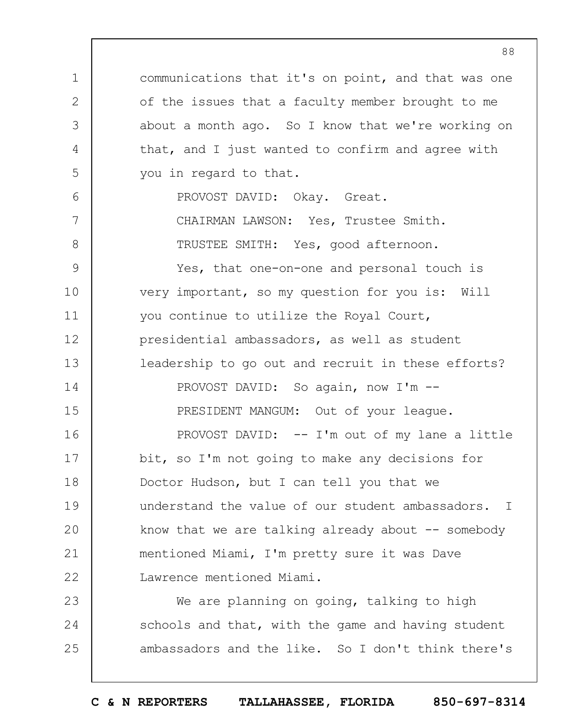1 2 3 4 5 6 7 8 9 10 11 12 13 14 15 16 17 18 19  $20$ 21 22 23 communications that it's on point, and that was one of the issues that a faculty member brought to me about a month ago. So I know that we're working on that, and I just wanted to confirm and agree with you in regard to that. PROVOST DAVID: Okay. Great. CHAIRMAN LAWSON: Yes, Trustee Smith. TRUSTEE SMITH: Yes, good afternoon. Yes, that one-on-one and personal touch is very important, so my question for you is: Will you continue to utilize the Royal Court, presidential ambassadors, as well as student leadership to go out and recruit in these efforts? PROVOST DAVID: So again, now I'm --PRESIDENT MANGUM: Out of your league. PROVOST DAVID: -- I'm out of my lane a little bit, so I'm not going to make any decisions for Doctor Hudson, but I can tell you that we understand the value of our student ambassadors. I know that we are talking already about  $-$  somebody mentioned Miami, I'm pretty sure it was Dave Lawrence mentioned Miami. We are planning on going, talking to high

**C & N REPORTERS TALLAHASSEE, FLORIDA 850-697-8314**

schools and that, with the game and having student

ambassadors and the like. So I don't think there's

24

25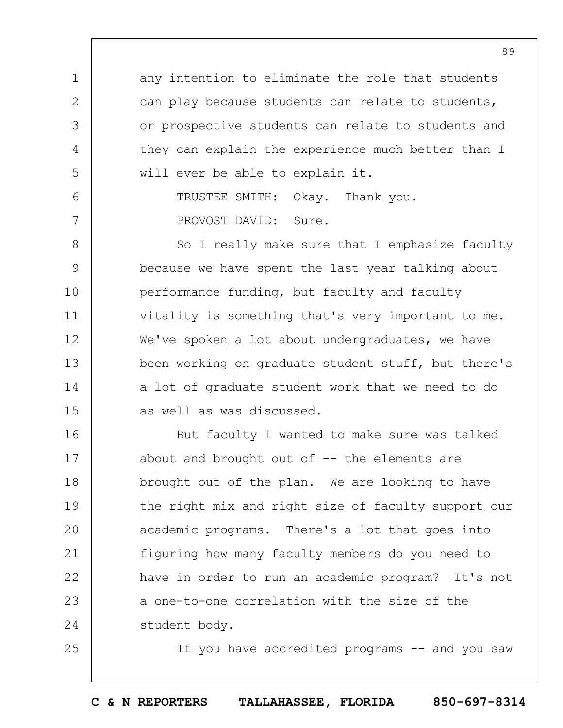any intention to eliminate the role that students can play because students can relate to students, or prospective students can relate to students and they can explain the experience much better than I will ever be able to explain it.

1

2

3

4

5

6

7

25

TRUSTEE SMITH: Okay. Thank you. PROVOST DAVID: Sure.

8 9 10 11 12 13 14 15 So I really make sure that I emphasize faculty because we have spent the last year talking about performance funding, but faculty and faculty vitality is something that's very important to me. We've spoken a lot about undergraduates, we have been working on graduate student stuff, but there's a lot of graduate student work that we need to do as well as was discussed.

16 17 18 19  $20$ 21 22 23 24 But faculty I wanted to make sure was talked about and brought out of  $-$ - the elements are brought out of the plan. We are looking to have the right mix and right size of faculty support our academic programs. There's a lot that goes into figuring how many faculty members do you need to have in order to run an academic program? It's not a one-to-one correlation with the size of the student body.

If you have accredited programs -- and you saw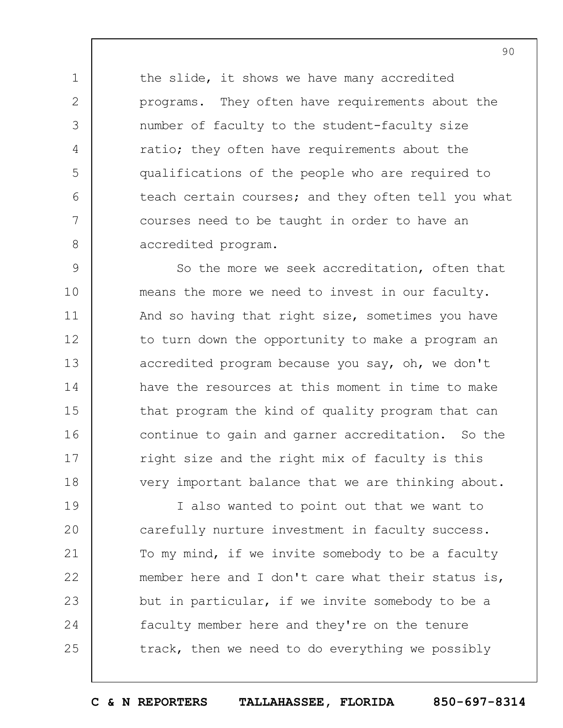the slide, it shows we have many accredited programs. They often have requirements about the number of faculty to the student-faculty size ratio; they often have requirements about the qualifications of the people who are required to teach certain courses; and they often tell you what courses need to be taught in order to have an accredited program.

1

2

3

4

5

6

7

8

9 10 11 12 13 14 15 16 17 18 So the more we seek accreditation, often that means the more we need to invest in our faculty. And so having that right size, sometimes you have to turn down the opportunity to make a program an accredited program because you say, oh, we don't have the resources at this moment in time to make that program the kind of quality program that can continue to gain and garner accreditation. So the right size and the right mix of faculty is this very important balance that we are thinking about.

19  $20$ 21 22 23 24 25 I also wanted to point out that we want to carefully nurture investment in faculty success. To my mind, if we invite somebody to be a faculty member here and I don't care what their status is, but in particular, if we invite somebody to be a faculty member here and they're on the tenure track, then we need to do everything we possibly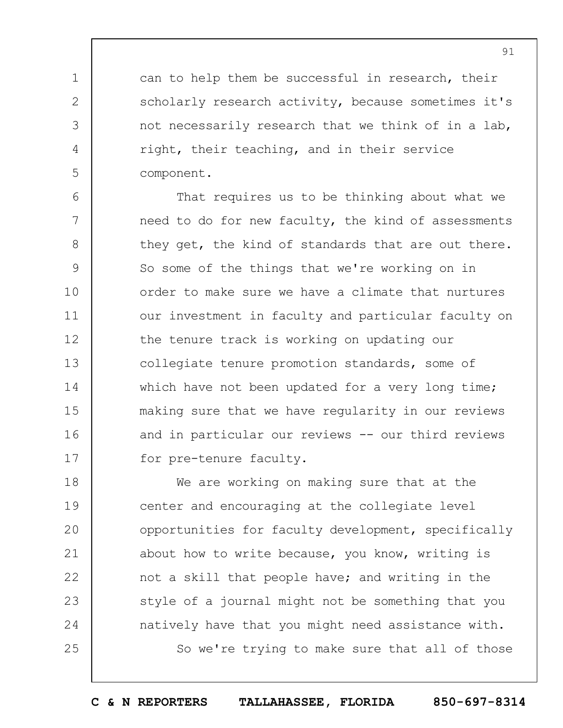can to help them be successful in research, their scholarly research activity, because sometimes it's not necessarily research that we think of in a lab, right, their teaching, and in their service component.

1

2

3

4

5

6 7 8 9 10 11 12 13 14 15 16 17 That requires us to be thinking about what we need to do for new faculty, the kind of assessments they get, the kind of standards that are out there. So some of the things that we're working on in order to make sure we have a climate that nurtures our investment in faculty and particular faculty on the tenure track is working on updating our collegiate tenure promotion standards, some of which have not been updated for a very long time; making sure that we have regularity in our reviews and in particular our reviews -- our third reviews for pre-tenure faculty.

18 19  $20$ 21 22 23 24 25 We are working on making sure that at the center and encouraging at the collegiate level opportunities for faculty development, specifically about how to write because, you know, writing is not a skill that people have; and writing in the style of a journal might not be something that you natively have that you might need assistance with. So we're trying to make sure that all of those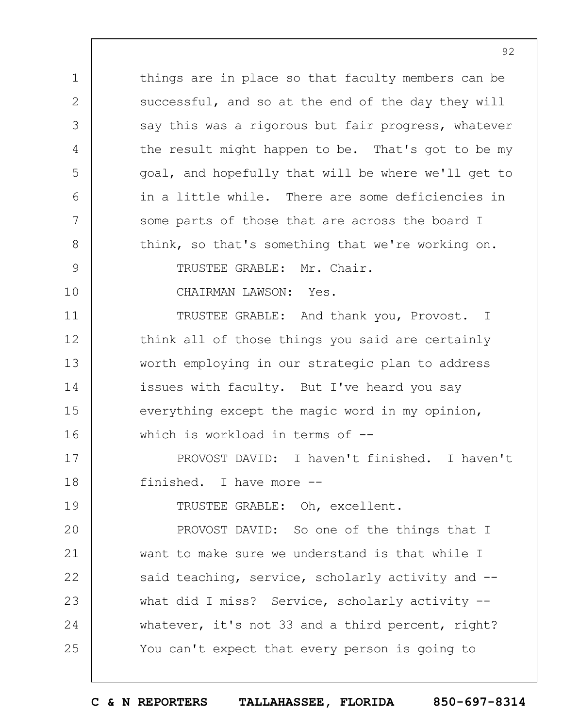1 2 3 4 5 6 7 8 9 10 11 12 13 14 15 16 17 18 19  $20$ 21 22 23 24 25 things are in place so that faculty members can be successful, and so at the end of the day they will say this was a rigorous but fair progress, whatever the result might happen to be. That's got to be my goal, and hopefully that will be where we'll get to in a little while. There are some deficiencies in some parts of those that are across the board I think, so that's something that we're working on. TRUSTEE GRABLE: Mr. Chair. CHAIRMAN LAWSON: Yes. TRUSTEE GRABLE: And thank you, Provost. I think all of those things you said are certainly worth employing in our strategic plan to address issues with faculty. But I've heard you say everything except the magic word in my opinion, which is workload in terms of --PROVOST DAVID: I haven't finished. I haven't finished. I have more -- TRUSTEE GRABLE: Oh, excellent. PROVOST DAVID: So one of the things that I want to make sure we understand is that while I said teaching, service, scholarly activity and -what did I miss? Service, scholarly activity -whatever, it's not 33 and a third percent, right? You can't expect that every person is going to

92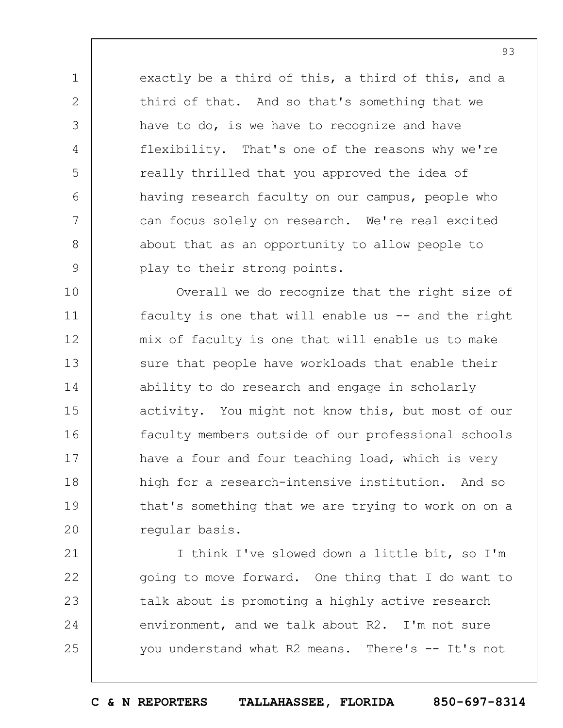exactly be a third of this, a third of this, and a third of that. And so that's something that we have to do, is we have to recognize and have flexibility. That's one of the reasons why we're really thrilled that you approved the idea of having research faculty on our campus, people who can focus solely on research. We're real excited about that as an opportunity to allow people to play to their strong points.

1

2

3

4

5

6

7

8

9

10 11 12 13 14 15 16 17 18 19  $20$ Overall we do recognize that the right size of faculty is one that will enable us -- and the right mix of faculty is one that will enable us to make sure that people have workloads that enable their ability to do research and engage in scholarly activity. You might not know this, but most of our faculty members outside of our professional schools have a four and four teaching load, which is very high for a research-intensive institution. And so that's something that we are trying to work on on a regular basis.

21 22 23 24 25 I think I've slowed down a little bit, so I'm going to move forward. One thing that I do want to talk about is promoting a highly active research environment, and we talk about R2. I'm not sure you understand what R2 means. There's -- It's not

**C & N REPORTERS TALLAHASSEE, FLORIDA 850-697-8314**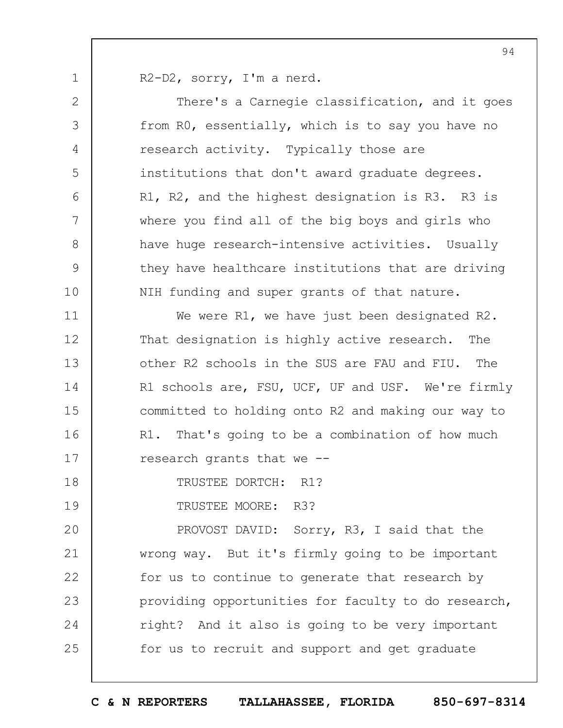R2-D2, sorry, I'm a nerd.

1

2 3 4 5 6 7 8 9 10 11 12 13 14 15 16 17 18 19  $20$ 21 22 23 24 25 There's a Carnegie classification, and it goes from R0, essentially, which is to say you have no research activity. Typically those are institutions that don't award graduate degrees. R1, R2, and the highest designation is R3. R3 is where you find all of the big boys and girls who have huge research-intensive activities. Usually they have healthcare institutions that are driving NIH funding and super grants of that nature. We were R1, we have just been designated R2. That designation is highly active research. The other R2 schools in the SUS are FAU and FIU. The R1 schools are, FSU, UCF, UF and USF. We're firmly committed to holding onto R2 and making our way to R1. That's going to be a combination of how much research grants that we -- TRUSTEE DORTCH: R1? TRUSTEE MOORE: R3? PROVOST DAVID: Sorry, R3, I said that the wrong way. But it's firmly going to be important for us to continue to generate that research by providing opportunities for faculty to do research, right? And it also is going to be very important for us to recruit and support and get graduate

**C & N REPORTERS TALLAHASSEE, FLORIDA 850-697-8314**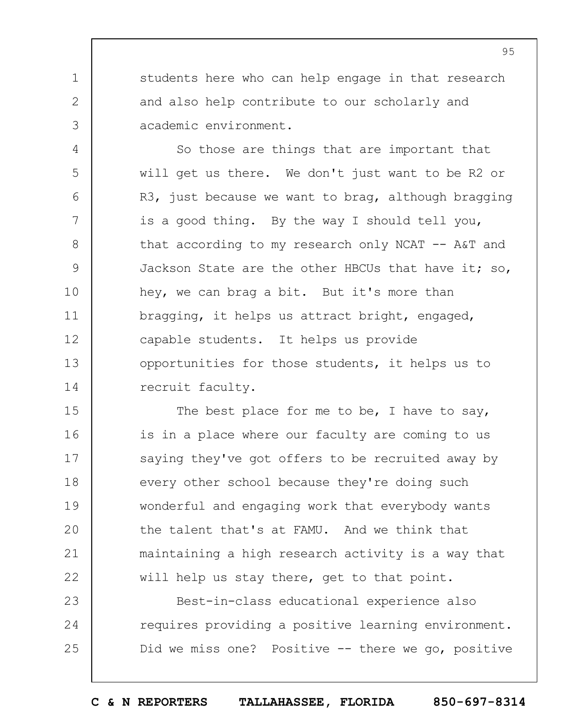students here who can help engage in that research and also help contribute to our scholarly and academic environment.

1

2

3

4

5

6

7

8

9

10

11

12

13

14

So those are things that are important that will get us there. We don't just want to be R2 or R3, just because we want to brag, although bragging is a good thing. By the way I should tell you, that according to my research only NCAT -- A&T and Jackson State are the other HBCUs that have it; so, hey, we can brag a bit. But it's more than bragging, it helps us attract bright, engaged, capable students. It helps us provide opportunities for those students, it helps us to recruit faculty.

15 16 17 18 19  $20$ 21 22 The best place for me to be, I have to say, is in a place where our faculty are coming to us saying they've got offers to be recruited away by every other school because they're doing such wonderful and engaging work that everybody wants the talent that's at FAMU. And we think that maintaining a high research activity is a way that will help us stay there, get to that point.

23 24 25 Best-in-class educational experience also requires providing a positive learning environment. Did we miss one? Positive -- there we go, positive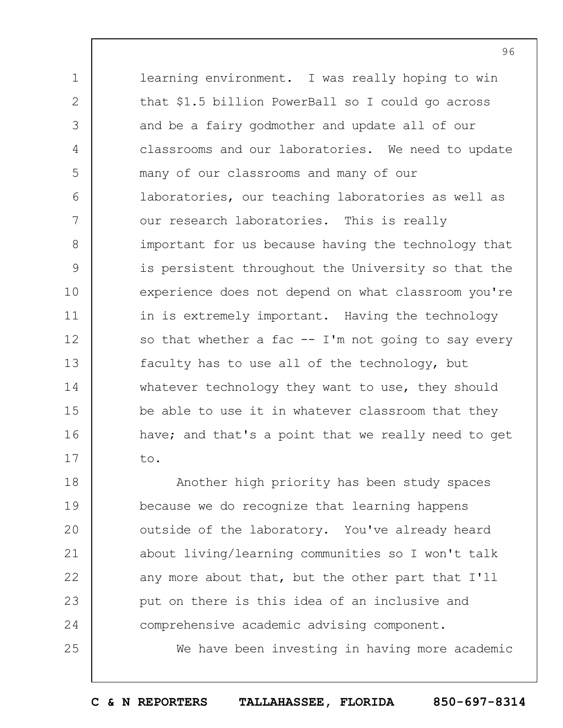1 2 3 4 5 6 7 8 9 10 11 12 13 14 15 16 17 learning environment. I was really hoping to win that \$1.5 billion PowerBall so I could go across and be a fairy godmother and update all of our classrooms and our laboratories. We need to update many of our classrooms and many of our laboratories, our teaching laboratories as well as our research laboratories. This is really important for us because having the technology that is persistent throughout the University so that the experience does not depend on what classroom you're in is extremely important. Having the technology so that whether a fac  $--$  I'm not going to say every faculty has to use all of the technology, but whatever technology they want to use, they should be able to use it in whatever classroom that they have; and that's a point that we really need to get to.

18 19  $20$ 21 22 23 24 25 Another high priority has been study spaces because we do recognize that learning happens outside of the laboratory. You've already heard about living/learning communities so I won't talk any more about that, but the other part that I'll put on there is this idea of an inclusive and comprehensive academic advising component.

We have been investing in having more academic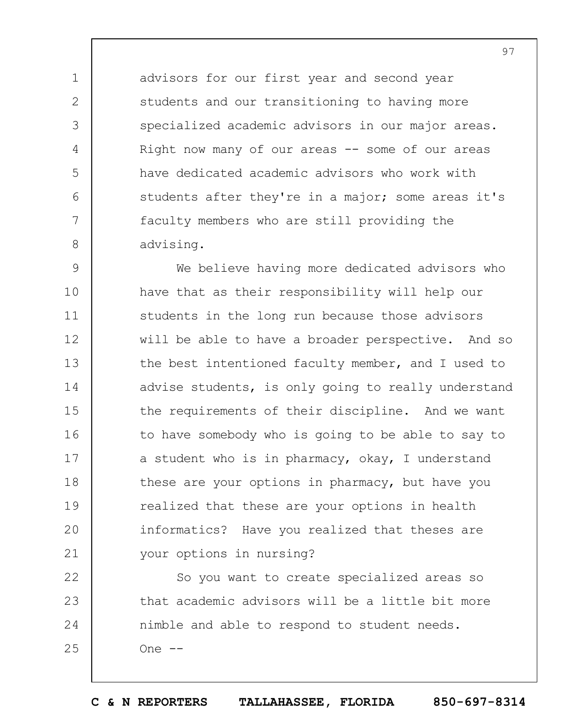advisors for our first year and second year students and our transitioning to having more specialized academic advisors in our major areas. Right now many of our areas  $-$  some of our areas have dedicated academic advisors who work with students after they're in a major; some areas it's faculty members who are still providing the advising.

1

2

3

4

5

6

7

8

9 10 11 12 13 14 15 16 17 18 19  $20$ 21 We believe having more dedicated advisors who have that as their responsibility will help our students in the long run because those advisors will be able to have a broader perspective. And so the best intentioned faculty member, and I used to advise students, is only going to really understand the requirements of their discipline. And we want to have somebody who is going to be able to say to a student who is in pharmacy, okay, I understand these are your options in pharmacy, but have you realized that these are your options in health informatics? Have you realized that theses are your options in nursing?

22 23 24 25 So you want to create specialized areas so that academic advisors will be a little bit more nimble and able to respond to student needs.  $One$   $--$ 

**C & N REPORTERS TALLAHASSEE, FLORIDA 850-697-8314**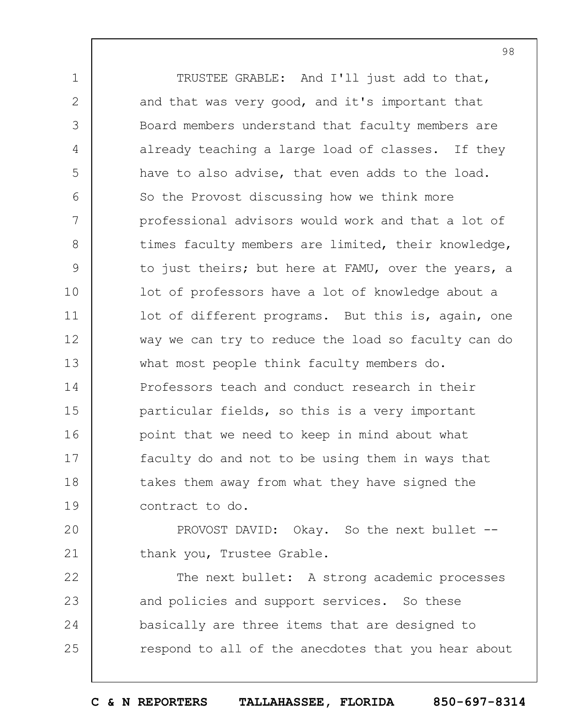1 2 3 4 5 6 7 8 9 10 11 12 13 14 15 16 17 18 19 TRUSTEE GRABLE: And I'll just add to that, and that was very good, and it's important that Board members understand that faculty members are already teaching a large load of classes. If they have to also advise, that even adds to the load. So the Provost discussing how we think more professional advisors would work and that a lot of times faculty members are limited, their knowledge, to just theirs; but here at FAMU, over the years, a lot of professors have a lot of knowledge about a lot of different programs. But this is, again, one way we can try to reduce the load so faculty can do what most people think faculty members do. Professors teach and conduct research in their particular fields, so this is a very important point that we need to keep in mind about what faculty do and not to be using them in ways that takes them away from what they have signed the contract to do.

 $20$ 21 PROVOST DAVID: Okay. So the next bullet - thank you, Trustee Grable.

22 23 24 25 The next bullet: A strong academic processes and policies and support services. So these basically are three items that are designed to respond to all of the anecdotes that you hear about

**C & N REPORTERS TALLAHASSEE, FLORIDA 850-697-8314**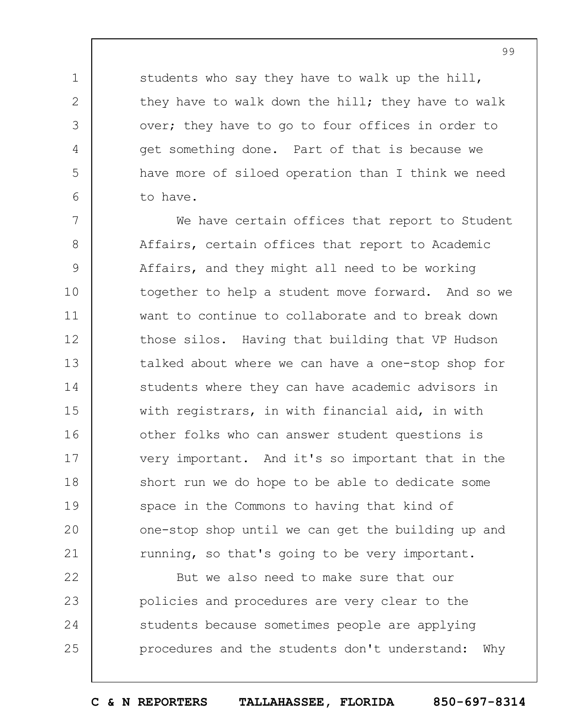students who say they have to walk up the hill, they have to walk down the hill; they have to walk over; they have to go to four offices in order to get something done. Part of that is because we have more of siloed operation than I think we need to have.

1

2

3

4

5

6

7 8 9 10 11 12 13 14 15 16 17 18 19  $20$ 21 We have certain offices that report to Student Affairs, certain offices that report to Academic Affairs, and they might all need to be working together to help a student move forward. And so we want to continue to collaborate and to break down those silos. Having that building that VP Hudson talked about where we can have a one-stop shop for students where they can have academic advisors in with registrars, in with financial aid, in with other folks who can answer student questions is very important. And it's so important that in the short run we do hope to be able to dedicate some space in the Commons to having that kind of one-stop shop until we can get the building up and running, so that's going to be very important.

22 23 24 25 But we also need to make sure that our policies and procedures are very clear to the students because sometimes people are applying procedures and the students don't understand: Why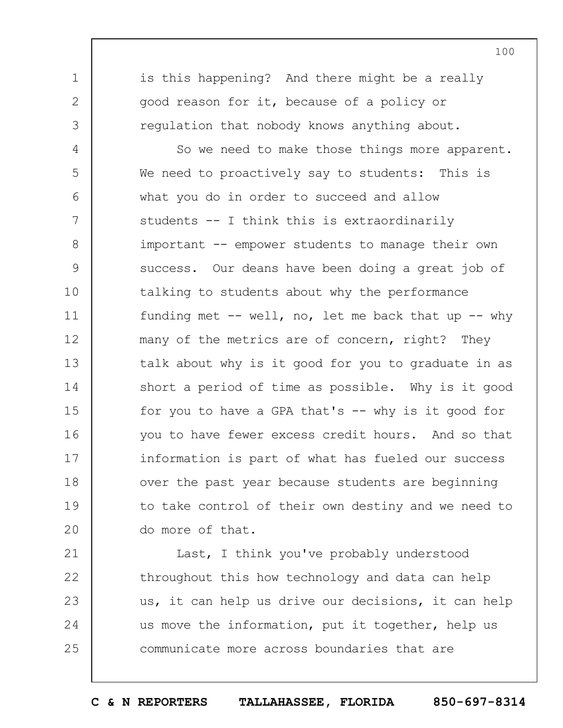is this happening? And there might be a really good reason for it, because of a policy or regulation that nobody knows anything about.

1

2

3

4 5 6 7 8 9 10 11 12 13 14 15 16 17 18 19  $20$ So we need to make those things more apparent. We need to proactively say to students: This is what you do in order to succeed and allow students -- I think this is extraordinarily important -- empower students to manage their own success. Our deans have been doing a great job of talking to students about why the performance funding met  $-$  well, no, let me back that up  $-$  why many of the metrics are of concern, right? They talk about why is it good for you to graduate in as short a period of time as possible. Why is it good for you to have a GPA that's  $--$  why is it good for you to have fewer excess credit hours. And so that information is part of what has fueled our success over the past year because students are beginning to take control of their own destiny and we need to do more of that.

21 22 23 24 25 Last, I think you've probably understood throughout this how technology and data can help us, it can help us drive our decisions, it can help us move the information, put it together, help us communicate more across boundaries that are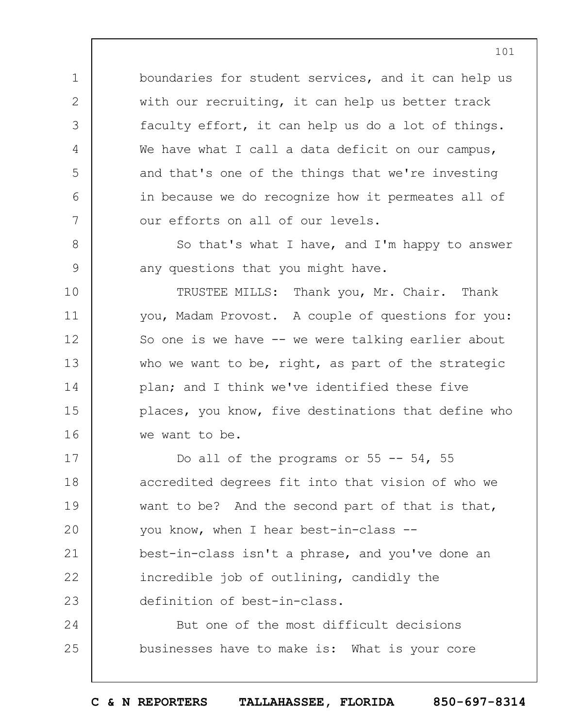boundaries for student services, and it can help us with our recruiting, it can help us better track faculty effort, it can help us do a lot of things. We have what I call a data deficit on our campus, and that's one of the things that we're investing in because we do recognize how it permeates all of our efforts on all of our levels.

1

2

3

4

5

6

7

8

9

10

11

12

13

14

15

16

So that's what I have, and I'm happy to answer any questions that you might have.

TRUSTEE MILLS: Thank you, Mr. Chair. Thank you, Madam Provost. A couple of questions for you: So one is we have -- we were talking earlier about who we want to be, right, as part of the strategic plan; and I think we've identified these five places, you know, five destinations that define who we want to be.

17 18 19  $20$ 21 22 23 Do all of the programs or  $55$  --  $54$ ,  $55$ accredited degrees fit into that vision of who we want to be? And the second part of that is that, you know, when I hear best-in-class - best-in-class isn't a phrase, and you've done an incredible job of outlining, candidly the definition of best-in-class.

24 25 But one of the most difficult decisions businesses have to make is: What is your core

**C & N REPORTERS TALLAHASSEE, FLORIDA 850-697-8314**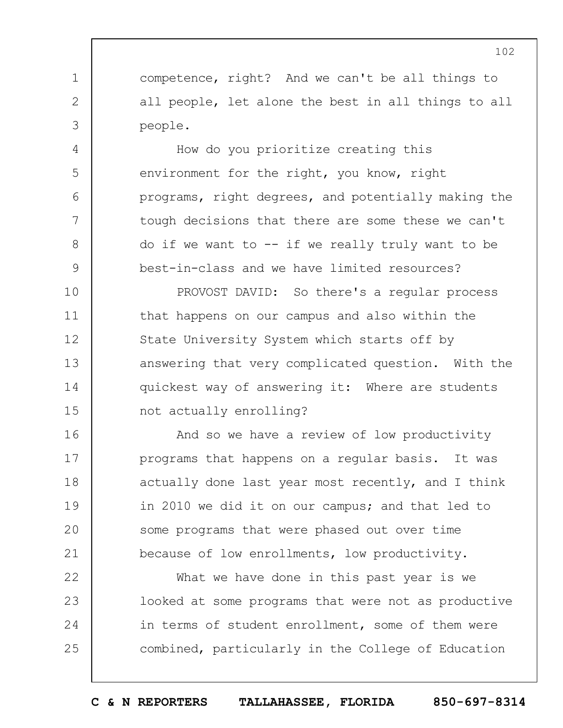competence, right? And we can't be all things to all people, let alone the best in all things to all people.

1

2

3

4

5

6

7

8

9

How do you prioritize creating this environment for the right, you know, right programs, right degrees, and potentially making the tough decisions that there are some these we can't do if we want to  $--$  if we really truly want to be best-in-class and we have limited resources?

10 11 12 13 14 15 PROVOST DAVID: So there's a regular process that happens on our campus and also within the State University System which starts off by answering that very complicated question. With the quickest way of answering it: Where are students not actually enrolling?

16 17 18 19  $20$ 21 And so we have a review of low productivity programs that happens on a regular basis. It was actually done last year most recently, and I think in 2010 we did it on our campus; and that led to some programs that were phased out over time because of low enrollments, low productivity.

22 23 24 25 What we have done in this past year is we looked at some programs that were not as productive in terms of student enrollment, some of them were combined, particularly in the College of Education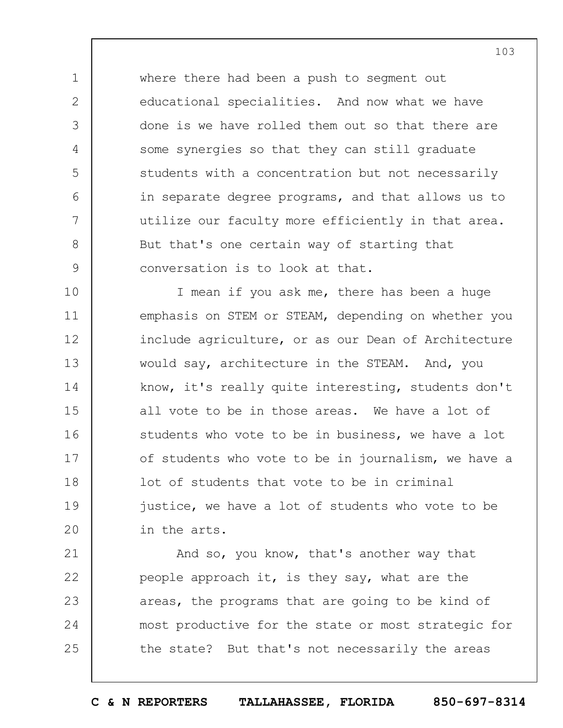where there had been a push to segment out educational specialities. And now what we have done is we have rolled them out so that there are some synergies so that they can still graduate students with a concentration but not necessarily in separate degree programs, and that allows us to utilize our faculty more efficiently in that area. But that's one certain way of starting that conversation is to look at that.

1

2

3

4

5

6

7

8

9

10 11 12 13 14 15 16 17 18 19  $20$ I mean if you ask me, there has been a huge emphasis on STEM or STEAM, depending on whether you include agriculture, or as our Dean of Architecture would say, architecture in the STEAM. And, you know, it's really quite interesting, students don't all vote to be in those areas. We have a lot of students who vote to be in business, we have a lot of students who vote to be in journalism, we have a lot of students that vote to be in criminal justice, we have a lot of students who vote to be in the arts.

21 22 23 24 25 And so, you know, that's another way that people approach it, is they say, what are the areas, the programs that are going to be kind of most productive for the state or most strategic for the state? But that's not necessarily the areas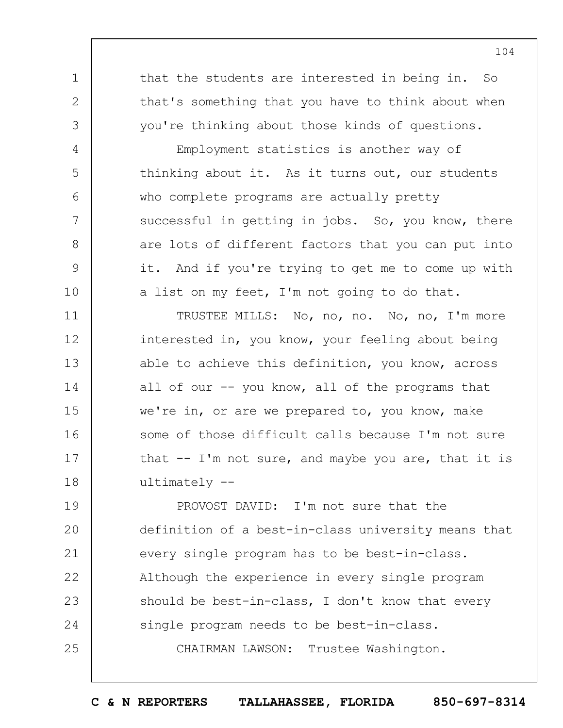that the students are interested in being in. So that's something that you have to think about when you're thinking about those kinds of questions.

1

2

3

4

5

6

7

8

9

10

Employment statistics is another way of thinking about it. As it turns out, our students who complete programs are actually pretty successful in getting in jobs. So, you know, there are lots of different factors that you can put into it. And if you're trying to get me to come up with a list on my feet, I'm not going to do that.

11 12 13 14 15 16 17 18 TRUSTEE MILLS: No, no, no. No, no, I'm more interested in, you know, your feeling about being able to achieve this definition, you know, across all of our -- you know, all of the programs that we're in, or are we prepared to, you know, make some of those difficult calls because I'm not sure that  $--$  I'm not sure, and maybe you are, that it is ultimately --

19  $20$ 21 22 23 24 25 PROVOST DAVID: I'm not sure that the definition of a best-in-class university means that every single program has to be best-in-class. Although the experience in every single program should be best-in-class, I don't know that every single program needs to be best-in-class. CHAIRMAN LAWSON: Trustee Washington.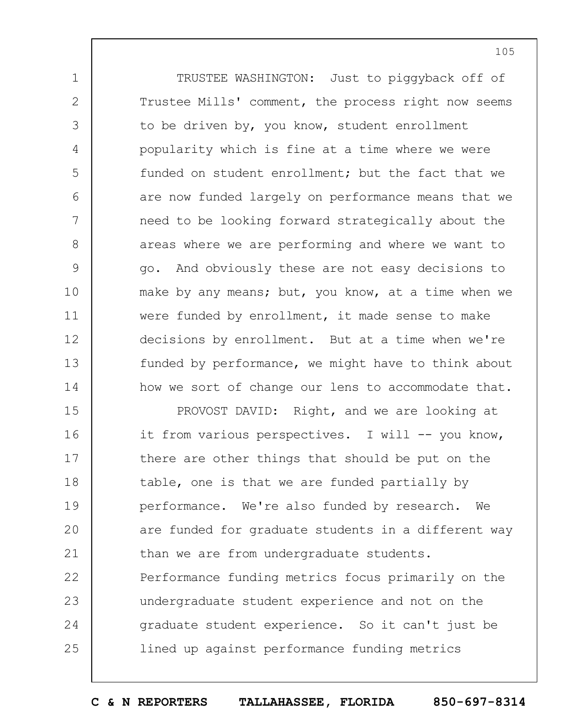TRUSTEE WASHINGTON: Just to piggyback off of Trustee Mills' comment, the process right now seems to be driven by, you know, student enrollment popularity which is fine at a time where we were funded on student enrollment; but the fact that we are now funded largely on performance means that we need to be looking forward strategically about the areas where we are performing and where we want to go. And obviously these are not easy decisions to make by any means; but, you know, at a time when we were funded by enrollment, it made sense to make decisions by enrollment. But at a time when we're funded by performance, we might have to think about how we sort of change our lens to accommodate that.

1

2

3

4

5

6

7

8

9

10

11

12

13

14

15 16 17 18 19  $20$ 21 22 23 24 25 PROVOST DAVID: Right, and we are looking at it from various perspectives. I will -- you know, there are other things that should be put on the table, one is that we are funded partially by performance. We're also funded by research. We are funded for graduate students in a different way than we are from undergraduate students. Performance funding metrics focus primarily on the undergraduate student experience and not on the graduate student experience. So it can't just be lined up against performance funding metrics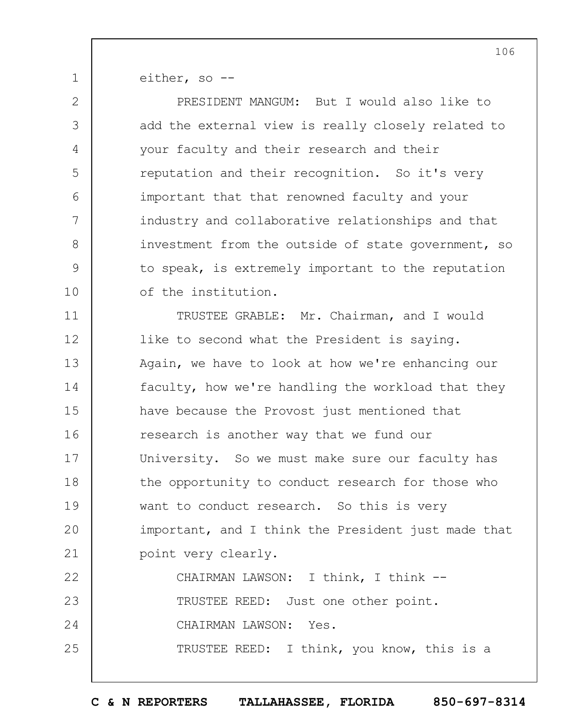1 either, so --

2

3

4

5

6

7

8

9

10

PRESIDENT MANGUM: But I would also like to add the external view is really closely related to your faculty and their research and their reputation and their recognition. So it's very important that that renowned faculty and your industry and collaborative relationships and that investment from the outside of state government, so to speak, is extremely important to the reputation of the institution.

11 12 13 14 15 16 17 18 19  $20$ 21 22 TRUSTEE GRABLE: Mr. Chairman, and I would like to second what the President is saying. Again, we have to look at how we're enhancing our faculty, how we're handling the workload that they have because the Provost just mentioned that research is another way that we fund our University. So we must make sure our faculty has the opportunity to conduct research for those who want to conduct research. So this is very important, and I think the President just made that point very clearly. CHAIRMAN LAWSON: I think, I think --

23 24 25 TRUSTEE REED: Just one other point. CHAIRMAN LAWSON: Yes. TRUSTEE REED: I think, you know, this is a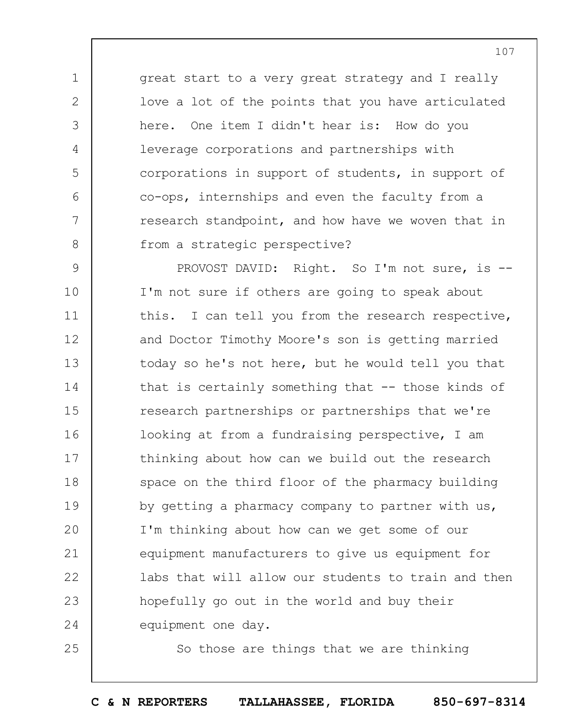great start to a very great strategy and I really love a lot of the points that you have articulated here. One item I didn't hear is: How do you leverage corporations and partnerships with corporations in support of students, in support of co-ops, internships and even the faculty from a research standpoint, and how have we woven that in from a strategic perspective?

1

2

3

4

5

6

7

8

25

9 10 11 12 13 14 15 16 17 18 19  $20$ 21 22 23 24 PROVOST DAVID: Right. So I'm not sure, is --I'm not sure if others are going to speak about this. I can tell you from the research respective, and Doctor Timothy Moore's son is getting married today so he's not here, but he would tell you that that is certainly something that -- those kinds of research partnerships or partnerships that we're looking at from a fundraising perspective, I am thinking about how can we build out the research space on the third floor of the pharmacy building by getting a pharmacy company to partner with us, I'm thinking about how can we get some of our equipment manufacturers to give us equipment for labs that will allow our students to train and then hopefully go out in the world and buy their equipment one day.

So those are things that we are thinking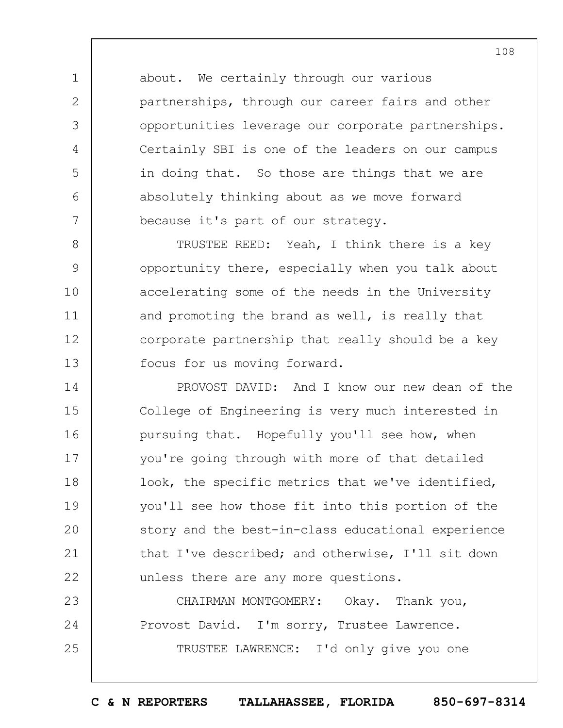about. We certainly through our various partnerships, through our career fairs and other opportunities leverage our corporate partnerships. Certainly SBI is one of the leaders on our campus in doing that. So those are things that we are absolutely thinking about as we move forward because it's part of our strategy.

1

2

3

4

5

6

7

8 9 10 11 12 13 TRUSTEE REED: Yeah, I think there is a key opportunity there, especially when you talk about accelerating some of the needs in the University and promoting the brand as well, is really that corporate partnership that really should be a key focus for us moving forward.

14 15 16 17 18 19  $20$ 21 22 PROVOST DAVID: And I know our new dean of the College of Engineering is very much interested in pursuing that. Hopefully you'll see how, when you're going through with more of that detailed look, the specific metrics that we've identified, you'll see how those fit into this portion of the story and the best-in-class educational experience that I've described; and otherwise, I'll sit down unless there are any more questions.

23 24 25 CHAIRMAN MONTGOMERY: Okay. Thank you, Provost David. I'm sorry, Trustee Lawrence. TRUSTEE LAWRENCE: I'd only give you one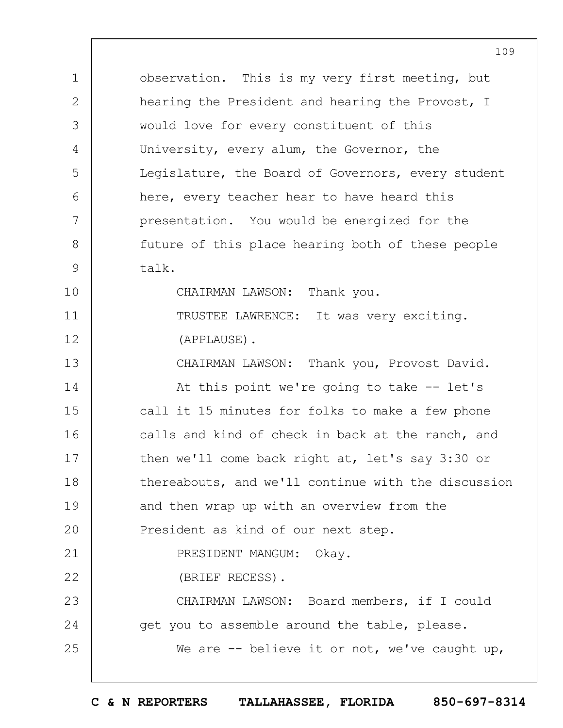1 2 3 4 5 6 7 8 9 10 11 12 13 14 15 16 17 18 19  $20$ 21 22 23 24 25 observation. This is my very first meeting, but hearing the President and hearing the Provost, I would love for every constituent of this University, every alum, the Governor, the Legislature, the Board of Governors, every student here, every teacher hear to have heard this presentation. You would be energized for the future of this place hearing both of these people talk. CHAIRMAN LAWSON: Thank you. TRUSTEE LAWRENCE: It was very exciting. (APPLAUSE). CHAIRMAN LAWSON: Thank you, Provost David. At this point we're going to take -- let's call it 15 minutes for folks to make a few phone calls and kind of check in back at the ranch, and then we'll come back right at, let's say 3:30 or thereabouts, and we'll continue with the discussion and then wrap up with an overview from the President as kind of our next step. PRESIDENT MANGUM: Okay. (BRIEF RECESS). CHAIRMAN LAWSON: Board members, if I could get you to assemble around the table, please. We are -- believe it or not, we've caught up,

109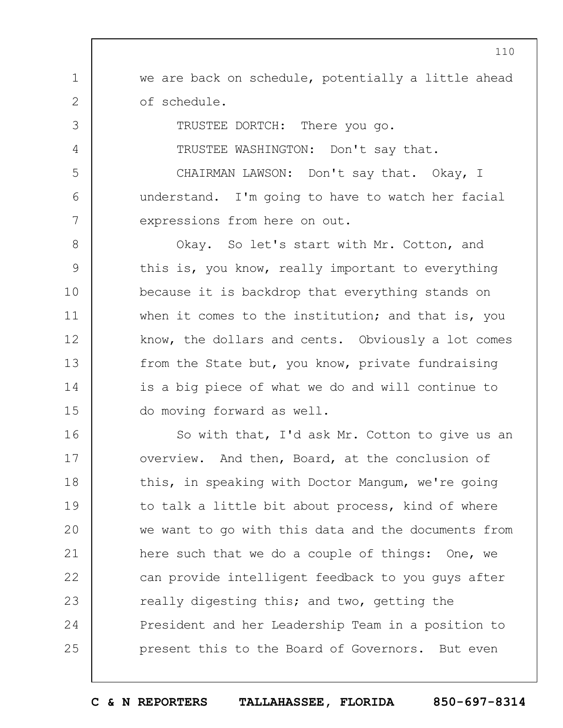we are back on schedule, potentially a little ahead of schedule.

TRUSTEE DORTCH: There you go.

1

2

3

4

5

6

7

TRUSTEE WASHINGTON: Don't say that.

CHAIRMAN LAWSON: Don't say that. Okay, I understand. I'm going to have to watch her facial expressions from here on out.

8 9 10 11 12 13 14 15 Okay. So let's start with Mr. Cotton, and this is, you know, really important to everything because it is backdrop that everything stands on when it comes to the institution; and that is, you know, the dollars and cents. Obviously a lot comes from the State but, you know, private fundraising is a big piece of what we do and will continue to do moving forward as well.

16 17 18 19  $20$ 21 22 23 24 25 So with that, I'd ask Mr. Cotton to give us an overview. And then, Board, at the conclusion of this, in speaking with Doctor Mangum, we're going to talk a little bit about process, kind of where we want to go with this data and the documents from here such that we do a couple of things: One, we can provide intelligent feedback to you guys after really digesting this; and two, getting the President and her Leadership Team in a position to present this to the Board of Governors. But even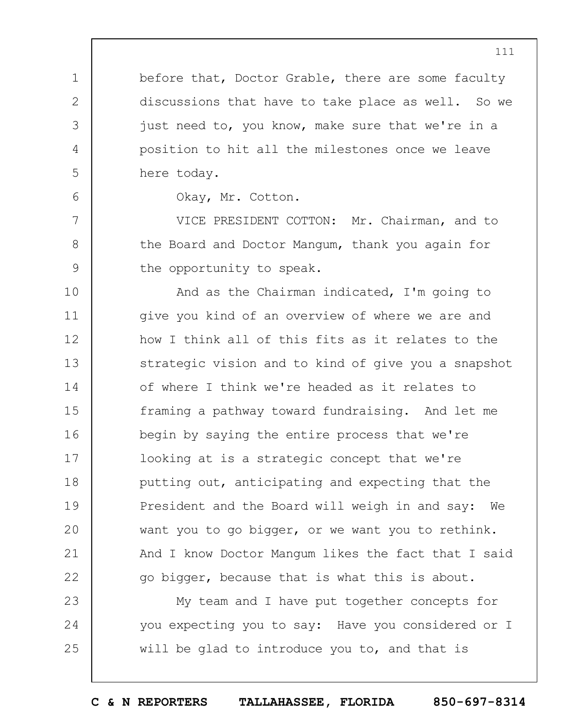before that, Doctor Grable, there are some faculty discussions that have to take place as well. So we just need to, you know, make sure that we're in a position to hit all the milestones once we leave here today.

Okay, Mr. Cotton.

1

2

3

4

5

6

7

8

9

VICE PRESIDENT COTTON: Mr. Chairman, and to the Board and Doctor Mangum, thank you again for the opportunity to speak.

10 11 12 13 14 15 16 17 18 19  $20$ 21 22 And as the Chairman indicated, I'm going to give you kind of an overview of where we are and how I think all of this fits as it relates to the strategic vision and to kind of give you a snapshot of where I think we're headed as it relates to framing a pathway toward fundraising. And let me begin by saying the entire process that we're looking at is a strategic concept that we're putting out, anticipating and expecting that the President and the Board will weigh in and say: We want you to go bigger, or we want you to rethink. And I know Doctor Mangum likes the fact that I said go bigger, because that is what this is about.

23 24 25 My team and I have put together concepts for you expecting you to say: Have you considered or I will be glad to introduce you to, and that is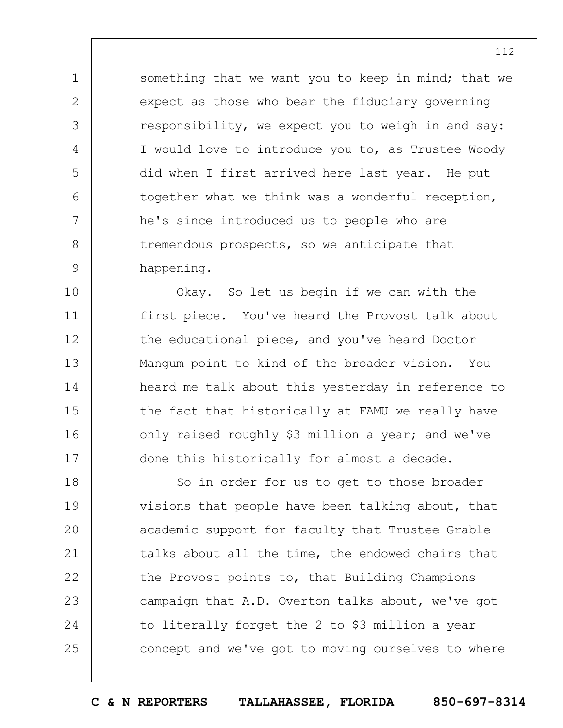something that we want you to keep in mind; that we expect as those who bear the fiduciary governing responsibility, we expect you to weigh in and say: I would love to introduce you to, as Trustee Woody did when I first arrived here last year. He put together what we think was a wonderful reception, he's since introduced us to people who are tremendous prospects, so we anticipate that happening.

1

2

3

4

5

6

7

8

9

10 11 12 13 14 15 16 17 Okay. So let us begin if we can with the first piece. You've heard the Provost talk about the educational piece, and you've heard Doctor Mangum point to kind of the broader vision. You heard me talk about this yesterday in reference to the fact that historically at FAMU we really have only raised roughly \$3 million a year; and we've done this historically for almost a decade.

18 19  $20$ 21 22 23 24 25 So in order for us to get to those broader visions that people have been talking about, that academic support for faculty that Trustee Grable talks about all the time, the endowed chairs that the Provost points to, that Building Champions campaign that A.D. Overton talks about, we've got to literally forget the 2 to \$3 million a year concept and we've got to moving ourselves to where

**C & N REPORTERS TALLAHASSEE, FLORIDA 850-697-8314**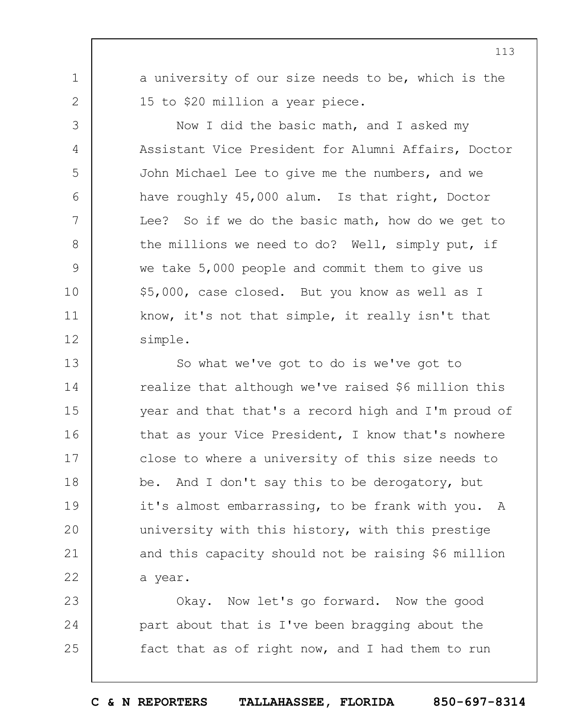1 2

3

4

5

6

7

8

9

10

11

12

a university of our size needs to be, which is the 15 to \$20 million a year piece.

Now I did the basic math, and I asked my Assistant Vice President for Alumni Affairs, Doctor John Michael Lee to give me the numbers, and we have roughly 45,000 alum. Is that right, Doctor Lee? So if we do the basic math, how do we get to the millions we need to do? Well, simply put, if we take 5,000 people and commit them to give us \$5,000, case closed. But you know as well as I know, it's not that simple, it really isn't that simple.

13 14 15 16 17 18 19  $20$ 21 22 So what we've got to do is we've got to realize that although we've raised \$6 million this year and that that's a record high and I'm proud of that as your Vice President, I know that's nowhere close to where a university of this size needs to be. And I don't say this to be derogatory, but it's almost embarrassing, to be frank with you. A university with this history, with this prestige and this capacity should not be raising \$6 million a year.

23 24 25 Okay. Now let's go forward. Now the good part about that is I've been bragging about the fact that as of right now, and I had them to run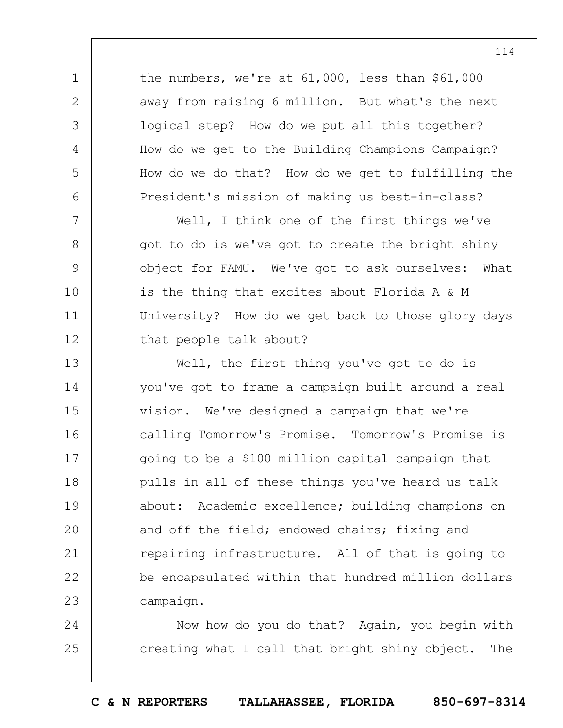the numbers, we're at 61,000, less than \$61,000 away from raising 6 million. But what's the next logical step? How do we put all this together? How do we get to the Building Champions Campaign? How do we do that? How do we get to fulfilling the President's mission of making us best-in-class?

1

2

3

4

5

6

7

8

9

10

11

12

Well, I think one of the first things we've got to do is we've got to create the bright shiny object for FAMU. We've got to ask ourselves: What is the thing that excites about Florida A & M University? How do we get back to those glory days that people talk about?

13 14 15 16 17 18 19  $20$ 21 22 23 Well, the first thing you've got to do is you've got to frame a campaign built around a real vision. We've designed a campaign that we're calling Tomorrow's Promise. Tomorrow's Promise is going to be a \$100 million capital campaign that pulls in all of these things you've heard us talk about: Academic excellence; building champions on and off the field; endowed chairs; fixing and repairing infrastructure. All of that is going to be encapsulated within that hundred million dollars campaign.

24 25 Now how do you do that? Again, you begin with creating what I call that bright shiny object. The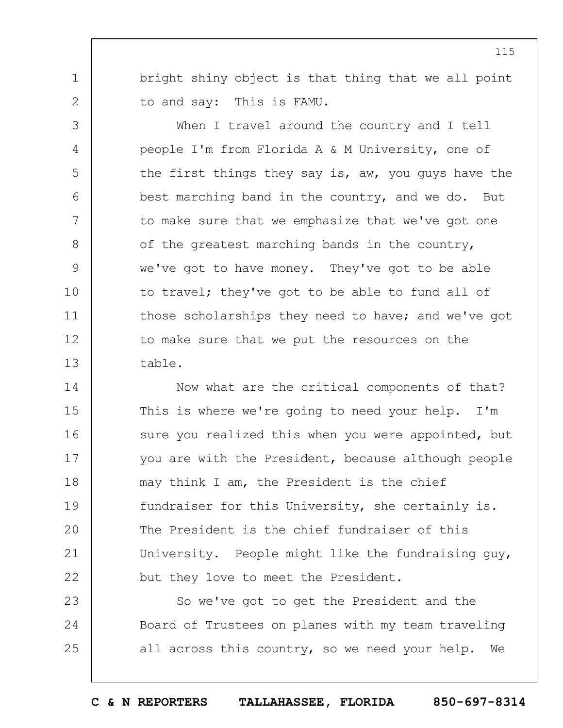bright shiny object is that thing that we all point to and say: This is FAMU.

1

2

3

4

5

6

7

8

9

10

11

12

13

When I travel around the country and I tell people I'm from Florida A & M University, one of the first things they say is, aw, you guys have the best marching band in the country, and we do. But to make sure that we emphasize that we've got one of the greatest marching bands in the country, we've got to have money. They've got to be able to travel; they've got to be able to fund all of those scholarships they need to have; and we've got to make sure that we put the resources on the table.

14 15 16 17 18 19  $20$ 21 22 Now what are the critical components of that? This is where we're going to need your help. I'm sure you realized this when you were appointed, but you are with the President, because although people may think I am, the President is the chief fundraiser for this University, she certainly is. The President is the chief fundraiser of this University. People might like the fundraising guy, but they love to meet the President.

23 24 25 So we've got to get the President and the Board of Trustees on planes with my team traveling all across this country, so we need your help. We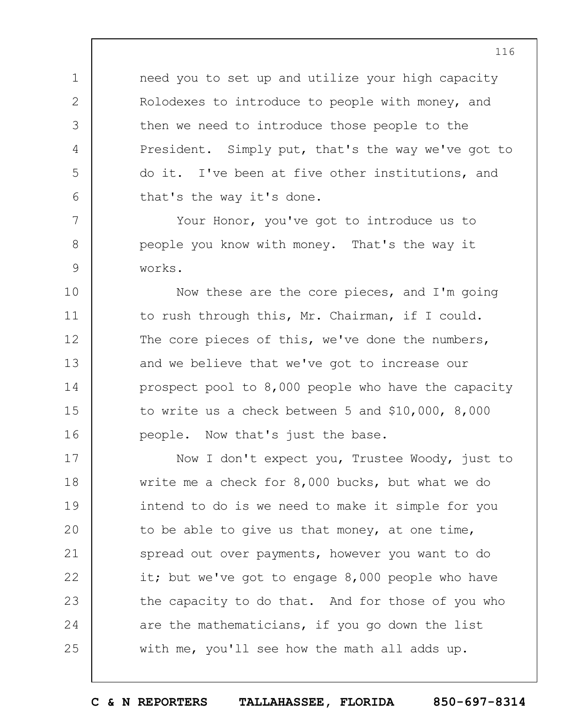need you to set up and utilize your high capacity Rolodexes to introduce to people with money, and then we need to introduce those people to the President. Simply put, that's the way we've got to do it. I've been at five other institutions, and that's the way it's done.

Your Honor, you've got to introduce us to people you know with money. That's the way it works.

1

2

3

4

5

6

7

8

9

10 11 12 13 14 15 16 Now these are the core pieces, and I'm going to rush through this, Mr. Chairman, if I could. The core pieces of this, we've done the numbers, and we believe that we've got to increase our prospect pool to 8,000 people who have the capacity to write us a check between 5 and \$10,000, 8,000 people. Now that's just the base.

17 18 19 20 21 22 23 24 25 Now I don't expect you, Trustee Woody, just to write me a check for 8,000 bucks, but what we do intend to do is we need to make it simple for you to be able to give us that money, at one time, spread out over payments, however you want to do it; but we've got to engage 8,000 people who have the capacity to do that. And for those of you who are the mathematicians, if you go down the list with me, you'll see how the math all adds up.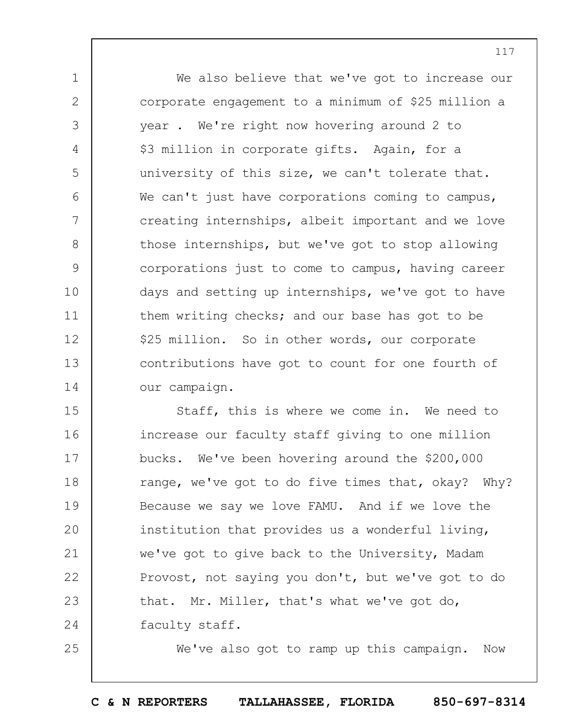We also believe that we've got to increase our corporate engagement to a minimum of \$25 million a year . We're right now hovering around 2 to \$3 million in corporate gifts. Again, for a university of this size, we can't tolerate that. We can't just have corporations coming to campus, creating internships, albeit important and we love those internships, but we've got to stop allowing corporations just to come to campus, having career days and setting up internships, we've got to have them writing checks; and our base has got to be \$25 million. So in other words, our corporate contributions have got to count for one fourth of our campaign.

1

2

3

4

5

6

7

8

9

10

11

12

13

14

25

15 16 17 18 19  $20$ 21 22 23 24 Staff, this is where we come in. We need to increase our faculty staff giving to one million bucks. We've been hovering around the \$200,000 range, we've got to do five times that, okay? Why? Because we say we love FAMU. And if we love the institution that provides us a wonderful living, we've got to give back to the University, Madam Provost, not saying you don't, but we've got to do that. Mr. Miller, that's what we've got do, faculty staff.

We've also got to ramp up this campaign. Now

**C & N REPORTERS TALLAHASSEE, FLORIDA 850-697-8314**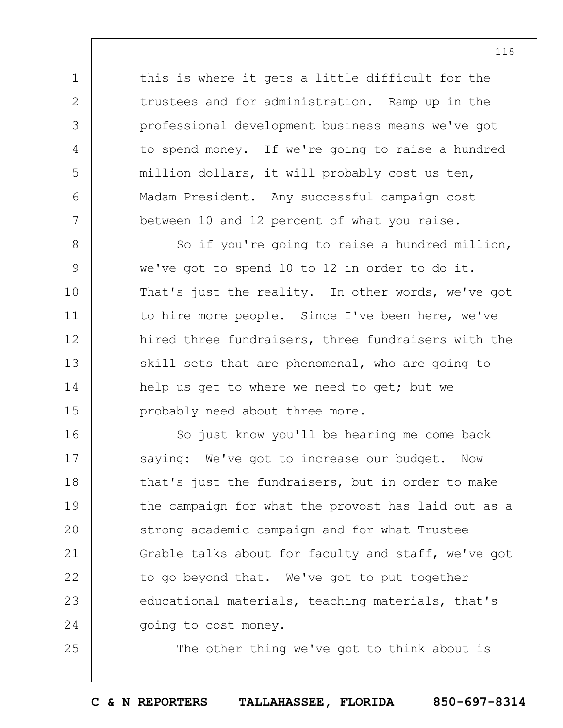this is where it gets a little difficult for the trustees and for administration. Ramp up in the professional development business means we've got to spend money. If we're going to raise a hundred million dollars, it will probably cost us ten, Madam President. Any successful campaign cost between 10 and 12 percent of what you raise.

1

2

3

4

5

6

7

25

8 9 10 11 12 13 14 15 So if you're going to raise a hundred million, we've got to spend 10 to 12 in order to do it. That's just the reality. In other words, we've got to hire more people. Since I've been here, we've hired three fundraisers, three fundraisers with the skill sets that are phenomenal, who are going to help us get to where we need to get; but we probably need about three more.

16 17 18 19  $20$ 21 22 23 24 So just know you'll be hearing me come back saying: We've got to increase our budget. Now that's just the fundraisers, but in order to make the campaign for what the provost has laid out as a strong academic campaign and for what Trustee Grable talks about for faculty and staff, we've got to go beyond that. We've got to put together educational materials, teaching materials, that's going to cost money.

The other thing we've got to think about is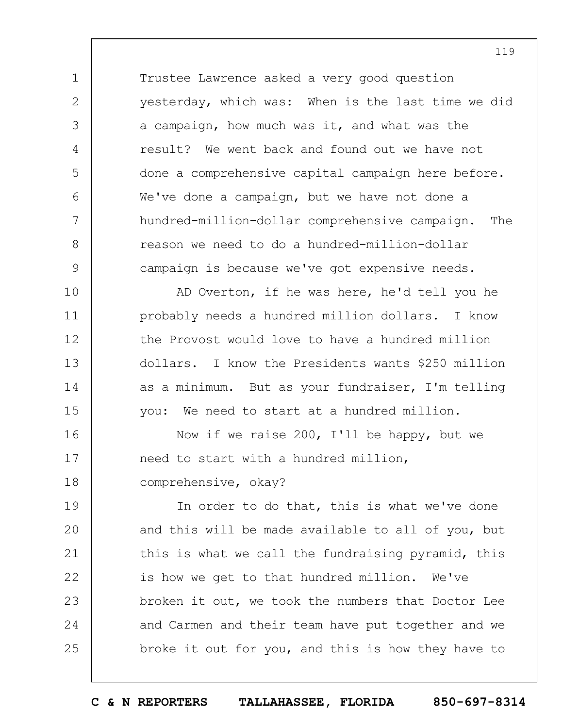Trustee Lawrence asked a very good question yesterday, which was: When is the last time we did a campaign, how much was it, and what was the result? We went back and found out we have not done a comprehensive capital campaign here before. We've done a campaign, but we have not done a hundred-million-dollar comprehensive campaign. The reason we need to do a hundred-million-dollar campaign is because we've got expensive needs.

1

2

3

4

5

6

7

8

9

10 11 12 13 14 15 AD Overton, if he was here, he'd tell you he probably needs a hundred million dollars. I know the Provost would love to have a hundred million dollars. I know the Presidents wants \$250 million as a minimum. But as your fundraiser, I'm telling you: We need to start at a hundred million.

16 17 18 Now if we raise 200, I'll be happy, but we need to start with a hundred million, comprehensive, okay?

19  $20$ 21 22 23 24 25 In order to do that, this is what we've done and this will be made available to all of you, but this is what we call the fundraising pyramid, this is how we get to that hundred million. We've broken it out, we took the numbers that Doctor Lee and Carmen and their team have put together and we broke it out for you, and this is how they have to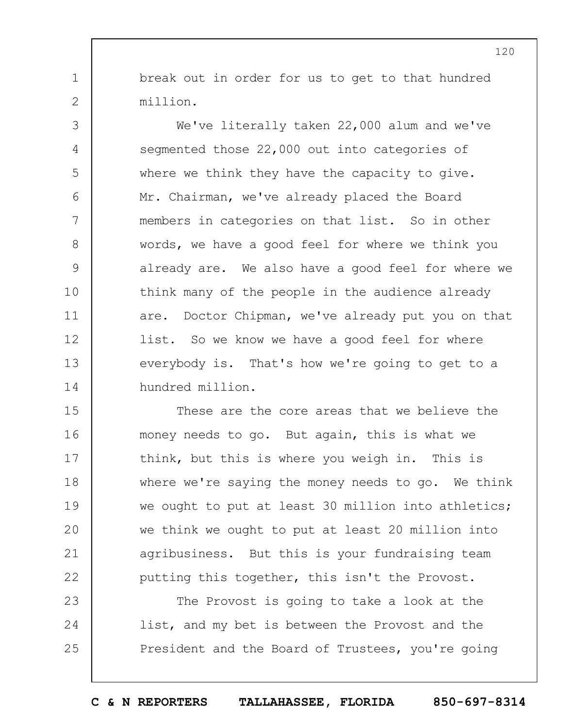break out in order for us to get to that hundred million.

1

2

3

4

5

6

7

8

9

10

11

12

13

14

We've literally taken 22,000 alum and we've segmented those 22,000 out into categories of where we think they have the capacity to give. Mr. Chairman, we've already placed the Board members in categories on that list. So in other words, we have a good feel for where we think you already are. We also have a good feel for where we think many of the people in the audience already are. Doctor Chipman, we've already put you on that list. So we know we have a good feel for where everybody is. That's how we're going to get to a hundred million.

15 16 17 18 19  $20$ 21 22 These are the core areas that we believe the money needs to go. But again, this is what we think, but this is where you weigh in. This is where we're saying the money needs to go. We think we ought to put at least 30 million into athletics; we think we ought to put at least 20 million into agribusiness. But this is your fundraising team putting this together, this isn't the Provost.

23 24 25 The Provost is going to take a look at the list, and my bet is between the Provost and the President and the Board of Trustees, you're going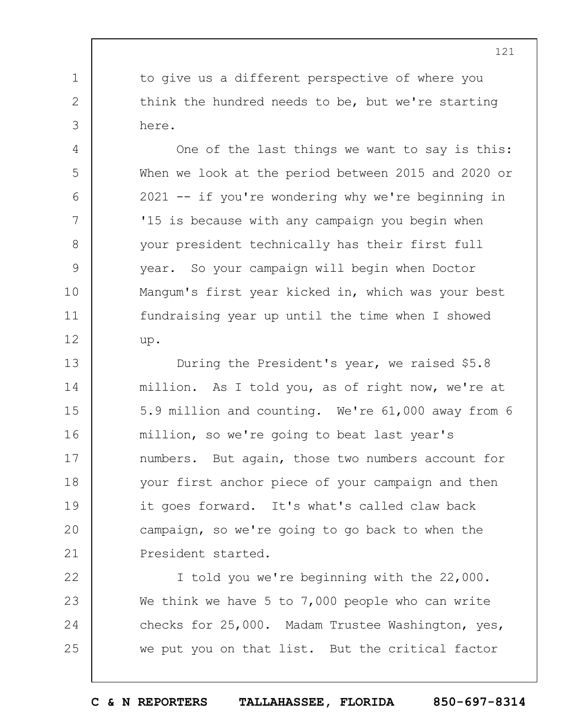to give us a different perspective of where you think the hundred needs to be, but we're starting here.

1

2

3

4

5

6

7

8

9

10

11

12

One of the last things we want to say is this: When we look at the period between 2015 and 2020 or 2021 -- if you're wondering why we're beginning in '15 is because with any campaign you begin when your president technically has their first full year. So your campaign will begin when Doctor Mangum's first year kicked in, which was your best fundraising year up until the time when I showed up.

13 14 15 16 17 18 19  $20$ 21 During the President's year, we raised \$5.8 million. As I told you, as of right now, we're at 5.9 million and counting. We're 61,000 away from 6 million, so we're going to beat last year's numbers. But again, those two numbers account for your first anchor piece of your campaign and then it goes forward. It's what's called claw back campaign, so we're going to go back to when the President started.

22 23 24 25 I told you we're beginning with the 22,000. We think we have 5 to 7,000 people who can write checks for 25,000. Madam Trustee Washington, yes, we put you on that list. But the critical factor

121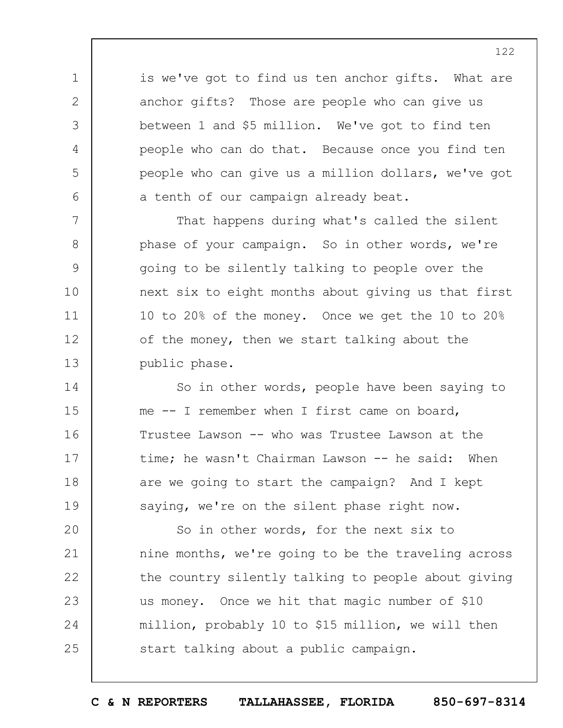is we've got to find us ten anchor gifts. What are anchor gifts? Those are people who can give us between 1 and \$5 million. We've got to find ten people who can do that. Because once you find ten people who can give us a million dollars, we've got a tenth of our campaign already beat.

1

2

3

4

5

6

7

8

9

10

11

12

13

That happens during what's called the silent phase of your campaign. So in other words, we're going to be silently talking to people over the next six to eight months about giving us that first 10 to 20% of the money. Once we get the 10 to 20% of the money, then we start talking about the public phase.

14 15 16 17 18 19 So in other words, people have been saying to me -- I remember when I first came on board, Trustee Lawson -- who was Trustee Lawson at the time; he wasn't Chairman Lawson -- he said: When are we going to start the campaign? And I kept saying, we're on the silent phase right now.

 $20$ 21 22 23 24 25 So in other words, for the next six to nine months, we're going to be the traveling across the country silently talking to people about giving us money. Once we hit that magic number of \$10 million, probably 10 to \$15 million, we will then start talking about a public campaign.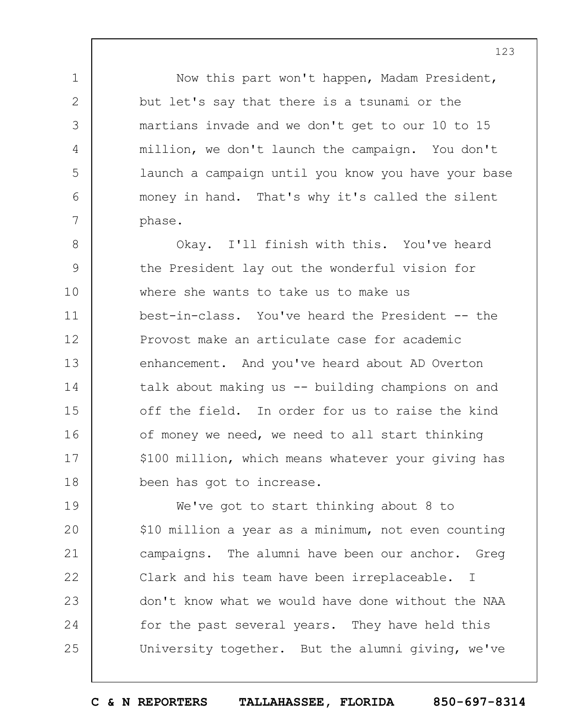Now this part won't happen, Madam President, but let's say that there is a tsunami or the martians invade and we don't get to our 10 to 15 million, we don't launch the campaign. You don't launch a campaign until you know you have your base money in hand. That's why it's called the silent phase.

1

2

3

4

5

6

7

8 9 10 11 12 13 14 15 16 17 18 Okay. I'll finish with this. You've heard the President lay out the wonderful vision for where she wants to take us to make us best-in-class. You've heard the President -- the Provost make an articulate case for academic enhancement. And you've heard about AD Overton talk about making us -- building champions on and off the field. In order for us to raise the kind of money we need, we need to all start thinking \$100 million, which means whatever your giving has been has got to increase.

19  $20$ 21 22 23 24 25 We've got to start thinking about 8 to \$10 million a year as a minimum, not even counting campaigns. The alumni have been our anchor. Greg Clark and his team have been irreplaceable. I don't know what we would have done without the NAA for the past several years. They have held this University together. But the alumni giving, we've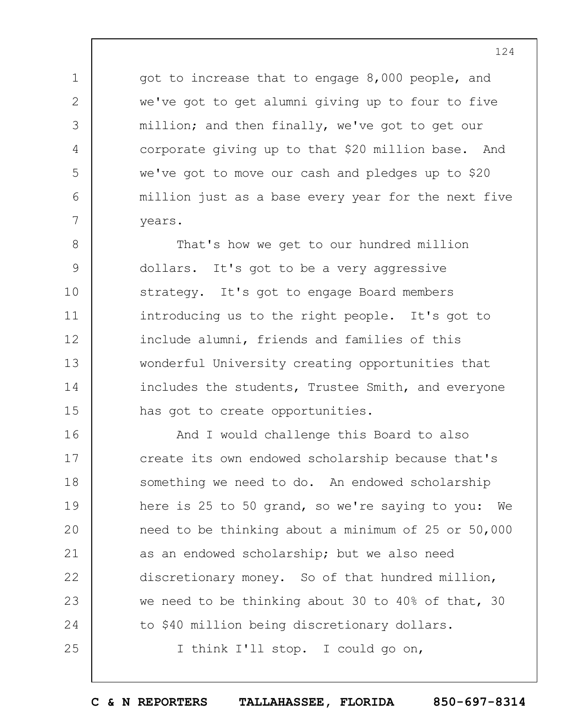got to increase that to engage 8,000 people, and we've got to get alumni giving up to four to five million; and then finally, we've got to get our corporate giving up to that \$20 million base. And we've got to move our cash and pledges up to \$20 million just as a base every year for the next five years.

1

2

3

4

5

6

7

8 9 10 11 12 13 14 15 That's how we get to our hundred million dollars. It's got to be a very aggressive strategy. It's got to engage Board members introducing us to the right people. It's got to include alumni, friends and families of this wonderful University creating opportunities that includes the students, Trustee Smith, and everyone has got to create opportunities.

16 17 18 19  $20$ 21 22 23 24 25 And I would challenge this Board to also create its own endowed scholarship because that's something we need to do. An endowed scholarship here is 25 to 50 grand, so we're saying to you: We need to be thinking about a minimum of 25 or 50,000 as an endowed scholarship; but we also need discretionary money. So of that hundred million, we need to be thinking about 30 to 40% of that, 30 to \$40 million being discretionary dollars. I think I'll stop. I could go on,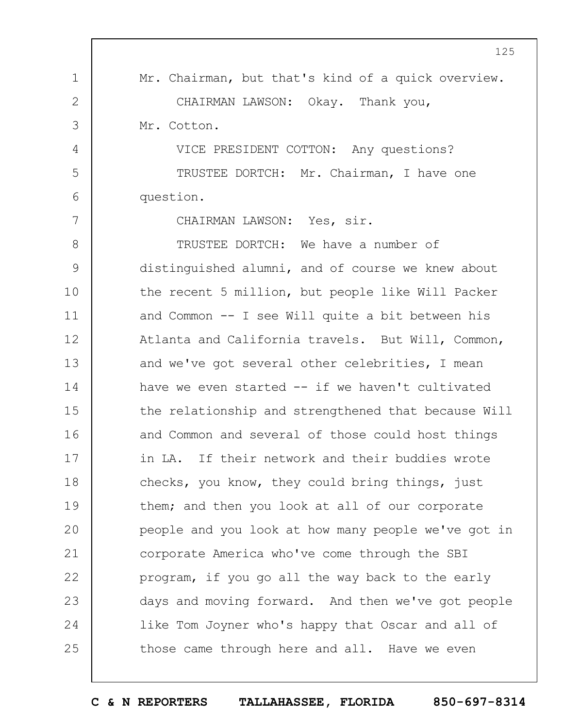|               | 125                                                 |
|---------------|-----------------------------------------------------|
| 1             | Mr. Chairman, but that's kind of a quick overview.  |
| $\mathbf{2}$  | CHAIRMAN LAWSON: Okay. Thank you,                   |
| 3             | Mr. Cotton.                                         |
| 4             | VICE PRESIDENT COTTON: Any questions?               |
| 5             | TRUSTEE DORTCH: Mr. Chairman, I have one            |
| 6             | question.                                           |
| 7             | CHAIRMAN LAWSON: Yes, sir.                          |
| $8\,$         | TRUSTEE DORTCH: We have a number of                 |
| $\mathcal{G}$ | distinguished alumni, and of course we knew about   |
| 10            | the recent 5 million, but people like Will Packer   |
| 11            | and Common $--$ I see Will quite a bit between his  |
| 12            | Atlanta and California travels. But Will, Common,   |
| 13            | and we've got several other celebrities, I mean     |
| 14            | have we even started -- if we haven't cultivated    |
| 15            | the relationship and strengthened that because Will |
| 16            | and Common and several of those could host things   |
| 17            | in LA. If their network and their buddies wrote     |
| 18            | checks, you know, they could bring things, just     |
| 19            | them; and then you look at all of our corporate     |
| 20            | people and you look at how many people we've got in |
| 21            | corporate America who've come through the SBI       |
| 22            | program, if you go all the way back to the early    |
| 23            | days and moving forward. And then we've got people  |
| 24            | like Tom Joyner who's happy that Oscar and all of   |
| 25            | those came through here and all. Have we even       |

 $\Gamma$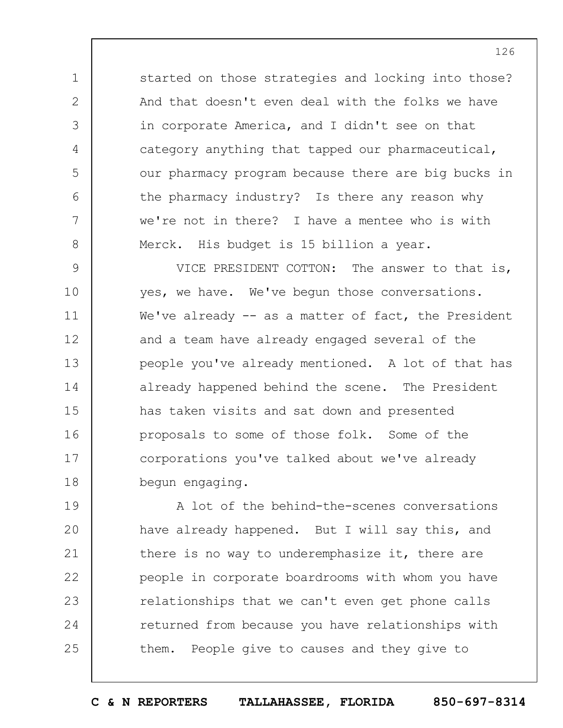started on those strategies and locking into those? And that doesn't even deal with the folks we have in corporate America, and I didn't see on that category anything that tapped our pharmaceutical, our pharmacy program because there are big bucks in the pharmacy industry? Is there any reason why we're not in there? I have a mentee who is with Merck. His budget is 15 billion a year.

1

2

3

4

5

6

7

8

9 10 11 12 13 14 15 16 17 18 VICE PRESIDENT COTTON: The answer to that is, yes, we have. We've begun those conversations. We've already  $-$  as a matter of fact, the President and a team have already engaged several of the people you've already mentioned. A lot of that has already happened behind the scene. The President has taken visits and sat down and presented proposals to some of those folk. Some of the corporations you've talked about we've already begun engaging.

19  $20$ 21 22 23 24 25 A lot of the behind-the-scenes conversations have already happened. But I will say this, and there is no way to underemphasize it, there are people in corporate boardrooms with whom you have relationships that we can't even get phone calls returned from because you have relationships with them. People give to causes and they give to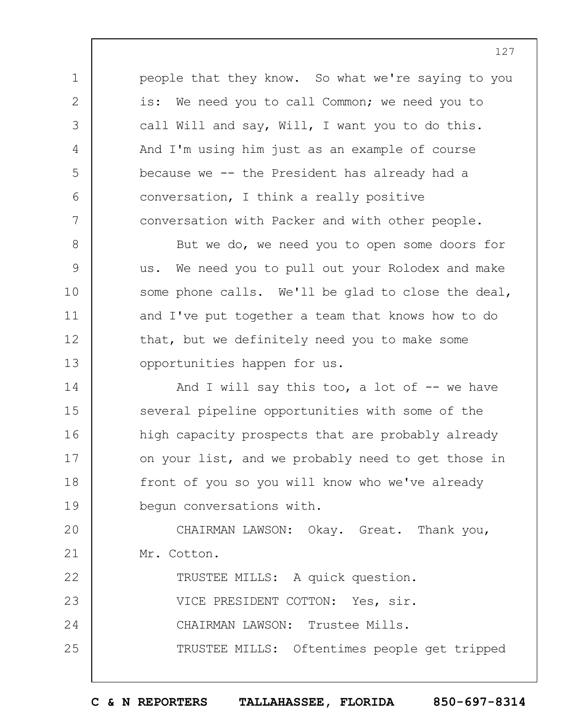people that they know. So what we're saying to you is: We need you to call Common; we need you to call Will and say, Will, I want you to do this. And I'm using him just as an example of course because we -- the President has already had a conversation, I think a really positive conversation with Packer and with other people.

1

2

3

4

5

6

7

8 9 10 11 12 13 But we do, we need you to open some doors for us. We need you to pull out your Rolodex and make some phone calls. We'll be glad to close the deal, and I've put together a team that knows how to do that, but we definitely need you to make some opportunities happen for us.

14 15 16 17 18 19 And I will say this too, a lot of  $-$  we have several pipeline opportunities with some of the high capacity prospects that are probably already on your list, and we probably need to get those in front of you so you will know who we've already begun conversations with.

 $20$ 21 CHAIRMAN LAWSON: Okay. Great. Thank you, Mr. Cotton.

22 23 24 25 TRUSTEE MILLS: A quick question. VICE PRESIDENT COTTON: Yes, sir. CHAIRMAN LAWSON: Trustee Mills. TRUSTEE MILLS: Oftentimes people get tripped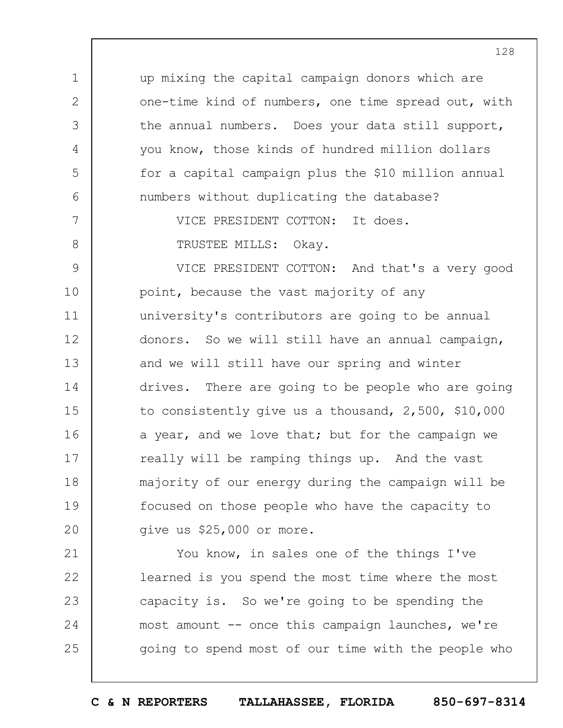up mixing the capital campaign donors which are one-time kind of numbers, one time spread out, with the annual numbers. Does your data still support, you know, those kinds of hundred million dollars for a capital campaign plus the \$10 million annual numbers without duplicating the database?

> VICE PRESIDENT COTTON: It does. TRUSTEE MILLS: Okay.

1

2

3

4

5

6

7

8

9 10 11 12 13 14 15 16 17 18 19  $20$ VICE PRESIDENT COTTON: And that's a very good point, because the vast majority of any university's contributors are going to be annual donors. So we will still have an annual campaign, and we will still have our spring and winter drives. There are going to be people who are going to consistently give us a thousand, 2,500, \$10,000 a year, and we love that; but for the campaign we really will be ramping things up. And the vast majority of our energy during the campaign will be focused on those people who have the capacity to give us \$25,000 or more.

21 22 23 24 25 You know, in sales one of the things I've learned is you spend the most time where the most capacity is. So we're going to be spending the most amount -- once this campaign launches, we're going to spend most of our time with the people who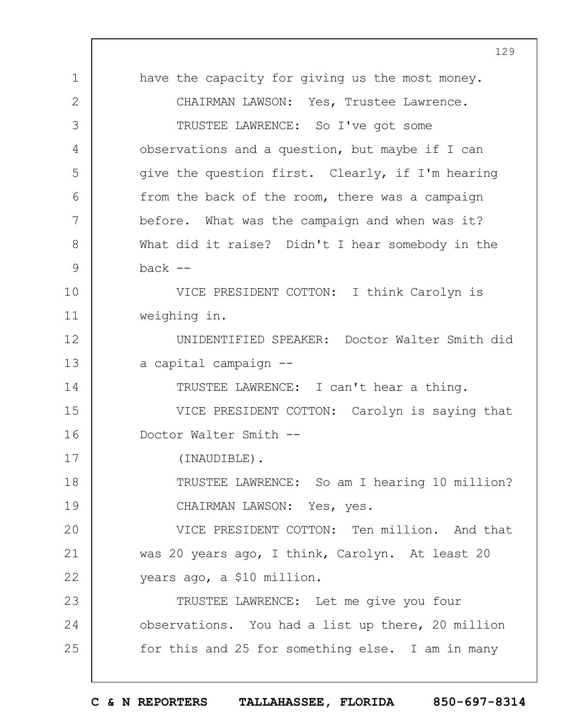1 2 3 4 5 6 7 8 9 10 11 12 13 14 15 16 17 18 19  $20$ 21 22 23 24 25 129 have the capacity for giving us the most money. CHAIRMAN LAWSON: Yes, Trustee Lawrence. TRUSTEE LAWRENCE: So I've got some observations and a question, but maybe if I can give the question first. Clearly, if I'm hearing from the back of the room, there was a campaign before. What was the campaign and when was it? What did it raise? Didn't I hear somebody in the  $back$   $--$ VICE PRESIDENT COTTON: I think Carolyn is weighing in. UNIDENTIFIED SPEAKER: Doctor Walter Smith did a capital campaign -- TRUSTEE LAWRENCE: I can't hear a thing. VICE PRESIDENT COTTON: Carolyn is saying that Doctor Walter Smith -- (INAUDIBLE). TRUSTEE LAWRENCE: So am I hearing 10 million? CHAIRMAN LAWSON: Yes, yes. VICE PRESIDENT COTTON: Ten million. And that was 20 years ago, I think, Carolyn. At least 20 years ago, a \$10 million. TRUSTEE LAWRENCE: Let me give you four observations. You had a list up there, 20 million for this and 25 for something else. I am in many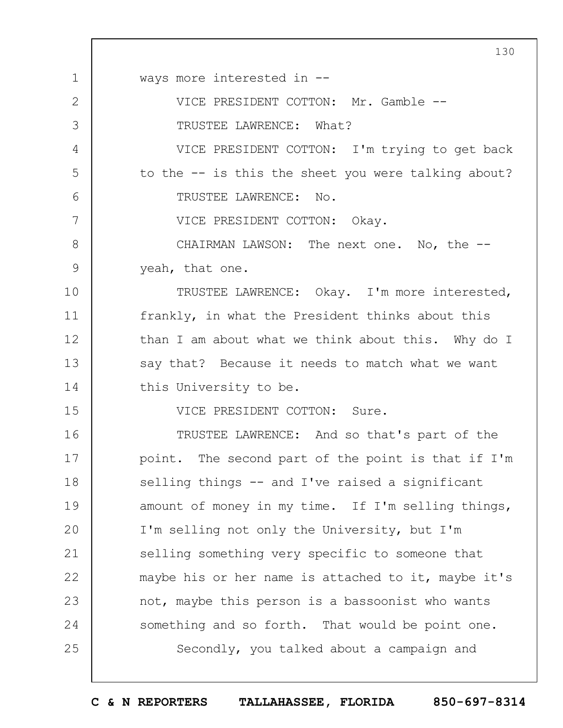1 2 3 4 5 6 7 8 9 10 11 12 13 14 15 16 17 18 19  $20$ 21 22 23 24 25 130 ways more interested in -- VICE PRESIDENT COTTON: Mr. Gamble -- TRUSTEE LAWRENCE: What? VICE PRESIDENT COTTON: I'm trying to get back to the -- is this the sheet you were talking about? TRUSTEE LAWRENCE: No. VICE PRESIDENT COTTON: Okay. CHAIRMAN LAWSON: The next one. No, the - yeah, that one. TRUSTEE LAWRENCE: Okay. I'm more interested, frankly, in what the President thinks about this than I am about what we think about this. Why do I say that? Because it needs to match what we want this University to be. VICE PRESIDENT COTTON: Sure. TRUSTEE LAWRENCE: And so that's part of the point. The second part of the point is that if I'm selling things -- and I've raised a significant amount of money in my time. If I'm selling things, I'm selling not only the University, but I'm selling something very specific to someone that maybe his or her name is attached to it, maybe it's not, maybe this person is a bassoonist who wants something and so forth. That would be point one. Secondly, you talked about a campaign and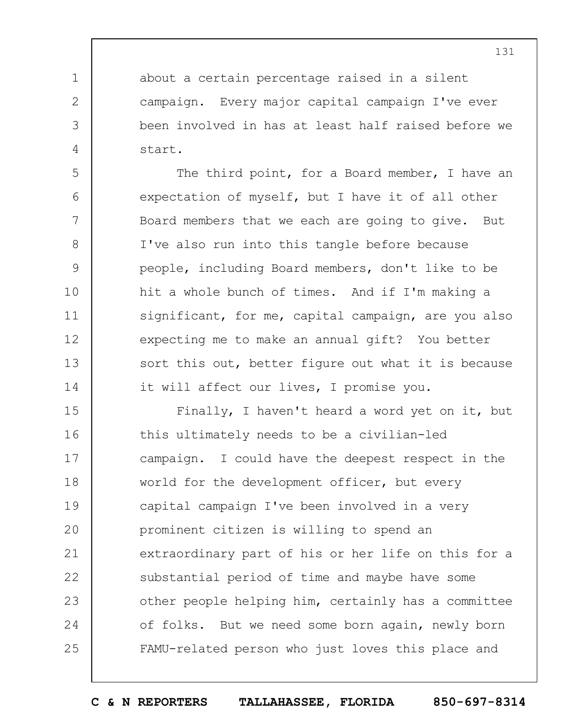about a certain percentage raised in a silent campaign. Every major capital campaign I've ever been involved in has at least half raised before we start.

1

2

3

4

5

6

7

8

9

10

11

12

13

14

The third point, for a Board member, I have an expectation of myself, but I have it of all other Board members that we each are going to give. But I've also run into this tangle before because people, including Board members, don't like to be hit a whole bunch of times. And if I'm making a significant, for me, capital campaign, are you also expecting me to make an annual gift? You better sort this out, better figure out what it is because it will affect our lives, I promise you.

15 16 17 18 19  $20$ 21 22 23 24 25 Finally, I haven't heard a word yet on it, but this ultimately needs to be a civilian-led campaign. I could have the deepest respect in the world for the development officer, but every capital campaign I've been involved in a very prominent citizen is willing to spend an extraordinary part of his or her life on this for a substantial period of time and maybe have some other people helping him, certainly has a committee of folks. But we need some born again, newly born FAMU-related person who just loves this place and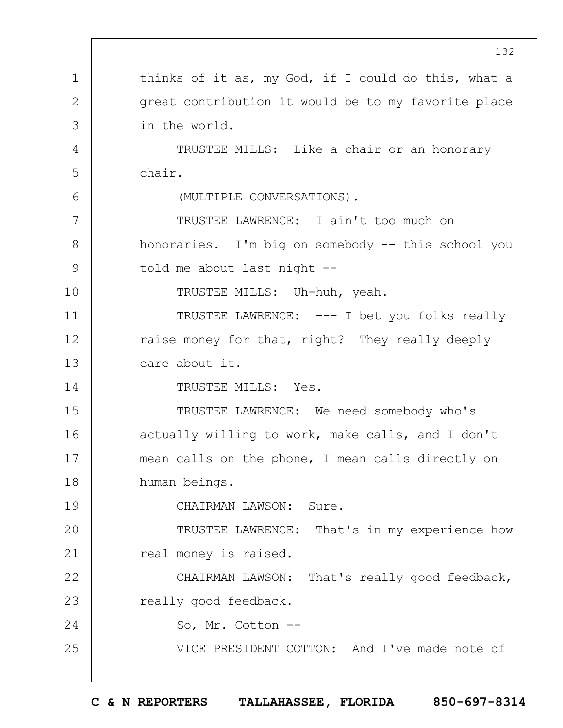1 2 3 4 5 6 7 8 9 10 11 12 13 14 15 16 17 18 19  $20$ 21 22 23 24 25 132 thinks of it as, my God, if I could do this, what a great contribution it would be to my favorite place in the world. TRUSTEE MILLS: Like a chair or an honorary chair. (MULTIPLE CONVERSATIONS). TRUSTEE LAWRENCE: I ain't too much on honoraries. I'm big on somebody -- this school you told me about last night -- TRUSTEE MILLS: Uh-huh, yeah. TRUSTEE LAWRENCE: --- I bet you folks really raise money for that, right? They really deeply care about it. TRUSTEE MILLS: Yes. TRUSTEE LAWRENCE: We need somebody who's actually willing to work, make calls, and I don't mean calls on the phone, I mean calls directly on human beings. CHAIRMAN LAWSON: Sure. TRUSTEE LAWRENCE: That's in my experience how real money is raised. CHAIRMAN LAWSON: That's really good feedback, really good feedback. So, Mr. Cotton -- VICE PRESIDENT COTTON: And I've made note of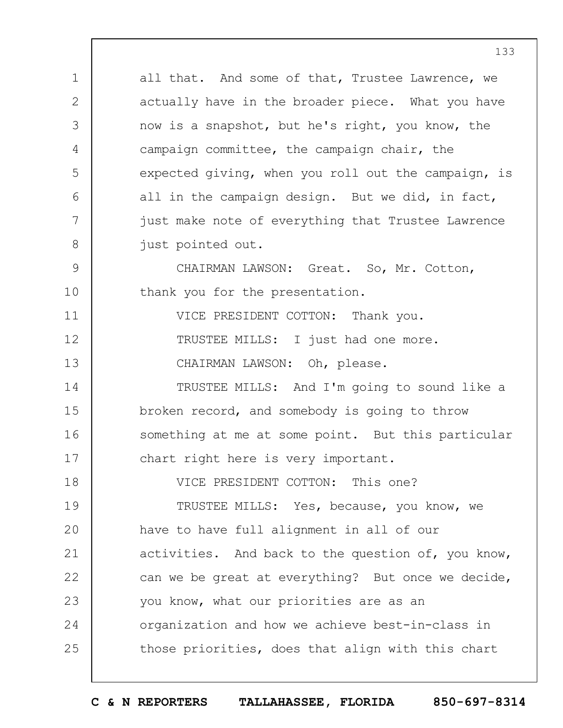1 2 3 4 5 6 7 8 9 10 11 12 13 14 15 16 17 18 19  $20$ 21 22 23 24 25 all that. And some of that, Trustee Lawrence, we actually have in the broader piece. What you have now is a snapshot, but he's right, you know, the campaign committee, the campaign chair, the expected giving, when you roll out the campaign, is all in the campaign design. But we did, in fact, just make note of everything that Trustee Lawrence just pointed out. CHAIRMAN LAWSON: Great. So, Mr. Cotton, thank you for the presentation. VICE PRESIDENT COTTON: Thank you. TRUSTEE MILLS: I just had one more. CHAIRMAN LAWSON: Oh, please. TRUSTEE MILLS: And I'm going to sound like a broken record, and somebody is going to throw something at me at some point. But this particular chart right here is very important. VICE PRESIDENT COTTON: This one? TRUSTEE MILLS: Yes, because, you know, we have to have full alignment in all of our activities. And back to the question of, you know, can we be great at everything? But once we decide, you know, what our priorities are as an organization and how we achieve best-in-class in those priorities, does that align with this chart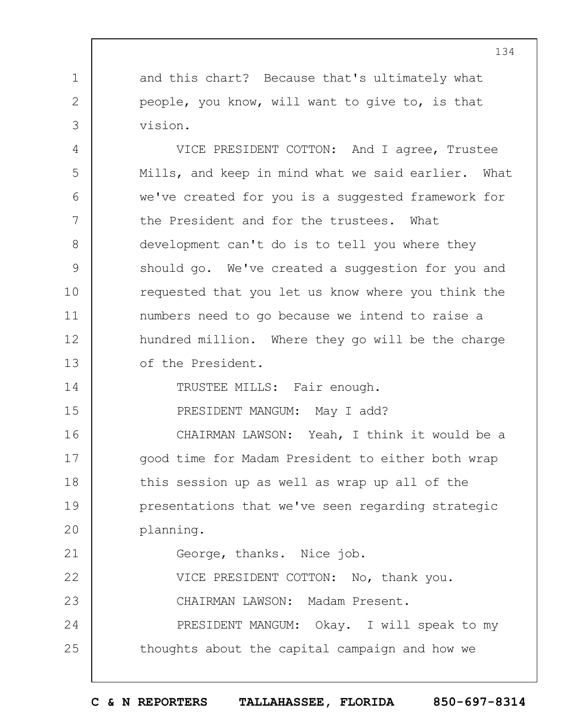and this chart? Because that's ultimately what people, you know, will want to give to, is that vision.

1

2

3

14

15

23

4 5 6 7 8 9 10 11 12 13 VICE PRESIDENT COTTON: And I agree, Trustee Mills, and keep in mind what we said earlier. What we've created for you is a suggested framework for the President and for the trustees. What development can't do is to tell you where they should go. We've created a suggestion for you and requested that you let us know where you think the numbers need to go because we intend to raise a hundred million. Where they go will be the charge of the President.

TRUSTEE MILLS: Fair enough.

PRESIDENT MANGUM: May I add?

16 17 18 19  $20$ CHAIRMAN LAWSON: Yeah, I think it would be a good time for Madam President to either both wrap this session up as well as wrap up all of the presentations that we've seen regarding strategic planning.

21 George, thanks. Nice job.

22 VICE PRESIDENT COTTON: No, thank you.

CHAIRMAN LAWSON: Madam Present.

24 25 PRESIDENT MANGUM: Okay. I will speak to my thoughts about the capital campaign and how we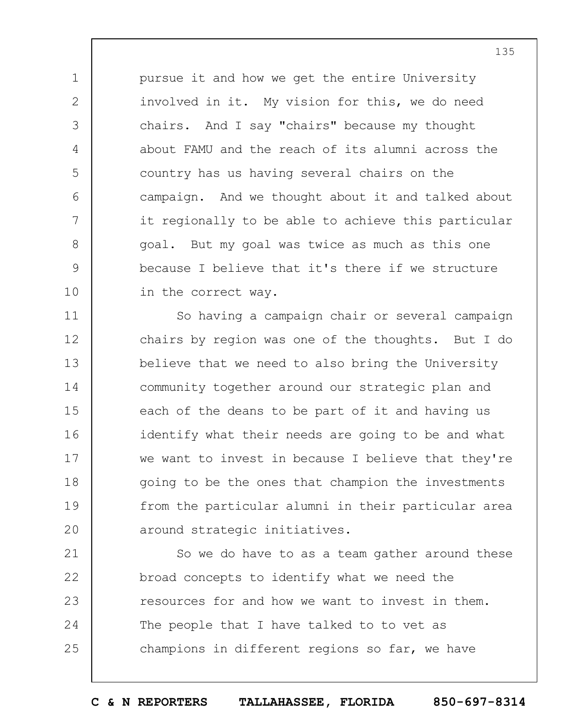pursue it and how we get the entire University involved in it. My vision for this, we do need chairs. And I say "chairs" because my thought about FAMU and the reach of its alumni across the country has us having several chairs on the campaign. And we thought about it and talked about it regionally to be able to achieve this particular goal. But my goal was twice as much as this one because I believe that it's there if we structure in the correct way.

1

2

3

4

5

6

7

8

9

10

11 12 13 14 15 16 17 18 19  $20$ So having a campaign chair or several campaign chairs by region was one of the thoughts. But I do believe that we need to also bring the University community together around our strategic plan and each of the deans to be part of it and having us identify what their needs are going to be and what we want to invest in because I believe that they're going to be the ones that champion the investments from the particular alumni in their particular area around strategic initiatives.

21 22 23 24 25 So we do have to as a team gather around these broad concepts to identify what we need the resources for and how we want to invest in them. The people that I have talked to to vet as champions in different regions so far, we have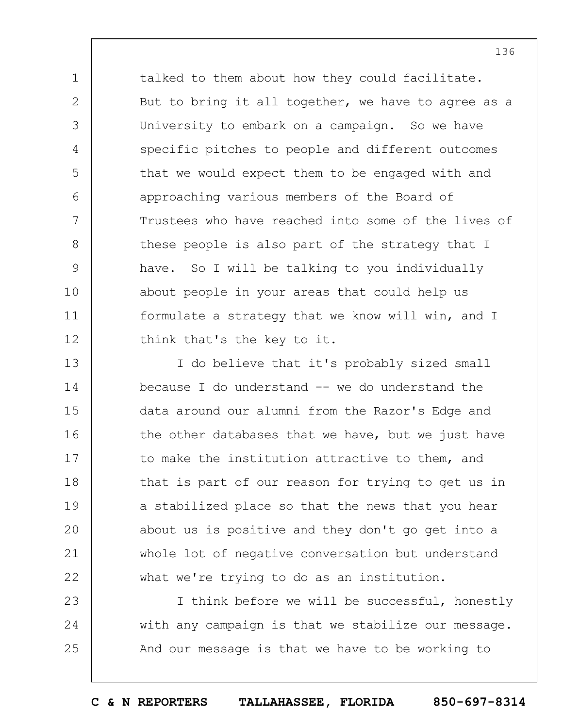talked to them about how they could facilitate. But to bring it all together, we have to agree as a University to embark on a campaign. So we have specific pitches to people and different outcomes that we would expect them to be engaged with and approaching various members of the Board of Trustees who have reached into some of the lives of these people is also part of the strategy that I have. So I will be talking to you individually about people in your areas that could help us formulate a strategy that we know will win, and I think that's the key to it.

1

2

3

4

5

6

7

8

9

10

11

12

13 14 15 16 17 18 19  $20$ 21 22 I do believe that it's probably sized small because I do understand  $-$  we do understand the data around our alumni from the Razor's Edge and the other databases that we have, but we just have to make the institution attractive to them, and that is part of our reason for trying to get us in a stabilized place so that the news that you hear about us is positive and they don't go get into a whole lot of negative conversation but understand what we're trying to do as an institution.

23 24 25 I think before we will be successful, honestly with any campaign is that we stabilize our message. And our message is that we have to be working to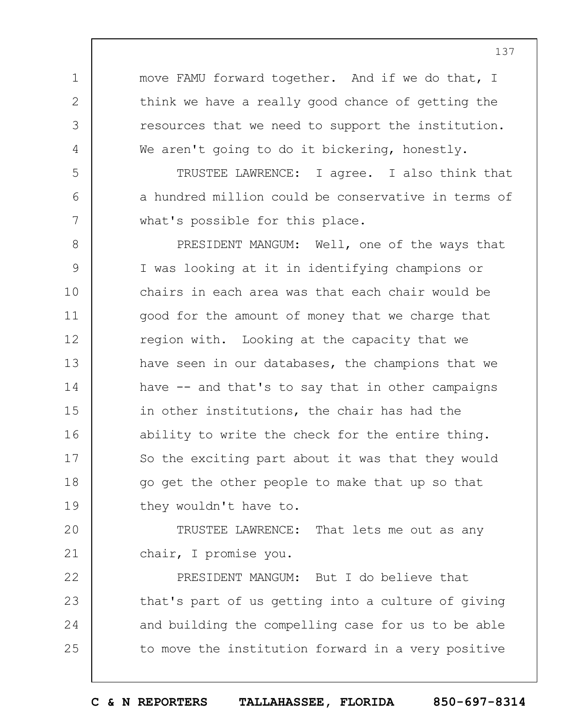move FAMU forward together. And if we do that, I think we have a really good chance of getting the resources that we need to support the institution. We aren't going to do it bickering, honestly.

1

2

3

4

5

6

7

TRUSTEE LAWRENCE: I agree. I also think that a hundred million could be conservative in terms of what's possible for this place.

8 9 10 11 12 13 14 15 16 17 18 19 PRESIDENT MANGUM: Well, one of the ways that I was looking at it in identifying champions or chairs in each area was that each chair would be good for the amount of money that we charge that region with. Looking at the capacity that we have seen in our databases, the champions that we have -- and that's to say that in other campaigns in other institutions, the chair has had the ability to write the check for the entire thing. So the exciting part about it was that they would go get the other people to make that up so that they wouldn't have to.

 $20$ 21 TRUSTEE LAWRENCE: That lets me out as any chair, I promise you.

22 23 24 25 PRESIDENT MANGUM: But I do believe that that's part of us getting into a culture of giving and building the compelling case for us to be able to move the institution forward in a very positive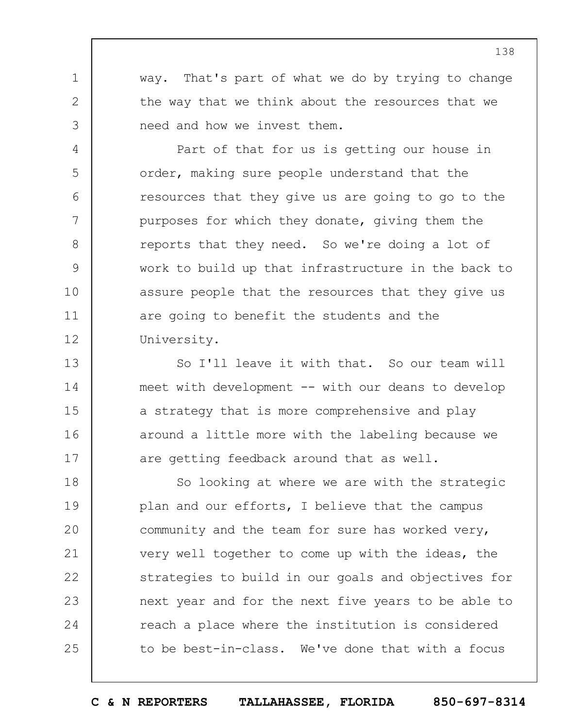way. That's part of what we do by trying to change the way that we think about the resources that we need and how we invest them.

1

2

3

4

5

6

7

8

9

10

11

12

Part of that for us is getting our house in order, making sure people understand that the resources that they give us are going to go to the purposes for which they donate, giving them the reports that they need. So we're doing a lot of work to build up that infrastructure in the back to assure people that the resources that they give us are going to benefit the students and the University.

13 14 15 16 17 So I'll leave it with that. So our team will meet with development -- with our deans to develop a strategy that is more comprehensive and play around a little more with the labeling because we are getting feedback around that as well.

18 19  $20$ 21 22 23 24 25 So looking at where we are with the strategic plan and our efforts, I believe that the campus community and the team for sure has worked very, very well together to come up with the ideas, the strategies to build in our goals and objectives for next year and for the next five years to be able to reach a place where the institution is considered to be best-in-class. We've done that with a focus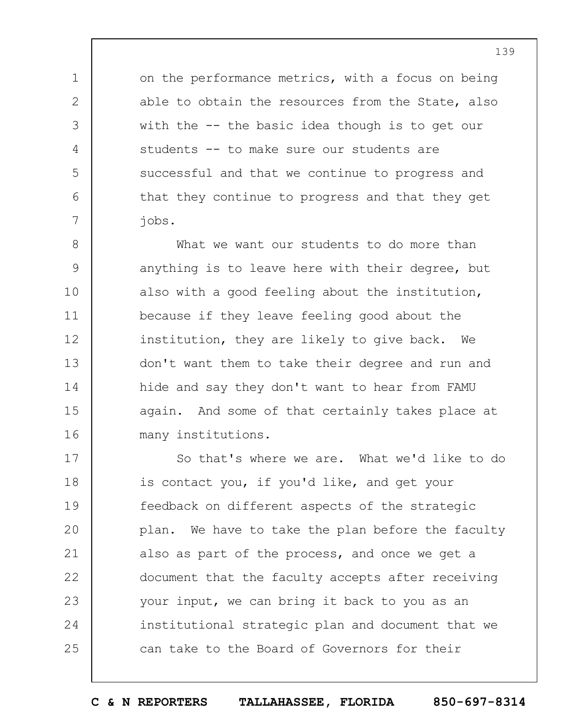on the performance metrics, with a focus on being able to obtain the resources from the State, also with the -- the basic idea though is to get our students -- to make sure our students are successful and that we continue to progress and that they continue to progress and that they get jobs.

1

2

3

4

5

6

7

8 9 10 11 12 13 14 15 16 What we want our students to do more than anything is to leave here with their degree, but also with a good feeling about the institution, because if they leave feeling good about the institution, they are likely to give back. We don't want them to take their degree and run and hide and say they don't want to hear from FAMU again. And some of that certainly takes place at many institutions.

17 18 19  $20$ 21 22 23 24 25 So that's where we are. What we'd like to do is contact you, if you'd like, and get your feedback on different aspects of the strategic plan. We have to take the plan before the faculty also as part of the process, and once we get a document that the faculty accepts after receiving your input, we can bring it back to you as an institutional strategic plan and document that we can take to the Board of Governors for their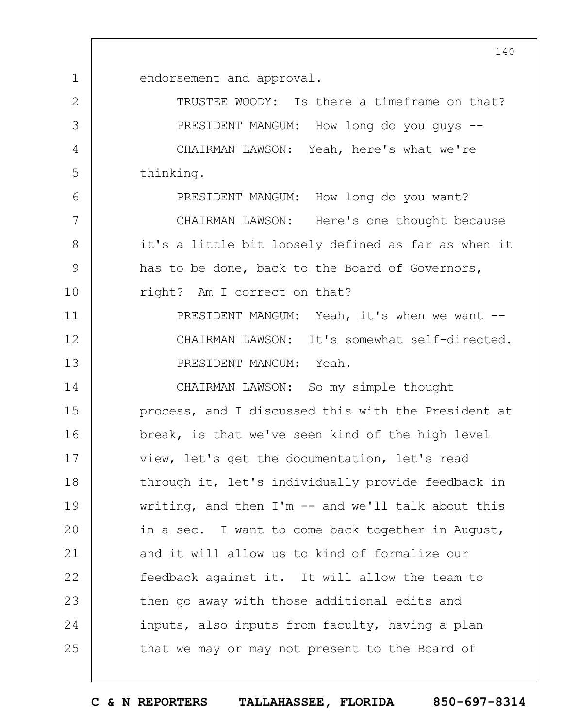endorsement and approval.

1

6

7

8

9

10

2 3 4 5 TRUSTEE WOODY: Is there a timeframe on that? PRESIDENT MANGUM: How long do you guys -- CHAIRMAN LAWSON: Yeah, here's what we're thinking.

PRESIDENT MANGUM: How long do you want?

CHAIRMAN LAWSON: Here's one thought because it's a little bit loosely defined as far as when it has to be done, back to the Board of Governors, right? Am I correct on that?

11 12 13 PRESIDENT MANGUM: Yeah, it's when we want --CHAIRMAN LAWSON: It's somewhat self-directed. PRESIDENT MANGUM: Yeah.

14 15 16 17 18 19  $20$ 21 22 23 24 25 CHAIRMAN LAWSON: So my simple thought process, and I discussed this with the President at break, is that we've seen kind of the high level view, let's get the documentation, let's read through it, let's individually provide feedback in writing, and then  $I'm$  -- and we'll talk about this in a sec. I want to come back together in August, and it will allow us to kind of formalize our feedback against it. It will allow the team to then go away with those additional edits and inputs, also inputs from faculty, having a plan that we may or may not present to the Board of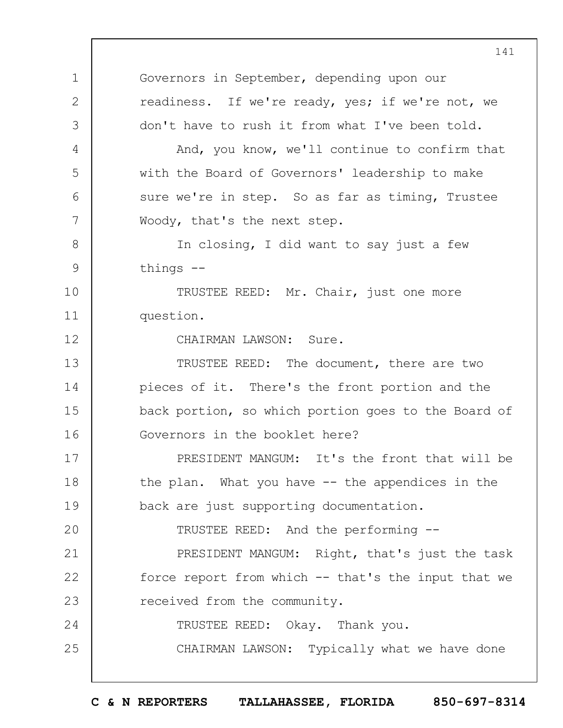1 2 3 4 5 6 7 8 9 10 11 12 13 14 15 16 17 18 19  $20$ 21 22 23 24 25 141 Governors in September, depending upon our readiness. If we're ready, yes; if we're not, we don't have to rush it from what I've been told. And, you know, we'll continue to confirm that with the Board of Governors' leadership to make sure we're in step. So as far as timing, Trustee Woody, that's the next step. In closing, I did want to say just a few things -- TRUSTEE REED: Mr. Chair, just one more question. CHAIRMAN LAWSON: Sure. TRUSTEE REED: The document, there are two pieces of it. There's the front portion and the back portion, so which portion goes to the Board of Governors in the booklet here? PRESIDENT MANGUM: It's the front that will be the plan. What you have -- the appendices in the back are just supporting documentation. TRUSTEE REED: And the performing -- PRESIDENT MANGUM: Right, that's just the task force report from which -- that's the input that we received from the community. TRUSTEE REED: Okay. Thank you. CHAIRMAN LAWSON: Typically what we have done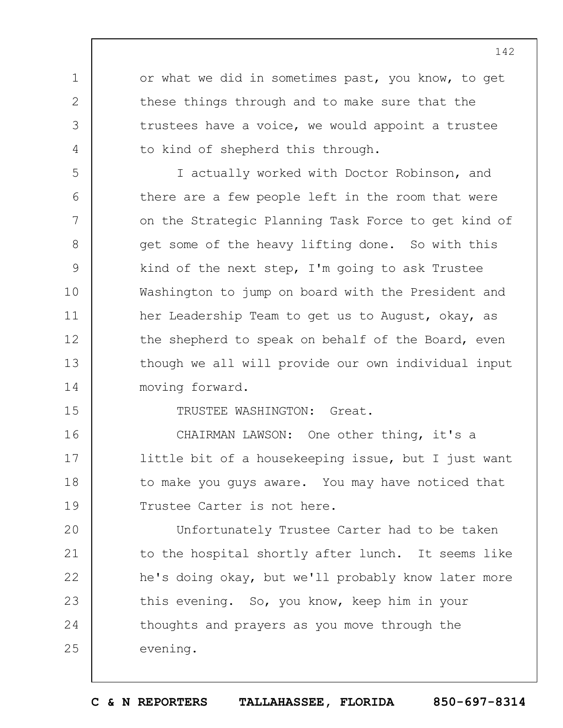or what we did in sometimes past, you know, to get these things through and to make sure that the trustees have a voice, we would appoint a trustee to kind of shepherd this through.

5 6 7 8 9 10 11 12 13 14 I actually worked with Doctor Robinson, and there are a few people left in the room that were on the Strategic Planning Task Force to get kind of get some of the heavy lifting done. So with this kind of the next step, I'm going to ask Trustee Washington to jump on board with the President and her Leadership Team to get us to August, okay, as the shepherd to speak on behalf of the Board, even though we all will provide our own individual input moving forward.

15

1

2

3

4

TRUSTEE WASHINGTON: Great.

16 17 18 19 CHAIRMAN LAWSON: One other thing, it's a little bit of a housekeeping issue, but I just want to make you guys aware. You may have noticed that Trustee Carter is not here.

 $20$ 21 22 23 24 25 Unfortunately Trustee Carter had to be taken to the hospital shortly after lunch. It seems like he's doing okay, but we'll probably know later more this evening. So, you know, keep him in your thoughts and prayers as you move through the evening.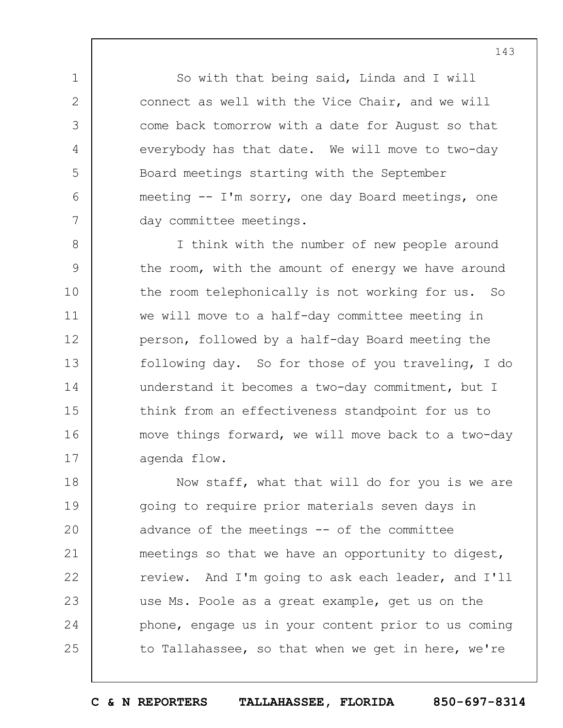So with that being said, Linda and I will connect as well with the Vice Chair, and we will come back tomorrow with a date for August so that everybody has that date. We will move to two-day Board meetings starting with the September meeting -- I'm sorry, one day Board meetings, one day committee meetings.

1

2

3

4

5

6

7

8 9 10 11 12 13 14 15 16 17 I think with the number of new people around the room, with the amount of energy we have around the room telephonically is not working for us. So we will move to a half-day committee meeting in person, followed by a half-day Board meeting the following day. So for those of you traveling, I do understand it becomes a two-day commitment, but I think from an effectiveness standpoint for us to move things forward, we will move back to a two-day agenda flow.

18 19  $20$ 21 22 23 24 25 Now staff, what that will do for you is we are going to require prior materials seven days in advance of the meetings -- of the committee meetings so that we have an opportunity to digest, review. And I'm going to ask each leader, and I'll use Ms. Poole as a great example, get us on the phone, engage us in your content prior to us coming to Tallahassee, so that when we get in here, we're

**C & N REPORTERS TALLAHASSEE, FLORIDA 850-697-8314**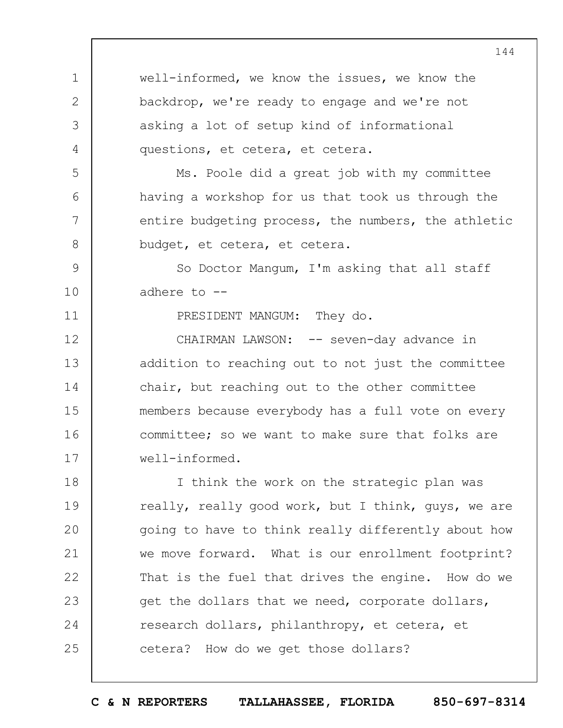1 2 3 4 5 6 7 8 9 10 11 12 13 14 15 16 17 18 19  $20$ 21 22 23 24 well-informed, we know the issues, we know the backdrop, we're ready to engage and we're not asking a lot of setup kind of informational questions, et cetera, et cetera. Ms. Poole did a great job with my committee having a workshop for us that took us through the entire budgeting process, the numbers, the athletic budget, et cetera, et cetera. So Doctor Mangum, I'm asking that all staff adhere to -- PRESIDENT MANGUM: They do. CHAIRMAN LAWSON: -- seven-day advance in addition to reaching out to not just the committee chair, but reaching out to the other committee members because everybody has a full vote on every committee; so we want to make sure that folks are well-informed. I think the work on the strategic plan was really, really good work, but I think, guys, we are going to have to think really differently about how we move forward. What is our enrollment footprint? That is the fuel that drives the engine. How do we get the dollars that we need, corporate dollars, research dollars, philanthropy, et cetera, et

25 cetera? How do we get those dollars?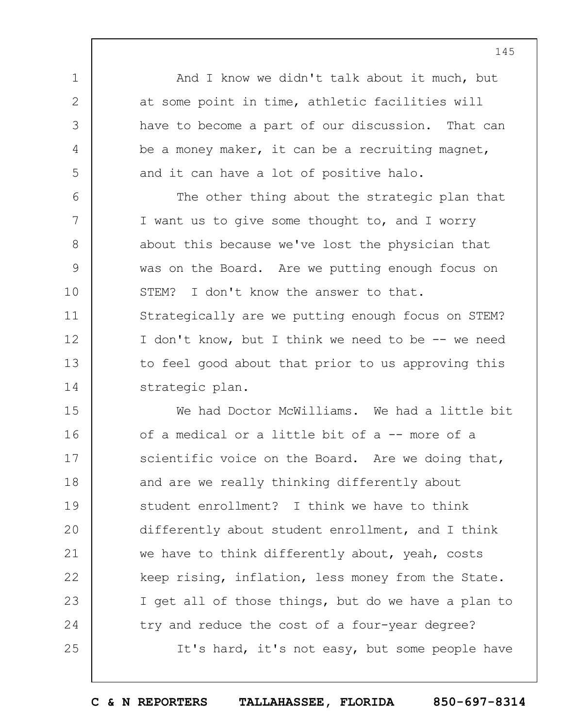And I know we didn't talk about it much, but at some point in time, athletic facilities will have to become a part of our discussion. That can be a money maker, it can be a recruiting magnet, and it can have a lot of positive halo.

1

2

3

4

5

6 7 8 9 10 11 12 13 14 The other thing about the strategic plan that I want us to give some thought to, and I worry about this because we've lost the physician that was on the Board. Are we putting enough focus on STEM? I don't know the answer to that. Strategically are we putting enough focus on STEM? I don't know, but I think we need to be -- we need to feel good about that prior to us approving this strategic plan.

15 16 17 18 19  $20$ 21 22 23 24 25 We had Doctor McWilliams. We had a little bit of a medical or a little bit of a -- more of a scientific voice on the Board. Are we doing that, and are we really thinking differently about student enrollment? I think we have to think differently about student enrollment, and I think we have to think differently about, yeah, costs keep rising, inflation, less money from the State. I get all of those things, but do we have a plan to try and reduce the cost of a four-year degree? It's hard, it's not easy, but some people have

145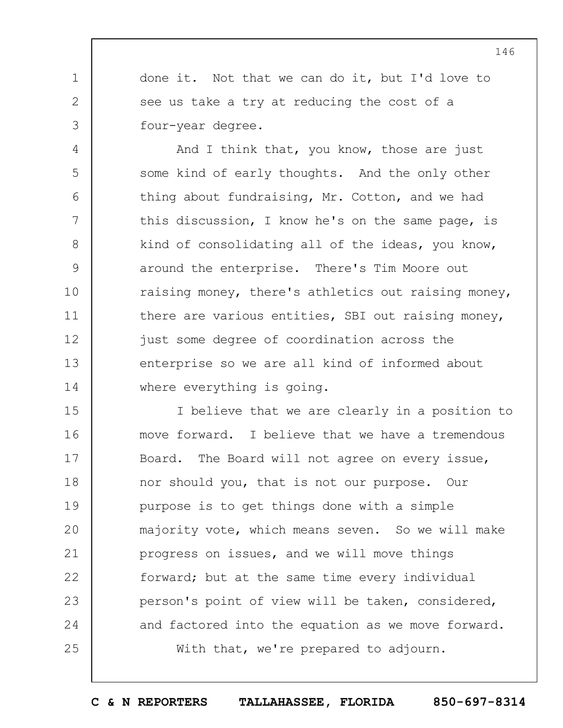done it. Not that we can do it, but I'd love to see us take a try at reducing the cost of a four-year degree.

1

2

3

4

5

6

7

8

9

10

11

12

13

14

And I think that, you know, those are just some kind of early thoughts. And the only other thing about fundraising, Mr. Cotton, and we had this discussion, I know he's on the same page, is kind of consolidating all of the ideas, you know, around the enterprise. There's Tim Moore out raising money, there's athletics out raising money, there are various entities, SBI out raising money, just some degree of coordination across the enterprise so we are all kind of informed about where everything is going.

15 16 17 18 19  $20$ 21 22 23 24 25 I believe that we are clearly in a position to move forward. I believe that we have a tremendous Board. The Board will not agree on every issue, nor should you, that is not our purpose. Our purpose is to get things done with a simple majority vote, which means seven. So we will make progress on issues, and we will move things forward; but at the same time every individual person's point of view will be taken, considered, and factored into the equation as we move forward. With that, we're prepared to adjourn.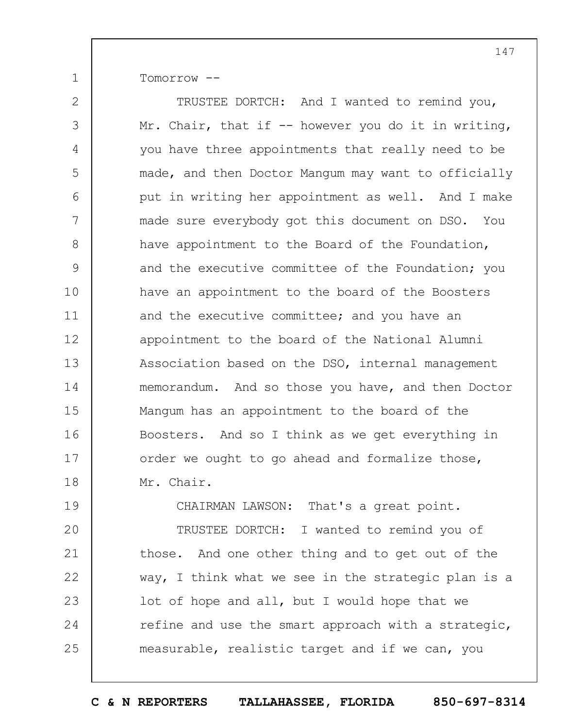Tomorrow --

1

2 3 4 5 6 7 8 9 10 11 12 13 14 15 16 17 18 19 TRUSTEE DORTCH: And I wanted to remind you, Mr. Chair, that if  $-$  however you do it in writing, you have three appointments that really need to be made, and then Doctor Mangum may want to officially put in writing her appointment as well. And I make made sure everybody got this document on DSO. You have appointment to the Board of the Foundation, and the executive committee of the Foundation; you have an appointment to the board of the Boosters and the executive committee; and you have an appointment to the board of the National Alumni Association based on the DSO, internal management memorandum. And so those you have, and then Doctor Mangum has an appointment to the board of the Boosters. And so I think as we get everything in order we ought to go ahead and formalize those, Mr. Chair. CHAIRMAN LAWSON: That's a great point.

 $20$ 21 22 23 24 25 TRUSTEE DORTCH: I wanted to remind you of those. And one other thing and to get out of the way, I think what we see in the strategic plan is a lot of hope and all, but I would hope that we refine and use the smart approach with a strategic, measurable, realistic target and if we can, you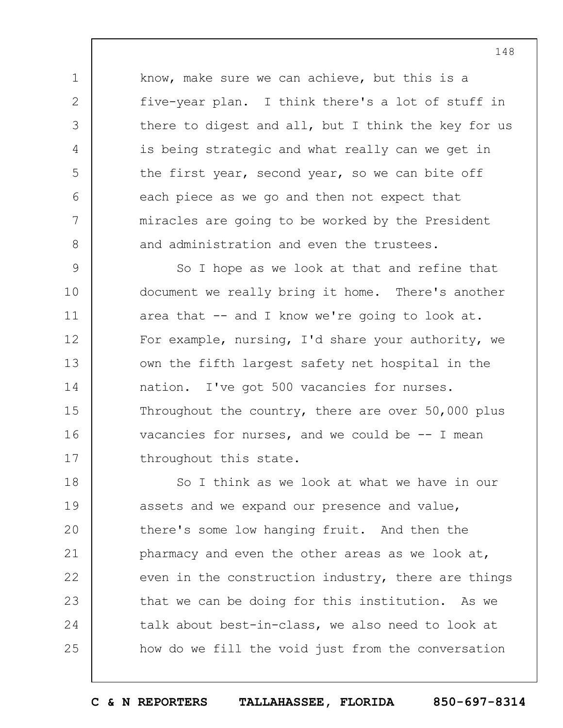know, make sure we can achieve, but this is a five-year plan. I think there's a lot of stuff in there to digest and all, but I think the key for us is being strategic and what really can we get in the first year, second year, so we can bite off each piece as we go and then not expect that miracles are going to be worked by the President and administration and even the trustees.

1

2

3

4

5

6

7

8

9 10 11 12 13 14 15 16 17 So I hope as we look at that and refine that document we really bring it home. There's another area that -- and I know we're going to look at. For example, nursing, I'd share your authority, we own the fifth largest safety net hospital in the nation. I've got 500 vacancies for nurses. Throughout the country, there are over 50,000 plus vacancies for nurses, and we could be  $-$ - I mean throughout this state.

18 19  $20$ 21 22 23 24 25 So I think as we look at what we have in our assets and we expand our presence and value, there's some low hanging fruit. And then the pharmacy and even the other areas as we look at, even in the construction industry, there are things that we can be doing for this institution. As we talk about best-in-class, we also need to look at how do we fill the void just from the conversation

148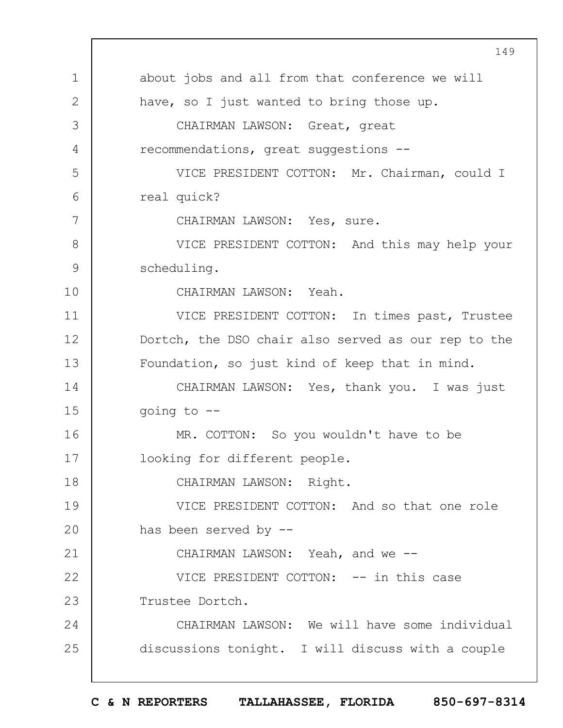|               | 149                                                 |
|---------------|-----------------------------------------------------|
| $\mathbf 1$   | about jobs and all from that conference we will     |
| $\mathbf{2}$  | have, so I just wanted to bring those up.           |
| 3             | CHAIRMAN LAWSON: Great, great                       |
| 4             | recommendations, great suggestions --               |
| 5             | VICE PRESIDENT COTTON: Mr. Chairman, could I        |
| 6             | real quick?                                         |
| 7             | CHAIRMAN LAWSON: Yes, sure.                         |
| 8             | VICE PRESIDENT COTTON: And this may help your       |
| $\mathcal{G}$ | scheduling.                                         |
| 10            | CHAIRMAN LAWSON: Yeah.                              |
| 11            | VICE PRESIDENT COTTON: In times past, Trustee       |
| 12            | Dortch, the DSO chair also served as our rep to the |
| 13            | Foundation, so just kind of keep that in mind.      |
| 14            | CHAIRMAN LAWSON: Yes, thank you. I was just         |
| 15            | going to $-$ -                                      |
| 16            | MR. COTTON: So you wouldn't have to be              |
| 17            | looking for different people.                       |
| 18            | CHAIRMAN LAWSON: Right.                             |
| 19            | VICE PRESIDENT COTTON: And so that one role         |
| 20            | has been served by --                               |
| 21            | CHAIRMAN LAWSON: Yeah, and we --                    |
| 22            | VICE PRESIDENT COTTON: -- in this case              |
| 23            | Trustee Dortch.                                     |
| 24            | CHAIRMAN LAWSON: We will have some individual       |
| 25            | discussions tonight. I will discuss with a couple   |
|               |                                                     |

 $\overline{\phantom{a}}$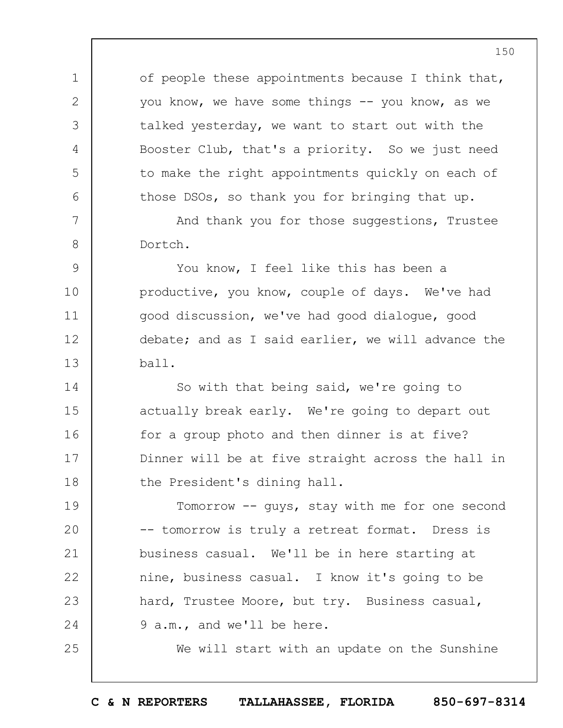of people these appointments because I think that, you know, we have some things -- you know, as we talked yesterday, we want to start out with the Booster Club, that's a priority. So we just need to make the right appointments quickly on each of those DSOs, so thank you for bringing that up.

And thank you for those suggestions, Trustee Dortch.

1

2

3

4

5

6

7

8

25

9 10 11 12 13 You know, I feel like this has been a productive, you know, couple of days. We've had good discussion, we've had good dialogue, good debate; and as I said earlier, we will advance the ball.

14 15 16 17 18 So with that being said, we're going to actually break early. We're going to depart out for a group photo and then dinner is at five? Dinner will be at five straight across the hall in the President's dining hall.

19  $20$ 21 22 23 24 Tomorrow -- guys, stay with me for one second -- tomorrow is truly a retreat format. Dress is business casual. We'll be in here starting at nine, business casual. I know it's going to be hard, Trustee Moore, but try. Business casual, 9 a.m., and we'll be here.

We will start with an update on the Sunshine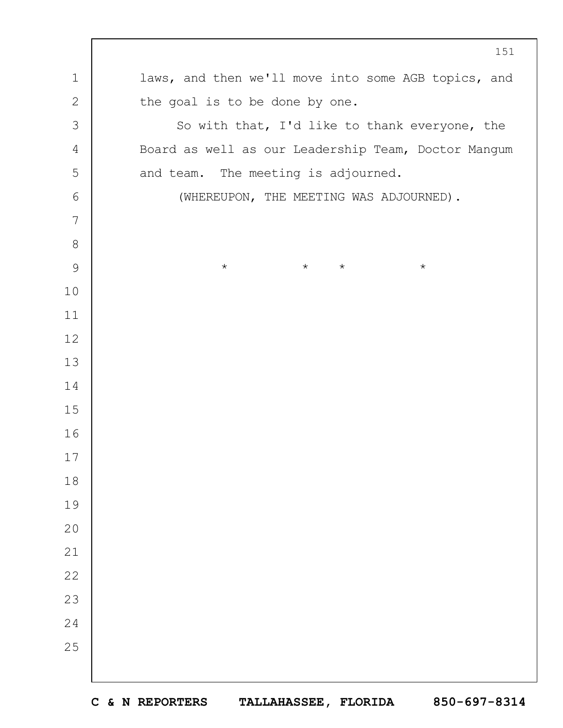laws, and then we'll move into some AGB topics, and the goal is to be done by one. So with that, I'd like to thank everyone, the Board as well as our Leadership Team, Doctor Mangum and team. The meeting is adjourned. (WHEREUPON, THE MEETING WAS ADJOURNED). \* \* \* \*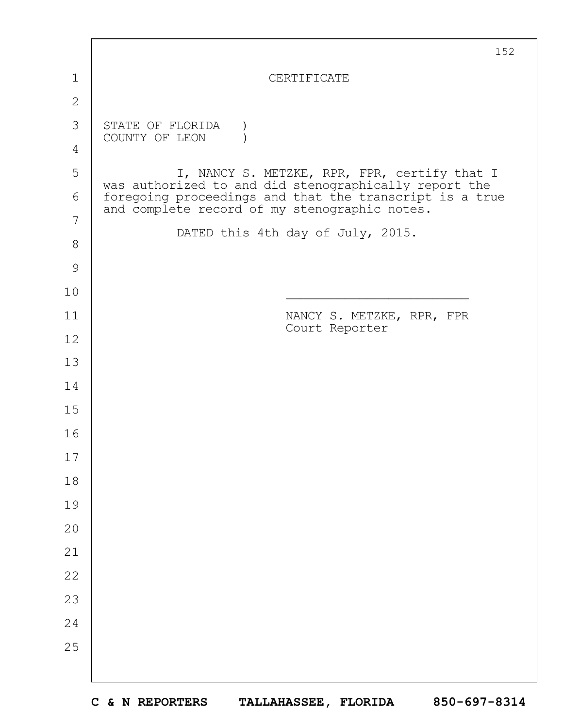|              | 152                                                                                                                                                               |
|--------------|-------------------------------------------------------------------------------------------------------------------------------------------------------------------|
| 1            | CERTIFICATE                                                                                                                                                       |
| $\mathbf{2}$ |                                                                                                                                                                   |
| 3            | STATE OF FLORIDA                                                                                                                                                  |
| 4            | COUNTY OF LEON                                                                                                                                                    |
| 5            | I, NANCY S. METZKE, RPR, FPR, certify that I                                                                                                                      |
| 6            | was authorized to and did stenographically report the<br>foregoing proceedings and that the transcript is a true<br>and complete record of my stenographic notes. |
| 7            | DATED this 4th day of July, 2015.                                                                                                                                 |
| $8\,$        |                                                                                                                                                                   |
| 9            |                                                                                                                                                                   |
| 10           |                                                                                                                                                                   |
| 11           | NANCY S. METZKE, RPR, FPR<br>Court Reporter                                                                                                                       |
| 12           |                                                                                                                                                                   |
| 13           |                                                                                                                                                                   |
| 14           |                                                                                                                                                                   |
| 15           |                                                                                                                                                                   |
| 16           |                                                                                                                                                                   |
| $17$         |                                                                                                                                                                   |
| 18           |                                                                                                                                                                   |
| 19           |                                                                                                                                                                   |
| 20           |                                                                                                                                                                   |
| 21           |                                                                                                                                                                   |
| 22           |                                                                                                                                                                   |
| 23           |                                                                                                                                                                   |
| 24           |                                                                                                                                                                   |
| 25           |                                                                                                                                                                   |
|              |                                                                                                                                                                   |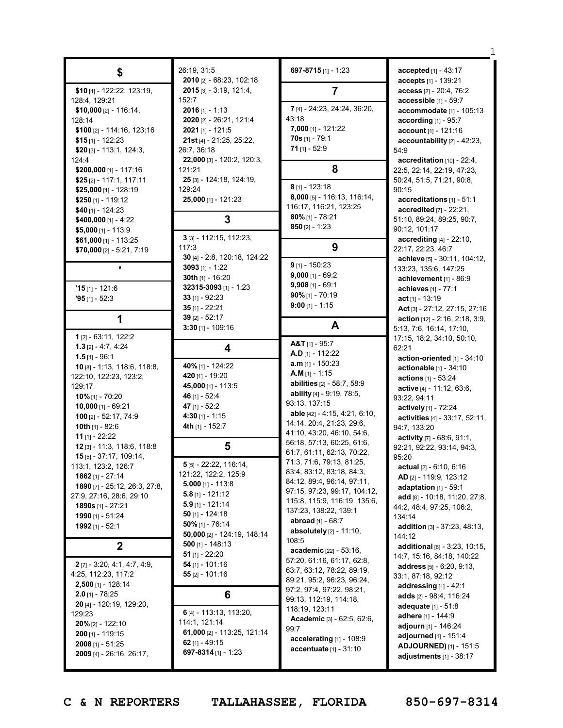|                                                  | 26:19, 31:5                              | 697-8715 [1] - 1:23                                      | accepted [1] - 43:17                                   |
|--------------------------------------------------|------------------------------------------|----------------------------------------------------------|--------------------------------------------------------|
| \$                                               | 2010 [2] - 68:23, 102:18                 |                                                          | accepts [1] - 139:21                                   |
| \$10 [4] - 122:22, 123:19,                       | $2015$ [3] - 3:19, 121:4,                | 7                                                        | $access_{[2]-}20:4,76:2$                               |
| 128:4, 129:21                                    | 152:7                                    |                                                          | accessible $[1]$ - 59:7                                |
| \$10,000 $[2] - 116:14$                          | $2016$ [1] - 1:13                        | 7 [4] - 24:23, 24:24, 36:20,                             | accommodate [1] - 105:13                               |
| 128:14                                           | 2020 [2] - 26:21, 121:4                  | 43:18<br>7,000 [1] - 121:22                              | according [1] - 95:7                                   |
| \$100 [2] - 114:16, 123:16                       | $2021$ [1] - 121:5                       | 70s [1] - 79:1                                           | account [1] - 121:16                                   |
| $$15$ [1] - 122:23<br>\$20 $[3]$ - 113:1, 124:3, | 21st [4] - 21:25, 25:22,<br>26:7, 36:18  | 71 $[1] - 52:9$                                          | accountability [2] - 42:23,<br>54:9                    |
| 124:4                                            | 22,000 [3] - 120:2, 120:3,               |                                                          | accreditation [10] - 22:4,                             |
| \$200,000 [1] - 117:16                           | 121:21                                   | 8                                                        | 22:5, 22:14, 22:19, 47:23,                             |
| $$25$ [2] - 117:1, 117:11                        | 25 [3] - 124:18, 124:19,                 |                                                          | 50:24, 51:5, 71:21, 90:8,                              |
| $$25,000$ [1] - 128:19                           | 129:24                                   | $8$ [1] - 123:18                                         | 90:15                                                  |
| \$250 [1] - 119:12                               | 25,000 [1] - 121:23                      | 8,000 [5] - 116:13, 116:14,<br>116:17, 116:21, 123:25    | accreditations [1] - 51:1                              |
| $$40$ [1] - 124:23                               |                                          | $80\%$ [1] - 78:21                                       | accredited [7] - 22:21,                                |
| \$400,000 $[1] - 4:22$                           | 3                                        | $850$ [2] - 1:23                                         | 51:10, 89:24, 89:25, 90:7,                             |
| $$5,000$ [1] - 113:9<br>$$61,000$ [1] - 113:25   | 3 [3] - 112:15, 112:23,                  |                                                          | 90:12, 101:17<br>accrediting [4] - 22:10,              |
| \$70,000 $[2] - 5:21, 7:19$                      | 117:3                                    | 9                                                        | 22:17, 22:23, 46:7                                     |
|                                                  | 30 [4] - 2:8, 120:18, 124:22             |                                                          | achieve [5] - 30:11, 104:12,                           |
|                                                  | $3093$ [1] - 1:22                        | $9$ [1] - 150:23                                         | 133:23, 135:6, 147:25                                  |
|                                                  | 30th $[1]$ - 16:20                       | 9,000 [1] - 69:2                                         | achievement [1] - 86:9                                 |
| $15$ [1] - 121:6                                 | 32315-3093 [1] - 1:23                    | $9,908$ [1] - 69:1                                       | achieves [1] - 77:1                                    |
| $95$ [1] - 52:3                                  | $33$ [1] - 92:23                         | $90\%$ [1] - 70:19<br>$9:00$ [1] - 1:15                  | act [1] - 13:19                                        |
|                                                  | $35$ [1] - 22:21                         |                                                          | Act [3] - 27:12, 27:15, 27:16                          |
| 1                                                | $39$ [2] - 52:17<br>$3:30$ [1] - 109:16  | A                                                        | action $[12] - 2:16, 2:18, 3:9,$                       |
| 1 [2] - 63:11, 122:2                             |                                          |                                                          | 5:13, 7:6, 16:14, 17:10,<br>17:15, 18:2, 34:10, 50:10, |
| $1.3$ [2] - 4:7, 4:24                            | 4                                        | $A&T_{[1]} - 95:7$                                       | 62:21                                                  |
| $1.5$ [1] - 96:1                                 |                                          | <b>A.D</b> [1] - 112:22                                  | action-oriented [1] - 34:10                            |
| 10 [8] - 1:13, 118:6, 118:8,                     | 40% [1] - 124:22                         | $a.m$ <sub>[1]</sub> - 150:23                            | actionable [1] - 34:10                                 |
| 122:10, 122:23, 123:2,                           | 420 [1] - 19:20                          | $A.M$ [1] - 1:15<br>abilities [2] - 58:7, 58:9           | actions [1] - 53:24                                    |
| 129:17                                           | 45,000 [1] - 113:5                       | ability [4] - 9:19, 78:5,                                | active [4] - 11:12, 63:6,                              |
| 10% [1] - 70:20                                  | 46 [1] - 52:4                            | 93:13, 137:15                                            | 93:22, 94:11                                           |
| 10,000 [1] - 69:21<br>100 [2] - 52:17, 74:9      | 47 $[1] - 52:2$<br>4:30 $[1]$ - 1:15     | able [42] - 4:15, 4:21, 6:10,                            | actively [1] - 72:24                                   |
| 10th $[1] - 82:6$                                | <b>4th</b> [1] - 152:7                   | 14:14, 20:4, 21:23, 29:6,                                | activities [4] - 33:17, 52:11,                         |
| <b>11</b> $[1]$ - 22:22                          |                                          | 41:10, 43:20, 46:10, 54:6,                               | 94:7, 133:20<br>activity [7] - 68:6, 91:1,             |
| 12 [3] - 11:3, 118:6, 118:8                      | 5                                        | 56:18, 57:13, 60:25, 61:6,                               | 92:21, 92:22, 93:14, 94:3,                             |
| 15 [5] - 37:17, 109:14,                          |                                          | 61:7, 61:11, 62:13, 70:22,                               | 95:20                                                  |
| 113:1, 123:2, 126:7                              | 5 [5] - 22:22, 116:14,                   | 71:3, 71:6, 79:13, 81:25,                                | <b>actual</b> $[2] - 6:10, 6:16$                       |
| 1862 $[1] - 27:14$                               | 121:22, 122:2, 125:9                     | 83:4, 83:12, 83:18, 84:3,<br>84:12, 89:4, 96:14, 97:11,  | AD [2] - 119:9, 123:12                                 |
| 1890 [7] - 25:12, 26:3, 27:8,                    | $5,000$ [1] - 113:8                      | 97:15, 97:23, 99:17, 104:12,                             | adaptation $[1]$ - 59:1                                |
| 27:9, 27:16, 28:6, 29:10                         | $5.8$ [1] - 121:12<br>$5.9$ [1] - 121:14 | 115:8, 115:9, 116:19, 135:6,                             | add [8] - 10:18, 11:20, 27:8,                          |
| <b>1890s</b> [1] - 27:21                         | $50$ [1] - 124:18                        | 137:23, 138:22, 139:1                                    | 44:2, 48:4, 97:25, 106:2,                              |
| 1990 [1] - 51:24<br>1992 [1] - 52:1              | $50\%$ [1] - 76:14                       | <b>abroad</b> $[1] - 68:7$                               | 134:14                                                 |
|                                                  | 50,000 [2] - 124:19, 148:14              | <b>absolutely</b> $[2] - 11:10$ ,                        | <b>addition</b> $[3] - 37:23, 48:13,$<br>144:12        |
| $\mathbf{2}$                                     | 500 [1] - 148:13                         | 108:5                                                    | additional [6] - 3:23, 10:15,                          |
|                                                  | 51 $[1] - 22:20$                         | academic [22] - 53:16,                                   | 14:7, 15:16, 84:18, 140:22                             |
| $2$ [7] - 3:20, 4:1, 4:7, 4:9,                   | 54 [1] - 101:16                          | 57:20, 61:16, 61:17, 62:8,<br>63:7, 63:12, 78:22, 89:19, | <b>address</b> $[5] - 6:20, 9:13,$                     |
| 4:25, 112:23, 117:2                              | $55$ [2] - 101:16                        | 89:21, 95:2, 96:23, 96:24,                               | 33:1, 87:18, 92:12                                     |
| $2,500$ [1] - 128:14                             |                                          | 97:2, 97:4, 97:22, 98:21,                                | addressing $[1] - 42:1$                                |
| $2.0$ [1] - 78:25                                | 6                                        | 99:13, 112:19, 114:18,                                   | adds [2] - 98:4, 116:24                                |
| 20 [4] - 120:19, 129:20,<br>129:23               | 6 [4] - 113:13, 113:20,                  | 118:19, 123:11                                           | adequate $[1] - 51:8$                                  |
| $20\%$ [2] - 122:10                              | 114:1, 121:14                            | Academic [3] - 62:5, 62:6,                               | <b>adhere</b> [1] - 144:9                              |
| $200$ [1] - 119:15                               | 61,000 [2] - 113:25, 121:14              | 99:7                                                     | adjourn [1] - 146:24<br>adjourned [1] - 151:4          |
| $2008$ [1] - 51:25                               | 62 $[1] - 49:15$                         | accelerating [1] - 108:9                                 | ADJOURNED) [1] - 151:5                                 |
| 2009 [4] - 26:16, 26:17,                         | 697-8314 [1] - 1:23                      | <b>accentuate</b> $[1] - 31:10$                          | adjustments $[1] - 38:17$                              |
|                                                  |                                          |                                                          |                                                        |

**C & N REPORTERS TALLAHASSEE, FLORIDA 850-697-8314**

1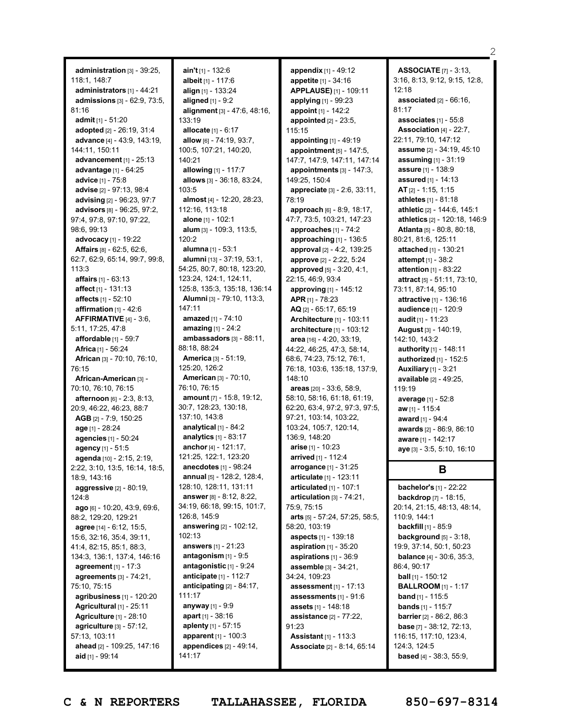**administration** [3] - 39:25, 118:1, 148:7 **administrators** [1] - 44:21 **admissions** [3] - 62:9, 73:5, 81:16 **admit** [1] - 51:20 **adopted** [2] - 26:19, 31:4 **advance** [4] - 43:9, 143:19, 144:11, 150:11 **advancement** [1] - 25:13 **advantage** [1] - 64:25 **advice** [1] - 75:8 **advise** [2] - 97:13, 98:4 **advising** [2] - 96:23, 97:7 **advisors** [8] - 96:25, 97:2, 97:4, 97:8, 97:10, 97:22, 98:6, 99:13 **advocacy** [1] - 19:22 **Affairs** [8] - 62:5, 62:6, 62:7, 62:9, 65:14, 99:7, 99:8, 113:3 **affairs** [1] - 63:13 **affect** [1] - 131:13 **affects** [1] - 52:10 **affirmation** [1] - 42:6 **AFFIRMATIVE** [4] - 3:6, 5:11, 17:25, 47:8 **affordable** [1] - 59:7 **Africa** [1] - 56:24 **African** [3] - 70:10, 76:10, 76:15 **African-American** [3] - 70:10, 76:10, 76:15 **afternoon** [6] - 2:3, 8:13, 20:9, 46:22, 46:23, 88:7 **AGB** [2] - 7:9, 150:25 **age** [1] - 28:24 **agencies** [1] - 50:24 **agency** [1] - 51:5 **agenda** [10] - 2:15, 2:19, 2:22, 3:10, 13:5, 16:14, 18:5, 18:9, 143:16 **aggressive** [2] - 80:19, 124:8 **ago** [6] - 10:20, 43:9, 69:6, 88:2, 129:20, 129:21 **agree** [14] - 6:12, 15:5, 15:6, 32:16, 35:4, 39:11, 41:4, 82:15, 85:1, 88:3, 134:3, 136:1, 137:4, 146:16 **agreement** [1] - 17:3 **agreements** [3] - 74:21, 75:10, 75:15 **agribusiness** [1] - 120:20 **Agricultural** [1] - 25:11 **Agriculture** [1] - 28:10 **agriculture** [3] - 57:12, 57:13, 103:11 **ahead** [2] - 109:25, 147:16 **aid** [1] - 99:14

**ain't** [1] - 132:6 **albeit** [1] - 117:6 **align** [1] - 133:24 **aligned** [1] - 9:2 **alignment** [3] - 47:6, 48:16, 133:19 **allocate** [1] - 6:17 **allow** [6] - 74:19, 93:7, 100:5, 107:21, 140:20, 140:21 **allowing** [1] - 117:7 **allows** [3] - 36:18, 83:24, 103:5 **almost** [4] - 12:20, 28:23, 112:16, 113:18 **alone** [1] - 102:1 **alum** [3] - 109:3, 113:5,  $120.2$ **alumna** [1] - 53:1 **alumni** [13] - 37:19, 53:1, 54:25, 80:7, 80:18, 123:20, 123:24, 124:1, 124:11, 125:8, 135:3, 135:18, 136:14 **Alumni** [3] - 79:10, 113:3, 147:11 **amazed** [1] - 74:10 **amazing** [1] - 24:2 **ambassadors** [3] - 88:11, 88:18, 88:24 **America** [3] - 51:19, 125:20, 126:2 **American** [3] - 70:10, 76:10, 76:15 **amount** [7] - 15:8, 19:12, 30:7, 128:23, 130:18, 137:10, 143:8 **analytical** [1] - 84:2 **analytics** [1] - 83:17 **anchor** [4] - 121:17, 121:25, 122:1, 123:20 **anecdotes** [1] - 98:24 **annual** [5] - 128:2, 128:4, 128:10, 128:11, 131:11 **answer** [8] - 8:12, 8:22, 34:19, 66:18, 99:15, 101:7, 126:8, 145:9 **answering** [2] - 102:12, 102:13 **answers** [1] - 21:23 **antagonism** [1] - 9:5 **antagonistic** [1] - 9:24 **anticipate** [1] - 112:7 **anticipating** [2] - 84:17, 111:17 **anyway** [1] - 9:9 **apart** [1] - 38:16 **aplenty** [1] - 57:15 **apparent** [1] - 100:3 **appendices** [2] - 49:14, 141:17

**appendix** [1] - 49:12 **appetite** [1] - 34:16 **APPLAUSE)** [1] - 109:11 **applying** [1] - 99:23 **appoint** [1] - 142:2 **appointed** [2] - 23:5, 115:15 **appointing** [1] - 49:19 **appointment** [5] - 147:5, 147:7, 147:9, 147:11, 147:14 **appointments** [3] - 147:3, 149:25, 150:4 **appreciate** [3] - 2:6, 33:11, 78:19 **approach** [6] - 8:9, 18:17, 47:7, 73:5, 103:21, 147:23 **approaches** [1] - 74:2 **approaching** [1] - 136:5 **approval** [2] - 4:2, 139:25 **approve** [2] - 2:22, 5:24 **approved** [5] - 3:20, 4:1, 22:15, 46:9, 93:4 **approving** [1] - 145:12 **APR** [1] - 78:23 **AQ** [2] - 65:17, 65:19 **Architecture** [1] - 103:11 **architecture** [1] - 103:12 **area** [16] - 4:20, 33:19, 44:22, 46:25, 47:3, 58:14, 68:6, 74:23, 75:12, 76:1, 76:18, 103:6, 135:18, 137:9, 148:10 **areas** [20] - 33:6, 58:9, 58:10, 58:16, 61:18, 61:19, 62:20, 63:4, 97:2, 97:3, 97:5, 97:21, 103:14, 103:22, 103:24, 105:7, 120:14, 136:9, 148:20 **arise** [1] - 10:23 **arrived** [1] - 112:4 **arrogance** [1] - 31:25 **articulate** [1] - 123:11 **articulated** [1] - 107:1 **articulation** [3] - 74:21, 75:9, 75:15 **arts** [5] - 57:24, 57:25, 58:5, 58:20, 103:19 **aspects** [1] - 139:18 **aspiration** [1] - 35:20 **aspirations** [1] - 36:9 **assemble** [3] - 34:21, 34:24, 109:23 **assessment** [1] - 17:13 **assessments** [1] - 91:6 **assets** [1] - 148:18 **assistance** [2] - 77:22, 91:23 **Assistant** [1] - 113:3 **Associate** [2] - 8:14, 65:14

**ASSOCIATE** [7] - 3:13, 3:16, 8:13, 9:12, 9:15, 12:8,  $12.18$ **associated** [2] - 66:16, 81:17 **associates** [1] - 55:8 **Association** [4] - 22:7, 22:11, 79:10, 147:12 **assume** [2] - 34:19, 45:10 **assuming** [1] - 31:19 **assure** [1] - 138:9 **assured** [1] - 14:13 **AT** [2] - 1:15, 1:15 **athletes** [1] - 81:18 **athletic** [2] - 144:6, 145:1 **athletics** [2] - 120:18, 146:9 **Atlanta** [5] - 80:8, 80:18, 80:21, 81:6, 125:11 **attached** [1] - 130:21 **attempt** [1] - 38:2 **attention** [1] - 83:22 **attract** [5] - 51:11, 73:10, 73:11, 87:14, 95:10 **attractive** [1] - 136:16 **audience** [1] - 120:9 **audit** [1] - 11:23 **August** [3] - 140:19, 142:10, 143:2 **authority** [1] - 148:11 **authorized** [1] - 152:5 **Auxiliary** [1] - 3:21 **available** [2] - 49:25, 119:19 **average** [1] - 52:8 **aw** [1] - 115:4 **award** [1] - 94:4 **awards** [2] - 86:9, 86:10 **aware** [1] - 142:17 **aye** [3] - 3:5, 5:10, 16:10

 $\mathcal{D}$ 

# **B**

**bachelor's** [1] - 22:22 **backdrop** [7] - 18:15, 20:14, 21:15, 48:13, 48:14, 110:9, 144:1 **backfill** [1] - 85:9 **background** [5] - 3:18, 19:9, 37:14, 50:1, 50:23 **balance** [4] - 30:6, 35:3, 86:4, 90:17 **ball** [1] - 150:12 **BALLROOM** [1] - 1:17 **band** [1] - 115:5 **bands** [1] - 115:7 **barrier** [2] - 86:2, 86:3 **base** [7] - 38:12, 72:13, 116:15, 117:10, 123:4, 124:3, 124:5 **based** [4] - 38:3, 55:9,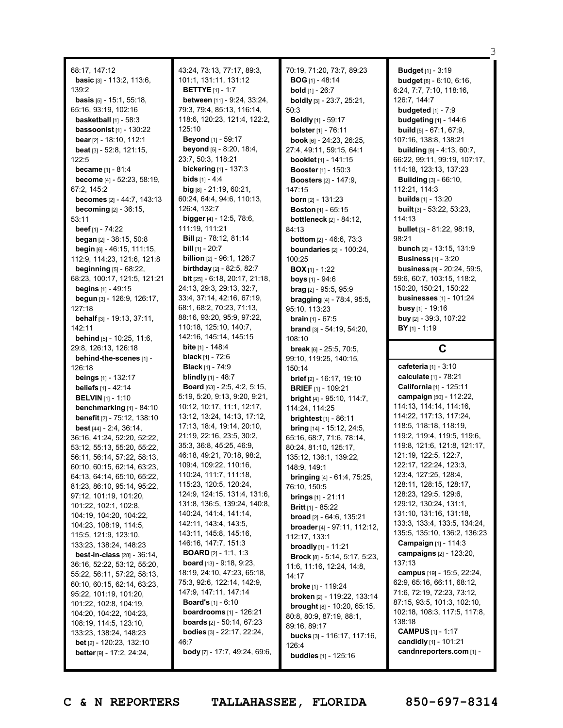68:17, 147:12 **basic** [3] - 113:2, 113:6, 139:2 **basis** [5] - 15:1, 55:18, 65:16, 93:19, 102:16 **basketball** [1] - 58:3 **bassoonist** [1] - 130:22 **bear** [2] - 18:10, 112:1 **beat** [3] - 52:8, 121:15,  $122.5$ **became** [1] - 81:4 **become** [4] - 52:23, 58:19, 67:2, 145:2 **becomes** [2] - 44:7, 143:13 **becoming** [2] - 36:15, 53:11 **beef** [1] - 74:22 **began** [2] - 38:15, 50:8 **begin** [6] - 46:15, 111:15, 112:9, 114:23, 121:6, 121:8 **beginning** [5] - 68:22, 68:23, 100:17, 121:5, 121:21 **begins** [1] - 49:15 **begun** [3] - 126:9, 126:17, 127:18 **behalf** [3] - 19:13, 37:11, 142:11 **behind** [5] - 10:25, 11:6, 29:8, 126:13, 126:18 **behind-the-scenes** [1] - 126:18 **beings** [1] - 132:17 **beliefs** [1] - 42:14 **BELVIN** [1] - 1:10 **benchmarking** [1] - 84:10 **benefit** [2] - 75:12, 138:10 **best** [44] - 2:4, 36:14, 36:16, 41:24, 52:20, 52:22, 53:12, 55:13, 55:20, 55:22, 56:11, 56:14, 57:22, 58:13, 60:10, 60:15, 62:14, 63:23, 64:13, 64:14, 65:10, 65:22, 81:23, 86:10, 95:14, 95:22, 97:12, 101:19, 101:20, 101:22, 102:1, 102:8, 104:19, 104:20, 104:22, 104:23, 108:19, 114:5, 115:5, 121:9, 123:10, 133:23, 138:24, 148:23 **best-in-class** [28] - 36:14, 36:16, 52:22, 53:12, 55:20, 55:22, 56:11, 57:22, 58:13, 60:10, 60:15, 62:14, 63:23, 95:22, 101:19, 101:20, 101:22, 102:8, 104:19, 104:20, 104:22, 104:23, 108:19, 114:5, 123:10, 133:23, 138:24, 148:23 **bet** [2] - 120:23, 132:10 **better** [9] - 17:2, 24:24,

43:24, 73:13, 77:17, 89:3, 101:1, 131:11, 131:12 **BETTYE** [1] - 1:7 **between** [11] - 9:24, 33:24, 79:3, 79:4, 85:13, 116:14, 118:6, 120:23, 121:4, 122:2, 125:10 **Beyond** [1] - 59:17 **beyond** [5] - 8:20, 18:4, 23:7, 50:3, 118:21 **bickering** [1] - 137:3 **bids** [1] - 4:4 **big** [8] - 21:19, 60:21, 60:24, 64:4, 94:6, 110:13, 126:4, 132:7 **bigger** [4] - 12:5, 78:6, 111:19, 111:21 **Bill** [2] - 78:12, 81:14 **bill** [1] - 20:7 **billion** [2] - 96:1, 126:7 **birthday** [2] - 82:5, 82:7 **bit** [25] - 6:18, 20:17, 21:18, 24:13, 29:3, 29:13, 32:7, 33:4, 37:14, 42:16, 67:19, 68:1, 68:2, 70:23, 71:13, 88:16, 93:20, 95:9, 97:22, 110:18, 125:10, 140:7, 142:16, 145:14, 145:15 **bite** [1] - 148:4 **black** [1] - 72:6 **Black** [1] - 74:9 **blindly** [1] - 48:7 **Board** [63] - 2:5, 4:2, 5:15, 5:19, 5:20, 9:13, 9:20, 9:21, 10:12, 10:17, 11:1, 12:17, 13:12, 13:24, 14:13, 17:12, 17:13, 18:4, 19:14, 20:10, 21:19, 22:16, 23:5, 30:2, 35:3, 36:8, 45:25, 46:9, 46:18, 49:21, 70:18, 98:2, 109:4, 109:22, 110:16, 110:24, 111:7, 111:18, 115:23, 120:5, 120:24, 124:9, 124:15, 131:4, 131:6, 131:8, 136:5, 139:24, 140:8, 140:24, 141:4, 141:14, 142:11, 143:4, 143:5, 143:11, 145:8, 145:16, 146:16, 147:7, 151:3 **BOARD** [2] - 1:1, 1:3 **board** [13] - 9:18, 9:23, 18:19, 24:10, 47:23, 65:18, 75:3, 92:6, 122:14, 142:9, 147:9, 147:11, 147:14 **Board's** [1] - 6:10 **boardrooms** [1] - 126:21 **boards** [2] - 50:14, 67:23 **bodies** [3] - 22:17, 22:24, 46:7 **body** [7] - 17:7, 49:24, 69:6,

70:19, 71:20, 73:7, 89:23 **BOG** [1] - 48:14 **bold** [1] - 26:7 **boldly** [3] - 23:7, 25:21, 50:3 **Boldly** [1] - 59:17 **bolster** [1] - 76:11 **book** [6] - 24:23, 26:25, 27:4, 49:11, 59:15, 64:1 **booklet** [1] - 141:15 **Booster** [1] - 150:3 **Boosters** [2] - 147:9, 147:15 **born** [2] - 131:23 **Boston** [1] - 65:15 **bottleneck** [2] - 84:12, 84:13 **bottom** [2] - 46:6, 73:3 **boundaries** [2] - 100:24, 100:25 **BOX** [1] - 1:22 **boys** [1] - 94:6 **brag** [2] - 95:5, 95:9 **bragging** [4] - 78:4, 95:5, 95:10, 113:23 **brain** [1] - 67:5 **brand** [3] - 54:19, 54:20, 108:10 **break** [6] - 25:5, 70:5, 99:10, 119:25, 140:15, 150:14 **brief** [2] - 16:17, 19:10 **BRIEF** [1] - 109:21 **bright** [4] - 95:10, 114:7, 114:24, 114:25 **brightest** [1] - 86:11 **bring** [14] - 15:12, 24:5, 65:16, 68:7, 71:6, 78:14, 80:24, 81:10, 125:17, 135:12, 136:1, 139:22, 148:9, 149:1 **bringing** [4] - 61:4, 75:25, 76:10, 150:5 **brings** [1] - 21:11 **Britt** [1] - 85:22 **broad** [2] - 64:6, 135:21 **broader** [4] - 97:11, 112:12, 112:17, 133:1 **broadly** [1] - 11:21 **Brock** [8] - 5:14, 5:17, 5:23, 11:6, 11:16, 12:24, 14:8, 14:17 **broke** [1] - 119:24 **broken** [2] - 119:22, 133:14 **brought** [8] - 10:20, 65:15, 80:8, 80:9, 87:19, 88:1, 89:16, 89:17 **bucks** [3] - 116:17, 117:16, 126:4 **buddies** [1] - 125:16

**Budget** [1] - 3:19 **budget** [8] - 6:10, 6:16, 6:24, 7:7, 7:10, 118:16, 126:7, 144:7 **budgeted** [1] - 7:9 **budgeting** [1] - 144:6 **build** [5] - 67:1, 67:9, 107:16, 138:8, 138:21 **building** [9] - 4:13, 60:7, 66:22, 99:11, 99:19, 107:17, 114:18, 123:13, 137:23 **Building** [3] - 66:10, 112:21, 114:3 **builds** [1] - 13:20 **built** [3] - 53:22, 53:23, 114:13 **bullet** [3] - 81:22, 98:19, 98:21 **bunch** [2] - 13:15, 131:9 **Business** [1] - 3:20 **business** [9] - 20:24, 59:5, 59:6, 60:7, 103:15, 118:2, 150:20, 150:21, 150:22 **businesses** [1] - 101:24 **busy** [1] - 19:16 **buy** [2] - 39:3, 107:22 **BY** [1] - 1:19

3

# **C**

**cafeteria** [1] - 3:10 **calculate** [1] - 78:21 **California** [1] - 125:11 **campaign** [50] - 112:22, 114:13, 114:14, 114:16, 114:22, 117:13, 117:24, 118:5, 118:18, 118:19, 119:2, 119:4, 119:5, 119:6, 119:8, 121:6, 121:8, 121:17, 121:19, 122:5, 122:7, 122:17, 122:24, 123:3, 123:4, 127:25, 128:4, 128:11, 128:15, 128:17, 128:23, 129:5, 129:6, 129:12, 130:24, 131:1, 131:10, 131:16, 131:18, 133:3, 133:4, 133:5, 134:24, 135:5, 135:10, 136:2, 136:23 **Campaign** [1] - 114:3 **campaigns** [2] - 123:20, 137:13 **campus** [19] - 15:5, 22:24, 62:9, 65:16, 66:11, 68:12, 71:6, 72:19, 72:23, 73:12, 87:15, 93:5, 101:3, 102:10, 102:18, 108:3, 117:5, 117:8, 138:18 **CAMPUS** [1] - 1:17 **candidly** [1] - 101:21 **candnreporters.com** [1] -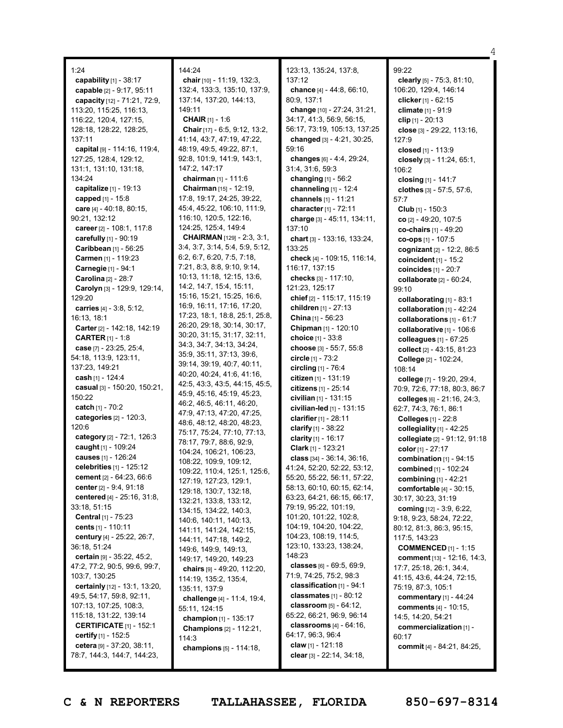1:24 **capability** [1] - 38:17 **capable** [2] - 9:17, 95:11 **capacity** [12] - 71:21, 72:9, 113:20, 115:25, 116:13, 116:22, 120:4, 127:15, 128:18, 128:22, 128:25, 137:11 **capital** [9] - 114:16, 119:4, 127:25, 128:4, 129:12, 131:1, 131:10, 131:18, 134:24 **capitalize** [1] - 19:13 **capped** [1] - 15:8 **care** [4] - 40:18, 80:15, 90:21, 132:12 **career** [2] - 108:1, 117:8 **carefully** [1] - 90:19 **Caribbean** [1] - 56:25 **Carmen** [1] - 119:23 **Carnegie** [1] - 94:1 **Carolina** [2] - 28:7 **Carolyn** [3] - 129:9, 129:14, 129:20 **carries** [4] - 3:8, 5:12, 16:13, 18:1 **Carter** [2] - 142:18, 142:19 **CARTER** [1] - 1:8 **case** [7] - 23:25, 25:4, 54:18, 113:9, 123:11, 137:23, 149:21 **cash** [1] - 124:4 **casual** [3] - 150:20, 150:21, 150:22 **catch** [1] - 70:2 **categories** [2] - 120:3, 120:6 **category** [2] - 72:1, 126:3 **caught** [1] - 109:24 **causes** [1] - 126:24 **celebrities** [1] - 125:12 **cement** [2] - 64:23, 66:6 **center** [2] - 9:4, 91:18 **centered** [4] - 25:16, 31:8, 33:18, 51:15 **Central** [1] - 75:23 **cents** [1] - 110:11 **century** [4] - 25:22, 26:7, 36:18, 51:24 **certain** [9] - 35:22, 45:2, 47:2, 77:2, 90:5, 99:6, 99:7, 103:7, 130:25 **certainly** [12] - 13:1, 13:20, 49:5, 54:17, 59:8, 92:11, 107:13, 107:25, 108:3, 115:18, 131:22, 139:14 **CERTIFICATE** [1] - 152:1 **certify** [1] - 152:5 **cetera** [9] - 37:20, 38:11, 78:7, 144:3, 144:7, 144:23,

### 144:24

**chair** [10] - 11:19, 132:3, 132:4, 133:3, 135:10, 137:9, 137:14, 137:20, 144:13, 149:11 **CHAIR** [1] - 1:6 **Chair** [17] - 6:5, 9:12, 13:2, 41:14, 43:7, 47:19, 47:22, 48:19, 49:5, 49:22, 87:1, 92:8, 101:9, 141:9, 143:1, 147:2, 147:17 **chairman** [1] - 111:6 **Chairman** [15] - 12:19, 17:8, 19:17, 24:25, 39:22, 45:4, 45:22, 106:10, 111:9, 116:10, 120:5, 122:16, 124:25, 125:4, 149:4 **CHAIRMAN** [129] - 2:3, 3:1, 3:4, 3:7, 3:14, 5:4, 5:9, 5:12, 6:2, 6:7, 6:20, 7:5, 7:18, 7:21, 8:3, 8:8, 9:10, 9:14, 10:13, 11:18, 12:15, 13:6, 14:2, 14:7, 15:4, 15:11, 15:16, 15:21, 15:25, 16:6, 16:9, 16:11, 17:16, 17:20, 17:23, 18:1, 18:8, 25:1, 25:8, 26:20, 29:18, 30:14, 30:17, 30:20, 31:15, 31:17, 32:11, 34:3, 34:7, 34:13, 34:24, 35:9, 35:11, 37:13, 39:6, 39:14, 39:19, 40:7, 40:11, 40:20, 40:24, 41:6, 41:16, 42:5, 43:3, 43:5, 44:15, 45:5, 45:9, 45:16, 45:19, 45:23, 46:2, 46:5, 46:11, 46:20, 47:9, 47:13, 47:20, 47:25, 48:6, 48:12, 48:20, 48:23, 75:17, 75:24, 77:10, 77:13, 78:17, 79:7, 88:6, 92:9, 104:24, 106:21, 106:23, 108:22, 109:9, 109:12, 109:22, 110:4, 125:1, 125:6, 127:19, 127:23, 129:1, 129:18, 130:7, 132:18, 132:21, 133:8, 133:12, 134:15, 134:22, 140:3, 140:6, 140:11, 140:13, 141:11, 141:24, 142:15, 144:11, 147:18, 149:2, 149:6, 149:9, 149:13, 149:17, 149:20, 149:23 **chairs** [9] - 49:20, 112:20, 114:19, 135:2, 135:4, 135:11, 137:9 **challenge** [4] - 11:4, 19:4, 55:11, 124:15 **champion** [1] - 135:17 **Champions** [2] - 112:21, 114:3 **champions** [5] - 114:18,

123:13, 135:24, 137:8, 137:12 **chance** [4] - 44:8, 66:10, 80:9, 137:1 **change** [10] - 27:24, 31:21, 34:17, 41:3, 56:9, 56:15, 56:17, 73:19, 105:13, 137:25 **changed** [3] - 4:21, 30:25, 59:16 **changes** [6] - 4:4, 29:24, 31:4, 31:6, 59:3 **changing** [1] - 56:2 **channeling** [1] - 12:4 **channels** [1] - 11:21 **character** [1] - 72:11 **charge** [3] - 45:11, 134:11, 137:10 **chart** [3] - 133:16, 133:24, 133:25 **check** [4] - 109:15, 116:14, 116:17, 137:15 **checks** [3] - 117:10, 121:23, 125:17 **chief** [2] - 115:17, 115:19 **children** [1] - 27:13 **China** [1] - 56:23 **Chipman** [1] - 120:10 **choice** [1] - 33:8 **choose** [3] - 55:7, 55:8 **circle** [1] - 73:2 **circling** [1] - 76:4 **citizen** [1] - 131:19 **citizens** [1] - 25:14 **civilian** [1] - 131:15 **civilian-led** [1] - 131:15 **clarifier** [1] - 28:11 **clarify** [1] - 38:22 **clarity** [1] - 16:17 **Clark** [1] - 123:21 **class** [34] - 36:14, 36:16, 41:24, 52:20, 52:22, 53:12, 55:20, 55:22, 56:11, 57:22, 58:13, 60:10, 60:15, 62:14, 63:23, 64:21, 66:15, 66:17, 79:19, 95:22, 101:19, 101:20, 101:22, 102:8, 104:19, 104:20, 104:22, 104:23, 108:19, 114:5, 123:10, 133:23, 138:24, 148:23 **classes** [6] - 69:5, 69:9, 71:9, 74:25, 75:2, 98:3 **classification** [1] - 94:1 **classmates** [1] - 80:12 **classroom** [5] - 64:12, 65:22, 66:21, 96:9, 96:14 **classrooms** [4] - 64:16, 64:17, 96:3, 96:4 **claw** [1] - 121:18 **clear** [3] - 22:14, 34:18,

99:22 **clearly** [5] - 75:3, 81:10, 106:20, 129:4, 146:14 **clicker** [1] - 62:15 **climate** [1] - 91:9 **clip** [1] - 20:13 **close** [3] - 29:22, 113:16, 127:9 **closed** [1] - 113:9 **closely** [3] - 11:24, 65:1, 106:2 **closing** [1] - 141:7 **clothes** [3] - 57:5, 57:6, 57:7 **Club** [1] - 150:3 **co** [2] - 49:20, 107:5 **co-chairs** [1] - 49:20 **co-ops** [1] - 107:5 **cognizant** [2] - 12:2, 86:5 **coincident** [1] - 15:2 **coincides** [1] - 20:7 **collaborate** [2] - 60:24, 99:10 **collaborating** [1] - 83:1 **collaboration** [1] - 42:24 **collaborations** [1] - 61:7 **collaborative** [1] - 106:6 **colleagues** [1] - 67:25 **collect** [2] - 43:15, 81:23 **College** [2] - 102:24, 108:14 **college** [7] - 19:20, 29:4, 70:9, 72:6, 77:18, 80:3, 86:7 **colleges** [6] - 21:16, 24:3, 62:7, 74:3, 76:1, 86:1 **Colleges** [1] - 22:8 **collegiality** [1] - 42:25 **collegiate** [2] - 91:12, 91:18 **color** [1] - 27:17 **combination** [1] - 94:15 **combined** [1] - 102:24 **combining** [1] - 42:21 **comfortable** [4] - 30:15, 30:17, 30:23, 31:19 **coming** [12] - 3:9, 6:22, 9:18, 9:23, 58:24, 72:22, 80:12, 81:3, 86:3, 95:15, 117:5, 143:23 **COMMENCED** [1] - 1:15 **comment** [13] - 12:16, 14:3, 17:7, 25:18, 26:1, 34:4, 41:15, 43:6, 44:24, 72:15, 75:19, 87:3, 105:1 **commentary** [1] - 44:24 **comments** [4] - 10:15, 14:5, 14:20, 54:21 **commercialization** [1] - 60:17 **commit** [4] - 84:21, 84:25,

4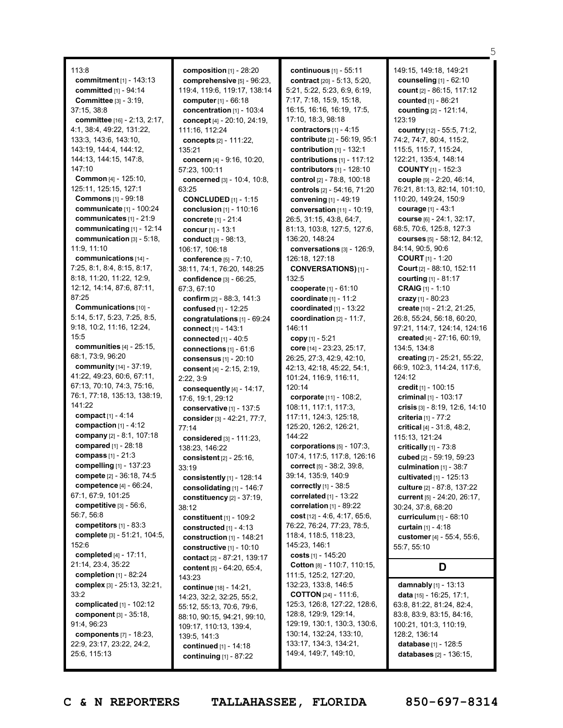113:8 **commitment** [1] - 143:13 **committed** [1] - 94:14 **Committee** [3] - 3:19, 37:15, 38:8 **committee** [16] - 2:13, 2:17, 4:1, 38:4, 49:22, 131:22, 133:3, 143:6, 143:10, 143:19, 144:4, 144:12, 144:13, 144:15, 147:8, 147:10 **Common** [4] - 125:10, 125:11, 125:15, 127:1 **Commons** [1] - 99:18 **communicate** [1] - 100:24 **communicates** [1] - 21:9 **communicating** [1] - 12:14 **communication** [3] - 5:18, 11:9, 11:10 **communications** [14] - 7:25, 8:1, 8:4, 8:15, 8:17, 8:18, 11:20, 11:22, 12:9, 12:12, 14:14, 87:6, 87:11, 87:25 **Communications** [10] - 5:14, 5:17, 5:23, 7:25, 8:5, 9:18, 10:2, 11:16, 12:24, 15:5 **communities** [4] - 25:15, 68:1, 73:9, 96:20 **community** [14] - 37:19, 41:22, 49:23, 60:6, 67:11, 67:13, 70:10, 74:3, 75:16, 76:1, 77:18, 135:13, 138:19, 141:22 **compact** [1] - 4:14 **compaction** [1] - 4:12 **company** [2] - 8:1, 107:18 **compared** [1] - 28:18 **compass** [1] - 21:3 **compelling** [1] - 137:23 **compete** [2] - 36:18, 74:5 **competence** [4] - 66:24, 67:1, 67:9, 101:25 **competitive** [3] - 56:6, 56:7, 56:8 **competitors** [1] - 83:3 **complete** [3] - 51:21, 104:5, 152:6 **completed** [4] - 17:11, 21:14, 23:4, 35:22 **completion** [1] - 82:24 **complex** [3] - 25:13, 32:21, 33:2 **complicated** [1] - 102:12 **component** [3] - 35:18, 91:4, 96:23 **components** [7] - 18:23, 22:9, 23:17, 23:22, 24:2, 25:6, 115:13

**composition** [1] - 28:20 **comprehensive** [5] - 96:23, 119:4, 119:6, 119:17, 138:14 **computer**[1] - 66:18 **concentration** [1] - 103:4 **concept** [4] - 20:10, 24:19, 111:16, 112:24 **concepts** [2] - 111:22, 135:21 **concern** [4] - 9:16, 10:20, 57:23, 100:11 **concerned** [3] - 10:4, 10:8, 63:25 **CONCLUDED** [1] - 1:15 **conclusion** [1] - 110:16 **concrete** [1] - 21:4 **concur** [1] - 13:1 **conduct** [3] - 98:13, 106:17, 106:18 **conference** [5] - 7:10, 38:11, 74:1, 76:20, 148:25 **confidence** [3] - 66:25, 67:3, 67:10 **confirm** [2] - 88:3, 141:3 **confused** [1] - 12:25 **congratulations** [1] - 69:24 **connect** [1] - 143:1 **connected** [1] - 40:5 **connections** [1] - 61:6 **consensus** [1] - 20:10 **consent** [4] - 2:15, 2:19, 2:22, 3:9 **consequently** [4] - 14:17, 17:6, 19:1, 29:12 **conservative** [1] - 137:5 **consider**[3] - 42:21, 77:7, 77:14 **considered** [3] - 111:23, 138:23, 146:22 **consistent** [2] - 25:16, 33:19 **consistently** [1] - 128:14 **consolidating** [1] - 146:7 **constituency** [2] - 37:19, 38:12 **constituent** [1] - 109:2 **constructed** [1] - 4:13 **construction** [1] - 148:21 **constructive** [1] - 10:10 **contact** [2] - 87:21, 139:17 **content** [5] - 64:20, 65:4, 143:23 **continue** [18] - 14:21, 14:23, 32:2, 32:25, 55:2, 55:12, 55:13, 70:6, 79:6, 88:10, 90:15, 94:21, 99:10, 109:17, 110:13, 139:4, 139:5, 141:3 **continued** [1] - 14:18 **continuing** [1] - 87:22

**continuous** [1] - 55:11 **contract** [20] - 5:13, 5:20, 5:21, 5:22, 5:23, 6:9, 6:19, 7:17, 7:18, 15:9, 15:18, 16:15, 16:16, 16:19, 17:5, 17:10, 18:3, 98:18 **contractors** [1] - 4:15 **contribute** [2] - 56:19, 95:1 **contribution** [1] - 132:1 **contributions** [1] - 117:12 **contributors** [1] - 128:10 **control** [2] - 78:8, 100:18 **controls** [2] - 54:16, 71:20 **convening** [1] - 49:19 **conversation** [11] - 10:19, 26:5, 31:15, 43:8, 64:7, 81:13, 103:8, 127:5, 127:6, 136:20, 148:24 **conversations** [3] - 126:9, 126:18, 127:18 **CONVERSATIONS)** [1] - 132:5 **cooperate** [1] - 61:10 **coordinate** [1] - 11:2 **coordinated** [1] - 13:22 **coordination** [2] - 11:7, 146:11 **copy** [1] - 5:21 **core** [14] - 23:23, 25:17, 26:25, 27:3, 42:9, 42:10, 42:13, 42:18, 45:22, 54:1, 101:24, 116:9, 116:11, 120:14 **corporate** [11] - 108:2, 108:11, 117:1, 117:3, 117:11, 124:3, 125:18, 125:20, 126:2, 126:21, 144:22 **corporations** [5] - 107:3, 107:4, 117:5, 117:8, 126:16 **correct** [5] - 38:2, 39:8, 39:14, 135:9, 140:9 **correctly** [1] - 38:5 **correlated** [1] - 13:22 **correlation** [1] - 89:22 **cost** [12] - 4:6, 4:17, 65:6, 76:22, 76:24, 77:23, 78:5, 118:4, 118:5, 118:23, 145:23, 146:1 **costs** [1] - 145:20 **Cotton** [8] - 110:7, 110:15, 111:5, 125:2, 127:20, 132:23, 133:8, 146:5 **COTTON** [24] - 111:6, 125:3, 126:8, 127:22, 128:6, 128:8, 129:9, 129:14, 129:19, 130:1, 130:3, 130:6, 130:14, 132:24, 133:10, 133:17, 134:3, 134:21, 149:4, 149:7, 149:10,

149:15, 149:18, 149:21 **counseling** [1] - 62:10 **count** [2] - 86:15, 117:12 **counted** [1] - 86:21 **counting** [2] - 121:14, 123:19 **country** [12] - 55:5, 71:2, 74:2, 74:7, 80:4, 115:2, 115:5, 115:7, 115:24, 122:21, 135:4, 148:14 **COUNTY** [1] - 152:3 **couple** [9] - 2:20, 46:14, 76:21, 81:13, 82:14, 101:10, 110:20, 149:24, 150:9 **courage** [1] - 43:1 **course** [6] - 24:1, 32:17, 68:5, 70:6, 125:8, 127:3 **courses** [5] - 58:12, 84:12, 84:14, 90:5, 90:6 **COURT** [1] - 1:20 **Court** [2] - 88:10, 152:11 **courting** [1] - 81:17 **CRAIG** [1] - 1:10 **crazy** [1] - 80:23 **create** [10] - 21:2, 21:25, 26:8, 55:24, 56:18, 60:20, 97:21, 114:7, 124:14, 124:16 **created** [4] - 27:16, 60:19, 134:5, 134:8 **creating** [7] - 25:21, 55:22, 66:9, 102:3, 114:24, 117:6, 124:12 **credit** [1] - 100:15 **criminal** [1] - 103:17 **crisis** [3] - 8:19, 12:6, 14:10 **criteria** [1] - 77:2 **critical** [4] - 31:8, 48:2, 115:13, 121:24 **critically** [1] - 73:8 **cubed** [2] - 59:19, 59:23 **culmination** [1] - 38:7 **cultivated** [1] - 125:13 **culture** [2] - 87:8, 137:22 **current** [5] - 24:20, 26:17, 30:24, 37:8, 68:20 **curriculum** [1] - 68:10 **curtain** [1] - 4:18 **customer**[4] - 55:4, 55:6, 55:7, 55:10 **D damnably** [1] - 13:13 **data** [15] - 16:25, 17:1, 63:8, 81:22, 81:24, 82:4,

5

128:2, 136:14 **database** [1] - 128:5 **databases** [2] - 136:15,

83:8, 83:9, 83:15, 84:16, 100:21, 101:3, 110:19,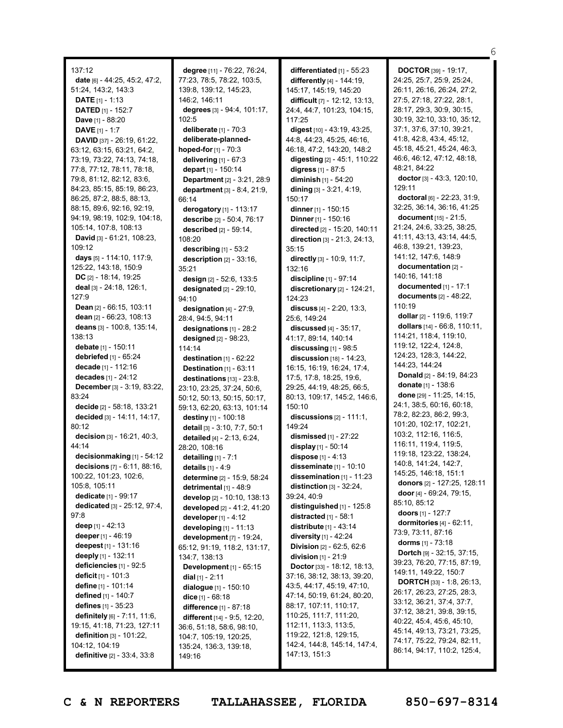137:12 **date** [6] - 44:25, 45:2, 47:2, 51:24, 143:2, 143:3 **DATE** [1] - 1:13 **DATED** [1] - 152:7 **Dave** [1] - 88:20 **DAVE** [1] - 1:7 **DAVID** [37] - 26:19, 61:22, 63:12, 63:15, 63:21, 64:2, 73:19, 73:22, 74:13, 74:18, 77:8, 77:12, 78:11, 78:18, 79:8, 81:12, 82:12, 83:6, 84:23, 85:15, 85:19, 86:23, 86:25, 87:2, 88:5, 88:13, 88:15, 89:6, 92:16, 92:19, 94:19, 98:19, 102:9, 104:18, 105:14, 107:8, 108:13 **David** [3] - 61:21, 108:23, 109:12 **days** [5] - 114:10, 117:9, 125:22, 143:18, 150:9 **DC** [2] - 18:14, 19:25 **deal** [3] - 24:18, 126:1, 127:9 **Dean** [2] - 66:15, 103:11 **dean** [2] - 66:23, 108:13 **deans** [3] - 100:8, 135:14, 138:13 **debate** [1] - 150:11 **debriefed** [1] - 65:24 **decade** [1] - 112:16 **decades** [1] - 24:12 **December** [3] - 3:19, 83:22, 83:24 **decide** [2] - 58:18, 133:21 **decided** [3] - 14:11, 14:17, 80:12 **decision** [3] - 16:21, 40:3, 44:14 **decisionmaking** [1] - 54:12 **decisions** [7] - 6:11, 88:16, 100:22, 101:23, 102:6, 105:8, 105:11 **dedicate** [1] - 99:17 **dedicated** [3] - 25:12, 97:4, 97:8 **deep** [1] - 42:13 **deeper** [1] - 46:19 **deepest** [1] - 131:16 **deeply** [1] - 132:11 **deficiencies** [1] - 92:5 **deficit** [1] - 101:3 **define** [1] - 101:14 **defined** [1] - 140:7 **defines** [1] - 35:23 **definitely** [6] - 7:11, 11:6, 19:15, 41:18, 71:23, 127:11 **definition** [3] - 101:22, 104:12, 104:19 **definitive** [2] - 33:4, 33:8

**degree** [11] - 76:22, 76:24, 77:23, 78:5, 78:22, 103:5, 139:8, 139:12, 145:23, 146:2, 146:11 **degrees** [3] - 94:4, 101:17, 102:5 **deliberate** [1] - 70:3 **deliberate-plannedhoped-for** [1] - 70:3 **delivering** [1] - 67:3 **depart** [1] - 150:14 **Department** [2] - 3:21, 28:9 **department** [3] - 8:4, 21:9, 66:14 **derogatory** [1] - 113:17 **describe** [2] - 50:4, 76:17 **described** [2] - 59:14, 108:20 **describing** [1] - 53:2 **description** [2] - 33:16, 35:21 **design** [2] - 52:6, 133:5 **designated** [2] - 29:10, 94:10 **designation** [4] - 27:9, 28:4, 94:5, 94:11 **designations** [1] - 28:2 **designed** [2] - 98:23, 114:14 **destination** [1] - 62:22 **Destination** [1] - 63:11 **destinations** [13] - 23:8, 23:10, 23:25, 37:24, 50:6, 50:12, 50:13, 50:15, 50:17, 59:13, 62:20, 63:13, 101:14 **destiny** [1] - 100:18 **detail** [3] - 3:10, 7:7, 50:1 **detailed** [4] - 2:13, 6:24, 28:20, 108:16 **detailing** [1] - 7:1 **details** [1] - 4:9 **determine** [2] - 15:9, 58:24 **detrimental** [1] - 48:9 **develop** [2] - 10:10, 138:13 **developed** [2] - 41:2, 41:20 **developer** [1] - 4:12 **developing** [1] - 11:13 **development** [7] - 19:24, 65:12, 91:19, 118:2, 131:17, 134:7, 138:13 **Development** [1] - 65:15 **dial** [1] - 2:11 **dialogue** [1] - 150:10 **dice** [1] - 68:18 **difference** [1] - 87:18 **different** [14] - 9:5, 12:20, 36:6, 51:18, 58:6, 98:10, 104:7, 105:19, 120:25, 135:24, 136:3, 139:18, 149:16

**differentiated** [1] - 55:23 **differently** [4] - 144:19, 145:17, 145:19, 145:20 **difficult** [7] - 12:12, 13:13, 24:4, 44:7, 101:23, 104:15, 117:25 **digest** [10] - 43:19, 43:25, 44:8, 44:23, 45:25, 46:16, 46:18, 47:2, 143:20, 148:2 **digesting** [2] - 45:1, 110:22 **digress** [1] - 87:5 **diminish** [1] - 54:20 **dining** [3] - 3:21, 4:19, 150:17 **dinner** [1] - 150:15 **Dinner** [1] - 150:16 **directed** [2] - 15:20, 140:11 **direction** [3] - 21:3, 24:13, 35:15 **directly** [3] - 10:9, 11:7, 132:16 **discipline** [1] - 97:14 **discretionary** [2] - 124:21, 124:23 **discuss** [4] - 2:20, 13:3, 25:6, 149:24 **discussed** [4] - 35:17, 41:17, 89:14, 140:14 **discussing** [1] - 98:5 **discussion** [18] - 14:23, 16:15, 16:19, 16:24, 17:4, 17:5, 17:8, 18:25, 19:6, 29:25, 44:19, 48:25, 66:5, 80:13, 109:17, 145:2, 146:6, 150:10 **discussions** [2] - 111:1, 149:24 **dismissed** [1] - 27:22 **display** [1] - 50:14 **dispose** [1] - 4:13 **disseminate** [1] - 10:10 **dissemination** [1] - 11:23 **distinction** [3] - 32:24, 39:24, 40:9 **distinguished** [1] - 125:8 **distracted** [1] - 58:1 **distribute** [1] - 43:14 **diversity** [1] - 42:24 **Division** [2] - 62:5, 62:6 **division** [1] - 21:9 **Doctor** [33] - 18:12, 18:13, 37:16, 38:12, 38:13, 39:20, 43:5, 44:17, 45:19, 47:10, 47:14, 50:19, 61:24, 80:20, 88:17, 107:11, 110:17, 110:25, 111:7, 111:20, 112:11, 113:3, 113:5, 119:22, 121:8, 129:15, 142:4, 144:8, 145:14, 147:4, 147:13, 151:3

**DOCTOR** [39] - 19:17, 24:25, 25:7, 25:9, 25:24, 26:11, 26:16, 26:24, 27:2, 27:5, 27:18, 27:22, 28:1, 28:17, 29:3, 30:9, 30:15, 30:19, 32:10, 33:10, 35:12, 37:1, 37:6, 37:10, 39:21, 41:8, 42:8, 43:4, 45:12, 45:18, 45:21, 45:24, 46:3, 46:6, 46:12, 47:12, 48:18, 48:21, 84:22 **doctor**[3] - 43:3, 120:10,  $129.11$ **doctoral** [6] - 22:23, 31:9, 32:25, 36:14, 36:16, 41:25 **document** [15] - 21:5, 21:24, 24:6, 33:25, 38:25, 41:11, 43:13, 43:14, 44:5, 46:8, 139:21, 139:23, 141:12, 147:6, 148:9 **documentation** [2] - 140:16, 141:18 **documented** [1] - 17:1 **documents** [2] - 48:22, 110:19 **dollar** [2] - 119:6, 119:7 **dollars** [14] - 66:8, 110:11, 114:21, 118:4, 119:10, 119:12, 122:4, 124:8, 124:23, 128:3, 144:22, 144:23, 144:24 **Donald** [2] - 84:19, 84:23 **donate** [1] - 138:6 **done** [29] - 11:25, 14:15, 24:1, 38:5, 60:16, 60:18, 78:2, 82:23, 86:2, 99:3, 101:20, 102:17, 102:21, 103:2, 112:16, 116:5, 116:11, 119:4, 119:5, 119:18, 123:22, 138:24, 140:8, 141:24, 142:7, 145:25, 146:18, 151:1 **donors** [2] - 127:25, 128:11 **door** [4] - 69:24, 79:15, 85:10, 85:12 **doors** [1] - 127:7 **dormitories** [4] - 62:11, 73:9, 73:11, 87:16 **dorms** [1] - 73:18 **Dortch** [9] - 32:15, 37:15, 39:23, 76:20, 77:15, 87:19, 149:11, 149:22, 150:7 **DORTCH** [33] - 1:8, 26:13, 26:17, 26:23, 27:25, 28:3, 33:12, 36:21, 37:4, 37:7, 37:12, 38:21, 39:8, 39:15, 40:22, 45:4, 45:6, 45:10, 45:14, 49:13, 73:21, 73:25, 74:17, 75:22, 79:24, 82:11, 86:14, 94:17, 110:2, 125:4,

6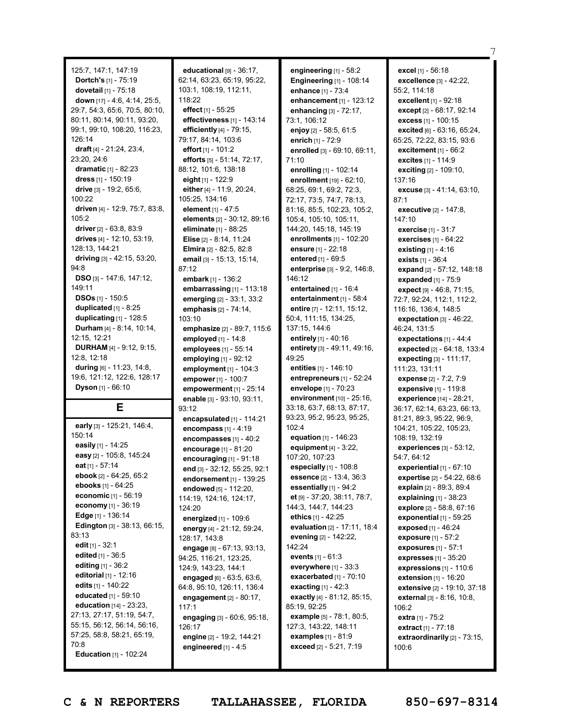125:7, 147:1, 147:19 **Dortch's** [1] - 75:19 **dovetail** [1] - 75:18 **down** [17] - 4:6, 4:14, 25:5, 29:7, 54:3, 65:6, 70:5, 80:10, 80:11, 80:14, 90:11, 93:20, 99:1, 99:10, 108:20, 116:23, 126:14 **draft** [4] - 21:24, 23:4, 23:20, 24:6 **dramatic** [1] - 82:23 **dress** [1] - 150:19 **drive** [3] - 19:2, 65:6, 100:22 **driven** [4] - 12:9, 75:7, 83:8,  $105.2$ **driver** [2] - 63:8, 83:9 **drives** [4] - 12:10, 53:19, 128:13, 144:21 **driving** [3] - 42:15, 53:20, 94:8 **DSO** [3] - 147:6, 147:12, 149:11 **DSOs** [1] - 150:5 **duplicated** [1] - 8:25 **duplicating** [1] - 128:5 **Durham** [4] - 8:14, 10:14, 12:15, 12:21 **DURHAM** [4] - 9:12, 9:15, 12:8, 12:18 **during** [6] - 11:23, 14:8, 19:6, 121:12, 122:6, 128:17 **Dyson** [1] - 66:10 **E**

**early** [3] - 125:21, 146:4, 150:14 **easily** [1] - 14:25 **easy** [2] - 105:8, 145:24 **eat** [1] - 57:14 **ebook** [2] - 64:25, 65:2 **ebooks** [1] - 64:25 **economic** [1] - 56:19 **economy** [1] - 36:19 **Edge** [1] - 136:14 **Edington** [3] - 38:13, 66:15, 83:13 **edit** [1] - 32:1 **edited** [1] - 36:5 **editing** [1] - 36:2 **editorial** [1] - 12:16 **edits** [1] - 140:22 **educated** [1] - 59:10 **education** [14] - 23:23, 27:13, 27:17, 51:19, 54:7, 55:15, 56:12, 56:14, 56:16, 57:25, 58:8, 58:21, 65:19, 70:8 **Education** [1] - 102:24

**educational** [9] - 36:17, 62:14, 63:23, 65:19, 95:22, 103:1, 108:19, 112:11, 118:22 **effect** [1] - 55:25 **effectiveness** [1] - 143:14 **efficiently** [4] - 79:15, 79:17, 84:14, 103:6 **effort** [1] - 101:2 **efforts** [5] - 51:14, 72:17, 88:12, 101:6, 138:18 **eight** [1] - 122:9 **either** [4] - 11:9, 20:24, 105:25, 134:16 **element** [1] - 47:5 **elements** [2] - 30:12, 89:16 **eliminate** [1] - 88:25 **Elise** [2] - 8:14, 11:24 **Elmira** [2] - 82:5, 82:8 **email** [3] - 15:13, 15:14, 87:12 **embark** [1] - 136:2 **embarrassing** [1] - 113:18 **emerging** [2] - 33:1, 33:2 **emphasis** [2] - 74:14, 103:10 **emphasize** [2] - 89:7, 115:6 **employed** [1] - 14:8 **employees** [1] - 55:14 **employing** [1] - 92:12 **employment** [1] - 104:3 **empower**[1] - 100:7 **empowerment** [1] - 25:14 **enable** [3] - 93:10, 93:11, 93:12 **encapsulated** [1] - 114:21 **encompass** [1] - 4:19 **encompasses** [1] - 40:2 **encourage** [1] - 81:20 **encouraging** [1] - 91:18 **end** [3] - 32:12, 55:25, 92:1 **endorsement** [1] - 139:25 **endowed** [5] - 112:20, 114:19, 124:16, 124:17,  $124:20$ **energized** [1] - 109:6 **energy** [4] - 21:12, 59:24, 128:17, 143:8 **engage** [8] - 67:13, 93:13, 94:25, 116:21, 123:25, 124:9, 143:23, 144:1 **engaged** [6] - 63:5, 63:6, 64:8, 95:10, 126:11, 136:4 **engagement** [2] - 80:17, 117:1 **engaging** [3] - 60:6, 95:18, 126:17 **engine** [2] - 19:2, 144:21 **engineered** [1] - 4:5

**engineering** [1] - 58:2 **Engineering** [1] - 108:14 **enhance** [1] - 73:4 **enhancement** [1] - 123:12 **enhancing** [3] - 72:17, 73:1, 106:12 **enjoy** [2] - 58:5, 61:5 **enrich** [1] - 72:9 **enrolled** [3] - 69:10, 69:11, 71:10 **enrolling** [1] - 102:14 **enrollment** [19] - 62:10, 68:25, 69:1, 69:2, 72:3, 72:17, 73:5, 74:7, 78:13, 81:16, 85:5, 102:23, 105:2, 105:4, 105:10, 105:11, 144:20, 145:18, 145:19 **enrollments** [1] - 102:20 **ensure** [1] - 22:18 **entered** [1] - 69:5 **enterprise** [3] - 9:2, 146:8, 146:12 **entertained** [1] - 16:4 **entertainment** [1] - 58:4 **entire** [7] - 12:11, 15:12, 50:4, 111:15, 134:25, 137:15, 144:6 **entirely** [1] - 40:16 **entirety** [3] - 49:11, 49:16, 49:25 **entities** [1] - 146:10 **entrepreneurs** [1] - 52:24 **envelope** [1] - 70:23 **environment** [10] - 25:16, 33:18, 63:7, 68:13, 87:17, 93:23, 95:2, 95:23, 95:25, 102:4 **equation** [1] - 146:23 **equipment** [4] - 3:22, 107:20, 107:23 **especially** [1] - 108:8 **essence** [2] - 13:4, 36:3 **essentially** [1] - 94:2 **et** [9] - 37:20, 38:11, 78:7, 144:3, 144:7, 144:23 **ethics** [1] - 42:25 **evaluation** [2] - 17:11, 18:4 **evening** [2] - 142:22, 142:24 **events** [1] - 61:3 **everywhere** [1] - 33:3 **exacerbated** [1] - 70:10 **exacting** [1] - 42:3 **exactly** [4] - 81:12, 85:15, 85:19, 92:25 **example** [5] - 78:1, 80:5, 127:3, 143:22, 148:11 **examples** [1] - 81:9 **exceed** [2] - 5:21, 7:19

**excel** [1] - 56:18 **excellence** [3] - 42:22, 55:2, 114:18 **excellent** [1] - 92:18 **except** [2] - 68:17, 92:14 **excess** [1] - 100:15 **excited** [6] - 63:16, 65:24, 65:25, 72:22, 83:15, 93:6 **excitement** [1] - 66:2 **excites** [1] - 114:9 **exciting** [2] - 109:10, 137:16 **excuse** [3] - 41:14, 63:10, 87:1 **executive** [2] - 147:8, 147:10 **exercise** [1] - 31:7 **exercises** [1] - 64:22 **existing** [1] - 4:16 **exists** [1] - 36:4 **expand** [2] - 57:12, 148:18 **expanded** [1] - 75:9 **expect** [9] - 46:8, 71:15, 72:7, 92:24, 112:1, 112:2, 116:16, 136:4, 148:5 **expectation** [3] - 46:22, 46:24, 131:5 **expectations** [1] - 44:4 **expected** [2] - 64:18, 133:4 **expecting** [3] - 111:17, 111:23, 131:11 **expense** [2] - 7:2, 7:9 **expensive** [1] - 119:8 **experience** [14] - 28:21, 36:17, 62:14, 63:23, 66:13, 81:21, 89:3, 95:22, 96:9, 104:21, 105:22, 105:23, 108:19, 132:19 **experiences** [3] - 53:12, 54:7, 64:12 **experiential** [1] - 67:10 **expertise** [2] - 54:22, 68:6 **explain** [2] - 89:3, 89:4 **explaining** [1] - 38:23 **explore** [2] - 58:8, 67:16 **exponential** [1] - 59:25 **exposed** [1] - 46:24 **exposure** [1] - 57:2 **exposures** [1] - 57:1 **expresses** [1] - 35:20 **expressions** [1] - 110:6 **extension** [1] - 16:20 **extensive** [2] - 19:10, 37:18 **external** [3] - 8:16, 10:8, 106:2 **extra** [1] - 75:2 **extract** [1] - 77:18 **extraordinarily** [2] - 73:15, 100:6

7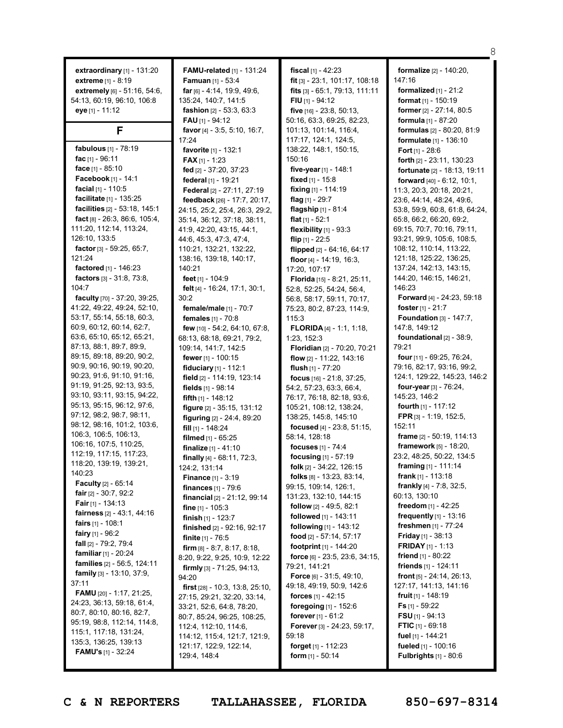**extraordinary** [1] - 131:20 **extreme** [1] - 8:19 **extremely** [6] - 51:16, 54:6, 54:13, 60:19, 96:10, 106:8 **eye** [1] - 11:12

### **F**

**fabulous** [1] - 78:19 **fac** [1] - 96:11 **face** [1] - 85:10 **Facebook** [1] - 14:1 **facial** [1] - 110:5 **facilitate** [1] - 135:25 **facilities** [2] - 53:18, 145:1 **fact** [8] - 26:3, 86:6, 105:4, 111:20, 112:14, 113:24, 126:10, 133:5 **factor** [3] - 59:25, 65:7, 121:24 **factored** [1] - 146:23 **factors** [3] - 31:8, 73:8, 104:7 **faculty** [70] - 37:20, 39:25, 41:22, 49:22, 49:24, 52:10, 53:17, 55:14, 55:18, 60:3, 60:9, 60:12, 60:14, 62:7, 63:6, 65:10, 65:12, 65:21, 87:13, 88:1, 89:7, 89:9, 89:15, 89:18, 89:20, 90:2, 90:9, 90:16, 90:19, 90:20, 90:23, 91:6, 91:10, 91:16, 91:19, 91:25, 92:13, 93:5, 93:10, 93:11, 93:15, 94:22, 95:13, 95:15, 96:12, 97:6, 97:12, 98:2, 98:7, 98:11, 98:12, 98:16, 101:2, 103:6, 106:3, 106:5, 106:13, 106:16, 107:5, 110:25, 112:19, 117:15, 117:23, 118:20, 139:19, 139:21, 140:23 **Faculty** [2] - 65:14 **fair** [2] - 30:7, 92:2 **Fair** [1] - 134:13 **fairness** [2] - 43:1, 44:16 **fairs** [1] - 108:1 **fairy** [1] - 96:2 **fall** [2] - 79:2, 79:4 **familiar** [1] - 20:24 **families** [2] - 56:5, 124:11 **family** [3] - 13:10, 37:9,  $37:11$ **FAMU** [20] - 1:17, 21:25, 24:23, 36:13, 59:18, 61:4, 80:7, 80:10, 80:16, 82:7, 95:19, 98:8, 112:14, 114:8, 115:1, 117:18, 131:24, 135:3, 136:25, 139:13 **FAMU's** [1] - 32:24

**FAMU-related** [1] - 131:24 **Famuan** [1] - 53:4 **far** [6] - 4:14, 19:9, 49:6, 135:24, 140:7, 141:5 **fashion** [2] - 53:3, 63:3 **FAU** [1] - 94:12 **favor** [4] - 3:5, 5:10, 16:7, 17:24 **favorite** [1] - 132:1 **FAX** [1] - 1:23 **fed** [2] - 37:20, 37:23 **federal** [1] - 19:21 **Federal** [2] - 27:11, 27:19 **feedback** [26] - 17:7, 20:17, 24:15, 25:2, 25:4, 26:3, 29:2, 35:14, 36:12, 37:18, 38:11, 41:9, 42:20, 43:15, 44:1, 44:6, 45:3, 47:3, 47:4, 110:21, 132:21, 132:22, 138:16, 139:18, 140:17, 140:21 **feet** [1] - 104:9 **felt** [4] - 16:24, 17:1, 30:1, 30:2 **female/male** [1] - 70:7 **females** [1] - 70:8 **few** [10] - 54:2, 64:10, 67:8, 68:13, 68:18, 69:21, 79:2, 109:14, 141:7, 142:5 **fewer** [1] - 100:15 **fiduciary** [1] - 112:1 **field** [2] - 114:19, 123:14 **fields** [1] - 98:14 **fifth** [1] - 148:12 **figure** [2] - 35:15, 131:12 **figuring** [2] - 24:4, 89:20 **fill** [1] - 148:24 **filmed** [1] - 65:25 **finalize** [1] - 41:10 **finally** [4] - 68:11, 72:3, 124:2, 131:14 **Finance** [1] - 3:19 **finances** [1] - 79:6 **financial** [2] - 21:12, 99:14 **fine** [1] - 105:3 **finish** [1] - 123:7 **finished** [2] - 92:16, 92:17 **finite** [1] - 76:5 **firm** [8] - 8:7, 8:17, 8:18, 8:20, 9:22, 9:25, 10:9, 12:22 **firmly** [3] - 71:25, 94:13, 94:20 **first** [28] - 10:3, 13:8, 25:10, 27:15, 29:21, 32:20, 33:14, 33:21, 52:6, 64:8, 78:20, 80:7, 85:24, 96:25, 108:25, 112:4, 112:10, 114:6, 114:12, 115:4, 121:7, 121:9, 121:17, 122:9, 122:14, 129:4, 148:4

**fiscal** [1] - 42:23 **fit** [3] - 23:1, 101:17, 108:18 **fits** [3] - 65:1, 79:13, 111:11 **FIU** [1] - 94:12 **five** [16] - 23:8, 50:13, 50:16, 63:3, 69:25, 82:23, 101:13, 101:14, 116:4, 117:17, 124:1, 124:5, 138:22, 148:1, 150:15, 150:16 **five-year** [1] - 148:1 **fixed** [1] - 15:8 **fixing** [1] - 114:19 **flag** [1] - 29:7 **flagship** [1] - 81:4 **flat** [1] - 52:1 **flexibility** [1] - 93:3 **flip** [1] - 22:5 **flipped** [2] - 64:16, 64:17 **floor** [4] - 14:19, 16:3, 17:20, 107:17 **Florida** [15] - 8:21, 25:11, 52:8, 52:25, 54:24, 56:4, 56:8, 58:17, 59:11, 70:17, 75:23, 80:2, 87:23, 114:9, 115:3 **FLORIDA** [4] - 1:1, 1:18, 1:23, 152:3 **Floridian** [2] - 70:20, 70:21 **flow** [2] - 11:22, 143:16 **flush** [1] - 77:20 **focus** [16] - 21:8, 37:25, 54:2, 57:23, 63:3, 66:4, 76:17, 76:18, 82:18, 93:6, 105:21, 108:12, 138:24, 138:25, 145:8, 145:10 **focused** [4] - 23:8, 51:15, 58:14, 128:18 **focuses** [1] - 74:4 **focusing** [1] - 57:19 **folk** [2] - 34:22, 126:15 **folks** [8] - 13:23, 83:14, 99:15, 109:14, 126:1, 131:23, 132:10, 144:15 **follow** [2] - 49:5, 82:1 **followed** [1] - 143:11 **following** [1] - 143:12 **food** [2] - 57:14, 57:17 **footprint** [1] - 144:20 **force** [6] - 23:5, 23:6, 34:15, 79:21, 141:21 **Force** [6] - 31:5, 49:10, 49:18, 49:19, 50:9, 142:6 **forces** [1] - 42:15 **foregoing** [1] - 152:6 **forever** [1] - 61:2 **Forever** [3] - 24:23, 59:17, 59:18 **forget** [1] - 112:23 **form** [1] - 50:14

**formalize** [2] - 140:20, 147:16 **formalized** [1] - 21:2 **format** [1] - 150:19 **former** [2] - 27:14, 80:5 **formula** [1] - 87:20 **formulas** [2] - 80:20, 81:9 **formulate** [1] - 136:10 **Fort** [1] - 28:6 **forth** [2] - 23:11, 130:23 **fortunate** [2] - 18:13, 19:11 **forward** [40] - 6:12, 10:1, 11:3, 20:3, 20:18, 20:21, 23:6, 44:14, 48:24, 49:6, 53:8, 59:9, 60:8, 61:8, 64:24, 65:8, 66:2, 66:20, 69:2, 69:15, 70:7, 70:16, 79:11, 93:21, 99:9, 105:6, 108:5, 108:12, 110:14, 113:22, 121:18, 125:22, 136:25, 137:24, 142:13, 143:15, 144:20, 146:15, 146:21, 146:23 **Forward** [4] - 24:23, 59:18 **foster** [1] - 21:7 **Foundation** [3] - 147:7, 147:8, 149:12 **foundational** [2] - 38:9, 79:21 **four** [11] - 69:25, 76:24, 79:16, 82:17, 93:16, 99:2, 124:1, 129:22, 145:23, 146:2 **four-year** [3] - 76:24, 145:23, 146:2 **fourth** [1] - 117:12 **FPR** [3] - 1:19, 152:5, 152:11 **frame** [2] - 50:19, 114:13 **framework** [5] - 18:20, 23:2, 48:25, 50:22, 134:5 **framing** [1] - 111:14 **frank** [1] - 113:18 **frankly** [4] - 7:8, 32:5, 60:13, 130:10 **freedom** [1] - 42:25 **frequently** [1] - 13:16 **freshmen** [1] - 77:24 **Friday** [1] - 38:13 **FRIDAY** [1] - 1:13 **friend** [1] - 80:22 **friends** [1] - 124:11 **front** [5] - 24:14, 26:13, 127:17, 141:13, 141:16 **fruit** [1] - 148:19 **Fs** [1] - 59:22 **FSU** [1] - 94:13 **FTIC** [1] - 69:18 **fuel** [1] - 144:21 **fueled** [1] - 100:16 **Fulbrights** [1] - 80:6

8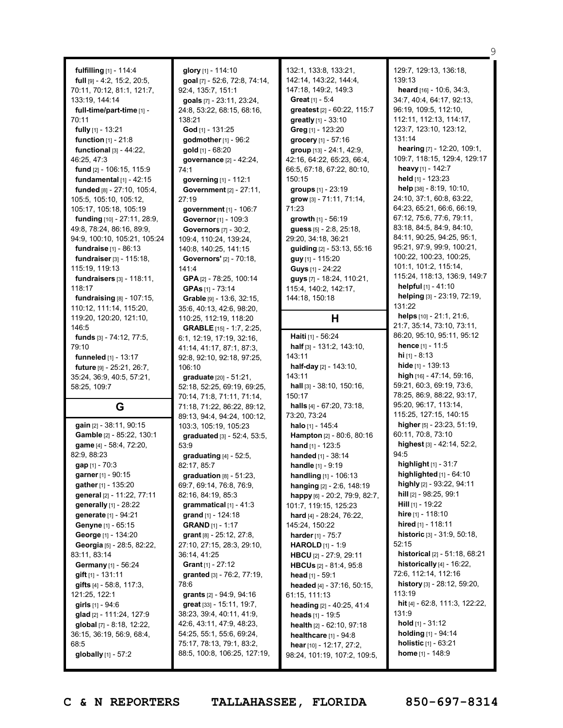**fulfilling** [1] - 114:4 **full** [9] - 4:2, 15:2, 20:5, 70:11, 70:12, 81:1, 121:7, 133:19, 144:14 **full-time/part-time** [1] - 70:11 **fully** [1] - 13:21 **function** [1] - 21:8 **functional** [3] - 44:22, 46:25, 47:3 **fund** [2] - 106:15, 115:9 **fundamental** [1] - 42:15 **funded** [8] - 27:10, 105:4, 105:5, 105:10, 105:12, 105:17, 105:18, 105:19 **funding** [10] - 27:11, 28:9, 49:8, 78:24, 86:16, 89:9, 94:9, 100:10, 105:21, 105:24 **fundraise** [1] - 86:13 **fundraiser**[3] - 115:18, 115:19, 119:13 **fundraisers** [3] - 118:11, 118:17 **fundraising** [8] - 107:15, 110:12, 111:14, 115:20, 119:20, 120:20, 121:10, 146:5 **funds** [3] - 74:12, 77:5, 79:10 **funneled** [1] - 13:17 **future** [9] - 25:21, 26:7, 35:24, 36:9, 40:5, 57:21, 58:25, 109:7 **G gain** [2] - 38:11, 90:15 **Gamble** [2] - 85:22, 130:1 **game** [4] - 58:4, 72:20, 82:9, 88:23 **gap** [1] - 70:3 **garner** [1] - 90:15 **gather** [1] - 135:20 **general** [2] - 11:22, 77:11 **generally** [1] - 28:22 **generate** [1] - 94:21 **Genyne** [1] - 65:15 **George** [1] - 134:20 **Georgia** [5] - 28:5, 82:22, 83:11, 83:14 **Germany** [1] - 56:24 **gift** [1] - 131:11 **gifts** [4] - 58:8, 117:3, 121:25, 122:1 **girls** [1] - 94:6 **glad** [2] - 111:24, 127:9 **global** [7] - 8:18, 12:22, 36:15, 36:19, 56:9, 68:4, 68:5 **globally** [1] - 57:2

**glory** [1] - 114:10 **goal** [7] - 52:6, 72:8, 74:14, 92:4, 135:7, 151:1 **goals** [7] - 23:11, 23:24, 24:8, 53:22, 68:15, 68:16, 138:21 **God** [1] - 131:25 **godmother**[1] - 96:2 **gold** [1] - 68:20 **governance** [2] - 42:24, 74:1 **governing** [1] - 112:1 **Government** [2] - 27:11, 27:19 **government** [1] - 106:7 **Governor**[1] - 109:3 **Governors** [7] - 30:2, 109:4, 110:24, 139:24, 140:8, 140:25, 141:15 **Governors'** [2] - 70:18, 141:4 **GPA** [2] - 78:25, 100:14 **GPAs** [1] - 73:14 **Grable** [9] - 13:6, 32:15, 35:6, 40:13, 42:6, 98:20, 110:25, 112:19, 118:20 **GRABLE** [15] - 1:7, 2:25, 6:1, 12:19, 17:19, 32:16, 41:14, 41:17, 87:1, 87:3, 92:8, 92:10, 92:18, 97:25, 106:10 **graduate** [20] - 51:21, 52:18, 52:25, 69:19, 69:25, 70:14, 71:8, 71:11, 71:14, 71:18, 71:22, 86:22, 89:12, 89:13, 94:4, 94:24, 100:12, 103:3, 105:19, 105:23 **graduated** [3] - 52:4, 53:5, 53:9 **graduating** [4] - 52:5, 82:17, 85:7 **graduation** [8] - 51:23, 69:7, 69:14, 76:8, 76:9, 82:16, 84:19, 85:3 **grammatical** [1] - 41:3 **grand** [1] - 124:18 **GRAND** [1] - 1:17 **grant** [8] - 25:12, 27:8, 27:10, 27:15, 28:3, 29:10, 36:14, 41:25 **Grant** [1] - 27:12 **granted** [3] - 76:2, 77:19, 78:6 **grants** [2] - 94:9, 94:16 **great** [33] - 15:11, 19:7, 38:23, 39:4, 40:11, 41:9, 42:6, 43:11, 47:9, 48:23, 54:25, 55:1, 55:6, 69:24, 75:17, 78:13, 79:1, 83:2, 88:5, 100:8, 106:25, 127:19, 132:1, 133:8, 133:21, 142:14, 143:22, 144:4, 147:18, 149:2, 149:3 **Great** [1] - 5:4 **greatest** [2] - 60:22, 115:7 **greatly** [1] - 33:10 **Greg** [1] - 123:20 **grocery** [1] - 57:16 **group** [13] - 24:1, 42:9, 42:16, 64:22, 65:23, 66:4, 66:5, 67:18, 67:22, 80:10, 150:15 **groups** [1] - 23:19 **grow** [3] - 71:11, 71:14, 71:23 **growth** [1] - 56:19 **guess** [5] - 2:8, 25:18, 29:20, 34:18, 36:21 **guiding** [2] - 53:13, 55:16 **guy** [1] - 115:20 **Guys** [1] - 24:22 **guys** [7] - 18:24, 110:21, 115:4, 140:2, 142:17, 144:18, 150:18

# **H**

**Haiti** [1] - 56:24 **half** [3] - 131:2, 143:10, 143:11 **half-day** [2] - 143:10, 143:11 **hall** [3] - 38:10, 150:16, 150:17 **halls** [4] - 67:20, 73:18, 73:20, 73:24 **halo** [1] - 145:4 **Hampton** [2] - 80:6, 80:16 **hand** [1] - 123:5 **handed** [1] - 38:14 **handle** [1] - 9:19 **handling** [1] - 106:13 **hanging** [2] - 2:6, 148:19 **happy** [6] - 20:2, 79:9, 82:7, 101:7, 119:15, 125:23 **hard** [4] - 28:24, 76:22, 145:24, 150:22 **harder** [1] - 75:7 **HAROLD** [1] - 1:9 **HBCU** [2] - 27:9, 29:11 **HBCUs** [2] - 81:4, 95:8 **head** [1] - 59:1 **headed** [4] - 37:16, 50:15, 61:15, 111:13 **heading** [2] - 40:25, 41:4 **heads** [1] - 19:5 **health** [2] - 62:10, 97:18 **healthcare** [1] - 94:8 **hear** [10] - 12:17, 27:2, 98:24, 101:19, 107:2, 109:5,

129:7, 129:13, 136:18, 139:13 **heard** [16] - 10:6, 34:3, 34:7, 40:4, 64:17, 92:13, 96:19, 109:5, 112:10, 112:11, 112:13, 114:17, 123:7, 123:10, 123:12, 131:14 **hearing** [7] - 12:20, 109:1, 109:7, 118:15, 129:4, 129:17 **heavy** [1] - 142:7 **held** [1] - 123:23 **help** [38] - 8:19, 10:10, 24:10, 37:1, 60:8, 63:22, 64:23, 65:21, 66:6, 66:19, 67:12, 75:6, 77:6, 79:11, 83:18, 84:5, 84:9, 84:10, 84:11, 90:25, 94:25, 95:1, 95:21, 97:9, 99:9, 100:21, 100:22, 100:23, 100:25, 101:1, 101:2, 115:14, 115:24, 118:13, 136:9, 149:7 **helpful** [1] - 41:10 **helping** [3] - 23:19, 72:19, 131:22 **helps** [10] - 21:1, 21:6, 21:7, 35:14, 73:10, 73:11, 86:20, 95:10, 95:11, 95:12 **hence** [1] - 11:5 **hi** [1] - 8:13 **hide** [1] - 139:13 **high** [16] - 47:14, 59:16, 59:21, 60:3, 69:19, 73:6, 78:25, 86:9, 88:22, 93:17, 95:20, 96:17, 113:14, 115:25, 127:15, 140:15 **higher** [5] - 23:23, 51:19, 60:11, 70:8, 73:10 **highest** [3] - 42:14, 52:2, 94:5 **highlight** [1] - 31:7 **highlighted** [1] - 64:10 **highly** [2] - 93:22, 94:11 **hill** [2] - 98:25, 99:1 **Hill** [1] - 19:22 **hire** [1] - 118:10 **hired** [1] - 118:11 **historic** [3] - 31:9, 50:18, 52:15 **historical** [2] - 51:18, 68:21 **historically** [4] - 16:22, 72:6, 112:14, 112:16 **history** [3] - 28:12, 59:20, 113:19 **hit** [4] - 62:8, 111:3, 122:22, 131:9 **hold** [1] - 31:12 **holding** [1] - 94:14 **holistic** [1] - 63:21

9

**C & N REPORTERS TALLAHASSEE, FLORIDA 850-697-8314**

**home** [1] - 148:9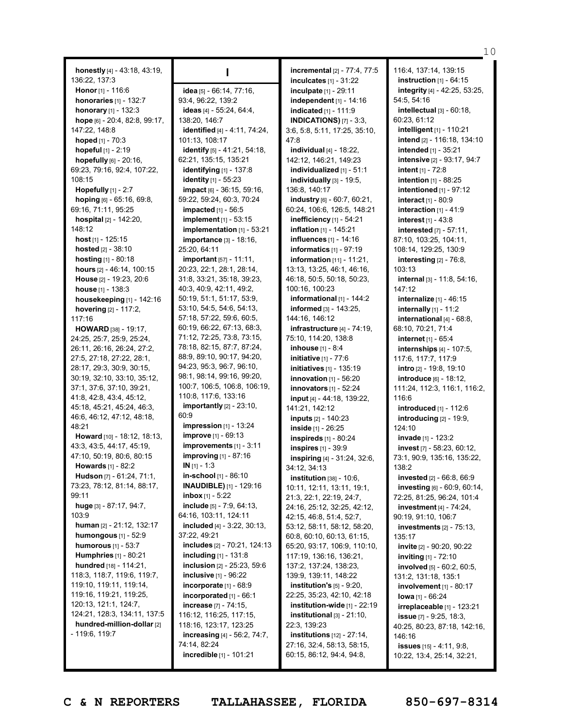**honestly** [4] - 43:18, 43:19, 136:22, 137:3 **Honor** [1] - 116:6 **honoraries** [1] - 132:7 **honorary** [1] - 132:3 **hope** [6] - 20:4, 82:8, 99:17, 147:22, 148:8 **hoped** [1] - 70:3 **hopeful** [1] - 2:19 **hopefully** [6] - 20:16, 69:23, 79:16, 92:4, 107:22, 108:15 **Hopefully** [1] - 2:7 **hoping** [6] - 65:16, 69:8, 69:16, 71:11, 95:25 **hospital** [2] - 142:20, 148:12 **host** [1] - 125:15 **hosted** [2] - 38:10 **hosting** [1] - 80:18 **hours** [2] - 46:14, 100:15 **House** [2] - 19:23, 20:6 **house** [1] - 138:3 **housekeeping** [1] - 142:16 **hovering** [2] - 117:2, 117:16 **HOWARD** [38] - 19:17, 24:25, 25:7, 25:9, 25:24, 26:11, 26:16, 26:24, 27:2, 27:5, 27:18, 27:22, 28:1, 28:17, 29:3, 30:9, 30:15, 30:19, 32:10, 33:10, 35:12, 37:1, 37:6, 37:10, 39:21, 41:8, 42:8, 43:4, 45:12, 45:18, 45:21, 45:24, 46:3, 46:6, 46:12, 47:12, 48:18, 48:21 **Howard** [10] - 18:12, 18:13, 43:3, 43:5, 44:17, 45:19, 47:10, 50:19, 80:6, 80:15 **Howards** [1] - 82:2 **Hudson** [7] - 61:24, 71:1, 73:23, 78:12, 81:14, 88:17, 99:11 **huge** [3] - 87:17, 94:7, 103:9 **human** [2] - 21:12, 132:17 **humongous** [1] - 52:9 **humorous** [1] - 53:7 **Humphries** [1] - 80:21 **hundred** [18] - 114:21, 118:3, 118:7, 119:6, 119:7, 119:10, 119:11, 119:14, 119:16, 119:21, 119:25, 120:13, 121:1, 124:7, 124:21, 128:3, 134:11, 137:5 **hundred-million-dollar** [2] - 119:6, 119:7

**I**

**idea** [5] - 66:14, 77:16, 93:4, 96:22, 139:2 **ideas** [4] - 55:24, 64:4, 138:20, 146:7 **identified** [4] - 4:11, 74:24, 101:13, 108:17 **identify** [5] - 41:21, 54:18, 62:21, 135:15, 135:21 **identifying** [1] - 137:8 **identity** [1] - 55:23 **impact** [6] - 36:15, 59:16, 59:22, 59:24, 60:3, 70:24 **impacted** [1] - 56:5 **implement** [1] - 53:15 **implementation** [1] - 53:21 **importance** [3] - 18:16, 25:20, 64:11 **important** [57] - 11:11, 20:23, 22:1, 28:1, 28:14, 31:8, 33:21, 35:18, 39:23, 40:3, 40:9, 42:11, 49:2, 50:19, 51:1, 51:17, 53:9, 53:10, 54:5, 54:6, 54:13, 57:18, 57:22, 59:6, 60:5, 60:19, 66:22, 67:13, 68:3, 71:12, 72:25, 73:8, 73:15, 78:18, 82:15, 87:7, 87:24, 88:9, 89:10, 90:17, 94:20, 94:23, 95:3, 96:7, 96:10, 98:1, 98:14, 99:16, 99:20, 100:7, 106:5, 106:8, 106:19, 110:8, 117:6, 133:16 **importantly** [2] - 23:10, 60:9 **impression** [1] - 13:24 **improve** [1] - 69:13 **improvements** [1] - 3:11 **improving** [1] - 87:16 **IN** [1] - 1:3 **in-school** [1] - 86:10 **INAUDIBLE)** [1] - 129:16 **inbox** [1] - 5:22 **include** [5] - 7:9, 64:13, 64:16, 103:11, 124:11 **included** [4] - 3:22, 30:13, 37:22, 49:21 **includes** [2] - 70:21, 124:13 **including** [1] - 131:8 **inclusion** [2] - 25:23, 59:6 **inclusive** [1] - 96:22 **incorporate** [1] - 68:9 **incorporated** [1] - 66:1 **increase** [7] - 74:15, 116:12, 116:25, 117:15, 118:16, 123:17, 123:25 **increasing** [4] - 56:2, 74:7, 74:14, 82:24 **incredible** [1] - 101:21

**incremental** [2] - 77:4, 77:5 **inculcates** [1] - 31:22 **inculpate** [1] - 29:11 **independent** [1] - 14:16 **indicated** [1] - 111:9 **INDICATIONS)** [7] - 3:3, 3:6, 5:8, 5:11, 17:25, 35:10, 47:8 **individual** [4] - 18:22, 142:12, 146:21, 149:23 **individualized** [1] - 51:1 **individually** [3] - 19:5, 136:8, 140:17 **industry** [6] - 60:7, 60:21, 60:24, 106:6, 126:5, 148:21 **inefficiency** [1] - 54:21 **inflation** [1] - 145:21 **influences** [1] - 14:16 **informatics** [1] - 97:19 **information** [11] - 11:21, 13:13, 13:25, 46:1, 46:16, 46:18, 50:5, 50:18, 50:23, 100:16, 100:23 **informational** [1] - 144:2 **informed** [3] - 143:25, 144:16, 146:12 **infrastructure** [4] - 74:19, 75:10, 114:20, 138:8 **inhouse** [1] - 8:4 **initiative** [1] - 77:6 **initiatives** [1] - 135:19 **innovation** [1] - 56:20 **innovators** [1] - 52:24 **input** [4] - 44:18, 139:22, 141:21, 142:12 **inputs** [2] - 140:23 **inside** [1] - 26:25 **inspireds** [1] - 80:24 **inspires** [1] - 39:9 **inspiring** [4] - 31:24, 32:6, 34:12, 34:13 **institution** [38] - 10:6, 10:11, 12:11, 13:11, 19:1, 21:3, 22:1, 22:19, 24:7, 24:16, 25:12, 32:25, 42:12, 42:15, 46:8, 51:4, 52:7, 53:12, 58:11, 58:12, 58:20, 60:8, 60:10, 60:13, 61:15, 65:20, 93:17, 106:9, 110:10, 117:19, 136:16, 136:21, 137:2, 137:24, 138:23, 139:9, 139:11, 148:22 **institution's** [5] - 9:20, 22:25, 35:23, 42:10, 42:18 **institution-wide** [1] - 22:19 **institutional** [3] - 21:10, 22:3, 139:23 **institutions** [12] - 27:14, 27:16, 32:4, 58:13, 58:15, 60:15, 86:12, 94:4, 94:8,

116:4, 137:14, 139:15 **instruction** [1] - 64:15 **integrity** [4] - 42:25, 53:25, 54:5, 54:16 **intellectual** [3] - 60:18, 60:23, 61:12 **intelligent** [1] - 110:21 **intend** [2] - 116:18, 134:10 **intended** [1] - 35:21 **intensive** [2] - 93:17, 94:7 **intent** [1] - 72:8 **intention** [1] - 88:25 **intentioned** [1] - 97:12 **interact** [1] - 80:9 **interaction** [1] - 41:9 **interest** [1] - 43:8 **interested** [7] - 57:11, 87:10, 103:25, 104:11, 108:14, 129:25, 130:9 **interesting** [2] - 76:8, 103:13 **internal** [3] - 11:8, 54:16, 147:12 **internalize** [1] - 46:15 **internally** [1] - 11:2 **international** [4] - 68:8, 68:10, 70:21, 71:4 **internet** [1] - 65:4 **internships** [4] - 107:5, 117:6, 117:7, 117:9 **intro** [2] - 19:8, 19:10 **introduce** [6] - 18:12, 111:24, 112:3, 116:1, 116:2, 116:6 **introduced** [1] - 112:6 **introducing** [2] - 19:9, 124:10 **invade** [1] - 123:2 **invest** [7] - 58:23, 60:12, 73:1, 90:9, 135:16, 135:22, 138:2 **invested** [2] - 66:8, 66:9 **investing** [6] - 60:9, 60:14, 72:25, 81:25, 96:24, 101:4 **investment** [4] - 74:24, 90:19, 91:10, 106:7 **investments** [2] - 75:13, 135:17 **invite** [2] - 90:20, 90:22 **inviting** [1] - 72:10 **involved** [5] - 60:2, 60:5, 131:2, 131:18, 135:1 **involvement** [1] - 80:17 **Iowa** [1] - 66:24 **irreplaceable** [1] - 123:21 **issue** [7] - 9:25, 18:3, 40:25, 80:23, 87:18, 142:16, 146:16 **issues** [15] - 4:11, 9:8, 10:22, 13:4, 25:14, 32:21,

10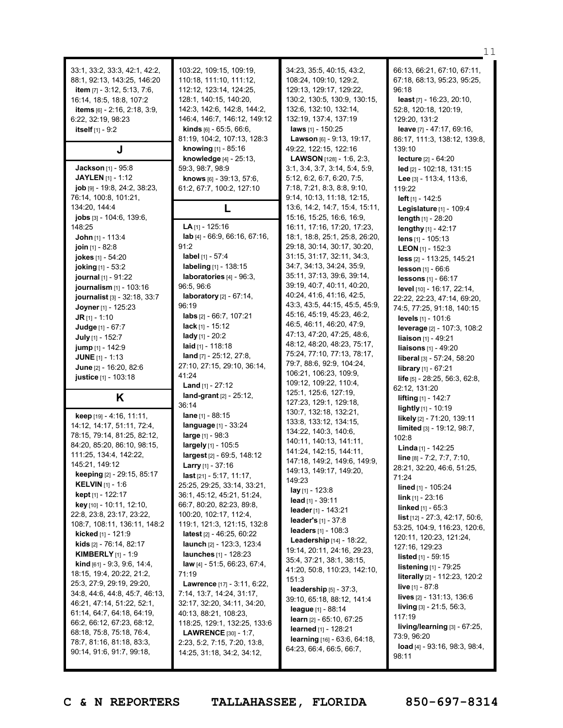|                                                                                                                                                                                                                   |                                                                                                                                                                                                                                                                  |                                                                                                                                                                                                                                                     | 11                                                                                                                                                                                                                  |
|-------------------------------------------------------------------------------------------------------------------------------------------------------------------------------------------------------------------|------------------------------------------------------------------------------------------------------------------------------------------------------------------------------------------------------------------------------------------------------------------|-----------------------------------------------------------------------------------------------------------------------------------------------------------------------------------------------------------------------------------------------------|---------------------------------------------------------------------------------------------------------------------------------------------------------------------------------------------------------------------|
| 33:1, 33:2, 33:3, 42:1, 42:2,<br>88:1, 92:13, 143:25, 146:20<br><b>item</b> $[7] - 3:12, 5:13, 7:6,$<br>16:14, 18:5, 18:8, 107:2<br>items [6] - 2:16, 2:18, 3:9,<br>6:22, 32:19, 98:23<br>itself $[1] - 9:2$<br>J | 103:22, 109:15, 109:19,<br>110:18, 111:10, 111:12,<br>112:12, 123:14, 124:25,<br>128:1, 140:15, 140:20,<br>142:3, 142:6, 142:8, 144:2,<br>146:4, 146:7, 146:12, 149:12<br><b>kinds</b> $[6] - 65:5, 66:6,$<br>81:19, 104:2, 107:13, 128:3<br>knowing [1] - 85:16 | 34:23, 35:5, 40:15, 43:2,<br>108:24, 109:10, 129:2,<br>129:13, 129:17, 129:22,<br>130:2, 130:5, 130:9, 130:15,<br>132:6, 132:10, 132:14,<br>132:19, 137:4, 137:19<br><b>laws</b> [1] - 150:25<br>Lawson [6] - 9:13, 19:17,<br>49:22, 122:15, 122:16 | 66:13, 66:21, 67:10, 67:11,<br>67:18, 68:13, 95:23, 95:25,<br>96:18<br>least $[7] - 16:23, 20:10,$<br>52:8, 120:18, 120:19,<br>129:20, 131:2<br>leave [7] - 47:17, 69:16,<br>86:17, 111:3, 138:12, 139:8,<br>139:10 |
|                                                                                                                                                                                                                   | knowledge $[4] - 25:13$ ,                                                                                                                                                                                                                                        | <b>LAWSON</b> $[128] - 1:6, 2:3,$                                                                                                                                                                                                                   | lecture [2] - 64:20                                                                                                                                                                                                 |
| <b>Jackson</b> [1] - 95:8<br>JAYLEN [1] - 1:12<br>$job$ [9] - 19:8, 24:2, 38:23,<br>76:14, 100:8, 101:21,                                                                                                         | 59:3, 98:7, 98:9<br>knows $[6] - 39:13, 57:6$<br>61:2, 67:7, 100:2, 127:10                                                                                                                                                                                       | 3:1, 3:4, 3:7, 3:14, 5:4, 5:9,<br>5:12, 6:2, 6:7, 6:20, 7:5,<br>7:18, 7:21, 8:3, 8:8, 9:10,<br>9:14, 10:13, 11:18, 12:15,                                                                                                                           | $led$ [2] - 102:18, 131:15<br>Lee $[3] - 113:4, 113:6,$<br>119:22<br><b>left</b> $[1] - 142:5$                                                                                                                      |
| 134:20, 144:4                                                                                                                                                                                                     | L                                                                                                                                                                                                                                                                | 13:6, 14:2, 14:7, 15:4, 15:11,                                                                                                                                                                                                                      | Legislature [1] - 109:4                                                                                                                                                                                             |
| <b>jobs</b> $[3] - 104:6, 139:6,$<br>148:25                                                                                                                                                                       | $LA$ <sub>[1]</sub> - 125:16                                                                                                                                                                                                                                     | 15:16, 15:25, 16:6, 16:9,<br>16:11, 17:16, 17:20, 17:23,                                                                                                                                                                                            | length [1] - 28:20                                                                                                                                                                                                  |
| <b>John</b> [1] - 113:4                                                                                                                                                                                           | lab [4] - 66:9, 66:16, 67:16,                                                                                                                                                                                                                                    | 18:1, 18:8, 25:1, 25:8, 26:20,                                                                                                                                                                                                                      | lengthy $[1] - 42:17$<br>lens $[1] - 105:13$                                                                                                                                                                        |
| join [1] - 82:8                                                                                                                                                                                                   | 91:2                                                                                                                                                                                                                                                             | 29:18, 30:14, 30:17, 30:20,                                                                                                                                                                                                                         | <b>LEON</b> [1] - 152:3                                                                                                                                                                                             |
| jokes [1] - 54:20                                                                                                                                                                                                 | label [1] - 57:4                                                                                                                                                                                                                                                 | 31:15, 31:17, 32:11, 34:3,                                                                                                                                                                                                                          | less [2] - 113:25, 145:21                                                                                                                                                                                           |
| joking [1] - 53:2                                                                                                                                                                                                 | labeling [1] - 138:15                                                                                                                                                                                                                                            | 34:7, 34:13, 34:24, 35:9,                                                                                                                                                                                                                           | <b>lesson</b> $[1] - 66:6$                                                                                                                                                                                          |
| journal [1] - 91:22                                                                                                                                                                                               | laboratories [4] - 96:3,<br>96:5, 96:6                                                                                                                                                                                                                           | 35:11, 37:13, 39:6, 39:14,<br>39:19, 40:7, 40:11, 40:20,                                                                                                                                                                                            | lessons [1] - 66:17                                                                                                                                                                                                 |
| journalism [1] - 103:16<br>journalist [3] - 32:18, 33:7                                                                                                                                                           | <b>laboratory</b> $[2] - 67:14$ ,                                                                                                                                                                                                                                | 40:24, 41:6, 41:16, 42:5,                                                                                                                                                                                                                           | <b>level</b> $[10] - 16:17, 22:14,$<br>22:22, 22:23, 47:14, 69:20,                                                                                                                                                  |
| Joyner [1] - 125:23                                                                                                                                                                                               | 96:19                                                                                                                                                                                                                                                            | 43:3, 43:5, 44:15, 45:5, 45:9,                                                                                                                                                                                                                      | 74:5, 77:25, 91:18, 140:15                                                                                                                                                                                          |
| <b>JR</b> [1] - 1:10                                                                                                                                                                                              | labs $[2] - 66:7, 107:21$                                                                                                                                                                                                                                        | 45:16, 45:19, 45:23, 46:2,                                                                                                                                                                                                                          | levels $[1]$ - 101:6                                                                                                                                                                                                |
| Judge [1] - 67:7                                                                                                                                                                                                  | lack [1] - 15:12                                                                                                                                                                                                                                                 | 46:5, 46:11, 46:20, 47:9,                                                                                                                                                                                                                           | <b>leverage</b> [2] - 107:3, 108:2                                                                                                                                                                                  |
| July [1] - 152:7                                                                                                                                                                                                  | lady $[1] - 20:2$<br>laid $[1]$ - 118:18                                                                                                                                                                                                                         | 47:13, 47:20, 47:25, 48:6,<br>48:12, 48:20, 48:23, 75:17,                                                                                                                                                                                           | <b>liaison</b> $[1] - 49:21$                                                                                                                                                                                        |
| <b>jump</b> $[1] - 142:9$<br><b>JUNE</b> $[1] - 1:13$                                                                                                                                                             | land $[7] - 25:12, 27:8$ ,                                                                                                                                                                                                                                       | 75:24, 77:10, 77:13, 78:17,                                                                                                                                                                                                                         | <b>liaisons</b> [1] - 49:20                                                                                                                                                                                         |
| June [2] - 16:20, 82:6                                                                                                                                                                                            | 27:10, 27:15, 29:10, 36:14,                                                                                                                                                                                                                                      | 79:7, 88:6, 92:9, 104:24,                                                                                                                                                                                                                           | liberal [3] - 57:24, 58:20<br><b>library</b> $[1] - 67:21$                                                                                                                                                          |
| justice [1] - 103:18                                                                                                                                                                                              | 41:24                                                                                                                                                                                                                                                            | 106:21, 106:23, 109:9,                                                                                                                                                                                                                              | <b>life</b> $[5]$ - 28:25, 56:3, 62:8,                                                                                                                                                                              |
|                                                                                                                                                                                                                   | <b>Land</b> $[1]$ - 27:12                                                                                                                                                                                                                                        | 109:12, 109:22, 110:4,<br>125:1, 125:6, 127:19,                                                                                                                                                                                                     | 62:12, 131:20                                                                                                                                                                                                       |
| K                                                                                                                                                                                                                 | $land-grant$ [2] - 25:12,                                                                                                                                                                                                                                        | 127:23, 129:1, 129:18,                                                                                                                                                                                                                              | <b>lifting</b> $[1] - 142:7$                                                                                                                                                                                        |
| <b>keep</b> $[19] - 4:16$ , $11:11$ ,                                                                                                                                                                             | 36:14<br><b>lane</b> $[1]$ - 88:15                                                                                                                                                                                                                               | 130:7, 132:18, 132:21,                                                                                                                                                                                                                              | <b>lightly</b> $[1]$ - 10:19                                                                                                                                                                                        |
| 14:12, 14:17, 51:11, 72:4,                                                                                                                                                                                        | language [1] - 33:24                                                                                                                                                                                                                                             | 133:8, 133:12, 134:15,                                                                                                                                                                                                                              | likely [2] - 71:20, 139:11<br>limited [3] - 19:12, 98:7,                                                                                                                                                            |
| 78:15, 79:14, 81:25, 82:12,                                                                                                                                                                                       | <b>large</b> $[1] - 98:3$                                                                                                                                                                                                                                        | 134:22, 140:3, 140:6,                                                                                                                                                                                                                               | 102:8                                                                                                                                                                                                               |
| 84:20, 85:20, 86:10, 98:15,                                                                                                                                                                                       | largely [1] - 105:5                                                                                                                                                                                                                                              | 140:11, 140:13, 141:11,<br>141:24, 142:15, 144:11,                                                                                                                                                                                                  | <b>Linda</b> [1] - $142:25$                                                                                                                                                                                         |
| 111:25, 134:4, 142:22,                                                                                                                                                                                            | largest [2] - 69:5, 148:12                                                                                                                                                                                                                                       | 147:18, 149:2, 149:6, 149:9,                                                                                                                                                                                                                        | line [8] - 7:2, 7:7, 7:10,                                                                                                                                                                                          |
| 145:21, 149:12<br>keeping [2] - 29:15, 85:17                                                                                                                                                                      | <b>Larry</b> [1] - 37:16<br>last [21] - 5:17, 11:17,                                                                                                                                                                                                             | 149:13, 149:17, 149:20,                                                                                                                                                                                                                             | 28:21, 32:20, 46:6, 51:25,                                                                                                                                                                                          |
| <b>KELVIN</b> [1] - 1:6                                                                                                                                                                                           | 25:25, 29:25, 33:14, 33:21,                                                                                                                                                                                                                                      | 149:23                                                                                                                                                                                                                                              | 71:24<br>lined [1] - 105:24                                                                                                                                                                                         |
| <b>kept</b> [1] - 122:17                                                                                                                                                                                          | 36:1, 45:12, 45:21, 51:24,                                                                                                                                                                                                                                       | $\log$ [1] - 123:8<br>lead $[1]$ - 39:11                                                                                                                                                                                                            | <b>link</b> [1] - 23:16                                                                                                                                                                                             |
| key [10] - 10:11, 12:10,                                                                                                                                                                                          | 66:7, 80:20, 82:23, 89:8,                                                                                                                                                                                                                                        | leader [1] - $143:21$                                                                                                                                                                                                                               | <b>linked</b> $[1] - 65:3$                                                                                                                                                                                          |
| 22:8, 23:8, 23:17, 23:22,<br>108:7, 108:11, 136:11, 148:2                                                                                                                                                         | 100:20, 102:17, 112:4,<br>119:1, 121:3, 121:15, 132:8                                                                                                                                                                                                            | leader's [1] - 37:8                                                                                                                                                                                                                                 | <b>list</b> $[12] - 27:3, 42:17, 50:6,$                                                                                                                                                                             |
| kicked [1] - 121:9                                                                                                                                                                                                | latest [2] - 46:25, 60:22                                                                                                                                                                                                                                        | leaders $[1] - 108:3$                                                                                                                                                                                                                               | 53:25, 104:9, 116:23, 120:6,                                                                                                                                                                                        |
| <b>kids</b> $[2] - 76:14, 82:17$                                                                                                                                                                                  | launch [2] - 123:3, 123:4                                                                                                                                                                                                                                        | Leadership [14] - 18:22,                                                                                                                                                                                                                            | 120:11, 120:23, 121:24,<br>127:16, 129:23                                                                                                                                                                           |
| <b>KIMBERLY</b> $[1] - 1:9$                                                                                                                                                                                       | launches [1] - 128:23                                                                                                                                                                                                                                            | 19:14, 20:11, 24:16, 29:23,<br>35:4, 37:21, 38:1, 38:15,                                                                                                                                                                                            | <b>listed</b> $[1] - 59:15$                                                                                                                                                                                         |
| <b>kind</b> $[61] - 9:3, 9:6, 14:4,$                                                                                                                                                                              | law $[4] - 51:5, 66:23, 67:4,$                                                                                                                                                                                                                                   | 41:20, 50:8, 110:23, 142:10,                                                                                                                                                                                                                        | <b>listening</b> [1] - 79:25                                                                                                                                                                                        |
| 18:15, 19:4, 20:22, 21:2,<br>25:3, 27:9, 29:19, 29:20,                                                                                                                                                            | 71:19<br>Lawrence [17] - 3:11, 6:22,                                                                                                                                                                                                                             | 151:3                                                                                                                                                                                                                                               | <b>literally</b> [2] - 112:23, 120:2                                                                                                                                                                                |
| 34:8, 44:6, 44:8, 45:7, 46:13,                                                                                                                                                                                    | 7:14, 13:7, 14:24, 31:17,                                                                                                                                                                                                                                        | leadership $[5]$ - 37:3,                                                                                                                                                                                                                            | live [1] - 87:8                                                                                                                                                                                                     |
| 46:21, 47:14, 51:22, 52:1,                                                                                                                                                                                        | 32:17, 32:20, 34:11, 34:20,                                                                                                                                                                                                                                      | 39:10, 65:18, 88:12, 141:4                                                                                                                                                                                                                          | <b>lives</b> $[2] - 131:13, 136:6$<br><b>living</b> $[3] - 21:5, 56:3,$                                                                                                                                             |
| 61:14, 64:7, 64:18, 64:19,                                                                                                                                                                                        | 40:13, 88:21, 108:23,                                                                                                                                                                                                                                            | league [1] - 88:14<br><b>learn</b> $[2] - 65:10, 67:25$                                                                                                                                                                                             | 117:19                                                                                                                                                                                                              |
| 66:2, 66:12, 67:23, 68:12,                                                                                                                                                                                        | 118:25, 129:1, 132:25, 133:6                                                                                                                                                                                                                                     | <b>learned</b> $[1]$ - 128:21                                                                                                                                                                                                                       | living/learning [3] - 67:25,                                                                                                                                                                                        |
| 68:18, 75:8, 75:18, 76:4,                                                                                                                                                                                         | <b>LAWRENCE</b> $[30] - 1:7$ ,                                                                                                                                                                                                                                   |                                                                                                                                                                                                                                                     | 73:9, 96:20                                                                                                                                                                                                         |
|                                                                                                                                                                                                                   |                                                                                                                                                                                                                                                                  | learning [16] - 63:6, 64:18,                                                                                                                                                                                                                        |                                                                                                                                                                                                                     |
| 78:7, 81:16, 81:18, 83:3,<br>90:14, 91:6, 91:7, 99:18,                                                                                                                                                            | 2:23, 5:2, 7:15, 7:20, 13:8,<br>14:25, 31:18, 34:2, 34:12,                                                                                                                                                                                                       | 64:23, 66:4, 66:5, 66:7,                                                                                                                                                                                                                            | <b>load</b> [4] - 93:16, 98:3, 98:4,<br>98:11                                                                                                                                                                       |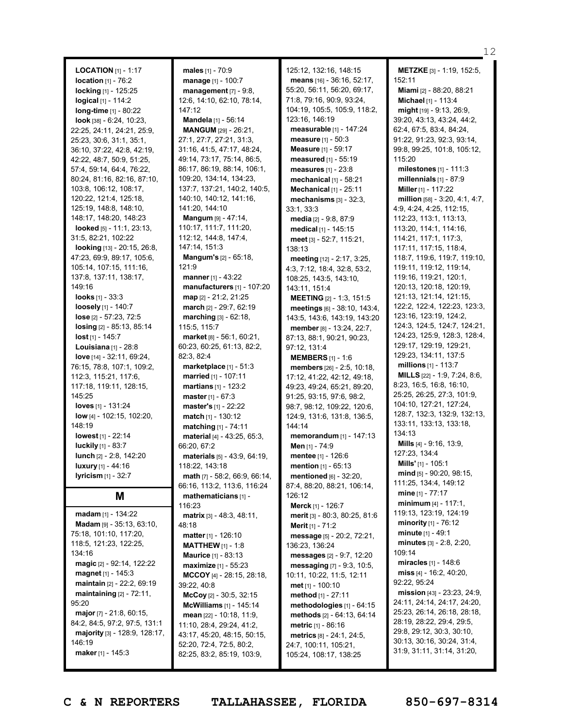**LOCATION** [1] - 1:17 **location** [1] - 76:2 **locking** [1] - 125:25 **logical** [1] - 114:2 **long-time** [1] - 80:22 **look** [38] - 6:24, 10:23, 22:25, 24:11, 24:21, 25:9, 25:23, 30:6, 31:1, 35:1, 36:10, 37:22, 42:8, 42:19, 42:22, 48:7, 50:9, 51:25, 57:4, 59:14, 64:4, 76:22, 80:24, 81:16, 82:16, 87:10, 103:8, 106:12, 108:17, 120:22, 121:4, 125:18, 125:19, 148:8, 148:10, 148:17, 148:20, 148:23 **looked** [5] - 11:1, 23:13, 31:5, 82:21, 102:22 **looking** [13] - 20:15, 26:8, 47:23, 69:9, 89:17, 105:6, 105:14, 107:15, 111:16, 137:8, 137:11, 138:17, 149:16 **looks** [1] - 33:3 **loosely** [1] - 140:7 **lose** [2] - 57:23, 72:5 **losing** [2] - 85:13, 85:14 **lost** [1] - 145:7 **Louisiana** [1] - 28:8 **love** [14] - 32:11, 69:24, 76:15, 78:8, 107:1, 109:2, 112:3, 115:21, 117:6, 117:18, 119:11, 128:15, 145:25 **loves** [1] - 131:24 **low** [4] - 102:15, 102:20, 148:19 **lowest** [1] - 22:14 **luckily** [1] - 83:7 **lunch** [2] - 2:8, 142:20 **luxury** [1] - 44:16 **lyricism** [1] - 32:7 **M madam** [1] - 134:22 **Madam** [9] - 35:13, 63:10,

**males** [1] - 70:9 **manage** [1] - 100:7 **management** [7] - 9:8, 12:6, 14:10, 62:10, 78:14, 147:12 **Mandela** [1] - 56:14 **MANGUM** [29] - 26:21, 27:1, 27:7, 27:21, 31:3, 31:16, 41:5, 47:17, 48:24, 49:14, 73:17, 75:14, 86:5, 86:17, 86:19, 88:14, 106:1, 109:20, 134:14, 134:23, 137:7, 137:21, 140:2, 140:5, 140:10, 140:12, 141:16, 141:20, 144:10 **Mangum** [9] - 47:14, 110:17, 111:7, 111:20, 112:12, 144:8, 147:4, 147:14, 151:3 **Mangum's** [2] - 65:18, 121:9 **manner** [1] - 43:22 **manufacturers** [1] - 107:20 **map** [2] - 21:2, 21:25 **march** [2] - 29:7, 62:19 **marching** [3] - 62:18, 115:5, 115:7 **market** [8] - 56:1, 60:21, 60:23, 60:25, 61:13, 82:2, 82:3, 82:4 **marketplace** [1] - 51:3 **married** [1] - 107:11 **martians** [1] - 123:2 **master** [1] - 67:3 **master's** [1] - 22:22 **match** [1] - 130:12 **matching** [1] - 74:11 **material** [4] - 43:25, 65:3, 66:20, 67:2 **materials** [5] - 43:9, 64:19, 118:22, 143:18 **math** [7] - 58:2, 66:9, 66:14, 66:16, 113:2, 113:6, 116:24 **mathematicians** [1] - 116:23 **matrix** [3] - 48:3, 48:11, 48:18 **matter** [1] - 126:10 **MATTHEW** [1] - 1:8 **Maurice** [1] - 83:13 **maximize** [1] - 55:23 **MCCOY** [4] - 28:15, 28:18, 39:22, 40:8 **McCoy** [2] - 30:5, 32:15 **McWilliams** [1] - 145:14 **mean** [22] - 10:18, 11:9, 11:10, 28:4, 29:24, 41:2, 43:17, 45:20, 48:15, 50:15, 52:20, 72:4, 72:5, 80:2, 82:25, 83:2, 85:19, 103:9,

125:12, 132:16, 148:15 **means** [16] - 36:16, 52:17, 55:20, 56:11, 56:20, 69:17, 71:8, 79:16, 90:9, 93:24, 104:19, 105:5, 105:9, 118:2, 123:16, 146:19 **measurable** [1] - 147:24 **measure** [1] - 50:3 **Measure** [1] - 59:17 **measured** [1] - 55:19 **measures** [1] - 23:8 **mechanical** [1] - 58:21 **Mechanical** [1] - 25:11 **mechanisms** [3] - 32:3, 33:1, 33:3 **media** [2] - 9:8, 87:9 **medical** [1] - 145:15 **meet** [3] - 52:7, 115:21, 138:13 **meeting** [12] - 2:17, 3:25, 4:3, 7:12, 18:4, 32:8, 53:2, 108:25, 143:5, 143:10, 143:11, 151:4 **MEETING** [2] - 1:3, 151:5 **meetings** [6] - 38:10, 143:4, 143:5, 143:6, 143:19, 143:20 **member** [8] - 13:24, 22:7, 87:13, 88:1, 90:21, 90:23, 97:12, 131:4 **MEMBERS** [1] - 1:6 **members** [26] - 2:5, 10:18, 17:12, 41:22, 42:12, 49:18, 49:23, 49:24, 65:21, 89:20, 91:25, 93:15, 97:6, 98:2, 98:7, 98:12, 109:22, 120:6, 124:9, 131:6, 131:8, 136:5, 144:14 **memorandum** [1] - 147:13 **Men** [1] - 74:9 **mentee** [1] - 126:6 **mention** [1] - 65:13 **mentioned** [6] - 32:20, 87:4, 88:20, 88:21, 106:14, 126:12 **Merck** [1] - 126:7 **merit** [3] - 80:3, 80:25, 81:6 **Merit** [1] - 71:2 **message** [5] - 20:2, 72:21, 136:23, 136:24 **messages** [2] - 9:7, 12:20 **messaging** [7] - 9:3, 10:5, 10:11, 10:22, 11:5, 12:11 **met** [1] - 100:10 **method** [1] - 27:11 **methodologies** [1] - 64:15 **methods** [2] - 64:13, 64:14 **metric** [1] - 86:16 **metrics** [8] - 24:1, 24:5, 24:7, 100:11, 105:21, 105:24, 108:17, 138:25

**METZKE** [3] - 1:19, 152:5, 152:11 **Miami** [2] - 88:20, 88:21 **Michael** [1] - 113:4 **might** [19] - 9:13, 26:9, 39:20, 43:13, 43:24, 44:2, 62:4, 67:5, 83:4, 84:24, 91:22, 91:23, 92:3, 93:14, 99:8, 99:25, 101:8, 105:12, 115:20 **milestones** [1] - 111:3 **millennials** [1] - 87:9 **Miller** [1] - 117:22 **million** [58] - 3:20, 4:1, 4:7, 4:9, 4:24, 4:25, 112:15, 112:23, 113:1, 113:13, 113:20, 114:1, 114:16, 114:21, 117:1, 117:3, 117:11, 117:15, 118:4, 118:7, 119:6, 119:7, 119:10, 119:11, 119:12, 119:14, 119:16, 119:21, 120:1, 120:13, 120:18, 120:19, 121:13, 121:14, 121:15, 122:2, 122:4, 122:23, 123:3, 123:16, 123:19, 124:2, 124:3, 124:5, 124:7, 124:21, 124:23, 125:9, 128:3, 128:4, 129:17, 129:19, 129:21, 129:23, 134:11, 137:5 **millions** [1] - 113:7 **MILLS** [22] - 1:9, 7:24, 8:6, 8:23, 16:5, 16:8, 16:10, 25:25, 26:25, 27:3, 101:9, 104:10, 127:21, 127:24, 128:7, 132:3, 132:9, 132:13, 133:11, 133:13, 133:18, 134:13 **Mills** [4] - 9:16, 13:9, 127:23, 134:4 **Mills'** [1] - 105:1 **mind** [5] - 90:20, 98:15, 111:25, 134:4, 149:12 **mine** [1] - 77:17 **minimum** [4] - 117:1, 119:13, 123:19, 124:19 **minority** [1] - 76:12 **minute** [1] - 49:1 **minutes** [3] - 2:8, 2:20, 109:14 **miracles** [1] - 148:6 **miss** [4] - 16:2, 40:20, 92:22, 95:24 **mission** [43] - 23:23, 24:9, 24:11, 24:14, 24:17, 24:20, 25:23, 26:14, 26:18, 28:18, 28:19, 28:22, 29:4, 29:5, 29:8, 29:12, 30:3, 30:10, 30:13, 30:16, 30:24, 31:4, 31:9, 31:11, 31:14, 31:20,

75:18, 101:10, 117:20, 118:5, 121:23, 122:25,

**magic** [2] - 92:14, 122:22 **magnet** [1] - 145:3 **maintain** [2] - 22:2, 69:19 **maintaining** [2] - 72:11,

**major** [7] - 21:8, 60:15, 84:2, 84:5, 97:2, 97:5, 131:1 **majority** [3] - 128:9, 128:17,

**maker** [1] - 145:3

134:16

95:20

146:19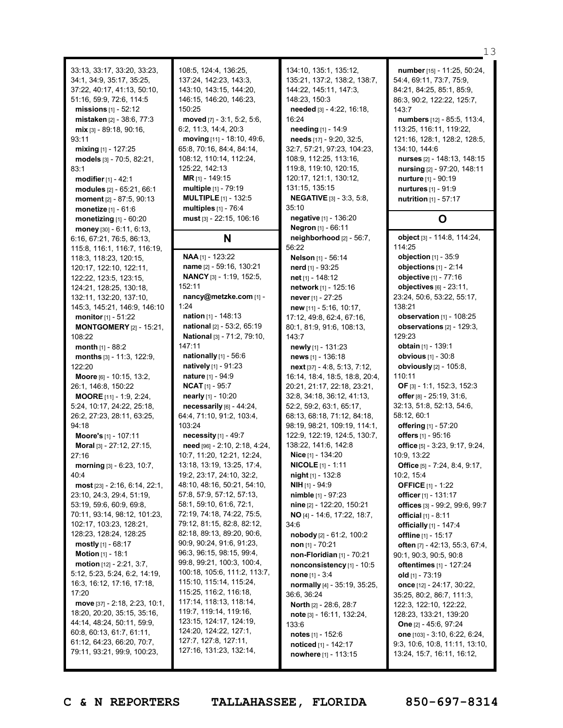33:13, 33:17, 33:20, 33:23, 34:1, 34:9, 35:17, 35:25, 37:22, 40:17, 41:13, 50:10, 51:16, 59:9, 72:6, 114:5 **missions** [1] - 52:12 **mistaken** [2] - 38:6, 77:3 **mix** [3] - 89:18, 90:16, 93:11 **mixing** [1] - 127:25 **models** [3] - 70:5, 82:21, 83:1 **modifier**[1] - 42:1 **modules** [2] - 65:21, 66:1 **moment** [2] - 87:5, 90:13 **monetize** [1] - 61:6 **monetizing** [1] - 60:20 **money** [30] - 6:11, 6:13, 6:16, 67:21, 76:5, 86:13, 115:8, 116:1, 116:7, 116:19, 118:3, 118:23, 120:15, 120:17, 122:10, 122:11, 122:22, 123:5, 123:15, 124:21, 128:25, 130:18, 132:11, 132:20, 137:10, 145:3, 145:21, 146:9, 146:10 **monitor**[1] - 51:22 **MONTGOMERY** [2] - 15:21, 108:22 **month** [1] - 88:2 **months** [3] - 11:3, 122:9, 122:20 **Moore** [6] - 10:15, 13:2, 26:1, 146:8, 150:22 **MOORE** [11] - 1:9, 2:24, 5:24, 10:17, 24:22, 25:18, 26:2, 27:23, 28:11, 63:25, 94:18 **Moore's** [1] - 107:11 **Moral** [3] - 27:12, 27:15, 27:16 **morning** [3] - 6:23, 10:7,  $40.4$ **most** [23] - 2:16, 6:14, 22:1, 23:10, 24:3, 29:4, 51:19, 53:19, 59:6, 60:9, 69:8, 70:11, 93:14, 98:12, 101:23, 102:17, 103:23, 128:21, 128:23, 128:24, 128:25 **mostly** [1] - 68:17 **Motion** [1] - 18:1 **motion** [12] - 2:21, 3:7, 5:12, 5:23, 5:24, 6:2, 14:19, 16:3, 16:12, 17:16, 17:18, 17:20 **move** [37] - 2:18, 2:23, 10:1, 18:20, 20:20, 35:15, 35:16, 44:14, 48:24, 50:11, 59:9, 60:8, 60:13, 61:7, 61:11, 61:12, 64:23, 66:20, 70:7, 79:11, 93:21, 99:9, 100:23,

108:5, 124:4, 136:25, 137:24, 142:23, 143:3, 143:10, 143:15, 144:20, 146:15, 146:20, 146:23, 150:25 **moved** [7] - 3:1, 5:2, 5:6, 6:2, 11:3, 14:4, 20:3 **moving** [11] - 18:10, 49:6, 65:8, 70:16, 84:4, 84:14, 108:12, 110:14, 112:24, 125:22, 142:13 **MR** [1] - 149:15 **multiple** [1] - 79:19 **MULTIPLE** [1] - 132:5 **multiples** [1] - 76:4 **must** [3] - 22:15, 106:16 **N**

**NAA** [1] - 123:22 **name** [2] - 59:16, 130:21 **NANCY** [3] - 1:19, 152:5, 152:11 **nancy@metzke.com** [1] - 1:24 **nation** [1] - 148:13 **national** [2] - 53:2, 65:19 **National** [3] - 71:2, 79:10, 147:11 **nationally** [1] - 56:6 **natively** [1] - 91:23 **nature** [1] - 94:9 **NCAT** [1] - 95:7 **nearly** [1] - 10:20 **necessarily** [6] - 44:24, 64:4, 71:10, 91:2, 103:4, 103:24 **necessity** [1] - 49:7 **need** [96] - 2:10, 2:18, 4:24, 10:7, 11:20, 12:21, 12:24, 13:18, 13:19, 13:25, 17:4, 19:2, 23:17, 24:10, 32:2, 48:10, 48:16, 50:21, 54:10, 57:8, 57:9, 57:12, 57:13, 58:1, 59:10, 61:6, 72:1, 72:19, 74:18, 74:22, 75:5, 79:12, 81:15, 82:8, 82:12, 82:18, 89:13, 89:20, 90:6, 90:9, 90:24, 91:6, 91:23, 96:3, 96:15, 98:15, 99:4, 99:8, 99:21, 100:3, 100:4, 100:18, 105:6, 111:2, 113:7, 115:10, 115:14, 115:24, 115:25, 116:2, 116:18, 117:14, 118:13, 118:14, 119:7, 119:14, 119:16, 123:15, 124:17, 124:19, 124:20, 124:22, 127:1, 127:7, 127:8, 127:11, 127:16, 131:23, 132:14,

134:10, 135:1, 135:12, 135:21, 137:2, 138:2, 138:7, 144:22, 145:11, 147:3, 148:23, 150:3 **needed** [3] - 4:22, 16:18, 16:24 **needing** [1] - 14:9 **needs** [17] - 9:20, 32:5, 32:7, 57:21, 97:23, 104:23, 108:9, 112:25, 113:16, 119:8, 119:10, 120:15, 120:17, 121:1, 130:12, 131:15, 135:15 **NEGATIVE** [3] - 3:3, 5:8, 35:10 **negative** [1] - 136:20 **Negron** [1] - 66:11 **neighborhood** [2] - 56:7, 56:22 **Nelson** [1] - 56:14 **nerd** [1] - 93:25 **net** [1] - 148:12 **network** [1] - 125:16 **never** [1] - 27:25 **new** [11] - 5:16, 10:17, 17:12, 49:8, 62:4, 67:16, 80:1, 81:9, 91:6, 108:13, 143:7 **newly** [1] - 131:23 **news** [1] - 136:18 **next** [37] - 4:8, 5:13, 7:12, 16:14, 18:4, 18:5, 18:8, 20:4, 20:21, 21:17, 22:18, 23:21, 32:8, 34:18, 36:12, 41:13, 52:2, 59:2, 63:1, 65:17, 68:13, 68:18, 71:12, 84:18, 98:19, 98:21, 109:19, 114:1, 122:9, 122:19, 124:5, 130:7, 138:22, 141:6, 142:8 **Nice** [1] - 134:20 **NICOLE** [1] - 1:11 **night** [1] - 132:8 **NIH** [1] - 94:9 **nimble** [1] - 97:23 **nine** [2] - 122:20, 150:21 **NO** [4] - 14:6, 17:22, 18:7, 34:6 **nobody** [2] - 61:2, 100:2 **non** [1] - 70:21 **non-Floridian** [1] - 70:21 **nonconsistency** [1] - 10:5 **none** [1] - 3:4 **normally** [4] - 35:19, 35:25, 36:6, 36:24 **North** [2] - 28:6, 28:7 **note** [3] - 16:11, 132:24, 133:6 **notes** [1] - 152:6 **noticed** [1] - 142:17 **nowhere** [1] - 113:15

**number** [15] - 11:25, 50:24, 54:4, 69:11, 73:7, 75:9, 84:21, 84:25, 85:1, 85:9, 86:3, 90:2, 122:22, 125:7, 143:7 **numbers** [12] - 85:5, 113:4, 113:25, 116:11, 119:22, 121:16, 128:1, 128:2, 128:5, 134:10, 144:6 **nurses** [2] - 148:13, 148:15 **nursing** [2] - 97:20, 148:11 **nurture** [1] - 90:19 **nurtures** [1] - 91:9 **nutrition** [1] - 57:17 **O**

**object** [3] - 114:8, 114:24, 114:25 **objection** [1] - 35:9 **objections** [1] - 2:14 **objective** [1] - 77:16 **objectives** [6] - 23:11, 23:24, 50:6, 53:22, 55:17, 138:21 **observation** [1] - 108:25 **observations** [2] - 129:3, 129:23 **obtain** [1] - 139:1 **obvious** [1] - 30:8 **obviously** [2] - 105:8, 110:11 **OF** [3] - 1:1, 152:3, 152:3 **offer** [8] - 25:19, 31:6, 32:13, 51:8, 52:13, 54:6, 58:12, 60:1 **offering** [1] - 57:20 **offers** [1] - 95:16 **office** [5] - 3:23, 9:17, 9:24, 10:9, 13:22 **Office** [5] - 7:24, 8:4, 9:17, 10:2, 15:4 **OFFICE** [1] - 1:22 **officer** [1] - 131:17 **offices** [3] - 99:2, 99:6, 99:7 **official** [1] - 8:11 **officially** [1] - 147:4 **offline** [1] - 15:17 **often** [7] - 42:13, 55:3, 67:4, 90:1, 90:3, 90:5, 90:8 **oftentimes** [1] - 127:24 **old** [1] - 73:19 **once** [12] - 24:17, 30:22, 35:25, 80:2, 86:7, 111:3, 122:3, 122:10, 122:22, 128:23, 133:21, 139:20 **One** [2] - 45:6, 97:24 **one** [103] - 3:10, 6:22, 6:24, 9:3, 10:6, 10:8, 11:11, 13:10, 13:24, 15:7, 16:11, 16:12,

13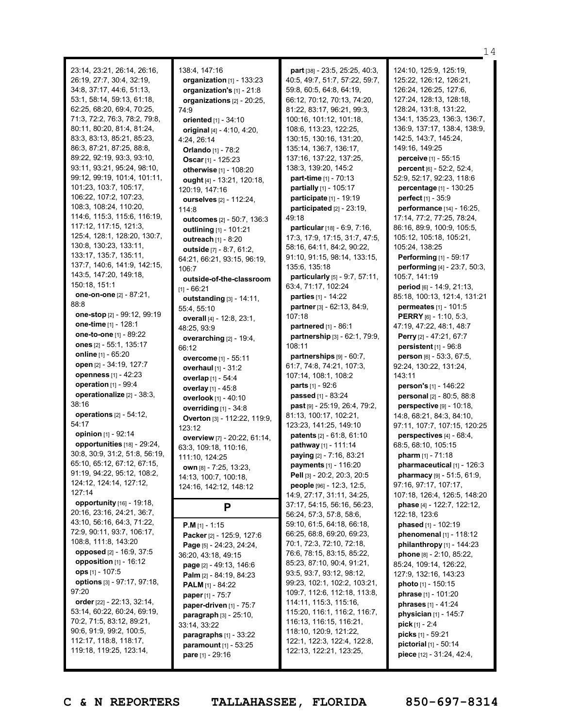23:14, 23:21, 26:14, 26:16, 26:19, 27:7, 30:4, 32:19, 34:8, 37:17, 44:6, 51:13, 53:1, 58:14, 59:13, 61:18, 62:25, 68:20, 69:4, 70:25, 71:3, 72:2, 76:3, 78:2, 79:8, 80:11, 80:20, 81:4, 81:24, 83:3, 83:13, 85:21, 85:23, 86:3, 87:21, 87:25, 88:8, 89:22, 92:19, 93:3, 93:10, 93:11, 93:21, 95:24, 98:10, 99:12, 99:19, 101:4, 101:11, 101:23, 103:7, 105:17, 106:22, 107:2, 107:23, 108:3, 108:24, 110:20, 114:6, 115:3, 115:6, 116:19, 117:12, 117:15, 121:3, 125:4, 128:1, 128:20, 130:7, 130:8, 130:23, 133:11, 133:17, 135:7, 135:11, 137:7, 140:6, 141:9, 142:15, 143:5, 147:20, 149:18, 150:18, 151:1 **one-on-one** [2] - 87:21, 88:8 **one-stop** [2] - 99:12, 99:19 **one-time** [1] - 128:1 **one-to-one** [1] - 89:22 **ones** [2] - 55:1, 135:17 **online** [1] - 65:20 **open** [2] - 34:19, 127:7 **openness** [1] - 42:23 **operation** [1] - 99:4 **operationalize** [2] - 38:3, 38:16 **operations** [2] - 54:12, 54:17 **opinion** [1] - 92:14 **opportunities** [18] - 29:24, 30:8, 30:9, 31:2, 51:8, 56:19, 65:10, 65:12, 67:12, 67:15, 91:19, 94:22, 95:12, 108:2, 124:12, 124:14, 127:12, 127:14 **opportunity** [16] - 19:18, 20:16, 23:16, 24:21, 36:7, 43:10, 56:16, 64:3, 71:22, 72:9, 90:11, 93:7, 106:17, 108:8, 111:8, 143:20 **opposed** [2] - 16:9, 37:5 **opposition** [1] - 16:12 **ops** [1] - 107:5 **options** [3] - 97:17, 97:18, 97:20 **order** [22] - 22:13, 32:14, 53:14, 60:22, 60:24, 69:19, 70:2, 71:5, 83:12, 89:21, 90:6, 91:9, 99:2, 100:5, 112:17, 118:8, 118:17, 119:18, 119:25, 123:14,

138:4, 147:16 **organization** [1] - 133:23 **organization's** [1] - 21:8 **organizations** [2] - 20:25, 74:9 **oriented** [1] - 34:10 **original** [4] - 4:10, 4:20, 4:24, 26:14 **Orlando** [1] - 78:2 **Oscar** [1] - 125:23 **otherwise** [1] - 108:20 **ought** [4] - 13:21, 120:18, 120:19, 147:16 **ourselves** [2] - 112:24, 114:8 **outcomes** [2] - 50:7, 136:3 **outlining** [1] - 101:21 **outreach** [1] - 8:20 **outside** [7] - 8:7, 61:2, 64:21, 66:21, 93:15, 96:19, 106:7 **outside-of-the-classroom**  $[1] - 66:21$ **outstanding** [3] - 14:11, 55:4, 55:10 **overall** [4] - 12:8, 23:1, 48:25, 93:9 **overarching** [2] - 19:4, 66:12 **overcome** [1] - 55:11 **overhaul** [1] - 31:2 **overlap** [1] - 54:4 **overlay** [1] - 45:8 **overlook** [1] - 40:10 **overriding** [1] - 34:8 **Overton** [3] - 112:22, 119:9, 123:12 **overview** [7] - 20:22, 61:14, 63:3, 109:18, 110:16, 111:10, 124:25 **own** [8] - 7:25, 13:23, 14:13, 100:7, 100:18, 124:16, 142:12, 148:12 **P P.M** [1] - 1:15 **Packer** [2] - 125:9, 127:6 **Page** [5] - 24:23, 24:24, 36:20, 43:18, 49:15 **page** [2] - 49:13, 146:6 **Palm** [2] - 84:19, 84:23 **PALM** [1] - 84:22 **paper** [1] - 75:7 **paper-driven** [1] - 75:7 **paragraph** [3] - 25:10, 33:14, 33:22

**paragraphs** [1] - 33:22 **paramount** [1] - 53:25 **pare** [1] - 29:16

**part** [38] - 23:5, 25:25, 40:3, 40:5, 49:7, 51:7, 57:22, 59:7, 59:8, 60:5, 64:8, 64:19, 66:12, 70:12, 70:13, 74:20, 81:22, 83:17, 96:21, 99:3, 100:16, 101:12, 101:18, 108:6, 113:23, 122:25, 130:15, 130:16, 131:20, 135:14, 136:7, 136:17, 137:16, 137:22, 137:25, 138:3, 139:20, 145:2 **part-time** [1] - 70:13 **partially** [1] - 105:17 **participate** [1] - 19:19 **participated** [2] - 23:19, 49:18 **particular**[18] - 6:9, 7:16, 17:3, 17:9, 17:15, 31:7, 47:5, 58:16, 64:11, 84:2, 90:22, 91:10, 91:15, 98:14, 133:15, 135:6, 135:18 **particularly** [5] - 9:7, 57:11, 63:4, 71:17, 102:24 **parties** [1] - 14:22 **partner** [3] - 62:13, 84:9, 107:18 **partnered** [1] - 86:1 **partnership** [3] - 62:1, 79:9, 108:11 **partnerships** [9] - 60:7, 61:7, 74:8, 74:21, 107:3, 107:14, 108:1, 108:2 **parts** [1] - 92:6 **passed** [1] - 83:24 **past** [9] - 25:19, 26:4, 79:2, 81:13, 100:17, 102:21, 123:23, 141:25, 149:10 **patents** [2] - 61:8, 61:10 **pathway** [1] - 111:14 **paying** [2] - 7:16, 83:21 **payments** [1] - 116:20 **Pell** [3] - 20:2, 20:3, 20:5 **people** [96] - 12:3, 12:5, 14:9, 27:17, 31:11, 34:25, 37:17, 54:15, 56:16, 56:23, 56:24, 57:3, 57:8, 58:6, 59:10, 61:5, 64:18, 66:18, 66:25, 68:8, 69:20, 69:23, 70:1, 72:3, 72:10, 72:18, 76:6, 78:15, 83:15, 85:22, 85:23, 87:10, 90:4, 91:21, 93:5, 93:7, 93:12, 98:12, 99:23, 102:1, 102:2, 103:21, 109:7, 112:6, 112:18, 113:8, 114:11, 115:3, 115:16, 115:20, 116:1, 116:2, 116:7, 116:13, 116:15, 116:21, 118:10, 120:9, 121:22, 122:1, 122:3, 122:4, 122:8, 122:13, 122:21, 123:25,

124:10, 125:9, 125:19, 125:22, 126:12, 126:21, 126:24, 126:25, 127:6, 127:24, 128:13, 128:18, 128:24, 131:8, 131:22, 134:1, 135:23, 136:3, 136:7, 136:9, 137:17, 138:4, 138:9, 142:5, 143:7, 145:24, 149:16, 149:25 **perceive** [1] - 55:15 **percent** [6] - 52:2, 52:4, 52:9, 52:17, 92:23, 118:6 **percentage** [1] - 130:25 **perfect** [1] - 35:9 **performance** [14] - 16:25, 17:14, 77:2, 77:25, 78:24, 86:16, 89:9, 100:9, 105:5, 105:12, 105:18, 105:21, 105:24, 138:25 **Performing** [1] - 59:17 **performing** [4] - 23:7, 50:3, 105:7, 141:19 **period** [6] - 14:9, 21:13, 85:18, 100:13, 121:4, 131:21 **permeates** [1] - 101:5 **PERRY** [6] - 1:10, 5:3, 47:19, 47:22, 48:1, 48:7 **Perry** [2] - 47:21, 67:7 **persistent** [1] - 96:8 **person** [6] - 53:3, 67:5, 92:24, 130:22, 131:24, 143:11 **person's** [1] - 146:22 **personal** [2] - 80:5, 88:8 **perspective** [9] - 10:18, 14:8, 68:21, 84:3, 84:10, 97:11, 107:7, 107:15, 120:25 **perspectives** [4] - 68:4, 68:5, 68:10, 105:15 **pharm** [1] - 71:18 **pharmaceutical** [1] - 126:3 **pharmacy** [9] - 51:5, 61:9, 97:16, 97:17, 107:17, 107:18, 126:4, 126:5, 148:20 **phase** [4] - 122:7, 122:12, 122:18, 123:6 **phased** [1] - 102:19 **phenomenal** [1] - 118:12 **philanthropy** [1] - 144:23 **phone** [8] - 2:10, 85:22, 85:24, 109:14, 126:22, 127:9, 132:16, 143:23 **photo** [1] - 150:15 **phrase** [1] - 101:20 **phrases** [1] - 41:24 **physician** [1] - 145:7 **pick** [1] - 2:4 **picks** [1] - 59:21 **pictorial** [1] - 50:14 **piece** [12] - 31:24, 42:4,

14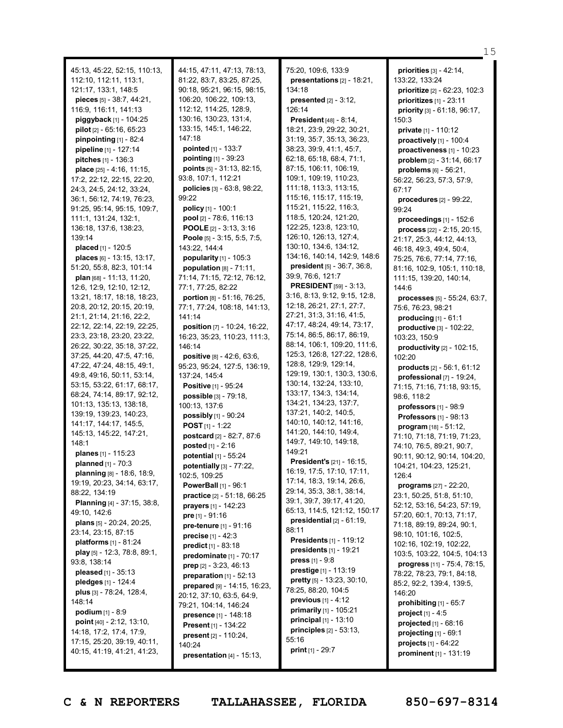45:13, 45:22, 52:15, 110:13, 112:10, 112:11, 113:1, 121:17, 133:1, 148:5 **pieces** [5] - 38:7, 44:21, 116:9, 116:11, 141:13 **piggyback** [1] - 104:25 **pilot** [2] - 65:16, 65:23 **pinpointing** [1] - 82:4 **pipeline** [1] - 127:14 **pitches** [1] - 136:3 **place** [25] - 4:16, 11:15, 17:2, 22:12, 22:15, 22:20, 24:3, 24:5, 24:12, 33:24, 36:1, 56:12, 74:19, 76:23, 91:25, 95:14, 95:15, 109:7, 111:1, 131:24, 132:1, 136:18, 137:6, 138:23, 139:14 **placed** [1] - 120:5 **places** [6] - 13:15, 13:17, 51:20, 55:8, 82:3, 101:14 **plan** [68] - 11:13, 11:20, 12:6, 12:9, 12:10, 12:12, 13:21, 18:17, 18:18, 18:23, 20:8, 20:12, 20:15, 20:19, 21:1, 21:14, 21:16, 22:2, 22:12, 22:14, 22:19, 22:25, 23:3, 23:18, 23:20, 23:22, 26:22, 30:22, 35:18, 37:22, 37:25, 44:20, 47:5, 47:16, 47:22, 47:24, 48:15, 49:1, 49:8, 49:16, 50:11, 53:14, 53:15, 53:22, 61:17, 68:17, 68:24, 74:14, 89:17, 92:12, 101:13, 135:13, 138:18, 139:19, 139:23, 140:23, 141:17, 144:17, 145:5, 145:13, 145:22, 147:21, 148:1 **planes** [1] - 115:23 **planned** [1] - 70:3 **planning** [8] - 18:6, 18:9, 19:19, 20:23, 34:14, 63:17, 88:22, 134:19 **Planning** [4] - 37:15, 38:8, 49:10, 142:6 **plans** [5] - 20:24, 20:25, 23:14, 23:15, 87:15 **platforms** [1] - 81:24 **play** [5] - 12:3, 78:8, 89:1, 93:8, 138:14 **pleased** [1] - 35:13 **pledges** [1] - 124:4 **plus** [3] - 78:24, 128:4, 148:14 **podium** [1] - 8:9 **point** [40] - 2:12, 13:10, 14:18, 17:2, 17:4, 17:9, 17:15, 25:20, 39:19, 40:11, 40:15, 41:19, 41:21, 41:23, 44:15, 47:11, 47:13, 78:13, 81:22, 83:7, 83:25, 87:25, 90:18, 95:21, 96:15, 98:15, 106:20, 106:22, 109:13, 112:12, 114:25, 128:9, 130:16, 130:23, 131:4, 133:15, 145:1, 146:22, 147:18 **pointed** [1] - 133:7 **pointing** [1] - 39:23 **points** [5] - 31:13, 82:15, 93:8, 107:1, 112:21 **policies** [3] - 63:8, 98:22, 99:22 **policy** [1] - 100:1 **pool** [2] - 78:6, 116:13 **POOLE** [2] - 3:13, 3:16 **Poole** [5] - 3:15, 5:5, 7:5, 143:22, 144:4 **popularity** [1] - 105:3 **population** [8] - 71:11, 71:14, 71:15, 72:12, 76:12, 77:1, 77:25, 82:22 **portion** [8] - 51:16, 76:25, 77:1, 77:24, 108:18, 141:13, 141:14 **position** [7] - 10:24, 16:22, 16:23, 35:23, 110:23, 111:3, 146:14 **positive** [8] - 42:6, 63:6, 95:23, 95:24, 127:5, 136:19, 137:24, 145:4 **Positive** [1] - 95:24 **possible** [3] - 79:18, 100:13, 137:6 **possibly** [1] - 90:24 **POST** [1] - 1:22 **postcard** [2] - 82:7, 87:6 **posted** [1] - 2:16 **potential** [1] - 55:24 **potentially** [3] - 77:22, 102:5, 109:25 **PowerBall** [1] - 96:1 **practice** [2] - 51:18, 66:25 **prayers** [1] - 142:23 **pre** [1] - 91:16 **pre-tenure** [1] - 91:16 **precise** [1] - 42:3 **predict** [1] - 83:18 **predominate** [1] - 70:17 **prep** [2] - 3:23, 46:13 **preparation** [1] - 52:13 **prepared** [9] - 14:15, 16:23, 20:12, 37:10, 63:5, 64:9, 79:21, 104:14, 146:24 **presence** [1] - 148:18 **Present** [1] - 134:22 **present** [2] - 110:24, 140:24 **presentation** [4] - 15:13, 75:20, 109:6, 133:9 **presentations** [2] - 18:21, 134:18 **presented** [2] - 3:12, 126:14 **President** [48] - 8:14, 18:21, 23:9, 29:22, 30:21, 31:19, 35:7, 35:13, 36:23, 38:23, 39:9, 41:1, 45:7, 62:18, 65:18, 68:4, 71:1, 87:15, 106:11, 106:19, 109:1, 109:19, 110:23, 111:18, 113:3, 113:15, 115:16, 115:17, 115:19, 115:21, 115:22, 116:3, 118:5, 120:24, 121:20, 122:25, 123:8, 123:10, 126:10, 126:13, 127:4, 130:10, 134:6, 134:12, 134:16, 140:14, 142:9, 148:6 **president** [5] - 36:7, 36:8, 39:9, 76:6, 121:7 **PRESIDENT** [59] - 3:13, 3:16, 8:13, 9:12, 9:15, 12:8, 12:18, 26:21, 27:1, 27:7, 27:21, 31:3, 31:16, 41:5, 47:17, 48:24, 49:14, 73:17, 75:14, 86:5, 86:17, 86:19, 88:14, 106:1, 109:20, 111:6, 125:3, 126:8, 127:22, 128:6, 128:8, 129:9, 129:14, 129:19, 130:1, 130:3, 130:6, 130:14, 132:24, 133:10, 133:17, 134:3, 134:14, 134:21, 134:23, 137:7, 137:21, 140:2, 140:5, 140:10, 140:12, 141:16, 141:20, 144:10, 149:4, 149:7, 149:10, 149:18, 149:21 **President's** [21] - 16:15, 16:19, 17:5, 17:10, 17:11, 17:14, 18:3, 19:14, 26:6, 29:14, 35:3, 38:1, 38:14, 39:1, 39:7, 39:17, 41:20, 65:13, 114:5, 121:12, 150:17 **presidential** [2] - 61:19, 88:11 **Presidents** [1] - 119:12 **presidents** [1] - 19:21 **press** [1] - 9:8 **prestige** [1] - 113:19 **pretty** [5] - 13:23, 30:10, 78:25, 88:20, 104:5 **previous** [1] - 4:12 **primarily** [1] - 105:21 **principal** [1] - 13:10 **principles** [2] - 53:13, 55:16 **print** [1] - 29:7

**priorities** [3] - 42:14, 133:22, 133:24 **prioritize** [2] - 62:23, 102:3 **prioritizes** [1] - 23:11 **priority** [3] - 61:18, 96:17, 150:3 **private** [1] - 110:12 **proactively** [1] - 100:4 **proactiveness** [1] - 10:23 **problem** [2] - 31:14, 66:17 **problems** [6] - 56:21, 56:22, 56:23, 57:3, 57:9, 67:17 **procedures** [2] - 99:22, 99:24 **proceedings** [1] - 152:6 **process** [22] - 2:15, 20:15, 21:17, 25:3, 44:12, 44:13, 46:18, 49:3, 49:4, 50:4, 75:25, 76:6, 77:14, 77:16, 81:16, 102:9, 105:1, 110:18, 111:15, 139:20, 140:14, 144:6 **processes** [5] - 55:24, 63:7, 75:6, 76:23, 98:21 **producing** [1] - 61:1 **productive** [3] - 102:22, 103:23, 150:9 **productivity** [2] - 102:15, 102:20 **products** [2] - 56:1, 61:12 **professional** [7] - 19:24, 71:15, 71:16, 71:18, 93:15, 98:6, 118:2 **professors** [1] - 98:9 **Professors** [1] - 98:13 **program** [18] - 51:12, 71:10, 71:18, 71:19, 71:23, 74:10, 76:5, 89:21, 90:7, 90:11, 90:12, 90:14, 104:20, 104:21, 104:23, 125:21, 126:4 **programs** [27] - 22:20, 23:1, 50:25, 51:8, 51:10, 52:12, 53:16, 54:23, 57:19, 57:20, 60:1, 70:13, 71:17, 71:18, 89:19, 89:24, 90:1, 98:10, 101:16, 102:5, 102:16, 102:19, 102:22, 103:5, 103:22, 104:5, 104:13 **progress** [11] - 75:4, 78:15, 78:22, 78:23, 79:1, 84:18, 85:2, 92:2, 139:4, 139:5, 146:20 **prohibiting** [1] - 65:7 **project** [1] - 4:5 **projected** [1] - 68:16 **projecting** [1] - 69:1 **projects** [1] - 64:22 **prominent** [1] - 131:19

15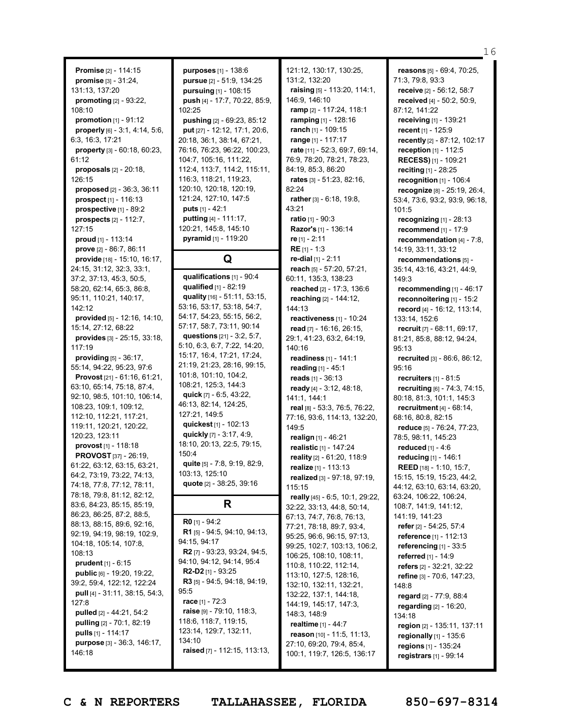**Promise** [2] - 114:15 **promise** [3] - 31:24, 131:13, 137:20 **promoting** [2] - 93:22, 108:10 **promotion** [1] - 91:12 **properly** [6] - 3:1, 4:14, 5:6, 6:3, 16:3, 17:21 **property** [3] - 60:18, 60:23, 61:12 **proposals** [2] - 20:18, 126:15 **proposed** [2] - 36:3, 36:11 **prospect** [1] - 116:13 **prospective** [1] - 89:2 **prospects** [2] - 112:7, 127:15 **proud** [1] - 113:14 **prove** [2] - 86:7, 86:11 **provide** [18] - 15:10, 16:17, 24:15, 31:12, 32:3, 33:1, 37:2, 37:13, 45:3, 50:5, 58:20, 62:14, 65:3, 86:8, 95:11, 110:21, 140:17, 142:12 **provided** [5] - 12:16, 14:10, 15:14, 27:12, 68:22 **provides** [3] - 25:15, 33:18, 117:19 **providing** [5] - 36:17, 55:14, 94:22, 95:23, 97:6 **Provost** [21] - 61:16, 61:21, 63:10, 65:14, 75:18, 87:4, 92:10, 98:5, 101:10, 106:14, 108:23, 109:1, 109:12, 112:10, 112:21, 117:21, 119:11, 120:21, 120:22, 120:23, 123:11 **provost** [1] - 118:18 **PROVOST** [37] - 26:19, 61:22, 63:12, 63:15, 63:21, 64:2, 73:19, 73:22, 74:13, 74:18, 77:8, 77:12, 78:11, 78:18, 79:8, 81:12, 82:12, 83:6, 84:23, 85:15, 85:19, 86:23, 86:25, 87:2, 88:5, 88:13, 88:15, 89:6, 92:16, 92:19, 94:19, 98:19, 102:9, 104:18, 105:14, 107:8, 108:13 **prudent** [1] - 6:15 **public** [6] - 19:20, 19:22, 39:2, 59:4, 122:12, 122:24 **pull** [4] - 31:11, 38:15, 54:3,  $127.8$ **pulled** [2] - 44:21, 54:2 **pulling** [2] - 70:1, 82:19 **pulls** [1] - 114:17 **purpose** [3] - 36:3, 146:17, 146:18

**purposes** [1] - 138:6 **pursue** [2] - 51:9, 134:25 **pursuing** [1] - 108:15 **push** [4] - 17:7, 70:22, 85:9, 102:25 **pushing** [2] - 69:23, 85:12 **put** [27] - 12:12, 17:1, 20:6, 20:18, 36:1, 38:14, 67:21, 76:16, 76:23, 96:22, 100:23, 104:7, 105:16, 111:22, 112:4, 113:7, 114:2, 115:11, 116:3, 118:21, 119:23, 120:10, 120:18, 120:19, 121:24, 127:10, 147:5 **puts** [1] - 42:1 **putting** [4] - 111:17, 120:21, 145:8, 145:10 **pyramid** [1] - 119:20

## **Q**

**qualifications** [1] - 90:4 **qualified** [1] - 82:19 **quality** [16] - 51:11, 53:15, 53:16, 53:17, 53:18, 54:7, 54:17, 54:23, 55:15, 56:2, 57:17, 58:7, 73:11, 90:14 **questions** [21] - 3:2, 5:7, 5:10, 6:3, 6:7, 7:22, 14:20, 15:17, 16:4, 17:21, 17:24, 21:19, 21:23, 28:16, 99:15, 101:8, 101:10, 104:2, 108:21, 125:3, 144:3 **quick** [7] - 6:5, 43:22, 46:13, 82:14, 124:25, 127:21, 149:5 **quickest** [1] - 102:13 **quickly** [7] - 3:17, 4:9, 18:10, 20:13, 22:5, 79:15, 150:4 **quite** [5] - 7:8, 9:19, 82:9, 103:13, 125:10 **quote** [2] - 38:25, 39:16

## **R**

**R0** [1] - 94:2 **R1** [5] - 94:5, 94:10, 94:13, 94:15, 94:17 **R2** [7] - 93:23, 93:24, 94:5, 94:10, 94:12, 94:14, 95:4 **R2-D2** [1] - 93:25 **R3** [5] - 94:5, 94:18, 94:19, 95:5 **race** [1] - 72:3 **raise** [9] - 79:10, 118:3, 118:6, 118:7, 119:15, 123:14, 129:7, 132:11, 134:10 **raised** [7] - 112:15, 113:13,

121:12, 130:17, 130:25, 131:2, 132:20 **raising** [5] - 113:20, 114:1, 146:9, 146:10 **ramp** [2] - 117:24, 118:1 **ramping** [1] - 128:16 **ranch** [1] - 109:15 **range** [1] - 117:17 **rate** [11] - 52:3, 69:7, 69:14, 76:9, 78:20, 78:21, 78:23, 84:19, 85:3, 86:20 **rates** [3] - 51:23, 82:16, 82:24 **rather** [3] - 6:18, 19:8, 43:21 **ratio** [1] - 90:3 **Razor's** [1] - 136:14 **re** [1] - 2:11 **RE** [1] - 1:3 **re-dial** [1] - 2:11 **reach** [5] - 57:20, 57:21, 60:11, 135:3, 138:23 **reached** [2] - 17:3, 136:6 **reaching** [2] - 144:12, 144:13 **reactiveness** [1] - 10:24 **read** [7] - 16:16, 26:15, 29:1, 41:23, 63:2, 64:19, 140:16 **readiness** [1] - 141:1 **reading** [1] - 45:1 **reads** [1] - 36:13 **ready** [4] - 3:12, 48:18, 141:1, 144:1 **real** [8] - 53:3, 76:5, 76:22, 77:16, 93:6, 114:13, 132:20, 149:5 **realign** [1] - 46:21 **realistic** [1] - 147:24 **reality** [2] - 61:20, 118:9 **realize** [1] - 113:13 **realized** [3] - 97:18, 97:19, 115:15 **really** [45] - 6:5, 10:1, 29:22, 32:22, 33:13, 44:8, 50:14, 67:13, 74:7, 76:8, 76:13, 77:21, 78:18, 89:7, 93:4, 95:25, 96:6, 96:15, 97:13, 99:25, 102:7, 103:13, 106:2, 106:25, 108:10, 108:11, 110:8, 110:22, 112:14, 113:10, 127:5, 128:16, 132:10, 132:11, 132:21, 132:22, 137:1, 144:18, 144:19, 145:17, 147:3, 148:3, 148:9 **realtime** [1] - 44:7 **reason** [10] - 11:5, 11:13, 27:10, 69:20, 79:4, 85:4, 100:1, 119:7, 126:5, 136:17

**reasons** [5] - 69:4, 70:25, 71:3, 79:8, 93:3 **receive** [2] - 56:12, 58:7 **received** [4] - 50:2, 50:9, 87:12, 141:22 **receiving** [1] - 139:21 **recent** [1] - 125:9 **recently** [2] - 87:12, 102:17 **reception** [1] - 112:5 **RECESS)** [1] - 109:21 **reciting** [1] - 28:25 **recognition** [1] - 106:4 **recognize** [8] - 25:19, 26:4, 53:4, 73:6, 93:2, 93:9, 96:18, 101:5 **recognizing** [1] - 28:13 **recommend** [1] - 17:9 **recommendation** [4] - 7:8, 14:19, 33:11, 33:12 **recommendations** [5] - 35:14, 43:16, 43:21, 44:9, 149:3 **recommending** [1] - 46:17 **reconnoitering** [1] - 15:2 **record** [4] - 16:12, 113:14, 133:14, 152:6 **recruit** [7] - 68:11, 69:17, 81:21, 85:8, 88:12, 94:24, 95:13 **recruited** [3] - 86:6, 86:12, 95:16 **recruiters** [1] - 81:5 **recruiting** [6] - 74:3, 74:15, 80:18, 81:3, 101:1, 145:3 **recruitment** [4] - 68:14, 68:16, 80:8, 82:15 **reduce** [5] - 76:24, 77:23, 78:5, 98:11, 145:23 **reduced** [1] - 4:6 **reducing** [1] - 146:1 **REED** [18] - 1:10, 15:7, 15:15, 15:19, 15:23, 44:2, 44:12, 63:10, 63:14, 63:20, 63:24, 106:22, 106:24, 108:7, 141:9, 141:12, 141:19, 141:23 **refer** [2] - 54:25, 57:4 **reference** [1] - 112:13 **referencing** [1] - 33:5 **referred** [1] - 14:9 **refers** [2] - 32:21, 32:22 **refine** [3] - 70:6, 147:23, 148:8 **regard** [2] - 77:9, 88:4 **regarding** [2] - 16:20, 134:18 **region** [2] - 135:11, 137:11 **regionally** [1] - 135:6 **regions** [1] - 135:24 **registrars** [1] - 99:14

16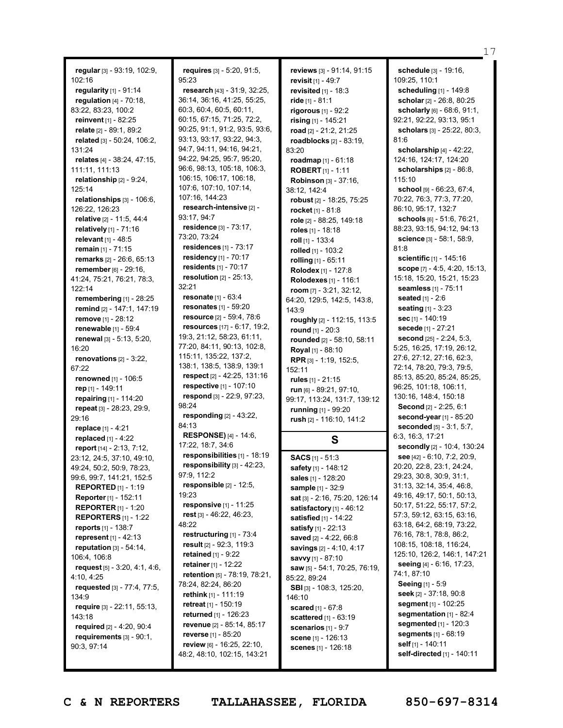**regular** [3] - 93:19, 102:9, 102:16 **regularity** [1] - 91:14 **regulation** [4] - 70:18, 83:22, 83:23, 100:2 **reinvent** [1] - 82:25 **relate** [2] - 89:1, 89:2 **related** [3] - 50:24, 106:2, 131:24 **relates** [4] - 38:24, 47:15, 111:11, 111:13 **relationship** [2] - 9:24, 125:14 **relationships** [3] - 106:6, 126:22, 126:23 **relative** [2] - 11:5, 44:4 **relatively** [1] - 71:16 **relevant** [1] - 48:5 **remain** [1] - 71:15 **remarks** [2] - 26:6, 65:13 **remember** [6] - 29:16, 41:24, 75:21, 76:21, 78:3, 122:14 **remembering** [1] - 28:25 **remind** [2] - 147:1, 147:19 **remove** [1] - 28:12 **renewable** [1] - 59:4 **renewal** [3] - 5:13, 5:20, 16:20 **renovations** [2] - 3:22, 67:22 **renowned** [1] - 106:5 **rep** [1] - 149:11 **repairing** [1] - 114:20 **repeat** [3] - 28:23, 29:9, 29:16 **replace** [1] - 4:21 **replaced** [1] - 4:22 **report** [14] - 2:13, 7:12, 23:12, 24:5, 37:10, 49:10, 49:24, 50:2, 50:9, 78:23, 99:6, 99:7, 141:21, 152:5 **REPORTED** [1] - 1:19 **Reporter** [1] - 152:11 **REPORTER** [1] - 1:20 **REPORTERS** [1] - 1:22 **reports** [1] - 138:7 **represent** [1] - 42:13 **reputation** [3] - 54:14, 106:4, 106:8 **request** [5] - 3:20, 4:1, 4:6, 4:10, 4:25 **requested** [3] - 77:4, 77:5, 134:9 **require** [3] - 22:11, 55:13, 143:18 **required** [2] - 4:20, 90:4 **requirements** [3] - 90:1, 90:3, 97:14

**requires** [3] - 5:20, 91:5, 95:23 **research** [43] - 31:9, 32:25, 36:14, 36:16, 41:25, 55:25, 60:3, 60:4, 60:5, 60:11, 60:15, 67:15, 71:25, 72:2, 90:25, 91:1, 91:2, 93:5, 93:6, 93:13, 93:17, 93:22, 94:3, 94:7, 94:11, 94:16, 94:21, 94:22, 94:25, 95:7, 95:20, 96:6, 98:13, 105:18, 106:3, 106:15, 106:17, 106:18, 107:6, 107:10, 107:14, 107:16, 144:23 **research-intensive** [2] - 93:17, 94:7 **residence** [3] - 73:17, 73:20, 73:24 **residences** [1] - 73:17 **residency** [1] - 70:17 **residents** [1] - 70:17 **resolution** [2] - 25:13, 32:21 **resonate** [1] - 63:4 **resonates** [1] - 59:20 **resource** [2] - 59:4, 78:6 **resources** [17] - 6:17, 19:2, 19:3, 21:12, 58:23, 61:11, 77:20, 84:11, 90:13, 102:8, 115:11, 135:22, 137:2, 138:1, 138:5, 138:9, 139:1 **respect** [2] - 42:25, 131:16 **respective** [1] - 107:10 **respond** [3] - 22:9, 97:23, 98:24 **responding** [2] - 43:22, 84:13 **RESPONSE)** [4] - 14:6, 17:22, 18:7, 34:6 **responsibilities** [1] - 18:19 **responsibility** [3] - 42:23, 97:9, 112:2 **responsible** [2] - 12:5, 19:23 **responsive** [1] - 11:25 **rest** [3] - 46:22, 46:23, 48:22 **restructuring** [1] - 73:4 **result** [2] - 92:3, 119:3 **retained** [1] - 9:22 **retainer** [1] - 12:22 **retention** [5] - 78:19, 78:21, 78:24, 82:24, 86:20 **rethink** [1] - 111:19 **retreat** [1] - 150:19 **returned** [1] - 126:23 **revenue** [2] - 85:14, 85:17 **reverse** [1] - 85:20 **review** [6] - 16:25, 22:10, 48:2, 48:10, 102:15, 143:21

**reviews** [3] - 91:14, 91:15 **revisit** [1] - 49:7 **revisited** [1] - 18:3 **ride** [1] - 81:1 **rigorous** [1] - 92:2 **rising** [1] - 145:21 **road** [2] - 21:2, 21:25 **roadblocks** [2] - 83:19, 83:20 **roadmap** [1] - 61:18 **ROBERT** [1] - 1:11 **Robinson** [3] - 37:16, 38:12, 142:4 **robust** [2] - 18:25, 75:25 **rocket** [1] - 81:8 **role** [2] - 88:25, 149:18 **roles** [1] - 18:18 **roll** [1] - 133:4 **rolled** [1] - 103:2 **rolling** [1] - 65:11 **Rolodex** [1] - 127:8 **Rolodexes** [1] - 116:1 **room** [7] - 3:21, 32:12, 64:20, 129:5, 142:5, 143:8, 143:9 **roughly** [2] - 112:15, 113:5 **round** [1] - 20:3 **rounded** [2] - 58:10, 58:11 **Royal** [1] - 88:10 **RPR** [3] - 1:19, 152:5, 152:11 **rules** [1] - 21:15 **run** [6] - 89:21, 97:10, 99:17, 113:24, 131:7, 139:12 **running** [1] - 99:20 **rush** [2] - 116:10, 141:2 **S SACS** [1] - 51:3 **safety** [1] - 148:12 **sales** [1] - 128:20 **sample** [1] - 32:9 **sat** [3] - 2:16, 75:20, 126:14 **satisfactory** [1] - 46:12 **satisfied** [1] - 14:22 **satisfy** [1] - 22:13

**saved** [2] - 4:22, 66:8 **savings** [2] - 4:10, 4:17 **savvy** [1] - 87:10

85:22, 89:24

146:10

**saw** [5] - 54:1, 70:25, 76:19,

**SBI** [3] - 108:3, 125:20,

**scared** [1] - 67:8 **scattered** [1] - 63:19 **scenarios** [1] - 9:7 **scene** [1] - 126:13 **scenes** [1] - 126:18

**schedule** [3] - 19:16, 109:25, 110:1 **scheduling** [1] - 149:8 **scholar** [2] - 26:8, 80:25 **scholarly** [6] - 68:6, 91:1, 92:21, 92:22, 93:13, 95:1 **scholars** [3] - 25:22, 80:3, 81:6 **scholarship** [4] - 42:22, 124:16, 124:17, 124:20 **scholarships** [2] - 86:8, 115:10 **school** [9] - 66:23, 67:4, 70:22, 76:3, 77:3, 77:20, 86:10, 95:17, 132:7 **schools** [6] - 51:6, 76:21, 88:23, 93:15, 94:12, 94:13 **science** [3] - 58:1, 58:9, 81:8 **scientific** [1] - 145:16 **scope** [7] - 4:5, 4:20, 15:13, 15:18, 15:20, 15:21, 15:23 **seamless** [1] - 75:11 **seated** [1] - 2:6 **seating** [1] - 3:23 **sec** [1] - 140:19 **secede** [1] - 27:21 **second** [25] - 2:24, 5:3, 5:25, 16:25, 17:19, 26:12, 27:6, 27:12, 27:16, 62:3, 72:14, 78:20, 79:3, 79:5, 85:13, 85:20, 85:24, 85:25, 96:25, 101:18, 106:11, 130:16, 148:4, 150:18 **Second** [2] - 2:25, 6:1 **second-year** [1] - 85:20 **seconded** [5] - 3:1, 5:7, 6:3, 16:3, 17:21 **secondly** [2] - 10:4, 130:24 **see** [42] - 6:10, 7:2, 20:9, 20:20, 22:8, 23:1, 24:24, 29:23, 30:8, 30:9, 31:1, 31:13, 32:14, 35:4, 46:8, 49:16, 49:17, 50:1, 50:13, 50:17, 51:22, 55:17, 57:2, 57:3, 59:12, 63:15, 63:16, 63:18, 64:2, 68:19, 73:22, 76:16, 78:1, 78:8, 86:2, 108:15, 108:18, 116:24, 125:10, 126:2, 146:1, 147:21 **seeing** [4] - 6:16, 17:23, 74:1, 87:10 **Seeing** [1] - 5:9 **seek** [2] - 37:18, 90:8 **segment** [1] - 102:25 **segmentation** [1] - 82:4 **seamented** [1] - 120:3 **segments** [1] - 68:19 **self** [1] - 140:11 **self-directed** [1] - 140:11

17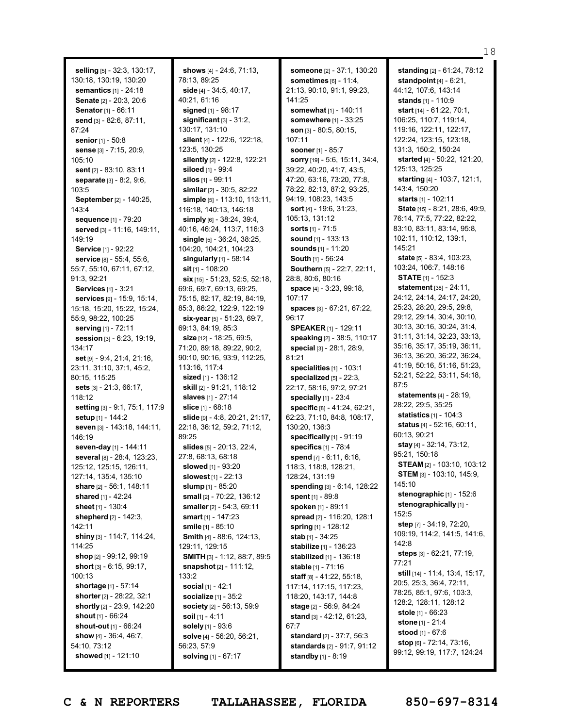**selling** [5] - 32:3, 130:17, 130:18, 130:19, 130:20 **semantics** [1] - 24:18 **Senate** [2] - 20:3, 20:6 **Senator** [1] - 66:11 **send** [3] - 82:6, 87:11, 87:24 **senior** [1] - 50:8 **sense** [3] - 7:15, 20:9, 105:10 **sent** [2] - 83:10, 83:11 **separate** [3] - 8:2, 9:6, 103:5 **September** [2] - 140:25, 143:4 **sequence** [1] - 79:20 **served** [3] - 11:16, 149:11, 149:19 **Service** [1] - 92:22 **service** [8] - 55:4, 55:6, 55:7, 55:10, 67:11, 67:12, 91:3, 92:21 **Services** [1] - 3:21 **services** [9] - 15:9, 15:14, 15:18, 15:20, 15:22, 15:24, 55:9, 98:22, 100:25 **serving** [1] - 72:11 **session** [3] - 6:23, 19:19, 134:17 **set** [9] - 9:4, 21:4, 21:16, 23:11, 31:10, 37:1, 45:2, 80:15, 115:25 **sets** [3] - 21:3, 66:17, 118:12 **setting** [3] - 9:1, 75:1, 117:9 **setup** [1] - 144:2 **seven** [3] - 143:18, 144:11, 146:19 **seven-day** [1] - 144:11 **several** [8] - 28:4, 123:23, 125:12, 125:15, 126:11, 127:14, 135:4, 135:10 **share** [2] - 56:1, 148:11 **shared** [1] - 42:24 **sheet** [1] - 130:4 **shepherd** [2] - 142:3, 142:11 **shiny** [3] - 114:7, 114:24, 114:25 **shop** [2] - 99:12, 99:19 **short** [3] - 6:15, 99:17,  $100.13$ **shortage** [1] - 57:14 **shorter** [2] - 28:22, 32:1 **shortly** [2] - 23:9, 142:20 **shout** [1] - 66:24 **shout-out** [1] - 66:24 **show** [4] - 36:4, 46:7, 54:10, 73:12 **showed** [1] - 121:10

**shows** [4] - 24:6, 71:13, 78:13, 89:25 **side** [4] - 34:5, 40:17, 40:21, 61:16 **signed** [1] - 98:17 **significant** [3] - 31:2, 130:17, 131:10 **silent** [4] - 122:6, 122:18, 123:5, 130:25 **silently** [2] - 122:8, 122:21 **siloed** [1] - 99:4 **silos** [1] - 99:11 **similar** [2] - 30:5, 82:22 **simple** [5] - 113:10, 113:11, 116:18, 140:13, 146:18 **simply** [6] - 38:24, 39:4, 40:16, 46:24, 113:7, 116:3 **single** [5] - 36:24, 38:25, 104:20, 104:21, 104:23 **singularly** [1] - 58:14 **sit** [1] - 108:20 **six** [15] - 51:23, 52:5, 52:18, 69:6, 69:7, 69:13, 69:25, 75:15, 82:17, 82:19, 84:19, 85:3, 86:22, 122:9, 122:19 **six-year** [5] - 51:23, 69:7, 69:13, 84:19, 85:3 **size** [12] - 18:25, 69:5, 71:20, 89:18, 89:22, 90:2, 90:10, 90:16, 93:9, 112:25, 113:16, 117:4 **sized** [1] - 136:12 **skill** [2] - 91:21, 118:12 **slaves** [1] - 27:14 **slice** [1] - 68:18 **slide** [9] - 4:8, 20:21, 21:17, 22:18, 36:12, 59:2, 71:12, 89:25 **slides** [5] - 20:13, 22:4, 27:8, 68:13, 68:18 **slowed** [1] - 93:20 **slowest** [1] - 22:13 **slump** [1] - 85:20 **small** [2] - 70:22, 136:12 **smaller** [2] - 54:3, 69:11 **smart** [1] - 147:23 **smile** [1] - 85:10 **Smith** [4] - 88:6, 124:13, 129:11, 129:15 **SMITH** [3] - 1:12, 88:7, 89:5 **snapshot** [2] - 111:12, 133:2 **social** [1] - 42:1 **socialize** [1] - 35:2 **society** [2] - 56:13, 59:9 **soil** [1] - 4:11 **solely** [1] - 93:6 **solve** [4] - 56:20, 56:21, 56:23, 57:9 **solving** [1] - 67:17

**someone** [2] - 37:1, 130:20 **sometimes** [6] - 11:4, 21:13, 90:10, 91:1, 99:23, 141:25 **somewhat** [1] - 140:11 **somewhere** [1] - 33:25 **son** [3] - 80:5, 80:15, 107:11 **sooner** [1] - 85:7 **sorry** [19] - 5:6, 15:11, 34:4, 39:22, 40:20, 41:7, 43:5, 47:20, 63:16, 73:20, 77:8, 78:22, 82:13, 87:2, 93:25, 94:19, 108:23, 143:5 **sort** [4] - 19:6, 31:23, 105:13, 131:12 **sorts** [1] - 71:5 **sound** [1] - 133:13 **sounds** [1] - 11:20 **South** [1] - 56:24 **Southern** [5] - 22:7, 22:11, 28:8, 80:6, 80:16 **space** [4] - 3:23, 99:18, 107:17 **spaces** [3] - 67:21, 67:22, 96:17 **SPEAKER** [1] - 129:11 **speaking** [2] - 38:5, 110:17 **special** [3] - 28:1, 28:9, 81:21 **specialities** [1] - 103:1 **specialized** [5] - 22:3, 22:17, 58:16, 97:2, 97:21 **specially** [1] - 23:4 **specific** [8] - 41:24, 62:21, 62:23, 71:10, 84:8, 108:17, 130:20, 136:3 **specifically** [1] - 91:19 **specifics** [1] - 78:4 **spend** [7] - 6:11, 6:16, 118:3, 118:8, 128:21, 128:24, 131:19 **spending** [3] - 6:14, 128:22 **spent** [1] - 89:8 **spoken** [1] - 89:11 **spread** [2] - 116:20, 128:1 **spring** [1] - 128:12 **stab** [1] - 34:25 **stabilize** [1] - 136:23 **stabilized** [1] - 136:18 **stable** [1] - 71:16 **staff** [8] - 41:22, 55:18, 117:14, 117:15, 117:23, 118:20, 143:17, 144:8 **stage** [2] - 56:9, 84:24 **stand** [3] - 42:12, 61:23, 67:7 **standard** [2] - 37:7, 56:3 **standards** [2] - 91:7, 91:12 **standby** [1] - 8:19

**standing** [2] - 61:24, 78:12 **standpoint** [4] - 6:21, 44:12, 107:6, 143:14 **stands** [1] - 110:9 **start** [14] - 61:22, 70:1, 106:25, 110:7, 119:14, 119:16, 122:11, 122:17, 122:24, 123:15, 123:18, 131:3, 150:2, 150:24 **started** [4] - 50:22, 121:20, 125:13, 125:25 **starting** [4] - 103:7, 121:1, 143:4, 150:20 **starts** [1] - 102:11 **State** [15] - 8:21, 28:6, 49:9, 76:14, 77:5, 77:22, 82:22, 83:10, 83:11, 83:14, 95:8, 102:11, 110:12, 139:1, 145:21 **state** [5] - 83:4, 103:23, 103:24, 106:7, 148:16 **STATE** [1] - 152:3 **statement** [38] - 24:11, 24:12, 24:14, 24:17, 24:20, 25:23, 28:20, 29:5, 29:8, 29:12, 29:14, 30:4, 30:10, 30:13, 30:16, 30:24, 31:4, 31:11, 31:14, 32:23, 33:13, 35:16, 35:17, 35:19, 36:11, 36:13, 36:20, 36:22, 36:24, 41:19, 50:16, 51:16, 51:23, 52:21, 52:22, 53:11, 54:18, 87:5 **statements** [4] - 28:19, 28:22, 29:5, 35:25 **statistics** [1] - 104:3 **status** [4] - 52:16, 60:11, 60:13, 90:21 **stay** [4] - 32:14, 73:12, 95:21, 150:18 **STEAM** [2] - 103:10, 103:12 **STEM** [3] - 103:10, 145:9, 145:10 **stenographic** [1] - 152:6 **stenographically** [1] - 152:5 **step** [7] - 34:19, 72:20, 109:19, 114:2, 141:5, 141:6, 142:8 **steps** [3] - 62:21, 77:19, 77:21 **still** [14] - 11:4, 13:4, 15:17, 20:5, 25:3, 36:4, 72:11, 78:25, 85:1, 97:6, 103:3, 128:2, 128:11, 128:12 **stole** [1] - 66:23 **stone** [1] - 21:4 **stood** [1] - 67:6 **stop** [6] - 72:14, 73:16, 99:12, 99:19, 117:7, 124:24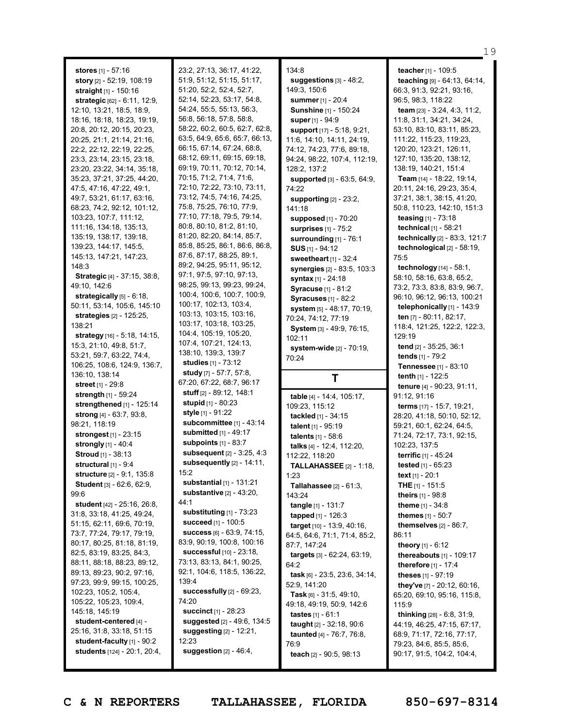**stores** [1] - 57:16 **story** [2] - 52:19, 108:19 **straight** [1] - 150:16 **strategic** [62] - 6:11, 12:9, 12:10, 13:21, 18:5, 18:9, 18:16, 18:18, 18:23, 19:19, 20:8, 20:12, 20:15, 20:23, 20:25, 21:1, 21:14, 21:16, 22:2, 22:12, 22:19, 22:25, 23:3, 23:14, 23:15, 23:18, 23:20, 23:22, 34:14, 35:18, 35:23, 37:21, 37:25, 44:20, 47:5, 47:16, 47:22, 49:1, 49:7, 53:21, 61:17, 63:16, 68:23, 74:2, 92:12, 101:12, 103:23, 107:7, 111:12, 111:16, 134:18, 135:13, 135:19, 138:17, 139:18, 139:23, 144:17, 145:5, 145:13, 147:21, 147:23, 148:3 **Strategic** [4] - 37:15, 38:8, 49:10, 142:6 **strategically** [5] - 6:18, 50:11, 53:14, 105:6, 145:10 **strategies** [2] - 125:25, 138:21 **strategy** [16] - 5:18, 14:15, 15:3, 21:10, 49:8, 51:7, 53:21, 59:7, 63:22, 74:4, 106:25, 108:6, 124:9, 136:7, 136:10, 138:14 **street** [1] - 29:8 **strength** [1] - 59:24 **strengthened** [1] - 125:14 **strong** [4] - 63:7, 93:8, 98:21, 118:19 **strongest** [1] - 23:15 **strongly** [1] - 40:4 **Stroud** [1] - 38:13 **structural** [1] - 9:4 **structure** [2] - 9:1, 135:8 **Student** [3] - 62:6, 62:9, 99:6 **student** [42] - 25:16, 26:8, 31:8, 33:18, 41:25, 49:24, 51:15, 62:11, 69:6, 70:19, 73:7, 77:24, 79:17, 79:19, 80:17, 80:25, 81:18, 81:19, 82:5, 83:19, 83:25, 84:3, 88:11, 88:18, 88:23, 89:12, 89:13, 89:23, 90:2, 97:16, 97:23, 99:9, 99:15, 100:25, 102:23, 105:2, 105:4, 105:22, 105:23, 109:4, 145:18, 145:19 **student-centered** [4] - 25:16, 31:8, 33:18, 51:15 **student-faculty** [1] - 90:2 **students** [124] - 20:1, 20:4,

23:2, 27:13, 36:17, 41:22, 51:9, 51:12, 51:15, 51:17, 51:20, 52:2, 52:4, 52:7, 52:14, 52:23, 53:17, 54:8, 54:24, 55:5, 55:13, 56:3, 56:8, 56:18, 57:8, 58:8, 58:22, 60:2, 60:5, 62:7, 62:8, 63:5, 64:9, 65:6, 65:7, 66:13, 66:15, 67:14, 67:24, 68:8, 68:12, 69:11, 69:15, 69:18, 69:19, 70:11, 70:12, 70:14, 70:15, 71:2, 71:4, 71:6, 72:10, 72:22, 73:10, 73:11, 73:12, 74:5, 74:16, 74:25, 75:8, 75:25, 76:10, 77:9, 77:10, 77:18, 79:5, 79:14, 80:8, 80:10, 81:2, 81:10, 81:20, 82:20, 84:14, 85:7, 85:8, 85:25, 86:1, 86:6, 86:8, 87:6, 87:17, 88:25, 89:1, 89:2, 94:25, 95:11, 95:12, 97:1, 97:5, 97:10, 97:13, 98:25, 99:13, 99:23, 99:24, 100:4, 100:6, 100:7, 100:9, 100:17, 102:13, 103:4, 103:13, 103:15, 103:16, 103:17, 103:18, 103:25, 104:4, 105:19, 105:20, 107:4, 107:21, 124:13, 138:10, 139:3, 139:7 **studies** [1] - 73:12 **study** [7] - 57:7, 57:8, 67:20, 67:22, 68:7, 96:17 **stuff** [2] - 89:12, 148:1 **stupid** [1] - 80:23 **style** [1] - 91:22 **subcommittee** [1] - 43:14 **submitted** [1] - 49:17 **subpoints** [1] - 83:7 **subsequent** [2] - 3:25, 4:3 **subsequently** [2] - 14:11, 15:2 **substantial** [1] - 131:21 **substantive** [2] - 43:20, 44:1 **substituting** [1] - 73:23 **succeed** [1] - 100:5 **success** [6] - 63:9, 74:15, 83:9, 90:19, 100:8, 100:16 **successful** [10] - 23:18, 73:13, 83:13, 84:1, 90:25, 92:1, 104:6, 118:5, 136:22, 139:4 **successfully** [2] - 69:23, 74:20 **succinct** [1] - 28:23 **suggested** [2] - 49:6, 134:5 **suggesting** [2] - 12:21, 12:23 **suggestion** [2] - 46:4,

134:8 **suggestions** [3] - 48:2, 149:3, 150:6 **summer** [1] - 20:4 **Sunshine** [1] - 150:24 **super** [1] - 94:9 **support** [17] - 5:18, 9:21, 11:6, 14:10, 14:11, 24:19, 74:12, 74:23, 77:6, 89:18, 94:24, 98:22, 107:4, 112:19, 128:2, 137:2 **supported** [3] - 63:5, 64:9, 74:22 **supporting** [2] - 23:2, 141:18 **supposed** [1] - 70:20 **surprises** [1] - 75:2 **surrounding** [1] - 76:1 **SUS** [1] - 94:12 **sweetheart** [1] - 32:4 **synergies** [2] - 83:5, 103:3 **syntax** [1] - 24:18 **Syracuse** [1] - 81:2 **Syracuses** [1] - 82:2 **system** [5] - 48:17, 70:19, 70:24, 74:12, 77:19 **System** [3] - 49:9, 76:15, 102:11 **system-wide** [2] - 70:19, 70:24

## **T**

**table** [4] - 14:4, 105:17, 109:23, 115:12 **tackled** [1] - 34:15 **talent** [1] - 95:19 **talents** [1] - 58:6 **talks** [4] - 12:4, 112:20, 112:22, 118:20 **TALLAHASSEE** [2] - 1:18, 1:23 **Tallahassee** [2] - 61:3, 143:24 **tangle** [1] - 131:7 **tapped** [1] - 126:3 **target** [10] - 13:9, 40:16, 64:5, 64:6, 71:1, 71:4, 85:2, 87:7, 147:24 **targets** [3] - 62:24, 63:19, 64:2 **task** [6] - 23:5, 23:6, 34:14, 52:9, 141:20 **Task** [6] - 31:5, 49:10, 49:18, 49:19, 50:9, 142:6 **tastes** [1] - 61:1 **taught** [2] - 32:18, 90:6 **taunted** [4] - 76:7, 76:8, 76:9 **teach** [2] - 90:5, 98:13

**teacher** [1] - 109:5 **teaching** [9] - 64:13, 64:14, 66:3, 91:3, 92:21, 93:16, 96:5, 98:3, 118:22 **team** [23] - 3:24, 4:3, 11:2, 11:8, 31:1, 34:21, 34:24, 53:10, 83:10, 83:11, 85:23, 111:22, 115:23, 119:23, 120:20, 123:21, 126:11, 127:10, 135:20, 138:12, 138:19, 140:21, 151:4 **Team** [14] - 18:22, 19:14, 20:11, 24:16, 29:23, 35:4, 37:21, 38:1, 38:15, 41:20, 50:8, 110:23, 142:10, 151:3 **teasing** [1] - 73:18 **technical** [1] - 58:21 **technically** [2] - 83:3, 121:7 **technological** [2] - 58:19, 75:5 **technology** [14] - 58:1, 58:10, 58:16, 63:8, 65:2, 73:2, 73:3, 83:8, 83:9, 96:7, 96:10, 96:12, 96:13, 100:21 **telephonically** [1] - 143:9 **ten** [7] - 80:11, 82:17, 118:4, 121:25, 122:2, 122:3,  $129.19$ **tend** [2] - 35:25, 36:1 **tends** [1] - 79:2 **Tennessee** [1] - 83:10 **tenth** [1] - 122:5 **tenure** [4] - 90:23, 91:11, 91:12, 91:16 **terms** [17] - 15:7, 19:21, 28:20, 41:18, 50:10, 52:12, 59:21, 60:1, 62:24, 64:5, 71:24, 72:17, 73:1, 92:15, 102:23, 137:5 **terrific** [1] - 45:24 **tested** [1] - 65:23 **text** [1] - 20:1 **THE** [1] - 151:5 **theirs** [1] - 98:8 **theme** [1] - 34:8 **themes** [1] - 50:7 **themselves** [2] - 86:7, 86:11 **theory** [1] - 6:12 **thereabouts** [1] - 109:17 **therefore** [1] - 17:4 **theses** [1] - 97:19 **they've** [7] - 20:12, 60:16, 65:20, 69:10, 95:16, 115:8, 115:9 **thinking** [28] - 6:8, 31:9, 44:19, 46:25, 47:15, 67:17, 68:9, 71:17, 72:16, 77:17, 79:23, 84:6, 85:5, 85:6,

19

**C & N REPORTERS TALLAHASSEE, FLORIDA 850-697-8314**

90:17, 91:5, 104:2, 104:4,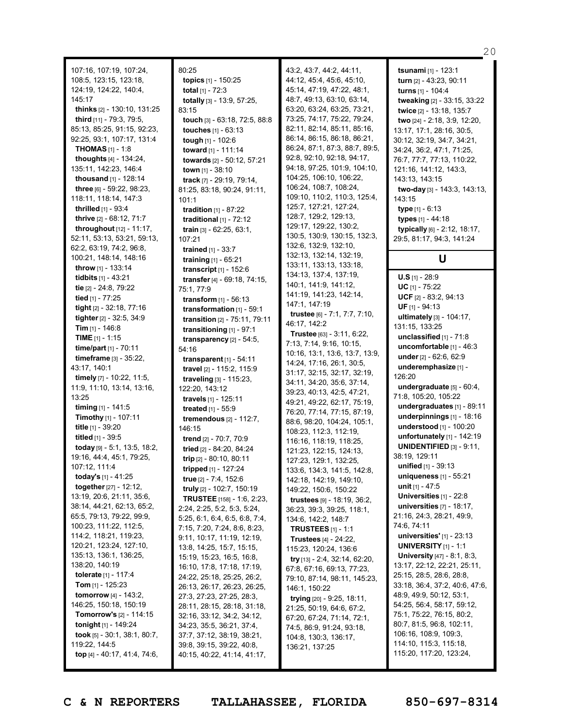107:16, 107:19, 107:24, 108:5, 123:15, 123:18, 124:19, 124:22, 140:4, 145:17 **thinks** [2] - 130:10, 131:25 **third** [11] - 79:3, 79:5, 85:13, 85:25, 91:15, 92:23, 92:25, 93:1, 107:17, 131:4 **THOMAS** [1] - 1:8 **thoughts** [4] - 134:24, 135:11, 142:23, 146:4 **thousand** [1] - 128:14 **three** [6] - 59:22, 98:23, 118:11, 118:14, 147:3 **thrilled** [1] - 93:4 **thrive** [2] - 68:12, 71:7 **throughout** [12] - 11:17, 52:11, 53:13, 53:21, 59:13, 62:2, 63:19, 74:2, 96:8, 100:21, 148:14, 148:16 **throw** [1] - 133:14 **tidbits** [1] - 43:21 **tie** [2] - 24:8, 79:22 **tied** [1] - 77:25 **tight** [2] - 32:18, 77:16 **tighter**[2] - 32:5, 34:9 **Tim** [1] - 146:8 **TIME** [1] - 1:15 **time/part** [1] - 70:11 **timeframe** [3] - 35:22, 43:17, 140:1 **timely** [7] - 10:22, 11:5, 11:9, 11:10, 13:14, 13:16, 13:25 **timing** [1] - 141:5 **Timothy** [1] - 107:11 **title** [1] - 39:20 **titled** [1] - 39:5 **today** [9] - 5:1, 13:5, 18:2, 19:16, 44:4, 45:1, 79:25, 107:12, 111:4 **today's** [1] - 41:25 **together**[27] - 12:12, 13:19, 20:6, 21:11, 35:6, 38:14, 44:21, 62:13, 65:2, 65:5, 79:13, 79:22, 99:9, 100:23, 111:22, 112:5, 114:2, 118:21, 119:23, 120:21, 123:24, 127:10, 135:13, 136:1, 136:25, 138:20, 140:19 **tolerate** [1] - 117:4 **Tom** [1] - 125:23 **tomorrow** [4] - 143:2, 146:25, 150:18, 150:19 **Tomorrow's** [2] - 114:15 **tonight** [1] - 149:24 **took** [5] - 30:1, 38:1, 80:7, 119:22, 144:5 **top** [4] - 40:17, 41:4, 74:6,

80:25 **topics** [1] - 150:25 **total** [1] - 72:3 **totally** [3] - 13:9, 57:25, 83:15 **touch** [3] - 63:18, 72:5, 88:8 **touches** [1] - 63:13 **tough** [1] - 102:6 **toward** [1] - 111:14 **towards** [2] - 50:12, 57:21 **town** [1] - 38:10 **track** [7] - 29:19, 79:14, 81:25, 83:18, 90:24, 91:11, 101:1 **tradition** [1] - 87:22 **traditional** [1] - 72:12 **train** [3] - 62:25, 63:1, 107:21 **trained** [1] - 33:7 **training** [1] - 65:21 **transcript** [1] - 152:6 **transfer** [4] - 69:18, 74:15, 75:1, 77:9 **transform** [1] - 56:13 **transformation** [1] - 59:1 **transition** [2] - 75:11, 79:11 **transitioning** [1] - 97:1 **transparency** [2] - 54:5, 54:16 **transparent** [1] - 54:11 **travel** [2] - 115:2, 115:9 **traveling** [3] - 115:23, 122:20, 143:12 **travels** [1] - 125:11 **treated** [1] - 55:9 **tremendous** [2] - 112:7, 146:15 **trend** [2] - 70:7, 70:9 **tried** [2] - 84:20, 84:24 **trip** [2] - 80:10, 80:11 **tripped** [1] - 127:24 **true** [2] - 7:4, 152:6 **truly** [2] - 102:7, 150:19 **TRUSTEE** [158] - 1:6, 2:23, 2:24, 2:25, 5:2, 5:3, 5:24, 5:25, 6:1, 6:4, 6:5, 6:8, 7:4, 7:15, 7:20, 7:24, 8:6, 8:23, 9:11, 10:17, 11:19, 12:19, 13:8, 14:25, 15:7, 15:15, 15:19, 15:23, 16:5, 16:8, 16:10, 17:8, 17:18, 17:19, 24:22, 25:18, 25:25, 26:2, 26:13, 26:17, 26:23, 26:25, 27:3, 27:23, 27:25, 28:3, 28:11, 28:15, 28:18, 31:18, 32:16, 33:12, 34:2, 34:12, 34:23, 35:5, 36:21, 37:4, 37:7, 37:12, 38:19, 38:21, 39:8, 39:15, 39:22, 40:8, 40:15, 40:22, 41:14, 41:17,

43:2, 43:7, 44:2, 44:11, 44:12, 45:4, 45:6, 45:10, 45:14, 47:19, 47:22, 48:1, 48:7, 49:13, 63:10, 63:14, 63:20, 63:24, 63:25, 73:21, 73:25, 74:17, 75:22, 79:24, 82:11, 82:14, 85:11, 85:16, 86:14, 86:15, 86:18, 86:21, 86:24, 87:1, 87:3, 88:7, 89:5, 92:8, 92:10, 92:18, 94:17, 94:18, 97:25, 101:9, 104:10, 104:25, 106:10, 106:22, 106:24, 108:7, 108:24, 109:10, 110:2, 110:3, 125:4, 125:7, 127:21, 127:24, 128:7, 129:2, 129:13, 129:17, 129:22, 130:2, 130:5, 130:9, 130:15, 132:3, 132:6, 132:9, 132:10, 132:13, 132:14, 132:19, 133:11, 133:13, 133:18, 134:13, 137:4, 137:19, 140:1, 141:9, 141:12, 141:19, 141:23, 142:14, 147:1, 147:19 **trustee** [6] - 7:1, 7:7, 7:10, 46:17, 142:2 **Trustee** [63] - 3:11, 6:22, 7:13, 7:14, 9:16, 10:15, 10:16, 13:1, 13:6, 13:7, 13:9, 14:24, 17:16, 26:1, 30:5, 31:17, 32:15, 32:17, 32:19, 34:11, 34:20, 35:6, 37:14, 39:23, 40:13, 42:5, 47:21, 49:21, 49:22, 62:17, 75:19, 76:20, 77:14, 77:15, 87:19, 88:6, 98:20, 104:24, 105:1, 108:23, 112:3, 112:19, 116:16, 118:19, 118:25, 121:23, 122:15, 124:13, 127:23, 129:1, 132:25, 133:6, 134:3, 141:5, 142:8, 142:18, 142:19, 149:10, 149:22, 150:6, 150:22 **trustees** [9] - 18:19, 36:2, 36:23, 39:3, 39:25, 118:1, 134:6, 142:2, 148:7 **TRUSTEES** [1] - 1:1 **Trustees** [4] - 24:22, 115:23, 120:24, 136:6 **try** [13] - 2:4, 32:14, 62:20, 67:8, 67:16, 69:13, 77:23, 79:10, 87:14, 98:11, 145:23, 146:1, 150:22 **trying** [20] - 9:25, 18:11, 21:25, 50:19, 64:6, 67:2, 67:20, 67:24, 71:14, 72:1, 74:5, 86:9, 91:24, 93:18, 104:8, 130:3, 136:17, 136:21, 137:25

**tsunami** [1] - 123:1 **turn** [2] - 43:23, 90:11 **turns** [1] - 104:4 **tweaking** [2] - 33:15, 33:22 **twice** [2] - 13:18, 135:7 **two** [24] - 2:18, 3:9, 12:20, 13:17, 17:1, 28:16, 30:5, 30:12, 32:19, 34:7, 34:21, 34:24, 36:2, 47:1, 71:25, 76:7, 77:7, 77:13, 110:22, 121:16, 141:12, 143:3, 143:13, 143:15 **two-day** [3] - 143:3, 143:13, 143:15 **type** [1] - 6:13 **types** [1] - 44:18 **typically** [6] - 2:12, 18:17, 29:5, 81:17, 94:3, 141:24 **U U.S** [1] - 28:9 **UC** [1] - 75:22 **UCF** [2] - 83:2, 94:13 **UF** [1] - 94:13 **ultimately** [3] - 104:17, 131:15, 133:25 **unclassified** [1] - 71:8 **uncomfortable** [1] - 46:3 **under** [2] - 62:6, 62:9 **underemphasize** [1] - 126:20 **undergraduate** [5] - 60:4, 71:8, 105:20, 105:22

20

**undergraduates** [1] - 89:11 **underpinnings** [1] - 18:16 **understood** [1] - 100:20 **unfortunately** [1] - 142:19 **UNIDENTIFIED** [3] - 9:11, 38:19, 129:11 **unified** [1] - 39:13 **uniqueness** [1] - 55:21 **unit** [1] - 47:5 **Universities** [1] - 22:8 **universities** [7] - 18:17, 21:16, 24:3, 28:21, 49:9, 74:6, 74:11 **universities'** [1] - 23:13 **UNIVERSITY** [1] - 1:1 **University** [47] - 8:1, 8:3, 13:17, 22:12, 22:21, 25:11, 25:15, 28:5, 28:6, 28:8, 33:18, 36:4, 37:2, 40:6, 47:6, 48:9, 49:9, 50:12, 53:1, 54:25, 56:4, 58:17, 59:12, 75:1, 75:22, 76:15, 80:2, 80:7, 81:5, 96:8, 102:11, 106:16, 108:9, 109:3, 114:10, 115:3, 115:18,

**C & N REPORTERS TALLAHASSEE, FLORIDA 850-697-8314**

115:20, 117:20, 123:24,